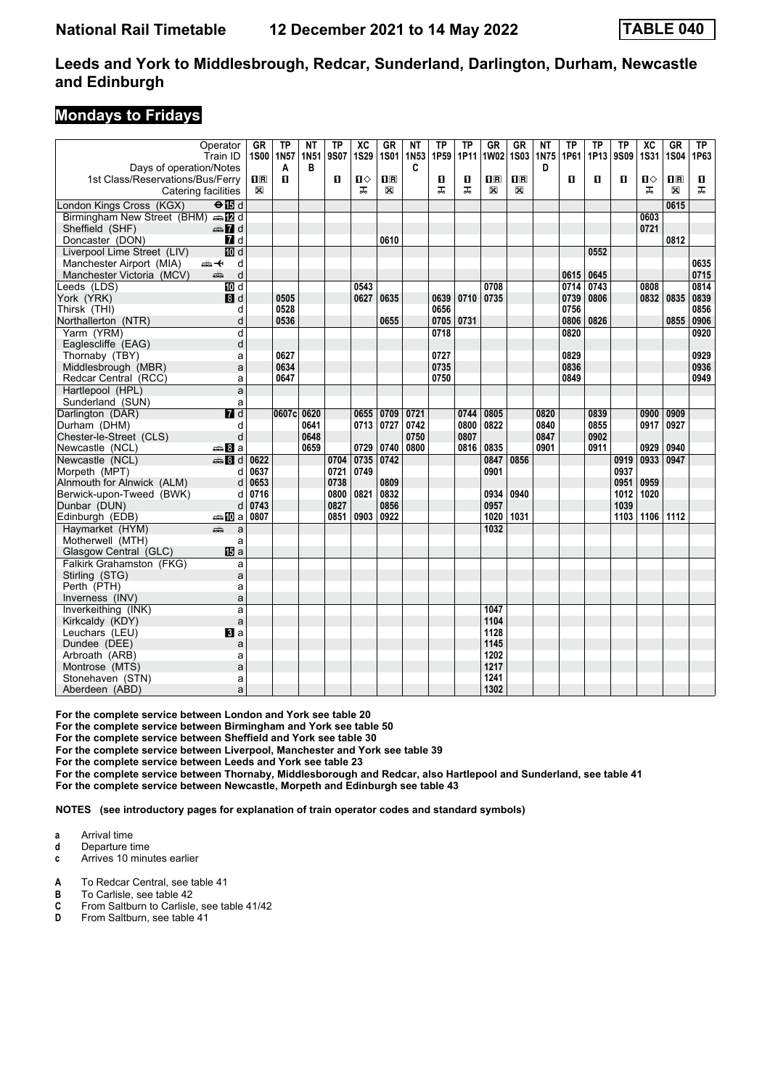#### **Mondays to Fridays**

|                                  | Operator<br>Train ID      | GR          | <b>TP</b><br>1S00   1N57 | ΝT<br><b>1N51</b> | ΤP<br>9S07 | $\overline{X}C$<br><b>1S29</b> | $G$ R<br><b>1S01</b> | NΤ<br>1N <sub>53</sub> | <b>TP</b><br>1P59 | ΤP<br>1P11 | <b>GR</b><br>1W02                               | <b>GR</b><br><b>1S03</b>                        | NΤ<br>1N75 | ΤP<br>1P61 | <b>TP</b><br>1P13 | <b>TP</b><br>9S09 | $\overline{X}C$<br><b>1S31</b> | <b>GR</b><br><b>1S04</b> | TP<br>1P63 |
|----------------------------------|---------------------------|-------------|--------------------------|-------------------|------------|--------------------------------|----------------------|------------------------|-------------------|------------|-------------------------------------------------|-------------------------------------------------|------------|------------|-------------------|-------------------|--------------------------------|--------------------------|------------|
| Days of operation/Notes          |                           |             | A                        | B                 |            |                                |                      | C                      |                   |            |                                                 |                                                 | D          |            |                   |                   |                                |                          |            |
| 1st Class/Reservations/Bus/Ferry |                           | $n_{\rm R}$ | П.                       |                   | 0          | Ⅱ♦                             | $\Box$               |                        | п                 | п          | $\overline{\mathbf{H}}$ $\overline{\mathbf{R}}$ | $\overline{\mathbf{H}}$ $\overline{\mathbf{R}}$ |            | п          | П                 | п                 | п⇔                             | $\overline{\mathbf{H}}$  | п          |
| Catering facilities              |                           | $\boxtimes$ |                          |                   |            | ᠼ                              | X                    |                        | ㅈ                 | ㅈ          | ⊠                                               | X                                               |            |            |                   |                   | ᠼ                              | $\mathbb{X}$             | ᅚ          |
| London Kings Cross (KGX)         | $\Theta$ $\overline{B}$ d |             |                          |                   |            |                                |                      |                        |                   |            |                                                 |                                                 |            |            |                   |                   |                                | 0615                     |            |
| Birmingham New Street (BHM) AD d |                           |             |                          |                   |            |                                |                      |                        |                   |            |                                                 |                                                 |            |            |                   |                   | 0603                           |                          |            |
| Sheffield (SHF)                  | $\oplus$ 7 d              |             |                          |                   |            |                                |                      |                        |                   |            |                                                 |                                                 |            |            |                   |                   | 0721                           |                          |            |
| Doncaster (DON)                  | 7d                        |             |                          |                   |            |                                | 0610                 |                        |                   |            |                                                 |                                                 |            |            |                   |                   |                                | 0812                     |            |
| Liverpool Lime Street (LIV)      | <b>ID</b> d               |             |                          |                   |            |                                |                      |                        |                   |            |                                                 |                                                 |            |            | 0552              |                   |                                |                          |            |
| Manchester Airport (MIA)         | 安<br>d                    |             |                          |                   |            |                                |                      |                        |                   |            |                                                 |                                                 |            |            |                   |                   |                                |                          | 0635       |
| Manchester Victoria (MCV)        | d<br>dia 1                |             |                          |                   |            |                                |                      |                        |                   |            |                                                 |                                                 |            | 0615       | 0645              |                   |                                |                          | 0715       |
| Leeds (LDS)                      | <b>TD</b> d               |             |                          |                   |            | 0543                           |                      |                        |                   |            | 0708                                            |                                                 |            | 0714       | 0743              |                   | 0808                           |                          | 0814       |
| York (YRK)                       | 8d                        |             | 0505                     |                   |            | 0627                           | 0635                 |                        | 0639              | 0710       | 0735                                            |                                                 |            | 0739       | 0806              |                   | 0832                           | 0835                     | 0839       |
| Thirsk (THI)                     | d                         |             | 0528                     |                   |            |                                |                      |                        | 0656              |            |                                                 |                                                 |            | 0756       |                   |                   |                                |                          | 0856       |
| Northallerton (NTR)              | d                         |             | 0536                     |                   |            |                                | 0655                 |                        | 0705              | 0731       |                                                 |                                                 |            |            | 0806 0826         |                   |                                | 0855                     | 0906       |
| Yarm (YRM)                       | d                         |             |                          |                   |            |                                |                      |                        | 0718              |            |                                                 |                                                 |            | 0820       |                   |                   |                                |                          | 0920       |
| Eaglescliffe (EAG)               | d                         |             |                          |                   |            |                                |                      |                        |                   |            |                                                 |                                                 |            |            |                   |                   |                                |                          |            |
| Thornaby (TBY)                   | a                         |             | 0627                     |                   |            |                                |                      |                        | 0727              |            |                                                 |                                                 |            | 0829       |                   |                   |                                |                          | 0929       |
| Middlesbrough (MBR)              | a                         |             | 0634                     |                   |            |                                |                      |                        | 0735              |            |                                                 |                                                 |            | 0836       |                   |                   |                                |                          | 0936       |
| Redcar Central (RCC)             | a                         |             | 0647                     |                   |            |                                |                      |                        | 0750              |            |                                                 |                                                 |            | 0849       |                   |                   |                                |                          | 0949       |
| Hartlepool (HPL)                 | a                         |             |                          |                   |            |                                |                      |                        |                   |            |                                                 |                                                 |            |            |                   |                   |                                |                          |            |
| Sunderland (SUN)                 | a                         |             |                          |                   |            |                                |                      |                        |                   |            |                                                 |                                                 |            |            |                   |                   |                                |                          |            |
| Darlington (DAR)                 | $\overline{d}$            |             | 0607c 0620               |                   |            | 0655                           | 0709                 | 0721                   |                   | 0744       | 0805                                            |                                                 | 0820       |            | 0839              |                   | 0900                           | 0909                     |            |
| Durham (DHM)                     | d                         |             |                          | 0641              |            | 0713                           | 0727                 | 0742                   |                   | 0800       | 0822                                            |                                                 | 0840       |            | 0855              |                   | 0917                           | 0927                     |            |
| Chester-le-Street (CLS)          | d                         |             |                          | 0648              |            |                                |                      | 0750                   |                   | 0807       |                                                 |                                                 | 0847       |            | 0902              |                   |                                |                          |            |
| Newcastle (NCL)                  | <del>⊯</del> Ва           |             |                          | 0659              |            | 0729                           | 0740                 | 0800                   |                   | 0816       | 0835                                            |                                                 | 0901       |            | 0911              |                   | 0929                           | 0940                     |            |
| Newcastle (NCL)                  | $\oplus$ 8 d              | 0622        |                          |                   | 0704       | 0735                           | 0742                 |                        |                   |            | 0847                                            | 0856                                            |            |            |                   | 0919              | 0933                           | 0947                     |            |
| Morpeth (MPT)                    | d                         | 0637        |                          |                   | 0721       | 0749                           |                      |                        |                   |            | 0901                                            |                                                 |            |            |                   | 0937              |                                |                          |            |
| Alnmouth for Alnwick (ALM)       | d                         | 0653        |                          |                   | 0738       |                                | 0809                 |                        |                   |            |                                                 |                                                 |            |            |                   | 0951              | 0959                           |                          |            |
| Berwick-upon-Tweed (BWK)         | d                         | 0716        |                          |                   | 0800       | 0821                           | 0832                 |                        |                   |            | 0934                                            | 0940                                            |            |            |                   | 1012              | 1020                           |                          |            |
| Dunbar (DUN)                     | d                         | 0743        |                          |                   | 0827       |                                | 0856                 |                        |                   |            | 0957                                            |                                                 |            |            |                   | 1039              |                                |                          |            |
| Edinburgh (EDB)                  | ⇔≞MDa                     | 0807        |                          |                   | 0851       | 0903                           | 0922                 |                        |                   |            | 1020                                            | 1031                                            |            |            |                   | 1103              | 1106 1112                      |                          |            |
| Haymarket (HYM)                  | æ<br>a                    |             |                          |                   |            |                                |                      |                        |                   |            | 1032                                            |                                                 |            |            |                   |                   |                                |                          |            |
| Motherwell (MTH)                 | a                         |             |                          |                   |            |                                |                      |                        |                   |            |                                                 |                                                 |            |            |                   |                   |                                |                          |            |
| Glasgow Central (GLC)            | <b>IB</b> a               |             |                          |                   |            |                                |                      |                        |                   |            |                                                 |                                                 |            |            |                   |                   |                                |                          |            |
| Falkirk Grahamston (FKG)         | a                         |             |                          |                   |            |                                |                      |                        |                   |            |                                                 |                                                 |            |            |                   |                   |                                |                          |            |
| Stirling (STG)                   | a                         |             |                          |                   |            |                                |                      |                        |                   |            |                                                 |                                                 |            |            |                   |                   |                                |                          |            |
| Perth (PTH)                      | a                         |             |                          |                   |            |                                |                      |                        |                   |            |                                                 |                                                 |            |            |                   |                   |                                |                          |            |
| Inverness (INV)                  | a                         |             |                          |                   |            |                                |                      |                        |                   |            |                                                 |                                                 |            |            |                   |                   |                                |                          |            |
| Inverkeithing (INK)              | a                         |             |                          |                   |            |                                |                      |                        |                   |            | 1047                                            |                                                 |            |            |                   |                   |                                |                          |            |
| Kirkcaldy (KDY)                  | a                         |             |                          |                   |            |                                |                      |                        |                   |            | 1104                                            |                                                 |            |            |                   |                   |                                |                          |            |
| Leuchars (LEU)                   | <b>El</b> a               |             |                          |                   |            |                                |                      |                        |                   |            | 1128                                            |                                                 |            |            |                   |                   |                                |                          |            |
| Dundee (DEE)                     | a                         |             |                          |                   |            |                                |                      |                        |                   |            | 1145                                            |                                                 |            |            |                   |                   |                                |                          |            |
| Arbroath (ARB)                   | a                         |             |                          |                   |            |                                |                      |                        |                   |            | 1202                                            |                                                 |            |            |                   |                   |                                |                          |            |
| Montrose (MTS)                   | a                         |             |                          |                   |            |                                |                      |                        |                   |            | 1217                                            |                                                 |            |            |                   |                   |                                |                          |            |
| Stonehaven (STN)                 | a                         |             |                          |                   |            |                                |                      |                        |                   |            | 1241                                            |                                                 |            |            |                   |                   |                                |                          |            |
| Aberdeen (ABD)                   | a                         |             |                          |                   |            |                                |                      |                        |                   |            | 1302                                            |                                                 |            |            |                   |                   |                                |                          |            |

For the complete service between London and York see table 20

For the complete service between Birmingham and York see table 50

For the complete service between Sheffield and York see table 30

For the complete service between Liverpool, Manchester and York see table 39

For the complete service between Leeds and York see table 23

**For the complete service between Thornaby, Middlesborough and Redcar, also Hartlepool and Sunderland, see table 41**

**For the complete service between Newcastle, Morpeth and Edinburgh see table 4**

**NOTES (see introductory pages for explanation of train operator codes and standard symbols)**

- **a** Arrival time
- **d** Departure time

**c** Arrives 10 minutes earlier

- **A** To Redcar Central, see table 41<br>**B** To Carlisle, see table 42
- 
- **B** To Carlisle, see table 42<br>**C** From Saltburn to Carlisle **C** From Saltburn to Carlisle, see table 41/42<br>**D** From Saltburn, see table 41
- From Saltburn, see table 41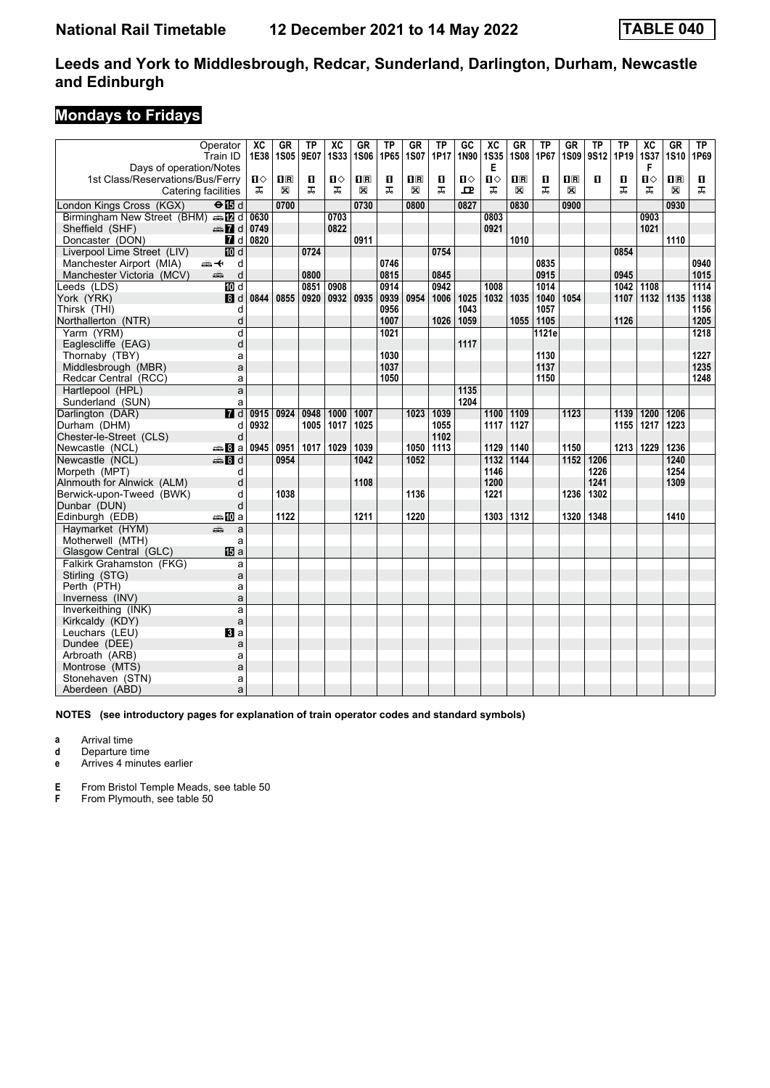### **Mondays to Fridays**

|                                     | Operator<br>Train ID        | $\overline{\text{xc}}$<br>1E38 | <b>GR</b><br>1S05 | <b>TP</b><br>9E07 | $\overline{\text{xc}}$<br><b>1S33</b> | <b>GR</b><br><b>1S06</b> | <b>TP</b><br>1P65 | <b>GR</b><br><b>1S07</b> | $\overline{\text{TP}}$<br>1P17 | $\overline{GC}$<br>1N90 | $\overline{\text{xc}}$<br><b>1S35</b> | GR<br><b>1S08</b> | TP<br>1P67 | <b>GR</b><br><b>1S09</b> | <b>TP</b><br>9S12 | $\overline{TP}$<br>1P19 | $\overline{\text{xc}}$<br><b>1S37</b> | GR<br><b>1S10</b> | TP<br>1P69 |
|-------------------------------------|-----------------------------|--------------------------------|-------------------|-------------------|---------------------------------------|--------------------------|-------------------|--------------------------|--------------------------------|-------------------------|---------------------------------------|-------------------|------------|--------------------------|-------------------|-------------------------|---------------------------------------|-------------------|------------|
| Days of operation/Notes             |                             |                                |                   |                   |                                       |                          |                   |                          |                                |                         | Е                                     |                   |            |                          |                   |                         | F                                     |                   |            |
| 1st Class/Reservations/Bus/Ferry    |                             | ்ப                             | $\mathbf{H}$      | O                 | $\mathbf{u}$                          | $\overline{\mathbf{B}}$  | П                 | $\mathbf{H}$ R           | О                              | П⇔                      | Ⅱ◇                                    | $\mathbf{H}$      | О          | $\overline{\mathbf{H}}$  | п                 | П                       | п                                     | $\prod R$         | П          |
| Catering facilities                 |                             | ᠼ                              | X                 | ᠼ                 | ᠼ                                     | X                        | ᠼ                 | X                        | ᠼ                              | 굔                       | ᠼ                                     | $\mathbb{X}$      | ᅚ          | X                        |                   | ᠼ                       | ᠼ                                     | $\boxtimes$       | ᅚ          |
| London Kings Cross (KGX)            | $\Theta$ is d               |                                | 0700              |                   |                                       | 0730                     |                   | 0800                     |                                | 0827                    |                                       | 0830              |            | 0900                     |                   |                         |                                       | 0930              |            |
| Birmingham New Street (BHM) same d  |                             | 0630                           |                   |                   | 0703                                  |                          |                   |                          |                                |                         | 0803                                  |                   |            |                          |                   |                         | 0903                                  |                   |            |
| Sheffield (SHF)                     | $\oplus$ 7 d                | 0749                           |                   |                   | 0822                                  |                          |                   |                          |                                |                         | 0921                                  |                   |            |                          |                   |                         | 1021                                  |                   |            |
| Doncaster (DON)                     | $\blacksquare$ d            | 0820                           |                   |                   |                                       | 0911                     |                   |                          |                                |                         |                                       | 1010              |            |                          |                   |                         |                                       | 1110              |            |
| Liverpool Lime Street (LIV)         | <b>ID</b> d                 |                                |                   | 0724              |                                       |                          |                   |                          | 0754                           |                         |                                       |                   |            |                          |                   | 0854                    |                                       |                   |            |
| Manchester Airport (MIA)            | d<br>安                      |                                |                   |                   |                                       |                          | 0746              |                          |                                |                         |                                       |                   | 0835       |                          |                   |                         |                                       |                   | 0940       |
| Manchester Victoria (MCV)           | d<br>پېښ                    |                                |                   | 0800              |                                       |                          | 0815              |                          | 0845                           |                         |                                       |                   | 0915       |                          |                   | 0945                    |                                       |                   | 1015       |
| Leeds (LDS)                         | $\overline{M}$ d            |                                |                   | 0851              | 0908                                  |                          | 0914              |                          | 0942                           |                         | 1008                                  |                   | 1014       |                          |                   | 1042                    | 1108                                  |                   | 1114       |
| York (YRK)                          | 8d                          | 0844                           | 0855              | 0920              | 0932                                  | 0935                     | 0939              | 0954                     | 1006                           | 1025                    | 1032                                  | 1035              | 1040       | 1054                     |                   | 1107                    | 1132 1135                             |                   | 1138       |
| Thirsk (THI)                        | d                           |                                |                   |                   |                                       |                          | 0956              |                          |                                | 1043                    |                                       |                   | 1057       |                          |                   |                         |                                       |                   | 1156       |
| Northallerton (NTR)                 | d                           |                                |                   |                   |                                       |                          | 1007              |                          | 1026                           | 1059                    |                                       | 1055              | 1105       |                          |                   | 1126                    |                                       |                   | 1205       |
| Yarm (YRM)                          | d                           |                                |                   |                   |                                       |                          | 1021              |                          |                                |                         |                                       |                   | 1121e      |                          |                   |                         |                                       |                   | 1218       |
| Eaglescliffe (EAG)                  | d                           |                                |                   |                   |                                       |                          |                   |                          |                                | 1117                    |                                       |                   |            |                          |                   |                         |                                       |                   |            |
| Thornaby (TBY)                      | a                           |                                |                   |                   |                                       |                          | 1030              |                          |                                |                         |                                       |                   | 1130       |                          |                   |                         |                                       |                   | 1227       |
| Middlesbrough (MBR)                 | a                           |                                |                   |                   |                                       |                          | 1037              |                          |                                |                         |                                       |                   | 1137       |                          |                   |                         |                                       |                   | 1235       |
| Redcar Central (RCC)                | a                           |                                |                   |                   |                                       |                          | 1050              |                          |                                |                         |                                       |                   | 1150       |                          |                   |                         |                                       |                   | 1248       |
| Hartlepool (HPL)                    | a                           |                                |                   |                   |                                       |                          |                   |                          |                                | 1135                    |                                       |                   |            |                          |                   |                         |                                       |                   |            |
| Sunderland (SUN)                    | a                           |                                |                   |                   |                                       |                          |                   |                          |                                | 1204                    |                                       |                   |            |                          |                   |                         |                                       |                   |            |
| Darlington (DAR)                    | $\overline{H}$ d            | 0915                           | 0924              | 0948              | 1000                                  | 1007                     |                   | 1023                     | 1039                           |                         | 1100                                  | 1109              |            | 1123                     |                   | 1139                    | 1200                                  | 1206              |            |
| Durham (DHM)                        | d                           | 0932                           |                   | 1005              | 1017                                  | 1025                     |                   |                          | 1055                           |                         | 1117                                  | 1127              |            |                          |                   | 1155                    | 1217                                  | 1223              |            |
| Chester-le-Street (CLS)             | d                           |                                |                   |                   |                                       |                          |                   |                          | 1102                           |                         |                                       |                   |            |                          |                   |                         |                                       |                   |            |
| Newcastle (NCL)                     | ⊯ Bla                       | 0945                           | 0951              | 1017              | 1029                                  | 1039                     |                   | 1050                     | 1113                           |                         | 1129                                  | 1140              |            | 1150                     |                   | 1213                    | 1229                                  | 1236              |            |
| Newcastle (NCL)                     | $\overline{\mathbf{3}}$ 8 d |                                | 0954              |                   |                                       | 1042                     |                   | 1052                     |                                |                         | 1132                                  | 1144              |            | 1152                     | 1206              |                         |                                       | 1240              |            |
| Morpeth (MPT)                       | d                           |                                |                   |                   |                                       |                          |                   |                          |                                |                         | 1146                                  |                   |            |                          | 1226              |                         |                                       | 1254              |            |
| Alnmouth for Alnwick (ALM)          | d                           |                                |                   |                   |                                       | 1108                     |                   |                          |                                |                         | 1200                                  |                   |            |                          | 1241              |                         |                                       | 1309              |            |
| Berwick-upon-Tweed (BWK)            | d                           |                                | 1038              |                   |                                       |                          |                   | 1136                     |                                |                         | 1221                                  |                   |            | 1236                     | 1302              |                         |                                       |                   |            |
| Dunbar (DUN)                        | d<br>⇔ID a                  |                                | 1122              |                   |                                       | 1211                     |                   | 1220                     |                                |                         | 1303                                  | 1312              |            | 1320                     | 1348              |                         |                                       | 1410              |            |
| Edinburgh (EDB)                     | añ,                         |                                |                   |                   |                                       |                          |                   |                          |                                |                         |                                       |                   |            |                          |                   |                         |                                       |                   |            |
| Haymarket (HYM)<br>Motherwell (MTH) | a<br>a                      |                                |                   |                   |                                       |                          |                   |                          |                                |                         |                                       |                   |            |                          |                   |                         |                                       |                   |            |
| Glasgow Central (GLC)               | <b>旧</b> a                  |                                |                   |                   |                                       |                          |                   |                          |                                |                         |                                       |                   |            |                          |                   |                         |                                       |                   |            |
| Falkirk Grahamston (FKG)            | a                           |                                |                   |                   |                                       |                          |                   |                          |                                |                         |                                       |                   |            |                          |                   |                         |                                       |                   |            |
| Stirling (STG)                      | a                           |                                |                   |                   |                                       |                          |                   |                          |                                |                         |                                       |                   |            |                          |                   |                         |                                       |                   |            |
| Perth (PTH)                         | a                           |                                |                   |                   |                                       |                          |                   |                          |                                |                         |                                       |                   |            |                          |                   |                         |                                       |                   |            |
| Inverness (INV)                     | a                           |                                |                   |                   |                                       |                          |                   |                          |                                |                         |                                       |                   |            |                          |                   |                         |                                       |                   |            |
| Inverkeithing (INK)                 | a                           |                                |                   |                   |                                       |                          |                   |                          |                                |                         |                                       |                   |            |                          |                   |                         |                                       |                   |            |
| Kirkcaldy (KDY)                     | a                           |                                |                   |                   |                                       |                          |                   |                          |                                |                         |                                       |                   |            |                          |                   |                         |                                       |                   |            |
| Leuchars (LEU)                      | BI a                        |                                |                   |                   |                                       |                          |                   |                          |                                |                         |                                       |                   |            |                          |                   |                         |                                       |                   |            |
| Dundee (DEE)                        | a                           |                                |                   |                   |                                       |                          |                   |                          |                                |                         |                                       |                   |            |                          |                   |                         |                                       |                   |            |
| Arbroath (ARB)                      | a                           |                                |                   |                   |                                       |                          |                   |                          |                                |                         |                                       |                   |            |                          |                   |                         |                                       |                   |            |
| Montrose (MTS)                      | a                           |                                |                   |                   |                                       |                          |                   |                          |                                |                         |                                       |                   |            |                          |                   |                         |                                       |                   |            |
| Stonehaven (STN)                    | a                           |                                |                   |                   |                                       |                          |                   |                          |                                |                         |                                       |                   |            |                          |                   |                         |                                       |                   |            |
| Aberdeen (ABD)                      | a                           |                                |                   |                   |                                       |                          |                   |                          |                                |                         |                                       |                   |            |                          |                   |                         |                                       |                   |            |

#### **NOTES (see introductory pages for explanation of train operator codes and standard symbols)**

**a** Arrival time

**d** Departure time

**e** Arrives 4 minutes earlier

**E** From Bristol Temple Meads, see table 50<br>**F** From Plymouth, see table 50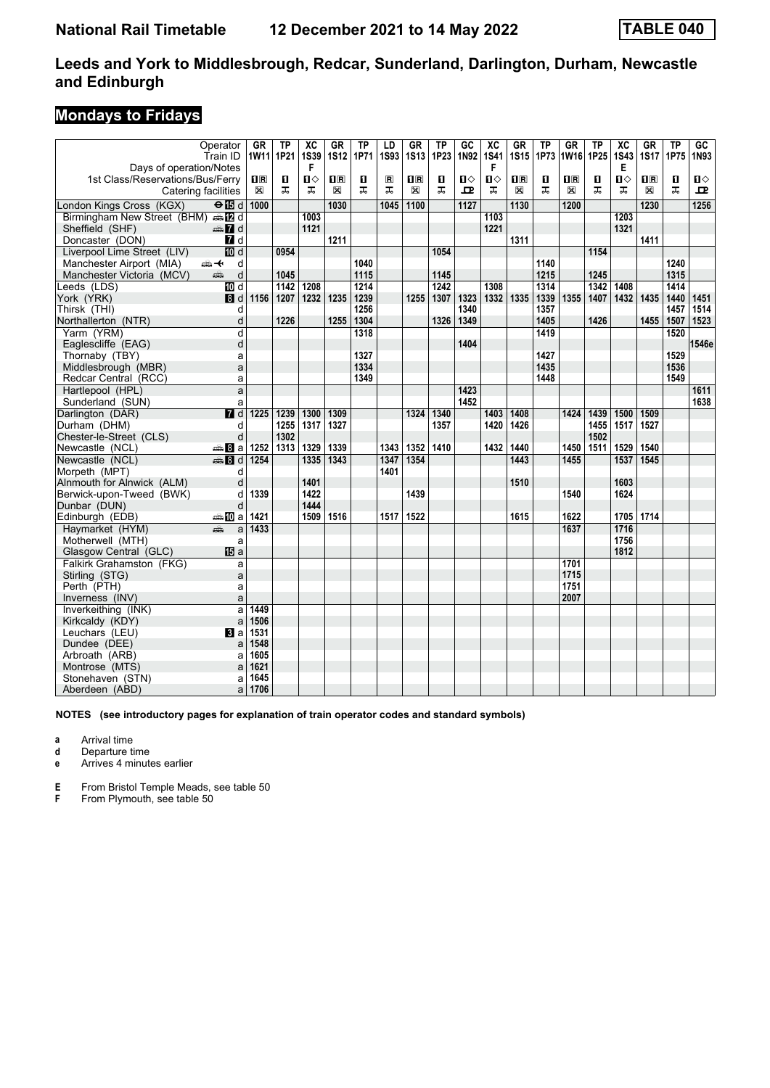### **Mondays to Fridays**

|                                          | Operator                  | <b>GR</b>   | TP   | $\overline{\text{xc}}$ | GR             | TP   | LD             | GR          | TP   | GC               | $\overline{\text{xc}}$ | GR                      | TP   | GR          | TP   | $\overline{\mathbf{X}}$ | GR          | <b>TP</b>      | GC    |
|------------------------------------------|---------------------------|-------------|------|------------------------|----------------|------|----------------|-------------|------|------------------|------------------------|-------------------------|------|-------------|------|-------------------------|-------------|----------------|-------|
|                                          | Train ID                  | 1W11 1P21   |      | <b>1S39</b>            | <b>1S12</b>    | 1P71 | <b>1S93</b>    | <b>1S13</b> | 1P23 | 1N92             | <b>1S41</b>            | <b>1S15</b>             | 1P73 | 1W16 1P25   |      | <b>1S43</b>             | <b>1S17</b> | 1P75           | 1N93  |
| Days of operation/Notes                  |                           |             |      | F                      |                |      |                |             |      |                  | F                      |                         |      |             |      | Е                       |             |                |       |
| 1st Class/Reservations/Bus/Ferry         |                           | $n_{\rm R}$ | п    | Ⅱ◇                     | $\mathbf{H}$ R | п    | $\blacksquare$ | $\Pi$ R     | п    | п⇔               | $\mathbf{u}$           | $\overline{\mathbf{B}}$ | п    | $n_{\rm R}$ | п    | П⇔                      | $\Pi$ R     | $\blacksquare$ | Ⅱ♦    |
| Catering facilities                      |                           | $\boxtimes$ | ᠼ    | ᠼ                      | X              | ᠼ    | ᠼ              | X           | ᠼ    | 모                | ᠼ                      | X                       | ᠼ    | X           | ᠼ    | ᠼ                       | X           | ᠼ              | 고     |
| London Kings Cross (KGX)                 | $\Theta$ $\blacksquare$ d | 1000        |      |                        | 1030           |      | 1045           | 1100        |      | $\frac{1127}{2}$ |                        | 1130                    |      | 1200        |      |                         | 1230        |                | 1256  |
| Birmingham New Street (BHM) AD d         |                           |             |      | 1003                   |                |      |                |             |      |                  | 1103                   |                         |      |             |      | 1203                    |             |                |       |
| Sheffield (SHF)                          | $\oplus$ 7 d              |             |      | 1121                   |                |      |                |             |      |                  | 1221                   |                         |      |             |      | 1321                    |             |                |       |
| Doncaster (DON)                          | 7 d                       |             |      |                        | 1211           |      |                |             |      |                  |                        | 1311                    |      |             |      |                         | 1411        |                |       |
| Liverpool Lime Street (LIV)              | <b>ID</b> d               |             | 0954 |                        |                |      |                |             | 1054 |                  |                        |                         |      |             | 1154 |                         |             |                |       |
| Manchester Airport (MIA)                 | ⇜↞<br>d                   |             |      |                        |                | 1040 |                |             |      |                  |                        |                         | 1140 |             |      |                         |             | 1240           |       |
| Manchester Victoria (MCV)                | پېښ<br>d                  |             | 1045 |                        |                | 1115 |                |             | 1145 |                  |                        |                         | 1215 |             | 1245 |                         |             | 1315           |       |
| Leeds (LDS)                              | $\overline{M}$ d          |             | 1142 | 1208                   |                | 1214 |                |             | 1242 |                  | 1308                   |                         | 1314 |             | 1342 | 1408                    |             | 1414           |       |
| York (YRK)                               | 8d                        | 1156        | 1207 | 1232                   | 1235           | 1239 |                | 1255        | 1307 | 1323             | 1332                   | 1335                    | 1339 | 1355        | 1407 | 1432                    | 1435        | 1440           | 1451  |
| Thirsk (THI)                             | d                         |             |      |                        |                | 1256 |                |             |      | 1340             |                        |                         | 1357 |             |      |                         |             | 1457           | 1514  |
| Northallerton (NTR)                      | d                         |             | 1226 |                        | 1255           | 1304 |                |             | 1326 | 1349             |                        |                         | 1405 |             | 1426 |                         | 1455        | 1507           | 1523  |
| Yarm (YRM)                               | d                         |             |      |                        |                | 1318 |                |             |      |                  |                        |                         | 1419 |             |      |                         |             | 1520           |       |
| Eaglescliffe (EAG)                       | d                         |             |      |                        |                |      |                |             |      | 1404             |                        |                         |      |             |      |                         |             |                | 1546e |
| Thornaby (TBY)                           | a                         |             |      |                        |                | 1327 |                |             |      |                  |                        |                         | 1427 |             |      |                         |             | 1529           |       |
| Middlesbrough (MBR)                      | a                         |             |      |                        |                | 1334 |                |             |      |                  |                        |                         | 1435 |             |      |                         |             | 1536           |       |
| Redcar Central (RCC)                     | a                         |             |      |                        |                | 1349 |                |             |      |                  |                        |                         | 1448 |             |      |                         |             | 1549           |       |
| Hartlepool (HPL)                         | a                         |             |      |                        |                |      |                |             |      | 1423             |                        |                         |      |             |      |                         |             |                | 1611  |
| Sunderland (SUN)                         | a                         |             |      |                        |                |      |                |             |      | 1452             |                        |                         |      |             |      |                         |             |                | 1638  |
| Darlington (DAR)                         | 7d                        | 1225        | 1239 | 1300                   | 1309           |      |                | 1324        | 1340 |                  | 1403                   | 1408                    |      | 1424        | 1439 | 1500                    | 1509        |                |       |
| Durham (DHM)                             | d                         |             | 1255 | 1317                   | 1327           |      |                |             | 1357 |                  | 1420                   | 1426                    |      |             | 1455 | 1517                    | 1527        |                |       |
| Chester-le-Street (CLS)                  | d                         |             | 1302 |                        |                |      |                |             |      |                  |                        |                         |      |             | 1502 |                         |             |                |       |
| Newcastle (NCL)                          | <del>⊯</del> 8a           | 1252        | 1313 | 1329                   | 1339           |      | 1343           | 1352        | 1410 |                  | 1432                   | 1440                    |      | 1450        | 1511 | 1529                    | 1540        |                |       |
| Newcastle (NCL)                          | <b>●Bd</b>                | 1254        |      | 1335                   | 1343           |      | 1347           | 1354        |      |                  |                        | 1443                    |      | 1455        |      | 1537                    | 1545        |                |       |
| Morpeth (MPT)                            | d<br>d                    |             |      | 1401                   |                |      | 1401           |             |      |                  |                        |                         |      |             |      |                         |             |                |       |
| Alnmouth for Alnwick (ALM)               |                           | 1339        |      | 1422                   |                |      |                | 1439        |      |                  |                        | 1510                    |      | 1540        |      | 1603<br>1624            |             |                |       |
| Berwick-upon-Tweed (BWK)<br>Dunbar (DUN) | d<br>d                    |             |      | 1444                   |                |      |                |             |      |                  |                        |                         |      |             |      |                         |             |                |       |
| Edinburgh (EDB)                          | <b>▲ID</b> a              | 1421        |      | 1509                   | 1516           |      | 1517 1522      |             |      |                  |                        | 1615                    |      | 1622        |      | 1705                    | 1714        |                |       |
| Havmarket (HYM)                          | æ<br>a                    | 1433        |      |                        |                |      |                |             |      |                  |                        |                         |      | 1637        |      | 1716                    |             |                |       |
| Motherwell (MTH)                         | a                         |             |      |                        |                |      |                |             |      |                  |                        |                         |      |             |      | 1756                    |             |                |       |
| Glasgow Central (GLC)                    | <b>IB</b> a               |             |      |                        |                |      |                |             |      |                  |                        |                         |      |             |      | 1812                    |             |                |       |
| Falkirk Grahamston (FKG)                 | a                         |             |      |                        |                |      |                |             |      |                  |                        |                         |      | 1701        |      |                         |             |                |       |
| Stirling (STG)                           | a                         |             |      |                        |                |      |                |             |      |                  |                        |                         |      | 1715        |      |                         |             |                |       |
| Perth (PTH)                              | a                         |             |      |                        |                |      |                |             |      |                  |                        |                         |      | 1751        |      |                         |             |                |       |
| Inverness (INV)                          | a                         |             |      |                        |                |      |                |             |      |                  |                        |                         |      | 2007        |      |                         |             |                |       |
| Inverkeithing (INK)                      | a                         | 1449        |      |                        |                |      |                |             |      |                  |                        |                         |      |             |      |                         |             |                |       |
| Kirkcaldy (KDY)                          | a                         | 1506        |      |                        |                |      |                |             |      |                  |                        |                         |      |             |      |                         |             |                |       |
| Leuchars (LEU)                           | BI a                      | 1531        |      |                        |                |      |                |             |      |                  |                        |                         |      |             |      |                         |             |                |       |
| Dundee (DEE)                             | a                         | 1548        |      |                        |                |      |                |             |      |                  |                        |                         |      |             |      |                         |             |                |       |
| Arbroath (ARB)                           | a                         | 1605        |      |                        |                |      |                |             |      |                  |                        |                         |      |             |      |                         |             |                |       |
| Montrose (MTS)                           | a                         | 1621        |      |                        |                |      |                |             |      |                  |                        |                         |      |             |      |                         |             |                |       |
| Stonehaven (STN)                         | a                         | 1645        |      |                        |                |      |                |             |      |                  |                        |                         |      |             |      |                         |             |                |       |
| Aberdeen (ABD)                           | a                         | 1706        |      |                        |                |      |                |             |      |                  |                        |                         |      |             |      |                         |             |                |       |

**NOTES (see introductory pages for explanation of train operator codes and standard symbols)**

**a** Arrival time

**d** Departure time

**e** Arrives 4 minutes earlier

**E** From Bristol Temple Meads, see table 50<br>**F** From Plymouth, see table 50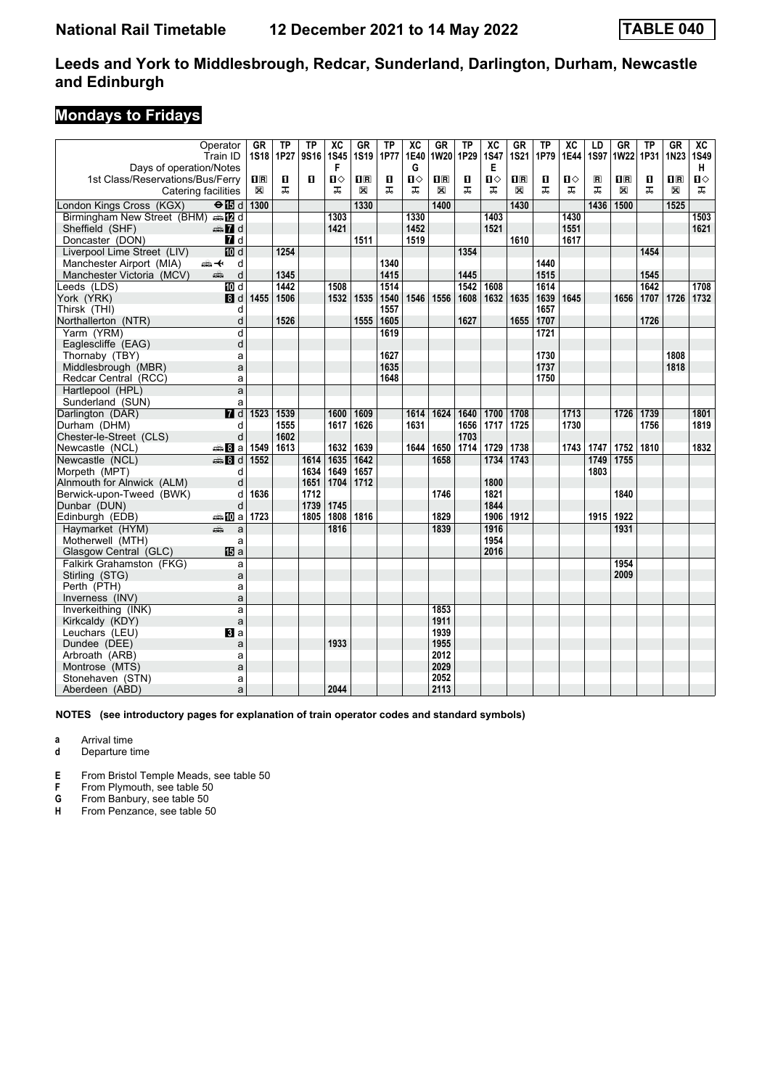### **Mondays to Fridays**

|                                    | Operator<br>Train ID | <b>GR</b>                                       | <b>TP</b><br>1S18 1P27 | <b>TP</b><br>9S16 | $\overline{\mathbf{X}}$<br><b>1S45</b> | GR<br><b>1S19</b> | <b>TP</b><br><b>1P77</b> | $\overline{AC}$<br>1E40 | $G$ R<br>1W20           | $\overline{TP}$<br>1P29 | $\overline{\text{xc}}$<br><b>1S47</b> | <b>GR</b><br><b>1S21</b> | TP<br>1P79 | $\overline{\text{xc}}$<br>1E44 | LD<br><b>1S97</b> | $G$ R<br><b>1W22</b>    | <b>TP</b><br>1P31 | <b>GR</b><br>1N23       | $\overline{AC}$<br><b>1S49</b> |
|------------------------------------|----------------------|-------------------------------------------------|------------------------|-------------------|----------------------------------------|-------------------|--------------------------|-------------------------|-------------------------|-------------------------|---------------------------------------|--------------------------|------------|--------------------------------|-------------------|-------------------------|-------------------|-------------------------|--------------------------------|
| Days of operation/Notes            |                      |                                                 |                        |                   | F                                      |                   |                          | G                       |                         |                         | Е                                     |                          |            |                                |                   |                         |                   |                         | н                              |
| 1st Class/Reservations/Bus/Ferry   |                      | $\overline{\mathbf{H}}$ $\overline{\mathbf{R}}$ | П                      | п                 | $\blacksquare$                         | $\mathbf{1}$ R    | п                        | Ⅱ♦                      | $\overline{\mathbf{B}}$ | O                       | п⇔                                    | $\overline{\mathbf{B}}$  | О          | О                              | $\blacksquare$    | $\overline{\mathbf{H}}$ | O                 | $\overline{\mathbf{H}}$ | $\mathbf{u}$                   |
| Catering facilities                |                      | $\boxtimes$                                     | ᅚ                      |                   | ᅚ                                      | X                 | ᠼ                        | ᠼ                       | X                       | ᠼ                       | ᠼ                                     | X                        | ᠼ          | ᠼ                              | ᠼ                 | X                       | ᠼ                 | X                       | ᠼ                              |
| London Kings Cross (KGX)           | $\Theta$ is d 1300   |                                                 |                        |                   |                                        | 1330              |                          |                         | 1400                    |                         |                                       | 1430                     |            |                                | 1436              | 1500                    |                   | 1525                    |                                |
| Birmingham New Street (BHM) s [2 d |                      |                                                 |                        |                   | 1303                                   |                   |                          | 1330                    |                         |                         | 1403                                  |                          |            | 1430                           |                   |                         |                   |                         | 1503                           |
| Sheffield (SHF)                    | d Ma                 |                                                 |                        |                   | 1421                                   |                   |                          | 1452                    |                         |                         | 1521                                  |                          |            | 1551                           |                   |                         |                   |                         | 1621                           |
| Doncaster (DON)                    | 7d                   |                                                 |                        |                   |                                        | 1511              |                          | 1519                    |                         |                         |                                       | 1610                     |            | 1617                           |                   |                         |                   |                         |                                |
| Liverpool Lime Street (LIV)        | <b>ID</b> d          |                                                 | 1254                   |                   |                                        |                   |                          |                         |                         | 1354                    |                                       |                          |            |                                |                   |                         | 1454              |                         |                                |
| Manchester Airport (MIA)           | 安<br>d               |                                                 |                        |                   |                                        |                   | 1340                     |                         |                         |                         |                                       |                          | 1440       |                                |                   |                         |                   |                         |                                |
| Manchester Victoria (MCV)          | d<br>پېښ             |                                                 | 1345                   |                   |                                        |                   | 1415                     |                         |                         | 1445                    |                                       |                          | 1515       |                                |                   |                         | 1545              |                         |                                |
| Leeds (LDS)                        | <b>TO</b> d          |                                                 | 1442                   |                   | 1508                                   |                   | 1514                     |                         |                         | 1542                    | 1608                                  |                          | 1614       |                                |                   |                         | 1642              |                         | 1708                           |
| York (YRK)                         | 8d                   | 1455                                            | 1506                   |                   | 1532                                   | 1535              | 1540                     | 1546                    | 1556                    | 1608                    | 1632                                  | 1635                     | 1639       | 1645                           |                   | 1656                    | 1707              | 1726                    | 1732                           |
| Thirsk (THI)                       | d                    |                                                 |                        |                   |                                        |                   | 1557                     |                         |                         |                         |                                       |                          | 1657       |                                |                   |                         |                   |                         |                                |
| Northallerton (NTR)                | d                    |                                                 | 1526                   |                   |                                        | 1555              | 1605                     |                         |                         | 1627                    |                                       | 1655                     | 1707       |                                |                   |                         | 1726              |                         |                                |
| Yarm (YRM)                         | d                    |                                                 |                        |                   |                                        |                   | 1619                     |                         |                         |                         |                                       |                          | 1721       |                                |                   |                         |                   |                         |                                |
| Eaglescliffe (EAG)                 | d                    |                                                 |                        |                   |                                        |                   |                          |                         |                         |                         |                                       |                          |            |                                |                   |                         |                   |                         |                                |
| Thornaby (TBY)                     | a                    |                                                 |                        |                   |                                        |                   | 1627                     |                         |                         |                         |                                       |                          | 1730       |                                |                   |                         |                   | 1808                    |                                |
| Middlesbrough (MBR)                | a                    |                                                 |                        |                   |                                        |                   | 1635                     |                         |                         |                         |                                       |                          | 1737       |                                |                   |                         |                   | 1818                    |                                |
| Redcar Central (RCC)               | a                    |                                                 |                        |                   |                                        |                   | 1648                     |                         |                         |                         |                                       |                          | 1750       |                                |                   |                         |                   |                         |                                |
| Hartlepool (HPL)                   | a                    |                                                 |                        |                   |                                        |                   |                          |                         |                         |                         |                                       |                          |            |                                |                   |                         |                   |                         |                                |
| Sunderland (SUN)                   | a                    |                                                 |                        |                   |                                        |                   |                          |                         |                         |                         |                                       |                          |            |                                |                   |                         |                   |                         |                                |
| Darlington (DAR)                   | $\overline{H}$ d     | 1523 1539                                       |                        |                   | 1600                                   | 1609              |                          | 1614                    | 1624                    | 1640                    | 1700                                  | 1708                     |            | 1713                           |                   | 1726                    | 1739              |                         | 1801                           |
| Durham (DHM)                       | d                    |                                                 | 1555                   |                   | 1617                                   | 1626              |                          | 1631                    |                         | 1656                    | 1717                                  | 1725                     |            | 1730                           |                   |                         | 1756              |                         | 1819                           |
| Chester-le-Street (CLS)            | d                    |                                                 | 1602                   |                   |                                        |                   |                          |                         |                         | 1703                    |                                       |                          |            |                                |                   |                         |                   |                         |                                |
| Newcastle (NCL)                    | <del>⊯</del> Ba      | 1549                                            | 1613                   |                   | 1632                                   | 1639              |                          | 1644                    | 1650                    | 1714                    | 1729                                  | 1738                     |            | 1743                           | 1747              | 1752                    | 1810              |                         | 1832                           |
| Newcastle (NCL)                    | <b>第8d</b>           | 1552                                            |                        | 1614              | 1635                                   | 1642              |                          |                         | 1658                    |                         | 1734                                  | 1743                     |            |                                | 1749              | 1755                    |                   |                         |                                |
| Morpeth (MPT)                      | d                    |                                                 |                        | 1634              | 1649                                   | 1657              |                          |                         |                         |                         |                                       |                          |            |                                | 1803              |                         |                   |                         |                                |
| Alnmouth for Alnwick (ALM)         | d                    |                                                 |                        | 1651              | 1704                                   | 1712              |                          |                         |                         |                         | 1800                                  |                          |            |                                |                   |                         |                   |                         |                                |
| Berwick-upon-Tweed (BWK)           | d                    | 1636                                            |                        | 1712              |                                        |                   |                          |                         | 1746                    |                         | 1821                                  |                          |            |                                |                   | 1840                    |                   |                         |                                |
| Dunbar (DUN)                       | d                    |                                                 |                        | 1739              | 1745                                   |                   |                          |                         |                         |                         | 1844                                  |                          |            |                                |                   |                         |                   |                         |                                |
| Edinburgh (EDB)                    | ⊯n Da                | 1723                                            |                        | 1805              | 1808                                   | 1816              |                          |                         | 1829                    |                         | 1906                                  | 1912                     |            |                                | 1915 1922         |                         |                   |                         |                                |
| Havmarket (HYM)                    | يتثبه<br>a           |                                                 |                        |                   | 1816                                   |                   |                          |                         | 1839                    |                         | 1916                                  |                          |            |                                |                   | 1931                    |                   |                         |                                |
| Motherwell (MTH)                   | a                    |                                                 |                        |                   |                                        |                   |                          |                         |                         |                         | 1954                                  |                          |            |                                |                   |                         |                   |                         |                                |
| Glasgow Central (GLC)              | <b>IB</b> a          |                                                 |                        |                   |                                        |                   |                          |                         |                         |                         | 2016                                  |                          |            |                                |                   |                         |                   |                         |                                |
| Falkirk Grahamston (FKG)           | a                    |                                                 |                        |                   |                                        |                   |                          |                         |                         |                         |                                       |                          |            |                                |                   | 1954                    |                   |                         |                                |
| Stirling (STG)                     | a                    |                                                 |                        |                   |                                        |                   |                          |                         |                         |                         |                                       |                          |            |                                |                   | 2009                    |                   |                         |                                |
| Perth (PTH)                        | a                    |                                                 |                        |                   |                                        |                   |                          |                         |                         |                         |                                       |                          |            |                                |                   |                         |                   |                         |                                |
| Inverness (INV)                    | a                    |                                                 |                        |                   |                                        |                   |                          |                         |                         |                         |                                       |                          |            |                                |                   |                         |                   |                         |                                |
| Inverkeithing (INK)                | a                    |                                                 |                        |                   |                                        |                   |                          |                         | 1853                    |                         |                                       |                          |            |                                |                   |                         |                   |                         |                                |
| Kirkcaldy (KDY)                    | a                    |                                                 |                        |                   |                                        |                   |                          |                         | 1911                    |                         |                                       |                          |            |                                |                   |                         |                   |                         |                                |
| Leuchars (LEU)                     | <b>El</b> a          |                                                 |                        |                   | 1933                                   |                   |                          |                         | 1939<br>1955            |                         |                                       |                          |            |                                |                   |                         |                   |                         |                                |
| Dundee (DEE)                       | a                    |                                                 |                        |                   |                                        |                   |                          |                         | 2012                    |                         |                                       |                          |            |                                |                   |                         |                   |                         |                                |
| Arbroath (ARB)<br>Montrose (MTS)   | a<br>a               |                                                 |                        |                   |                                        |                   |                          |                         | 2029                    |                         |                                       |                          |            |                                |                   |                         |                   |                         |                                |
| Stonehaven (STN)                   |                      |                                                 |                        |                   |                                        |                   |                          |                         | 2052                    |                         |                                       |                          |            |                                |                   |                         |                   |                         |                                |
| Aberdeen (ABD)                     | a<br>a               |                                                 |                        |                   | 2044                                   |                   |                          |                         | 2113                    |                         |                                       |                          |            |                                |                   |                         |                   |                         |                                |
|                                    |                      |                                                 |                        |                   |                                        |                   |                          |                         |                         |                         |                                       |                          |            |                                |                   |                         |                   |                         |                                |

**NOTES (see introductory pages for explanation of train operator codes and standard symbols)**

**a** Arrival time

**d** Departure time

**E** From Bristol Temple Meads, see table 50<br>**F** From Plymouth, see table 50

**F** From Plymouth, see table 50<br>**G** From Banbury, see table 50

**G** From Banbury, see table 50<br>**H** From Penzance, see table 50

From Penzance, see table 50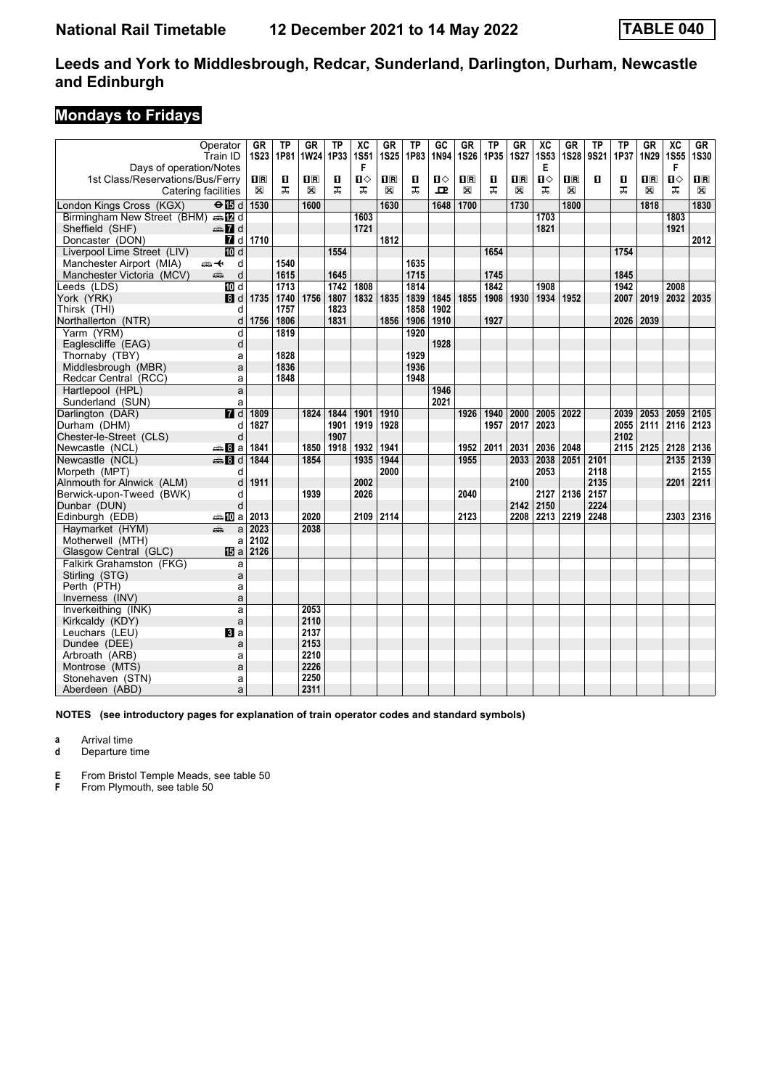### **Mondays to Fridays**

|                                             | Operator<br>Train ID  | <b>GR</b>      | TP<br>1S23 1P81 | GR<br>1W24     | TP<br>1P33   | $\overline{\mathbf{X}}$<br><b>1S51</b> | <b>GR</b><br><b>1S25</b> | ТP<br>1P83   | $\overline{GC}$<br>1N94 | GR<br><b>1S26</b>       | <b>TP</b><br>1P35 | <b>GR</b><br><b>1S27</b> | $\overline{\text{xc}}$<br><b>1S53</b> | <b>GR</b><br><b>1S28</b>  | ΤP<br>9S21 | <b>TP</b><br>1P37 | GR<br>1N29                                      | $\overline{\text{xc}}$<br>1S55 | $G$ R<br><b>1S30</b> |
|---------------------------------------------|-----------------------|----------------|-----------------|----------------|--------------|----------------------------------------|--------------------------|--------------|-------------------------|-------------------------|-------------------|--------------------------|---------------------------------------|---------------------------|------------|-------------------|-------------------------------------------------|--------------------------------|----------------------|
| Days of operation/Notes                     |                       |                |                 |                |              | F                                      |                          |              |                         |                         |                   |                          | Е                                     |                           |            |                   |                                                 | F                              |                      |
| 1st Class/Reservations/Bus/Ferry            |                       | $\mathbf{H}$ R | О               | $\mathbf{H}$ R | O            | Ω⇔                                     | 0 B                      | O            | ்ப                      | $\overline{\mathbf{R}}$ | п                 | $\mathbf{H}$ R           | п⇔                                    | $\mathbf{I}^{\mathbf{R}}$ | п          | П                 | $\overline{\mathbf{H}}$ $\overline{\mathbf{R}}$ | $\mathbf{u}$                   | $\mathbf{1}$ R       |
| Catering facilities                         |                       | $\boxtimes$    | ㅈ               | X              | ᅚ            | ᠼ                                      | X                        | ᠼ            | ᇁ                       | X                       | ᠼ                 | X                        | ᅚ                                     | X                         |            | ᅚ                 | X                                               | ᠼ                              | X                    |
| London Kings Cross (KGX)                    | $\Theta$ is d         | 1530           |                 | 1600           |              |                                        | 1630                     |              | 1648                    | 1700                    |                   | 1730                     |                                       | 1800                      |            |                   | 1818                                            |                                | 1830                 |
| Birmingham New Street (BHM) and             |                       |                |                 |                |              | 1603                                   |                          |              |                         |                         |                   |                          | 1703                                  |                           |            |                   |                                                 | 1803                           |                      |
| Sheffield (SHF)                             | <b>en</b> d           |                |                 |                |              | 1721                                   |                          |              |                         |                         |                   |                          | 1821                                  |                           |            |                   |                                                 | 1921                           |                      |
| Doncaster (DON)                             | 7d                    | 1710           |                 |                |              |                                        | 1812                     |              |                         |                         |                   |                          |                                       |                           |            |                   |                                                 |                                | 2012                 |
| Liverpool Lime Street (LIV)                 | iD d                  |                |                 |                | 1554         |                                        |                          |              |                         |                         | 1654              |                          |                                       |                           |            | 1754              |                                                 |                                |                      |
| Manchester Airport (MIA)                    | ⇜↞<br>d               |                | 1540            |                |              |                                        |                          | 1635         |                         |                         |                   |                          |                                       |                           |            |                   |                                                 |                                |                      |
| Manchester Victoria (MCV)                   | aîn<br>d              |                | 1615            |                | 1645         |                                        |                          | 1715         |                         |                         | 1745              |                          |                                       |                           |            | 1845              |                                                 |                                |                      |
| Leeds (LDS)                                 | 10 d                  |                | 1713            |                | 1742         | 1808                                   |                          | 1814         |                         |                         | 1842              |                          | 1908                                  |                           |            | 1942              |                                                 | 2008                           |                      |
| York (YRK)                                  | 8d                    | 1735           | 1740            | 1756           | 1807         | 1832                                   | 1835                     | 1839         | 1845                    | 1855                    | 1908              | 1930                     | 1934                                  | 1952                      |            | 2007              | 2019                                            | 2032                           | 2035                 |
| Thirsk (THI)                                | d                     |                | 1757            |                | 1823         |                                        |                          | 1858         | 1902                    |                         |                   |                          |                                       |                           |            |                   |                                                 |                                |                      |
| Northallerton (NTR)                         | d                     | 1756           | 1806            |                | 1831         |                                        | 1856                     | 1906         | 1910                    |                         | 1927              |                          |                                       |                           |            | 2026              | 2039                                            |                                |                      |
| Yarm (YRM)                                  | d                     |                | 1819            |                |              |                                        |                          | 1920         |                         |                         |                   |                          |                                       |                           |            |                   |                                                 |                                |                      |
| Eaglescliffe (EAG)                          | d                     |                |                 |                |              |                                        |                          |              | 1928                    |                         |                   |                          |                                       |                           |            |                   |                                                 |                                |                      |
| Thornaby (TBY)                              | a                     |                | 1828            |                |              |                                        |                          | 1929<br>1936 |                         |                         |                   |                          |                                       |                           |            |                   |                                                 |                                |                      |
| Middlesbrough (MBR)                         | a                     |                | 1836            |                |              |                                        |                          |              |                         |                         |                   |                          |                                       |                           |            |                   |                                                 |                                |                      |
| Redcar Central (RCC)                        | a                     |                | 1848            |                |              |                                        |                          | 1948         |                         |                         |                   |                          |                                       |                           |            |                   |                                                 |                                |                      |
| Hartlepool (HPL)                            | a                     |                |                 |                |              |                                        |                          |              | 1946<br>2021            |                         |                   |                          |                                       |                           |            |                   |                                                 |                                |                      |
| Sunderland (SUN)                            | a<br>$\overline{M}$ d |                |                 |                |              |                                        |                          |              |                         |                         |                   |                          |                                       |                           |            |                   |                                                 |                                | 2105                 |
| Darlington (DAR)                            |                       | 1809           |                 | 1824           | 1844         | 1901                                   | 1910                     |              |                         | 1926                    | 1940              | 2000                     | 2005                                  | 2022                      |            | 2039              | 2053                                            | 2059                           |                      |
| Durham (DHM)<br>Chester-le-Street (CLS)     | d<br>d                | 1827           |                 |                | 1901<br>1907 | 1919                                   | 1928                     |              |                         |                         | 1957              | 2017                     | 2023                                  |                           |            | 2055<br>2102      | 2111                                            | 2116                           | 2123                 |
|                                             | <del>⊯</del> Ba       |                |                 | 1850           |              | 1932                                   |                          |              |                         |                         |                   |                          |                                       | 2048                      |            |                   | 2115 2125 2128                                  |                                |                      |
| Newcastle (NCL)<br>Newcastle (NCL)          | ্ৰভ্ৰ 81 d            | 1841<br>1844   |                 | 1854           | 1918         | 1935                                   | 1941<br>1944             |              |                         | 1952<br>1955            | 2011              | 2031<br>2033             | 2036<br>2038                          | 2051                      | 2101       |                   |                                                 | 2135                           | 2136<br>2139         |
|                                             | d                     |                |                 |                |              |                                        | 2000                     |              |                         |                         |                   |                          | 2053                                  |                           | 2118       |                   |                                                 |                                | 2155                 |
| Morpeth (MPT)<br>Alnmouth for Alnwick (ALM) | d                     | 1911           |                 |                |              | 2002                                   |                          |              |                         |                         |                   | 2100                     |                                       |                           | 2135       |                   |                                                 | 2201                           | 2211                 |
| Berwick-upon-Tweed (BWK)                    | d                     |                |                 | 1939           |              | 2026                                   |                          |              |                         | 2040                    |                   |                          | 2127                                  | 2136                      | 2157       |                   |                                                 |                                |                      |
| Dunbar (DUN)                                | d                     |                |                 |                |              |                                        |                          |              |                         |                         |                   | 2142                     | 2150                                  |                           | 2224       |                   |                                                 |                                |                      |
| Edinburgh (EDB)                             | ⇔≞MDa                 | 2013           |                 | 2020           |              |                                        | 2109 2114                |              |                         | 2123                    |                   | 2208                     |                                       | 2213 2219                 | 2248       |                   |                                                 | 2303                           | 2316                 |
| Havmarket (HYM)                             | æ<br>a                | 2023           |                 | 2038           |              |                                        |                          |              |                         |                         |                   |                          |                                       |                           |            |                   |                                                 |                                |                      |
| Motherwell (MTH)                            | a                     | 2102           |                 |                |              |                                        |                          |              |                         |                         |                   |                          |                                       |                           |            |                   |                                                 |                                |                      |
| Glasgow Central (GLC)                       | 115 al                | 2126           |                 |                |              |                                        |                          |              |                         |                         |                   |                          |                                       |                           |            |                   |                                                 |                                |                      |
| Falkirk Grahamston (FKG)                    | a                     |                |                 |                |              |                                        |                          |              |                         |                         |                   |                          |                                       |                           |            |                   |                                                 |                                |                      |
| Stirling (STG)                              | a                     |                |                 |                |              |                                        |                          |              |                         |                         |                   |                          |                                       |                           |            |                   |                                                 |                                |                      |
| Perth (PTH)                                 | a                     |                |                 |                |              |                                        |                          |              |                         |                         |                   |                          |                                       |                           |            |                   |                                                 |                                |                      |
| Inverness (INV)                             | a                     |                |                 |                |              |                                        |                          |              |                         |                         |                   |                          |                                       |                           |            |                   |                                                 |                                |                      |
| Inverkeithing (INK)                         | a                     |                |                 | 2053           |              |                                        |                          |              |                         |                         |                   |                          |                                       |                           |            |                   |                                                 |                                |                      |
| Kirkcaldy (KDY)                             | a                     |                |                 | 2110           |              |                                        |                          |              |                         |                         |                   |                          |                                       |                           |            |                   |                                                 |                                |                      |
| Leuchars (LEU)                              | $\mathbf{B}$ a        |                |                 | 2137           |              |                                        |                          |              |                         |                         |                   |                          |                                       |                           |            |                   |                                                 |                                |                      |
| Dundee (DEE)                                | a                     |                |                 | 2153           |              |                                        |                          |              |                         |                         |                   |                          |                                       |                           |            |                   |                                                 |                                |                      |
| Arbroath (ARB)                              | a                     |                |                 | 2210           |              |                                        |                          |              |                         |                         |                   |                          |                                       |                           |            |                   |                                                 |                                |                      |
| Montrose (MTS)                              | a                     |                |                 | 2226           |              |                                        |                          |              |                         |                         |                   |                          |                                       |                           |            |                   |                                                 |                                |                      |
| Stonehaven (STN)                            | a                     |                |                 | 2250           |              |                                        |                          |              |                         |                         |                   |                          |                                       |                           |            |                   |                                                 |                                |                      |
| Aberdeen (ABD)                              | a                     |                |                 | 2311           |              |                                        |                          |              |                         |                         |                   |                          |                                       |                           |            |                   |                                                 |                                |                      |

**NOTES (see introductory pages for explanation of train operator codes and standard symbols)**

**a** Arrival time

**d** Departure time

**E** From Bristol Temple Meads, see table 50<br>**F** From Plymouth, see table 50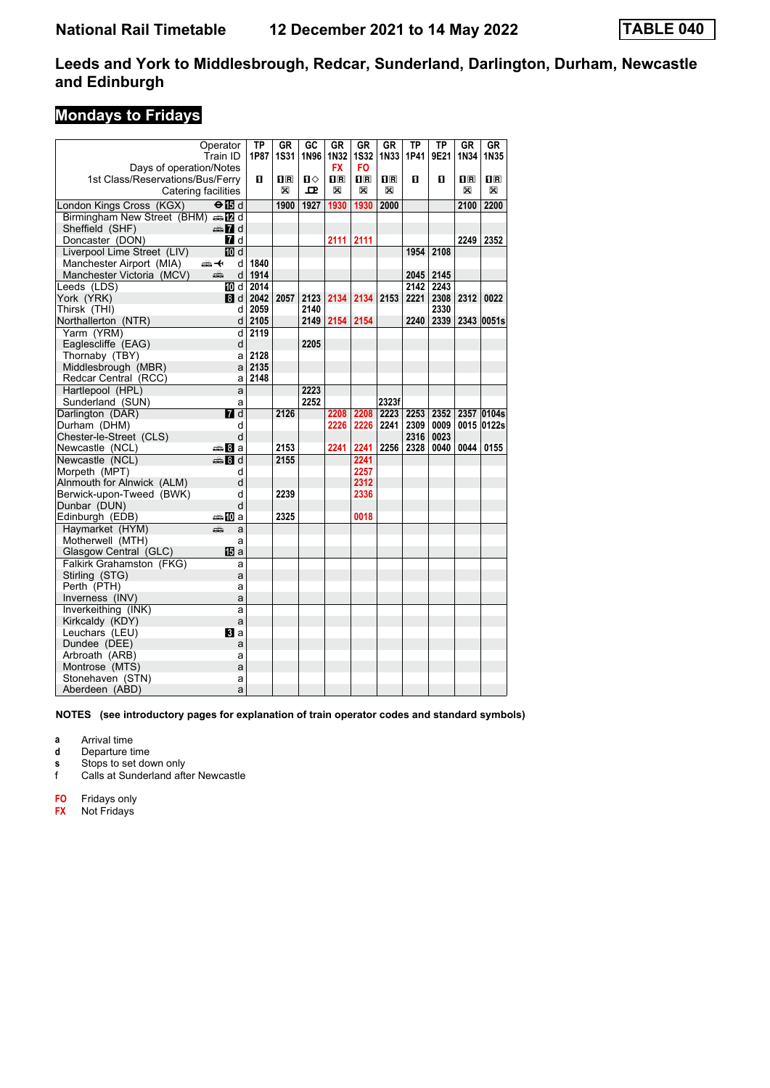### **Mondays to Fridays**

|                                         | Operator               | ТP   | GR                      | GC           | GR          | GR             | GR                      | ΤP           | TP           | GR                      | GR                                              |
|-----------------------------------------|------------------------|------|-------------------------|--------------|-------------|----------------|-------------------------|--------------|--------------|-------------------------|-------------------------------------------------|
|                                         | Train ID               | 1P87 | 1S31                    | 1N96         | 1N32        | <b>1S32</b>    | 1N33                    | 1P41         | 9E21         | 1N34                    | 1N35                                            |
| Days of operation/Notes                 |                        |      |                         |              | <b>FX</b>   | FO.            |                         |              |              |                         |                                                 |
| 1st Class/Reservations/Bus/Ferry        |                        | O    | $\overline{\mathbf{R}}$ | Ω            | 1F          | 1 <sup>R</sup> | $\overline{\mathbf{H}}$ | 0            | O            | $\overline{\mathbf{R}}$ | $\overline{\mathbf{H}}$ $\overline{\mathbf{R}}$ |
|                                         | Catering facilities    |      | X                       | $\mathbf{p}$ | X           | X              | X                       |              |              | X                       | X                                               |
| London Kings Cross (KGX)                | ⊖n d                   |      | 1900                    | 1927         | 1930        | 1930           | 2000                    |              |              | 2100                    | 2200                                            |
| Birmingham New Street (BHM) s [2 d      |                        |      |                         |              |             |                |                         |              |              |                         |                                                 |
| Sheffield (SHF)                         | d≣n 7 d                |      |                         |              |             |                |                         |              |              |                         |                                                 |
| Doncaster (DON)                         | 7 d                    |      |                         |              | $2111$ 2111 |                |                         |              |              | 2249                    | 2352                                            |
| Liverpool Lime Street (LIV)             | <b>ID</b> d            |      |                         |              |             |                |                         | 1954         | 2108         |                         |                                                 |
| Manchester Airport (MIA)                | ⇜↞<br>d                | 1840 |                         |              |             |                |                         |              |              |                         |                                                 |
| Manchester Victoria (MCV)               | پېښتنه<br>d            | 1914 |                         |              |             |                |                         | 2045         | 2145         |                         |                                                 |
| Leeds (LDS)                             | 100 d                  | 2014 |                         |              |             |                |                         | 2142         | 2243         |                         |                                                 |
| York (YRK)                              | 8d                     | 2042 | 2057                    | 2123         | 2134        | 2134           | 2153                    | 2221         | 2308         | 2312                    | 0022                                            |
| Thirsk (THI)                            | d                      | 2059 |                         | 2140         |             |                |                         |              | 2330         |                         |                                                 |
| Northallerton (NTR)                     | d                      | 2105 |                         | 2149         | 2154        | 2154           |                         | 2240         | 2339         |                         | 2343 0051s                                      |
| Yarm (YRM)                              | d                      | 2119 |                         |              |             |                |                         |              |              |                         |                                                 |
| Eaglescliffe (EAG)                      | d                      |      |                         | 2205         |             |                |                         |              |              |                         |                                                 |
| Thornaby (TBY)                          | a                      | 2128 |                         |              |             |                |                         |              |              |                         |                                                 |
| Middlesbrough (MBR)                     | a                      | 2135 |                         |              |             |                |                         |              |              |                         |                                                 |
| Redcar Central (RCC)                    | a                      | 2148 |                         |              |             |                |                         |              |              |                         |                                                 |
| Hartlepool (HPL)                        | a                      |      |                         | 2223         |             |                |                         |              |              |                         |                                                 |
| Sunderland (SUN)                        | a                      |      |                         | 2252         |             |                | 2323f                   |              |              |                         |                                                 |
| Darlington (DAR)                        | <b>7</b> d             |      | 2126                    |              | 2208        | 2208           | 2223                    | 2253         | 2352         |                         | 2357 0104s                                      |
|                                         |                        |      |                         |              |             |                |                         |              |              |                         |                                                 |
| Durham (DHM)<br>Chester-le-Street (CLS) | d<br>d                 |      |                         |              | 2226        | 2226           | 2241                    | 2309<br>2316 | 0009<br>0023 |                         | 0015 0122s                                      |
|                                         |                        |      |                         |              |             |                |                         |              |              |                         |                                                 |
| Newcastle (NCL)                         | anna <mark>8</mark> ⊪a |      | 2153                    |              | 2241        | 2241           | 2256                    | 2328         | 0040         | 0044                    | 0155                                            |
| Newcastle (NCL)                         | en 8 d                 |      | 2155                    |              |             | 2241           |                         |              |              |                         |                                                 |
| Morpeth (MPT)                           | d                      |      |                         |              |             | 2257           |                         |              |              |                         |                                                 |
| Alnmouth for Alnwick (ALM)              | d                      |      |                         |              |             | 2312           |                         |              |              |                         |                                                 |
| Berwick-upon-Tweed (BWK)                | d<br>d                 |      | 2239                    |              |             | 2336           |                         |              |              |                         |                                                 |
| Dunbar (DUN)                            |                        |      | 2325                    |              |             |                |                         |              |              |                         |                                                 |
| Edinburgh (EDB)                         | <b>▲ID</b> a           |      |                         |              |             | 0018           |                         |              |              |                         |                                                 |
| Havmarket (HYM)                         | æ<br>a                 |      |                         |              |             |                |                         |              |              |                         |                                                 |
| Motherwell (MTH)                        | a                      |      |                         |              |             |                |                         |              |              |                         |                                                 |
| Glasgow Central (GLC)                   | 阳 a                    |      |                         |              |             |                |                         |              |              |                         |                                                 |
| Falkirk Grahamston (FKG)                | a                      |      |                         |              |             |                |                         |              |              |                         |                                                 |
| Stirling (STG)                          | a                      |      |                         |              |             |                |                         |              |              |                         |                                                 |
| Perth (PTH)                             | a                      |      |                         |              |             |                |                         |              |              |                         |                                                 |
| Inverness (INV)                         | a                      |      |                         |              |             |                |                         |              |              |                         |                                                 |
| Inverkeithing (INK)                     | a                      |      |                         |              |             |                |                         |              |              |                         |                                                 |
| Kirkcaldy (KDY)                         | a                      |      |                         |              |             |                |                         |              |              |                         |                                                 |
| Leuchars (LEU)                          | $\mathbf{B}$ a         |      |                         |              |             |                |                         |              |              |                         |                                                 |
| Dundee (DEE)                            | a                      |      |                         |              |             |                |                         |              |              |                         |                                                 |
| Arbroath (ARB)                          | a                      |      |                         |              |             |                |                         |              |              |                         |                                                 |
| Montrose (MTS)                          | a                      |      |                         |              |             |                |                         |              |              |                         |                                                 |
| Stonehaven (STN)                        | a                      |      |                         |              |             |                |                         |              |              |                         |                                                 |
| Aberdeen (ABD)                          | a                      |      |                         |              |             |                |                         |              |              |                         |                                                 |

**NOTES (see introductory pages for explanation of train operator codes and standard symbols)**

- **a** Arrival time
- **d** Departure time

**s** Stops to set down only<br>**f** Calls at Sunderland after

- Calls at Sunderland after Newcastle
- **FO** Fridays only
- **FX** Not Fridays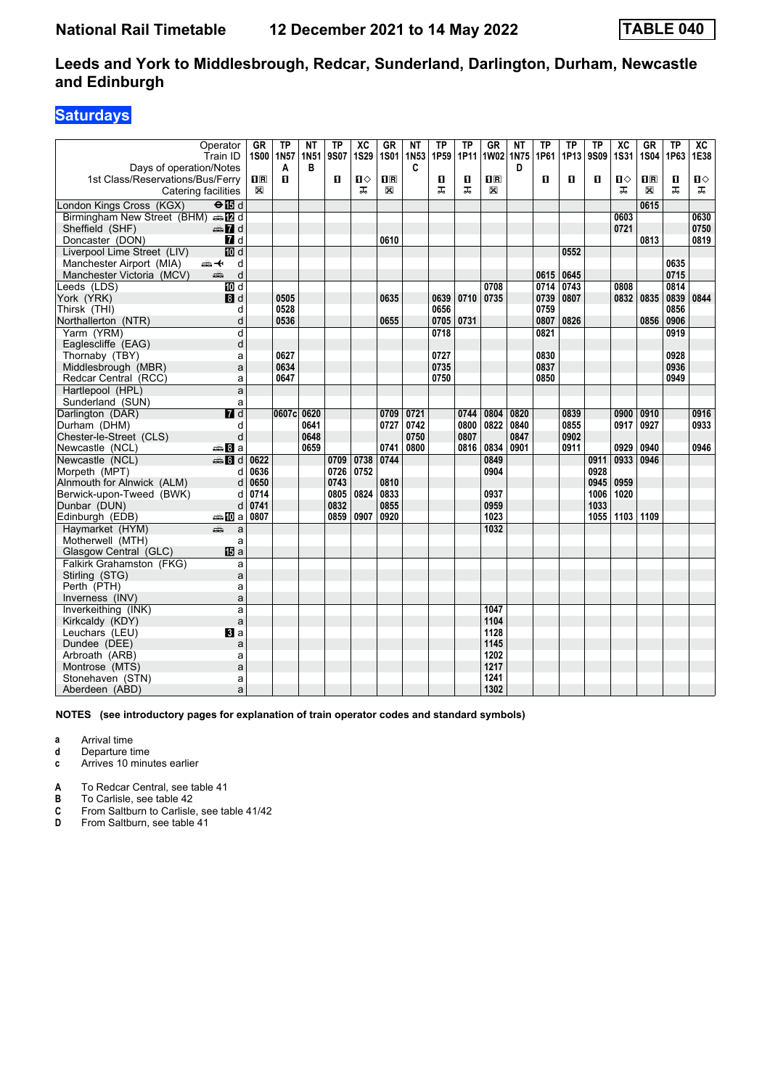### **Saturdays**

|                                    | Operator<br>Train ID      | GR             | <b>TP</b><br>1S00 1N57 | ΝT<br>1N51 | <b>TP</b><br>9S07 | $\overline{X}C$<br><b>1S29</b> | <b>GR</b><br><b>1S01</b> | NΤ<br>1N53 | <b>TP</b><br>1P59 | TP<br>1P11 | <b>GR</b><br>1W02       | NΤ<br>1N75 | TP<br>1P61 | TP<br>1P13 | <b>TP</b><br><b>9S09</b> | $\overline{\mathbf{X}}$<br>1S31 | <b>GR</b><br>1S04       | <b>TP</b><br>1P63 | $\overline{AC}$<br>1E38 |
|------------------------------------|---------------------------|----------------|------------------------|------------|-------------------|--------------------------------|--------------------------|------------|-------------------|------------|-------------------------|------------|------------|------------|--------------------------|---------------------------------|-------------------------|-------------------|-------------------------|
| Days of operation/Notes            |                           |                | A                      | в          |                   |                                |                          | C          |                   |            |                         | D          |            |            |                          |                                 |                         |                   |                         |
| 1st Class/Reservations/Bus/Ferry   |                           | $\mathbf{H}$ R | п                      |            | 0                 | Ⅱ♦                             | $\mathbf{H}$ R           |            | п                 | п          | $\overline{\mathbf{H}}$ |            | п          | п          | п                        | $\mathbf{u}$                    | $\overline{\mathbf{H}}$ | O                 | Ⅱ♦                      |
| Catering facilities                |                           | X              |                        |            |                   | ᠼ                              | X                        |            | ㅈ                 | ᠼ          | X                       |            |            |            |                          | ᠼ                               | X                       | ᠼ                 | ᠼ                       |
| London Kings Cross (KGX)           | $\Theta$ $\overline{E}$ d |                |                        |            |                   |                                |                          |            |                   |            |                         |            |            |            |                          |                                 | 0615                    |                   |                         |
| Birmingham New Street (BHM) s [2 d |                           |                |                        |            |                   |                                |                          |            |                   |            |                         |            |            |            |                          | 0603                            |                         |                   | 0630                    |
| Sheffield (SHF)                    | $\oplus \blacksquare$ d   |                |                        |            |                   |                                |                          |            |                   |            |                         |            |            |            |                          | 0721                            |                         |                   | 0750                    |
| Doncaster (DON)                    | $\blacksquare$ d          |                |                        |            |                   |                                | 0610                     |            |                   |            |                         |            |            |            |                          |                                 | 0813                    |                   | 0819                    |
| Liverpool Lime Street (LIV)        | 10d                       |                |                        |            |                   |                                |                          |            |                   |            |                         |            |            | 0552       |                          |                                 |                         |                   |                         |
| Manchester Airport (MIA)           | ⇜✦<br>d                   |                |                        |            |                   |                                |                          |            |                   |            |                         |            |            |            |                          |                                 |                         | 0635              |                         |
| Manchester Victoria (MCV)          | d<br>dia 1                |                |                        |            |                   |                                |                          |            |                   |            |                         |            | 0615       | 0645       |                          |                                 |                         | 0715              |                         |
| Leeds (LDS)                        | $\overline{M}$ d          |                |                        |            |                   |                                |                          |            |                   |            | 0708                    |            | 0714       | 0743       |                          | 0808                            |                         | 0814              |                         |
| York (YRK)                         | 8d                        |                | 0505                   |            |                   |                                | 0635                     |            | 0639              | 0710       | 0735                    |            | 0739       | 0807       |                          | 0832                            | 0835                    | 0839              | 0844                    |
| Thirsk (THI)                       | d                         |                | 0528                   |            |                   |                                |                          |            | 0656              |            |                         |            | 0759       |            |                          |                                 |                         | 0856              |                         |
| Northallerton (NTR)                | d                         |                | 0536                   |            |                   |                                | 0655                     |            | 0705              | 0731       |                         |            | 0807       | 0826       |                          |                                 | 0856                    | 0906              |                         |
| Yarm (YRM)                         | d                         |                |                        |            |                   |                                |                          |            | 0718              |            |                         |            | 0821       |            |                          |                                 |                         | 0919              |                         |
| Eaglescliffe (EAG)                 | d                         |                |                        |            |                   |                                |                          |            |                   |            |                         |            |            |            |                          |                                 |                         |                   |                         |
| Thornaby (TBY)                     | a                         |                | 0627                   |            |                   |                                |                          |            | 0727              |            |                         |            | 0830       |            |                          |                                 |                         | 0928              |                         |
| Middlesbrough (MBR)                | a                         |                | 0634                   |            |                   |                                |                          |            | 0735              |            |                         |            | 0837       |            |                          |                                 |                         | 0936              |                         |
| Redcar Central (RCC)               | a                         |                | 0647                   |            |                   |                                |                          |            | 0750              |            |                         |            | 0850       |            |                          |                                 |                         | 0949              |                         |
| Hartlepool (HPL)                   | a                         |                |                        |            |                   |                                |                          |            |                   |            |                         |            |            |            |                          |                                 |                         |                   |                         |
| Sunderland (SUN)                   | a                         |                |                        |            |                   |                                |                          |            |                   |            |                         |            |            |            |                          |                                 |                         |                   |                         |
| Darlington (DAR)                   | $\overline{H}$ d          |                | 0607c                  | 0620       |                   |                                | 0709                     | 0721       |                   | 0744       | 0804                    | 0820       |            | 0839       |                          | 0900                            | 0910                    |                   | 0916                    |
| Durham (DHM)                       | d                         |                |                        | 0641       |                   |                                | 0727                     | 0742       |                   | 0800       | 0822                    | 0840       |            | 0855       |                          | 0917                            | 0927                    |                   | 0933                    |
| Chester-le-Street (CLS)            | d                         |                |                        | 0648       |                   |                                |                          | 0750       |                   | 0807       |                         | 0847       |            | 0902       |                          |                                 |                         |                   |                         |
| Newcastle (NCL)                    | <del>⊯</del> 8∃а          |                |                        | 0659       |                   |                                | 0741                     | 0800       |                   | 0816       | 0834                    | 0901       |            | 0911       |                          | 0929                            | 0940                    |                   | 0946                    |
| Newcastle (NCL)                    | $\mathbf{B}$ d            | 0622           |                        |            | 0709              | 0738                           | 0744                     |            |                   |            | 0849                    |            |            |            | 0911                     | 0933                            | 0946                    |                   |                         |
| Morpeth (MPT)                      | d                         | 0636           |                        |            | 0726              | 0752                           |                          |            |                   |            | 0904                    |            |            |            | 0928                     |                                 |                         |                   |                         |
| Alnmouth for Alnwick (ALM)         | d                         | 0650           |                        |            | 0743              |                                | 0810                     |            |                   |            |                         |            |            |            | 0945                     | 0959                            |                         |                   |                         |
| Berwick-upon-Tweed (BWK)           | d                         | 0714           |                        |            | 0805              | 0824                           | 0833                     |            |                   |            | 0937                    |            |            |            | 1006                     | 1020                            |                         |                   |                         |
| Dunbar (DUN)                       | d                         | 0741           |                        |            | 0832              |                                | 0855                     |            |                   |            | 0959                    |            |            |            | 1033                     |                                 |                         |                   |                         |
| Edinburgh (EDB)                    | ⊯mDa                      | 0807           |                        |            | 0859              | 0907                           | 0920                     |            |                   |            | 1023                    |            |            |            |                          | 1055   1103   1109              |                         |                   |                         |
| Haymarket (HYM)                    | æ<br>a                    |                |                        |            |                   |                                |                          |            |                   |            | 1032                    |            |            |            |                          |                                 |                         |                   |                         |
| Motherwell (MTH)                   | a                         |                |                        |            |                   |                                |                          |            |                   |            |                         |            |            |            |                          |                                 |                         |                   |                         |
| Glasgow Central (GLC)              | <b>個</b> a                |                |                        |            |                   |                                |                          |            |                   |            |                         |            |            |            |                          |                                 |                         |                   |                         |
| Falkirk Grahamston (FKG)           | a                         |                |                        |            |                   |                                |                          |            |                   |            |                         |            |            |            |                          |                                 |                         |                   |                         |
| Stirling (STG)                     | a                         |                |                        |            |                   |                                |                          |            |                   |            |                         |            |            |            |                          |                                 |                         |                   |                         |
| Perth (PTH)                        | a                         |                |                        |            |                   |                                |                          |            |                   |            |                         |            |            |            |                          |                                 |                         |                   |                         |
| Inverness (INV)                    | a                         |                |                        |            |                   |                                |                          |            |                   |            |                         |            |            |            |                          |                                 |                         |                   |                         |
| Inverkeithing (INK)                | a                         |                |                        |            |                   |                                |                          |            |                   |            | 1047                    |            |            |            |                          |                                 |                         |                   |                         |
| Kirkcaldy (KDY)                    | a                         |                |                        |            |                   |                                |                          |            |                   |            | 1104                    |            |            |            |                          |                                 |                         |                   |                         |
| Leuchars (LEU)                     | Bl a                      |                |                        |            |                   |                                |                          |            |                   |            | 1128                    |            |            |            |                          |                                 |                         |                   |                         |
| Dundee (DEE)                       | a                         |                |                        |            |                   |                                |                          |            |                   |            | 1145                    |            |            |            |                          |                                 |                         |                   |                         |
| Arbroath (ARB)                     | a                         |                |                        |            |                   |                                |                          |            |                   |            | 1202                    |            |            |            |                          |                                 |                         |                   |                         |
| Montrose (MTS)                     | a                         |                |                        |            |                   |                                |                          |            |                   |            | 1217                    |            |            |            |                          |                                 |                         |                   |                         |
| Stonehaven (STN)                   | a                         |                |                        |            |                   |                                |                          |            |                   |            | 1241                    |            |            |            |                          |                                 |                         |                   |                         |
| Aberdeen (ABD)                     | a                         |                |                        |            |                   |                                |                          |            |                   |            | 1302                    |            |            |            |                          |                                 |                         |                   |                         |

**NOTES (see introductory pages for explanation of train operator codes and standard symbols)**

- **a** Arrival time
- **d** Departure time
- **c** Arrives 10 minutes earlier
- **A** To Redcar Central, see table 41<br>**B** To Carlisle, see table 42
- 
- **B** To Carlisle, see table 42<br>**C** From Saltburn to Carlisle **C** From Saltburn to Carlisle, see table 41/42<br>**D** From Saltburn, see table 41
- From Saltburn, see table 41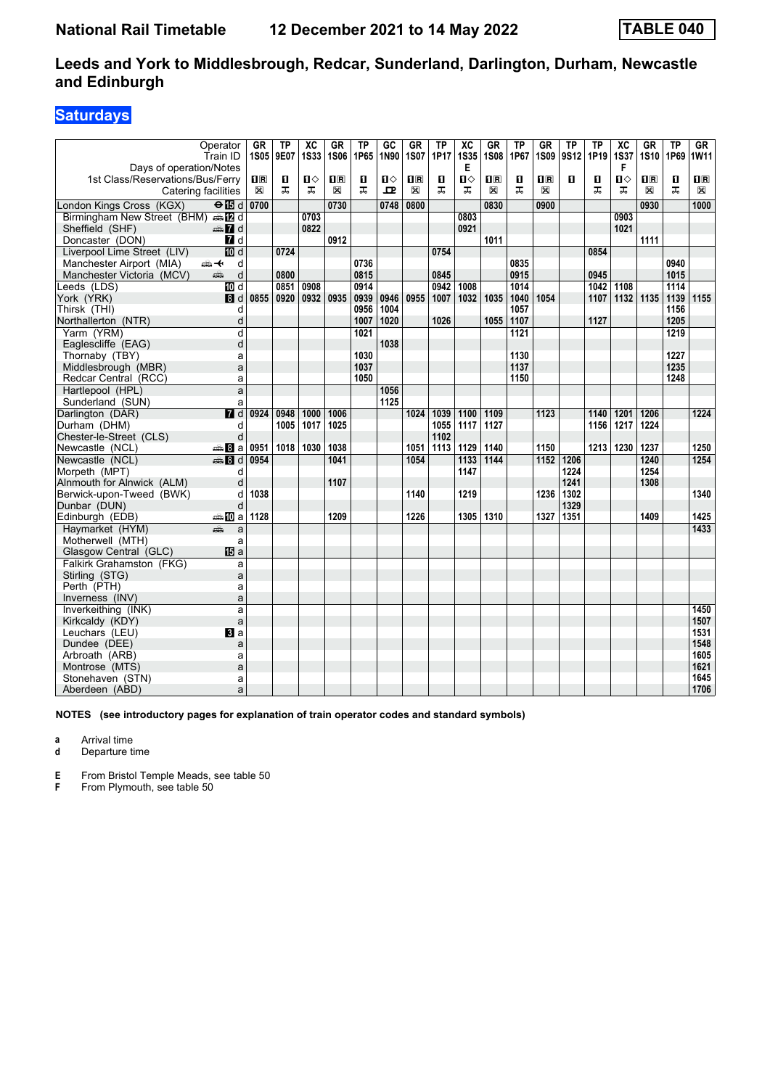### **Saturdays**

| Operator<br>Train ID                              | <b>GR</b><br>1S <sub>05</sub>                   | <b>TP</b><br>9E07 | $\overline{AC}$<br><b>1S33</b> | <b>GR</b><br><b>1S06</b> | ТP<br>1P65       | GC<br>1N90 | GR<br><b>1S07</b> | TP<br>1P17 | $\overline{X}C$<br><b>1S35</b> | <b>GR</b><br><b>1S08</b> | ТP<br>1P67       | <b>GR</b><br><b>1S09</b> | TP<br>9S12   | <b>TP</b><br>1P19 | $\overline{X}C$<br><b>1S37</b> | $G$ R<br>1S10                                   | <b>TP</b><br>1P69 | GR<br>1W11              |
|---------------------------------------------------|-------------------------------------------------|-------------------|--------------------------------|--------------------------|------------------|------------|-------------------|------------|--------------------------------|--------------------------|------------------|--------------------------|--------------|-------------------|--------------------------------|-------------------------------------------------|-------------------|-------------------------|
| Days of operation/Notes                           |                                                 |                   |                                |                          |                  |            |                   |            | Е                              |                          |                  |                          |              |                   | F                              |                                                 |                   |                         |
| 1st Class/Reservations/Bus/Ferry                  | $\overline{\mathbf{H}}$ $\overline{\mathbf{R}}$ | O.                | п⇔                             | $\mathbf{H}$ R           | O.               | ்ப         | 1R                | О          | П⇔                             | $\overline{\mathbf{H}}$  | О                | $\overline{\mathbf{R}}$  | п            | 0                 | Ⅱ♦                             | $\overline{\mathbf{H}}$ $\overline{\mathbf{R}}$ | O                 | $\overline{\mathbf{B}}$ |
| Catering facilities                               | $\mathbb{\mathbb{X}}$                           | ᠼ                 | ᠼ                              | X                        | ᠼ                | ᇁ          | X                 | ᠼ          | ᠼ                              | X                        | ㅈ                | X                        |              | ᠼ                 | ᠼ                              | X                                               | ᅚ                 | $\boxtimes$             |
| London Kings Cross (KGX)<br>$\Theta$ id           | 0700                                            |                   |                                | 0730                     |                  | 0748       | 0800              |            |                                | 0830                     |                  | 0900                     |              |                   |                                | 0930                                            |                   | 1000                    |
| Birmingham New Street (BHM) and                   |                                                 |                   | 0703                           |                          |                  |            |                   |            | 0803                           |                          |                  |                          |              |                   | 0903                           |                                                 |                   |                         |
| $\oplus \blacksquare$ d<br>Sheffield (SHF)        |                                                 |                   | 0822                           |                          |                  |            |                   |            | 0921                           |                          |                  |                          |              |                   | 1021                           |                                                 |                   |                         |
| 7d<br>Doncaster (DON)                             |                                                 |                   |                                | 0912                     |                  |            |                   |            |                                | 1011                     |                  |                          |              |                   |                                | 1111                                            |                   |                         |
| 10d<br>Liverpool Lime Street (LIV)                |                                                 | 0724              |                                |                          |                  |            |                   | 0754       |                                |                          |                  |                          |              | 0854              |                                |                                                 |                   |                         |
| Manchester Airport (MIA)<br>安<br>d                |                                                 |                   |                                |                          | 0736             |            |                   |            |                                |                          | 0835             |                          |              |                   |                                |                                                 | 0940              |                         |
| d<br>Manchester Victoria (MCV)<br>añ,             |                                                 | 0800              |                                |                          | 0815             |            |                   | 0845       |                                |                          | 0915             |                          |              | 0945              |                                |                                                 | 1015              |                         |
| 10 d<br>Leeds (LDS)                               |                                                 | 0851              | 0908                           |                          | 0914             |            |                   | 0942       | 1008                           |                          | 1014             |                          |              | 1042              | 1108                           |                                                 | 1114              |                         |
| 8 d<br>York (YRK)                                 | 0855                                            | 0920              | 0932                           | 0935                     | 0939             | 0946       | 0955              | 1007       | 1032                           | 1035                     | 1040             | 1054                     |              | 1107              | 1132 1135                      |                                                 | 1139              | 1155                    |
| Thirsk (THI)<br>d                                 |                                                 |                   |                                |                          | 0956             | 1004       |                   |            |                                |                          | 1057             |                          |              |                   |                                |                                                 | 1156              |                         |
| d<br>Northallerton (NTR)                          |                                                 |                   |                                |                          | 1007             | 1020       |                   | 1026       |                                | 1055                     | 1107             |                          |              | 1127              |                                |                                                 | 1205              |                         |
| $\overline{\mathsf{d}}$<br>Yarm (YRM)             |                                                 |                   |                                |                          | $\frac{1021}{ }$ |            |                   |            |                                |                          | $\frac{1121}{2}$ |                          |              |                   |                                |                                                 | 1219              |                         |
| d<br>Eaglescliffe (EAG)                           |                                                 |                   |                                |                          |                  | 1038       |                   |            |                                |                          |                  |                          |              |                   |                                |                                                 |                   |                         |
| Thornaby (TBY)<br>a                               |                                                 |                   |                                |                          | 1030             |            |                   |            |                                |                          | 1130             |                          |              |                   |                                |                                                 | 1227              |                         |
| Middlesbrough (MBR)<br>a                          |                                                 |                   |                                |                          | 1037             |            |                   |            |                                |                          | 1137             |                          |              |                   |                                |                                                 | 1235              |                         |
| Redcar Central (RCC)<br>a                         |                                                 |                   |                                |                          | 1050             |            |                   |            |                                |                          | 1150             |                          |              |                   |                                |                                                 | 1248              |                         |
| Hartlepool (HPL)<br>a                             |                                                 |                   |                                |                          |                  | 1056       |                   |            |                                |                          |                  |                          |              |                   |                                |                                                 |                   |                         |
| Sunderland (SUN)<br>a                             |                                                 |                   |                                |                          |                  | 1125       |                   |            |                                |                          |                  |                          |              |                   |                                |                                                 |                   |                         |
| $I$ d<br>Darlington (DAR)                         | 0924                                            | 0948              | 1000                           | 1006                     |                  |            | 1024              | 1039       | 1100                           | 1109                     |                  | 1123                     |              | 1140              | 1201                           | 1206                                            |                   | 1224                    |
| Durham (DHM)<br>d                                 |                                                 | 1005              | 1017                           | 1025                     |                  |            |                   | 1055       | 1117                           | 1127                     |                  |                          |              | 1156              | 1217                           | 1224                                            |                   |                         |
| d<br>Chester-le-Street (CLS)                      |                                                 |                   |                                |                          |                  |            |                   | 1102       |                                |                          |                  |                          |              |                   |                                |                                                 |                   |                         |
| <del>⊯</del> Ва<br>Newcastle (NCL)                | 0951                                            | 1018              | 1030                           | 1038                     |                  |            | 1051              | 1113       | 1129                           | 1140                     |                  | 1150                     |              |                   | 1213 1230                      | 1237                                            |                   | 1250                    |
| Newcastle (NCL)<br>$\mathbf{3}$ $\mathbf{8}$ d    | 0954                                            |                   |                                | 1041                     |                  |            | 1054              |            | 1133                           | 1144                     |                  | 1152                     | 1206         |                   |                                | 1240                                            |                   | 1254                    |
| Morpeth (MPT)<br>d                                |                                                 |                   |                                |                          |                  |            |                   |            | 1147                           |                          |                  |                          | 1224         |                   |                                | 1254                                            |                   |                         |
| Alnmouth for Alnwick (ALM)<br>d                   |                                                 |                   |                                | 1107                     |                  |            |                   |            |                                |                          |                  |                          | 1241         |                   |                                | 1308                                            |                   |                         |
| Berwick-upon-Tweed (BWK)<br>d<br>d                | 1038                                            |                   |                                |                          |                  |            | 1140              |            | 1219                           |                          |                  | 1236                     | 1302         |                   |                                |                                                 |                   | 1340                    |
| Dunbar (DUN)                                      | 1128                                            |                   |                                | 1209                     |                  |            | 1226              |            | 1305                           | 1310                     |                  |                          | 1329<br>1351 |                   |                                | 1409                                            |                   | 1425                    |
| Edinburgh (EDB)<br>⇔≞MDa                          |                                                 |                   |                                |                          |                  |            |                   |            |                                |                          |                  | 1327                     |              |                   |                                |                                                 |                   | 1433                    |
| Havmarket (HYM)<br>æ<br>a                         |                                                 |                   |                                |                          |                  |            |                   |            |                                |                          |                  |                          |              |                   |                                |                                                 |                   |                         |
| Motherwell (MTH)<br>a<br><b>IB</b> a              |                                                 |                   |                                |                          |                  |            |                   |            |                                |                          |                  |                          |              |                   |                                |                                                 |                   |                         |
| Glasgow Central (GLC)<br>Falkirk Grahamston (FKG) |                                                 |                   |                                |                          |                  |            |                   |            |                                |                          |                  |                          |              |                   |                                |                                                 |                   |                         |
| a<br>Stirling (STG)<br>a                          |                                                 |                   |                                |                          |                  |            |                   |            |                                |                          |                  |                          |              |                   |                                |                                                 |                   |                         |
| Perth (PTH)<br>a                                  |                                                 |                   |                                |                          |                  |            |                   |            |                                |                          |                  |                          |              |                   |                                |                                                 |                   |                         |
| Inverness (INV)<br>a                              |                                                 |                   |                                |                          |                  |            |                   |            |                                |                          |                  |                          |              |                   |                                |                                                 |                   |                         |
| Inverkeithing (INK)<br>a                          |                                                 |                   |                                |                          |                  |            |                   |            |                                |                          |                  |                          |              |                   |                                |                                                 |                   | 1450                    |
| Kirkcaldy (KDY)<br>a                              |                                                 |                   |                                |                          |                  |            |                   |            |                                |                          |                  |                          |              |                   |                                |                                                 |                   | 1507                    |
| Leuchars (LEU)<br>$\mathbf{B}$ a                  |                                                 |                   |                                |                          |                  |            |                   |            |                                |                          |                  |                          |              |                   |                                |                                                 |                   | 1531                    |
| Dundee (DEE)<br>a                                 |                                                 |                   |                                |                          |                  |            |                   |            |                                |                          |                  |                          |              |                   |                                |                                                 |                   | 1548                    |
| Arbroath (ARB)<br>a                               |                                                 |                   |                                |                          |                  |            |                   |            |                                |                          |                  |                          |              |                   |                                |                                                 |                   | 1605                    |
| Montrose (MTS)<br>a                               |                                                 |                   |                                |                          |                  |            |                   |            |                                |                          |                  |                          |              |                   |                                |                                                 |                   | 1621                    |
| Stonehaven (STN)<br>a                             |                                                 |                   |                                |                          |                  |            |                   |            |                                |                          |                  |                          |              |                   |                                |                                                 |                   | 1645                    |
| Aberdeen (ABD)<br>a                               |                                                 |                   |                                |                          |                  |            |                   |            |                                |                          |                  |                          |              |                   |                                |                                                 |                   | 1706                    |

**NOTES (see introductory pages for explanation of train operator codes and standard symbols)**

**a** Arrival time

**d** Departure time

**E** From Bristol Temple Meads, see table 50<br>**F** From Plymouth, see table 50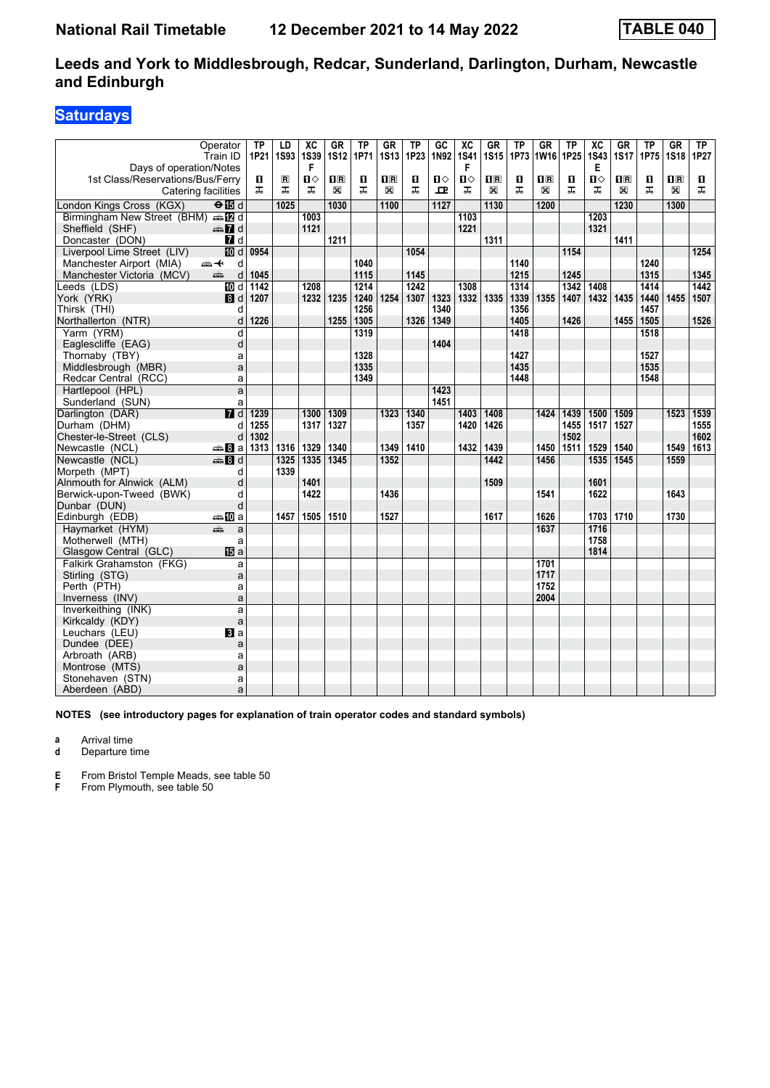### **Saturdays**

| Operator<br>Train ID                      |                   | <b>TP</b><br>1P21 | LD<br>1S93        | $\overline{X}C$<br><b>1S39</b> | <b>GR</b><br><b>1S12</b> | TP<br>1P71     | <b>GR</b><br><b>1S13</b> | <b>TP</b><br>1P23 | GC<br>1N92   | $\overline{X}C$<br><b>1S41</b> | <b>GR</b><br><b>1S15</b> | <b>TP</b><br>1P73 | <b>GR</b><br>1W16       | TP<br>1P25 | $\overline{X}C$<br><b>1S43</b> | GR<br><b>1S17</b> | TP<br>1P75 | <b>GR</b><br><b>1S18</b> | TP<br>1P27 |
|-------------------------------------------|-------------------|-------------------|-------------------|--------------------------------|--------------------------|----------------|--------------------------|-------------------|--------------|--------------------------------|--------------------------|-------------------|-------------------------|------------|--------------------------------|-------------------|------------|--------------------------|------------|
| Days of operation/Notes                   |                   |                   |                   | F                              |                          |                |                          |                   |              | F                              |                          |                   |                         |            | Е                              |                   |            |                          |            |
| 1st Class/Reservations/Bus/Ferry          |                   | 0                 | $\mathbf{R}$      | Ⅱ♦                             | 1R                       | $\blacksquare$ | $\mathbf{H}$ R           | O                 | $\mathbf{n}$ | $\mathbf{u}$                   | $\overline{\mathbf{H}}$  | 0                 | $\overline{\mathbf{R}}$ | п          | $\mathbf{n}$                   | $\mathbf{H}$ R    | п          | $\mathbf{H}$ R           | D.         |
| Catering facilities                       |                   | ᠼ                 | ᠼ                 | ㅈ                              | X                        | ㅈ              | X                        | ㅈ                 | ᇁ            | ᠼ                              | X                        | ㅈ                 | X                       | ᠼ          | ᠼ                              | X                 | ᅚ          | X                        | ㅈ          |
| London Kings Cross (KGX)<br>$\Theta$ is d |                   |                   | $\overline{1025}$ |                                | 1030                     |                | 1100                     |                   | 1127         |                                | 1130                     |                   | 1200                    |            |                                | 1230              |            | 1300                     |            |
| Birmingham New Street (BHM) s [2 d        |                   |                   |                   | 1003                           |                          |                |                          |                   |              | 1103                           |                          |                   |                         |            | 1203                           |                   |            |                          |            |
| $\oplus$ 7 d<br>Sheffield (SHF)           |                   |                   |                   | 1121                           |                          |                |                          |                   |              | 1221                           |                          |                   |                         |            | 1321                           |                   |            |                          |            |
| Doncaster (DON)                           | 7 d               |                   |                   |                                | 1211                     |                |                          |                   |              |                                | 1311                     |                   |                         |            |                                | 1411              |            |                          |            |
| Liverpool Lime Street (LIV)               | $\overline{10}$ d | 0954              |                   |                                |                          |                |                          | 1054              |              |                                |                          |                   |                         | 1154       |                                |                   |            |                          | 1254       |
| Manchester Airport (MIA)<br>⇜↞            | d                 |                   |                   |                                |                          | 1040           |                          |                   |              |                                |                          | 1140              |                         |            |                                |                   | 1240       |                          |            |
| Manchester Victoria (MCV)<br>پتھ          | d                 | 1045              |                   |                                |                          | 1115           |                          | 1145              |              |                                |                          | 1215              |                         | 1245       |                                |                   | 1315       |                          | 1345       |
| Leeds (LDS)                               | III d             | 1142              |                   | 1208                           |                          | 1214           |                          | $\frac{1}{242}$   |              | 1308                           |                          | 1314              |                         | 1342       | 1408                           |                   | 1414       |                          | 1442       |
| York (YRK)                                | 8d                | 1207              |                   | 1232                           | 1235                     | 1240           | 1254                     | 1307              | 1323         | 1332                           | 1335                     | 1339              | 1355                    | 1407       | 1432 1435                      |                   | 1440       | 1455                     | 1507       |
| Thirsk (THI)                              | d                 |                   |                   |                                |                          | 1256           |                          |                   | 1340         |                                |                          | 1356              |                         |            |                                |                   | 1457       |                          |            |
| Northallerton (NTR)                       | d                 | 1226              |                   |                                | 1255                     | 1305           |                          | 1326              | 1349         |                                |                          | 1405              |                         | 1426       |                                | 1455              | 1505       |                          | 1526       |
| Yarm (YRM)                                | d                 |                   |                   |                                |                          | 1319           |                          |                   |              |                                |                          | 1418              |                         |            |                                |                   | 1518       |                          |            |
| Eaglescliffe (EAG)                        | d                 |                   |                   |                                |                          |                |                          |                   | 1404         |                                |                          |                   |                         |            |                                |                   |            |                          |            |
| Thornaby (TBY)                            | a                 |                   |                   |                                |                          | 1328           |                          |                   |              |                                |                          | 1427              |                         |            |                                |                   | 1527       |                          |            |
| Middlesbrough (MBR)                       | a                 |                   |                   |                                |                          | 1335           |                          |                   |              |                                |                          | 1435              |                         |            |                                |                   | 1535       |                          |            |
| Redcar Central (RCC)                      | a                 |                   |                   |                                |                          | 1349           |                          |                   |              |                                |                          | 1448              |                         |            |                                |                   | 1548       |                          |            |
| Hartlepool (HPL)                          | a                 |                   |                   |                                |                          |                |                          |                   | 1423         |                                |                          |                   |                         |            |                                |                   |            |                          |            |
| Sunderland (SUN)                          | a                 |                   |                   |                                |                          |                |                          |                   | 1451         |                                |                          |                   |                         |            |                                |                   |            |                          |            |
| Darlington (DAR)                          | $\overline{d}$    | 1239              |                   | 1300                           | 1309                     |                | 1323                     | 1340              |              | 1403                           | 1408                     |                   | 1424                    | 1439       | 1500                           | 1509              |            | 1523                     | 1539       |
| Durham (DHM)                              | d                 | 1255              |                   | 1317                           | 1327                     |                |                          | 1357              |              | 1420                           | 1426                     |                   |                         | 1455       | 1517                           | 1527              |            |                          | 1555       |
| Chester-le-Street (CLS)                   | d                 | 1302              |                   |                                |                          |                |                          |                   |              |                                |                          |                   |                         | 1502       |                                |                   |            |                          | 1602       |
| Newcastle (NCL)<br><del>⊯</del> Ва∣       |                   | 1313              | 1316              | 1329                           | 1340                     |                | 1349                     | 1410              |              | 1432                           | 1439                     |                   | 1450                    | 1511       | 1529                           | 1540              |            | 1549                     | 1613       |
| Newcastle (NCL)<br><b>第8d</b>             |                   |                   | 1325              | 1335                           | 1345                     |                | 1352                     |                   |              |                                | 1442                     |                   | 1456                    |            | 1535                           | 1545              |            | 1559                     |            |
| Morpeth (MPT)                             | d                 |                   | 1339              |                                |                          |                |                          |                   |              |                                |                          |                   |                         |            |                                |                   |            |                          |            |
| Alnmouth for Alnwick (ALM)                | d                 |                   |                   | 1401                           |                          |                |                          |                   |              |                                | 1509                     |                   |                         |            | 1601                           |                   |            |                          |            |
| Berwick-upon-Tweed (BWK)                  | d                 |                   |                   | 1422                           |                          |                | 1436                     |                   |              |                                |                          |                   | 1541                    |            | 1622                           |                   |            | 1643                     |            |
| Dunbar (DUN)                              | d                 |                   |                   |                                |                          |                |                          |                   |              |                                |                          |                   |                         |            |                                |                   |            |                          |            |
| ⇔≞ ll0 a<br>Edinburgh (EDB)               |                   |                   | 1457              | 1505                           | 1510                     |                | 1527                     |                   |              |                                | 1617                     |                   | 1626                    |            | 1703 1710                      |                   |            | 1730                     |            |
| añ,<br>Haymarket (HYM)                    | a                 |                   |                   |                                |                          |                |                          |                   |              |                                |                          |                   | $\frac{1637}{ }$        |            | 1716                           |                   |            |                          |            |
| Motherwell (MTH)                          | a                 |                   |                   |                                |                          |                |                          |                   |              |                                |                          |                   |                         |            | 1758                           |                   |            |                          |            |
| Glasgow Central (GLC)                     | <b>個</b> a        |                   |                   |                                |                          |                |                          |                   |              |                                |                          |                   |                         |            | 1814                           |                   |            |                          |            |
| Falkirk Grahamston (FKG)                  | a                 |                   |                   |                                |                          |                |                          |                   |              |                                |                          |                   | 1701<br>1717            |            |                                |                   |            |                          |            |
| Stirling (STG)<br>Perth (PTH)             | a<br>a            |                   |                   |                                |                          |                |                          |                   |              |                                |                          |                   | 1752                    |            |                                |                   |            |                          |            |
| Inverness (INV)                           | a                 |                   |                   |                                |                          |                |                          |                   |              |                                |                          |                   | 2004                    |            |                                |                   |            |                          |            |
| Inverkeithing (INK)                       | a                 |                   |                   |                                |                          |                |                          |                   |              |                                |                          |                   |                         |            |                                |                   |            |                          |            |
| Kirkcaldy (KDY)                           | a                 |                   |                   |                                |                          |                |                          |                   |              |                                |                          |                   |                         |            |                                |                   |            |                          |            |
| Leuchars (LEU)                            | Bl a              |                   |                   |                                |                          |                |                          |                   |              |                                |                          |                   |                         |            |                                |                   |            |                          |            |
| Dundee (DEE)                              | a                 |                   |                   |                                |                          |                |                          |                   |              |                                |                          |                   |                         |            |                                |                   |            |                          |            |
| Arbroath (ARB)                            | a                 |                   |                   |                                |                          |                |                          |                   |              |                                |                          |                   |                         |            |                                |                   |            |                          |            |
| Montrose (MTS)                            | a                 |                   |                   |                                |                          |                |                          |                   |              |                                |                          |                   |                         |            |                                |                   |            |                          |            |
| Stonehaven (STN)                          | a                 |                   |                   |                                |                          |                |                          |                   |              |                                |                          |                   |                         |            |                                |                   |            |                          |            |
| Aberdeen (ABD)                            | a                 |                   |                   |                                |                          |                |                          |                   |              |                                |                          |                   |                         |            |                                |                   |            |                          |            |

**NOTES (see introductory pages for explanation of train operator codes and standard symbols)**

**a** Arrival time

**d** Departure time

**E** From Bristol Temple Meads, see table 50<br>**F** From Plymouth, see table 50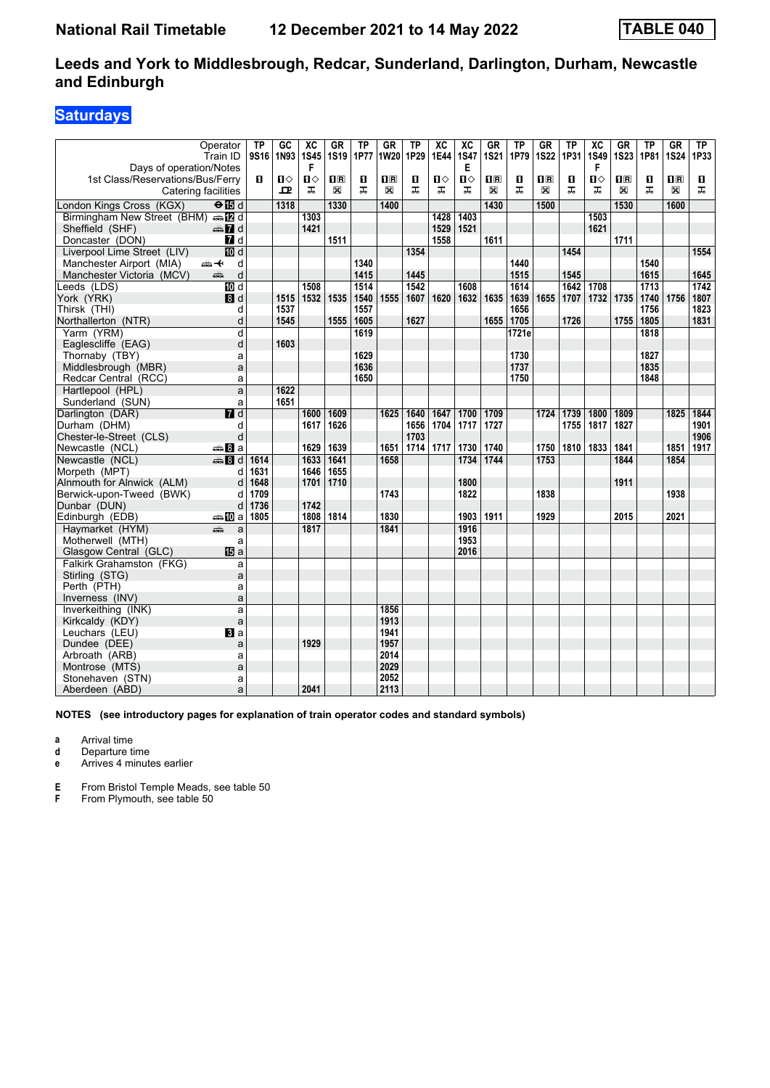### **Saturdays**

|                                                       | Operator                | <b>TP</b>        | $G$ <sub>C</sub> | $\overline{\text{xc}}$ | <b>GR</b>   | ТP   | <b>GR</b>      | <b>TP</b> | $\overline{\text{xc}}$ | $\overline{\text{xc}}$ | <b>GR</b>               | <b>TP</b> | GR                      | <b>TP</b> | $\overline{\text{xc}}$ | $G$ R                   | TP   | <b>GR</b>               | TP   |
|-------------------------------------------------------|-------------------------|------------------|------------------|------------------------|-------------|------|----------------|-----------|------------------------|------------------------|-------------------------|-----------|-------------------------|-----------|------------------------|-------------------------|------|-------------------------|------|
| Days of operation/Notes                               | Train ID                | 9S <sub>16</sub> | 1N93             | <b>1S45</b><br>F       | <b>1S19</b> | 1P77 | 1W20           | 1P29      | 1E44                   | <b>1S47</b><br>Е       | <b>1S21</b>             | 1P79      | <b>1S22</b>             | 1P31      | 1S49<br>F              | <b>1S23</b>             | 1P81 | <b>1S24</b>             | 1P33 |
| 1st Class/Reservations/Bus/Ferry                      |                         | 0                | ்ப               | Ⅱ♦                     | 1R          | П    | $\mathbf{H}$ R | O         | О                      | $\mathbf{u}$           | $\overline{\mathbf{H}}$ | 0         | $\overline{\mathbf{R}}$ | п         | ்ப                     | $\overline{\mathbf{H}}$ | O    | $\overline{\mathbf{H}}$ | O.   |
| <b>Catering facilities</b>                            |                         |                  | ᇁ                | ᠼ                      | X           | ᠼ    | X              | ᠼ         | ᅚ                      | ᠼ                      | X                       | ᠼ         | X                       | ᠼ         | ᠼ                      | X                       | ᅚ    | X                       | ᠼ    |
|                                                       |                         |                  |                  |                        |             |      |                |           |                        |                        |                         |           |                         |           |                        |                         |      |                         |      |
| London Kings Cross (KGX)                              | $\Theta$ is d           |                  | 1318             |                        | 1330        |      | 1400           |           |                        |                        | 1430                    |           | 1500                    |           |                        | 1530                    |      | 1600                    |      |
| Birmingham New Street (BHM) and                       | $\oplus \blacksquare$ d |                  |                  | 1303                   |             |      |                |           | 1428                   | 1403                   |                         |           |                         |           | 1503                   |                         |      |                         |      |
| Sheffield (SHF)                                       |                         |                  |                  | 1421                   | 1511        |      |                |           | 1529<br>1558           | 1521                   | 1611                    |           |                         |           | 1621                   | 1711                    |      |                         |      |
| Doncaster (DON)                                       | 7d<br><b>ID</b> d       |                  |                  |                        |             |      |                | 1354      |                        |                        |                         |           |                         | 1454      |                        |                         |      |                         | 1554 |
| Liverpool Lime Street (LIV)                           | <del>∰ ≮</del>          |                  |                  |                        |             | 1340 |                |           |                        |                        |                         | 1440      |                         |           |                        |                         | 1540 |                         |      |
| Manchester Airport (MIA)<br>Manchester Victoria (MCV) | d<br>d<br>aîn           |                  |                  |                        |             | 1415 |                | 1445      |                        |                        |                         | 1515      |                         | 1545      |                        |                         | 1615 |                         | 1645 |
| Leeds (LDS)                                           | $\overline{M}$ d        |                  |                  | 1508                   |             | 1514 |                | 1542      |                        | 1608                   |                         | 1614      |                         | 1642      | 1708                   |                         | 1713 |                         | 1742 |
| York (YRK)                                            | 8d                      |                  | 1515             | 1532                   | 1535        | 1540 | 1555           | 1607      | 1620                   | 1632                   | 1635                    | 1639      | 1655                    | 1707      | 1732 1735              |                         | 1740 | 1756                    | 1807 |
| Thirsk (THI)                                          | d                       |                  | 1537             |                        |             | 1557 |                |           |                        |                        |                         | 1656      |                         |           |                        |                         | 1756 |                         | 1823 |
| Northallerton (NTR)                                   | d                       |                  | 1545             |                        | 1555        | 1605 |                | 1627      |                        |                        | 1655                    | 1705      |                         | 1726      |                        | 1755                    | 1805 |                         | 1831 |
| Yarm (YRM)                                            | d                       |                  |                  |                        |             | 1619 |                |           |                        |                        |                         | 1721e     |                         |           |                        |                         | 1818 |                         |      |
| Eaglescliffe (EAG)                                    | d                       |                  | 1603             |                        |             |      |                |           |                        |                        |                         |           |                         |           |                        |                         |      |                         |      |
| Thornaby (TBY)                                        | a                       |                  |                  |                        |             | 1629 |                |           |                        |                        |                         | 1730      |                         |           |                        |                         | 1827 |                         |      |
| Middlesbrough (MBR)                                   | a                       |                  |                  |                        |             | 1636 |                |           |                        |                        |                         | 1737      |                         |           |                        |                         | 1835 |                         |      |
| Redcar Central (RCC)                                  | a                       |                  |                  |                        |             | 1650 |                |           |                        |                        |                         | 1750      |                         |           |                        |                         | 1848 |                         |      |
| Hartlepool (HPL)                                      | a                       |                  | 1622             |                        |             |      |                |           |                        |                        |                         |           |                         |           |                        |                         |      |                         |      |
| Sunderland (SUN)                                      | a                       |                  | 1651             |                        |             |      |                |           |                        |                        |                         |           |                         |           |                        |                         |      |                         |      |
| Darlington (DAR)                                      | $\overline{M}$ d        |                  |                  | 1600                   | 1609        |      | 1625           | 1640      | 1647                   | 1700                   | 1709                    |           | 1724                    | 1739      | 1800                   | 1809                    |      | 1825                    | 1844 |
| Durham (DHM)                                          | d                       |                  |                  | 1617                   | 1626        |      |                | 1656      | 1704                   | 1717                   | 1727                    |           |                         | 1755      | 1817                   | 1827                    |      |                         | 1901 |
| Chester-le-Street (CLS)                               | d                       |                  |                  |                        |             |      |                | 1703      |                        |                        |                         |           |                         |           |                        |                         |      |                         | 1906 |
| Newcastle (NCL)                                       | <del>⊯</del> Bla        |                  |                  | 1629                   | 1639        |      | 1651           | 1714      | 1717                   | 1730                   | 1740                    |           | 1750                    | 1810      | 1833                   | 1841                    |      | 1851                    | 1917 |
| Newcastle (NCL)                                       | $\oplus$ 8 d            | 1614             |                  | 1633                   | 1641        |      | 1658           |           |                        | 1734                   | 1744                    |           | 1753                    |           |                        | 1844                    |      | 1854                    |      |
| Morpeth (MPT)                                         | d                       | 1631             |                  | 1646                   | 1655        |      |                |           |                        |                        |                         |           |                         |           |                        |                         |      |                         |      |
| Alnmouth for Alnwick (ALM)                            | d                       | 1648             |                  | 1701                   | 1710        |      |                |           |                        | 1800                   |                         |           |                         |           |                        | 1911                    |      |                         |      |
| Berwick-upon-Tweed (BWK)                              | d                       | 1709             |                  |                        |             |      | 1743           |           |                        | 1822                   |                         |           | 1838                    |           |                        |                         |      | 1938                    |      |
| Dunbar (DUN)                                          | d                       | 1736             |                  | 1742                   |             |      |                |           |                        |                        |                         |           |                         |           |                        |                         |      |                         |      |
| Edinburgh (EDB)                                       | ⇔≞MDa                   | 1805             |                  | 1808                   | 1814        |      | 1830           |           |                        | 1903                   | 1911                    |           | 1929                    |           |                        | 2015                    |      | 2021                    |      |
| Havmarket (HYM)                                       | æ<br>a                  |                  |                  | 1817                   |             |      | 1841           |           |                        | 1916                   |                         |           |                         |           |                        |                         |      |                         |      |
| Motherwell (MTH)                                      | a                       |                  |                  |                        |             |      |                |           |                        | 1953                   |                         |           |                         |           |                        |                         |      |                         |      |
| Glasgow Central (GLC)                                 | <b>個</b> a              |                  |                  |                        |             |      |                |           |                        | 2016                   |                         |           |                         |           |                        |                         |      |                         |      |
| Falkirk Grahamston (FKG)                              | a                       |                  |                  |                        |             |      |                |           |                        |                        |                         |           |                         |           |                        |                         |      |                         |      |
| Stirling (STG)                                        | a                       |                  |                  |                        |             |      |                |           |                        |                        |                         |           |                         |           |                        |                         |      |                         |      |
| Perth (PTH)                                           | a                       |                  |                  |                        |             |      |                |           |                        |                        |                         |           |                         |           |                        |                         |      |                         |      |
| Inverness (INV)                                       | a                       |                  |                  |                        |             |      |                |           |                        |                        |                         |           |                         |           |                        |                         |      |                         |      |
| Inverkeithing (INK)                                   | a                       |                  |                  |                        |             |      | 1856           |           |                        |                        |                         |           |                         |           |                        |                         |      |                         |      |
| Kirkcaldy (KDY)                                       | a                       |                  |                  |                        |             |      | 1913           |           |                        |                        |                         |           |                         |           |                        |                         |      |                         |      |
| Leuchars (LEU)                                        | $\mathbf{B}$ a          |                  |                  |                        |             |      | 1941           |           |                        |                        |                         |           |                         |           |                        |                         |      |                         |      |
| Dundee (DEE)                                          | a                       |                  |                  | 1929                   |             |      | 1957           |           |                        |                        |                         |           |                         |           |                        |                         |      |                         |      |
| Arbroath (ARB)                                        | a                       |                  |                  |                        |             |      | 2014           |           |                        |                        |                         |           |                         |           |                        |                         |      |                         |      |
| Montrose (MTS)                                        | a                       |                  |                  |                        |             |      | 2029           |           |                        |                        |                         |           |                         |           |                        |                         |      |                         |      |
| Stonehaven (STN)                                      | a                       |                  |                  |                        |             |      | 2052           |           |                        |                        |                         |           |                         |           |                        |                         |      |                         |      |
| Aberdeen (ABD)                                        | a                       |                  |                  | 2041                   |             |      | 2113           |           |                        |                        |                         |           |                         |           |                        |                         |      |                         |      |

**NOTES (see introductory pages for explanation of train operator codes and standard symbols)**

**a** Arrival time

**d** Departure time

**e** Arrives 4 minutes earlier

**E** From Bristol Temple Meads, see table 50<br>**F** From Plymouth, see table 50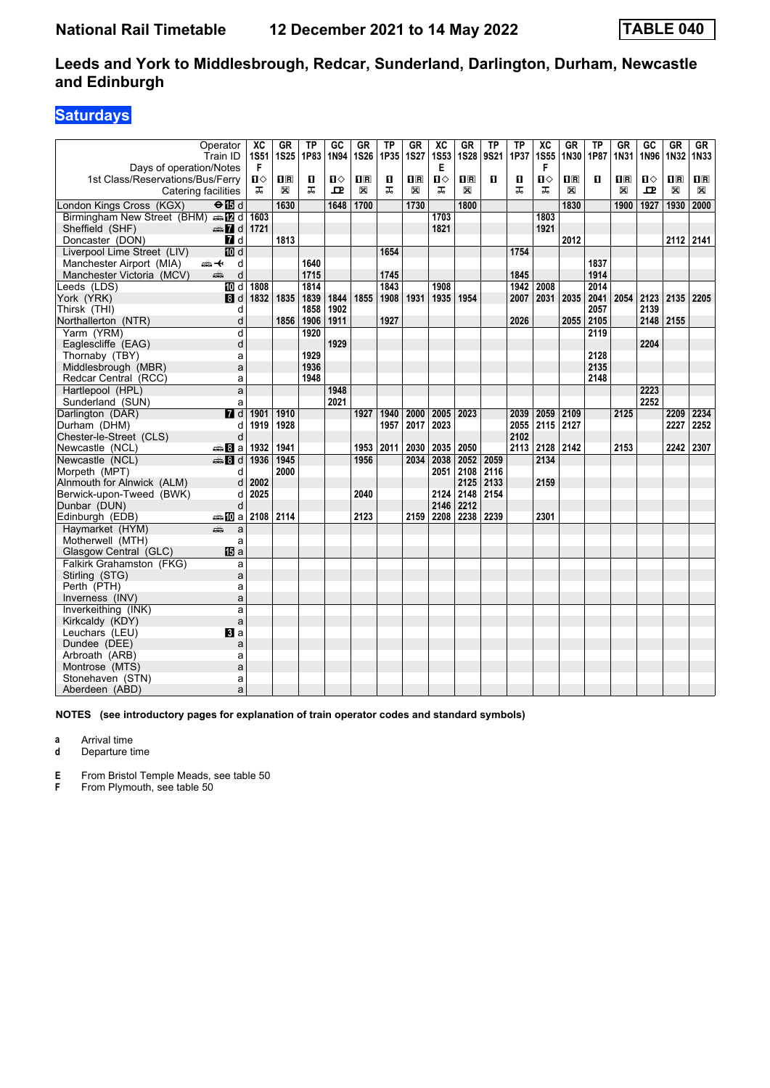### **Saturdays**

| Operator<br>Train ID                        | ХC<br><b>1S51</b> | <b>GR</b><br><b>1S25</b> | <b>TP</b><br>1P83 | GC<br>1N94 | <b>GR</b><br><b>1S26</b> | ТP<br>1P35 | <b>GR</b><br><b>1S27</b> | $\overline{AC}$<br><b>1S53</b> | <b>GR</b><br><b>1S28</b> | ΤP<br>9S21 | <b>TP</b><br>1P37 | $\overline{X}C$<br><b>1S55</b> | GR<br>1N30 | ТP<br>1P87 | $G$ R<br>1N31 | GC<br>1N96 | $G$ R<br>1N32  | GF<br>1N33     |
|---------------------------------------------|-------------------|--------------------------|-------------------|------------|--------------------------|------------|--------------------------|--------------------------------|--------------------------|------------|-------------------|--------------------------------|------------|------------|---------------|------------|----------------|----------------|
| Days of operation/Notes                     | F                 |                          |                   |            |                          |            |                          | Е                              |                          |            |                   | F                              |            |            |               |            |                |                |
| 1st Class/Reservations/Bus/Ferry            | ்ப                | $\mathbf{H}$             | п                 | ்ப         | 10 R                     | O          | $\mathbf{H}$ R           | $\mathbf{u}$                   | 0 B                      | п          | 0                 | ்ப                             | 1R         | п          | $\mathbf{H}$  | п⇔         | 1 <sub>R</sub> | $\mathbf{1}$ R |
| Catering facilities                         | ᠼ                 | X                        | ᠼ                 | 고          | X                        | ᠼ          | X                        | ᠼ                              | X                        |            | ᠼ                 | ᠼ                              | X          |            | X             | 고          | X              | X              |
| London Kings Cross (KGX)<br>$\Theta$ is d   |                   | 1630                     |                   | 1648       | 1700                     |            | 1730                     |                                | 1800                     |            |                   |                                | 1830       |            | 1900          | 1927       | 1930           | 2000           |
| Birmingham New Street (BHM) same d          | 1603              |                          |                   |            |                          |            |                          | 1703                           |                          |            |                   | 1803                           |            |            |               |            |                |                |
| $\oplus$ 7 d<br>Sheffield (SHF)             | 1721              |                          |                   |            |                          |            |                          | 1821                           |                          |            |                   | 1921                           |            |            |               |            |                |                |
| 7d<br>Doncaster (DON)                       |                   | 1813                     |                   |            |                          |            |                          |                                |                          |            |                   |                                | 2012       |            |               |            | 2112 2141      |                |
| <b>ID</b> d<br>Liverpool Lime Street (LIV)  |                   |                          |                   |            |                          | 1654       |                          |                                |                          |            | 1754              |                                |            |            |               |            |                |                |
| Manchester Airport (MIA)<br>⇜✦<br>d         |                   |                          | 1640              |            |                          |            |                          |                                |                          |            |                   |                                |            | 1837       |               |            |                |                |
| d<br>Manchester Victoria (MCV)<br>æ         |                   |                          | 1715              |            |                          | 1745       |                          |                                |                          |            | 1845              |                                |            | 1914       |               |            |                |                |
| <b>IDI</b> d<br>Leeds (LDS)                 | 1808              |                          | 1814              |            |                          | 1843       |                          | 1908                           |                          |            | 1942              | 2008                           |            | 2014       |               |            |                |                |
| 8d<br>York (YRK)                            | 1832              | 1835                     | 1839              | 1844       | 1855                     | 1908       | 1931                     | 1935                           | 1954                     |            | 2007              | 2031                           | 2035       | 2041       | 2054 2123     |            | 2135           | 2205           |
| Thirsk (THI)<br>d                           |                   |                          | 1858              | 1902       |                          |            |                          |                                |                          |            |                   |                                |            | 2057       |               | 2139       |                |                |
| d<br>Northallerton (NTR)                    |                   | 1856                     | 1906              | 1911       |                          | 1927       |                          |                                |                          |            | 2026              |                                |            | 2055 2105  |               | 2148 2155  |                |                |
| d<br>Yarm (YRM)                             |                   |                          | 1920              |            |                          |            |                          |                                |                          |            |                   |                                |            | 2119       |               |            |                |                |
| d<br>Eaglescliffe (EAG)                     |                   |                          |                   | 1929       |                          |            |                          |                                |                          |            |                   |                                |            |            |               | 2204       |                |                |
| Thornaby (TBY)<br>a                         |                   |                          | 1929              |            |                          |            |                          |                                |                          |            |                   |                                |            | 2128       |               |            |                |                |
| Middlesbrough (MBR)<br>a                    |                   |                          | 1936              |            |                          |            |                          |                                |                          |            |                   |                                |            | 2135       |               |            |                |                |
| Redcar Central (RCC)<br>a                   |                   |                          | 1948              |            |                          |            |                          |                                |                          |            |                   |                                |            | 2148       |               |            |                |                |
| Hartlepool (HPL)<br>a                       |                   |                          |                   | 1948       |                          |            |                          |                                |                          |            |                   |                                |            |            |               | 2223       |                |                |
| Sunderland (SUN)<br>a                       |                   |                          |                   | 2021       |                          |            |                          |                                |                          |            |                   |                                |            |            |               | 2252       |                |                |
| $\blacksquare$ d<br>Darlington (DAR)        | 1901              | 1910                     |                   |            | 1927                     | 1940       | 2000                     | 2005                           | 2023                     |            | 2039              | 2059                           | 2109       |            | 2125          |            | 2209           | 2234           |
| Durham (DHM)<br>d                           | 1919              | 1928                     |                   |            |                          | 1957       | 2017                     | 2023                           |                          |            | 2055              | 2115 2127                      |            |            |               |            | 2227           | 2252           |
| d<br>Chester-le-Street (CLS)                |                   |                          |                   |            |                          |            |                          |                                |                          |            | 2102              |                                |            |            |               |            |                |                |
| Newcastle (NCL)<br><del>⊯</del> 8a          | 1932              | 1941                     |                   |            | 1953                     | 2011       | 2030                     | 2035                           | 2050                     |            | 2113              | 2128 2142                      |            |            | 2153          |            | 2242           | 2307           |
| Newcastle (NCL)<br>⊯‱ Bld                   | 1936              | 1945                     |                   |            | 1956                     |            | 2034                     | 2038                           | 2052                     | 2059       |                   | 2134                           |            |            |               |            |                |                |
| Morpeth (MPT)<br>d                          |                   | 2000                     |                   |            |                          |            |                          | 2051                           | 2108                     | 2116       |                   |                                |            |            |               |            |                |                |
| Alnmouth for Alnwick (ALM)<br>d             | 2002              |                          |                   |            |                          |            |                          |                                | 2125                     | 2133       |                   | 2159                           |            |            |               |            |                |                |
| Berwick-upon-Tweed (BWK)<br>d               | 2025              |                          |                   |            | 2040                     |            |                          | 2124                           | 2148                     | 2154       |                   |                                |            |            |               |            |                |                |
| d<br>Dunbar (DUN)                           |                   |                          |                   |            |                          |            |                          | 2146                           | 2212                     |            |                   |                                |            |            |               |            |                |                |
| <b>▲ID</b> a 2108 2114<br>Edinburgh (EDB)   |                   |                          |                   |            | 2123                     |            | 2159                     |                                | 2208 2238                | 2239       |                   | 2301                           |            |            |               |            |                |                |
| Havmarket (HYM)<br>æ<br>a                   |                   |                          |                   |            |                          |            |                          |                                |                          |            |                   |                                |            |            |               |            |                |                |
| Motherwell (MTH)<br>a                       |                   |                          |                   |            |                          |            |                          |                                |                          |            |                   |                                |            |            |               |            |                |                |
| <b>IB</b> a<br>Glasgow Central (GLC)        |                   |                          |                   |            |                          |            |                          |                                |                          |            |                   |                                |            |            |               |            |                |                |
| Falkirk Grahamston (FKG)<br>a               |                   |                          |                   |            |                          |            |                          |                                |                          |            |                   |                                |            |            |               |            |                |                |
| Stirling (STG)<br>a                         |                   |                          |                   |            |                          |            |                          |                                |                          |            |                   |                                |            |            |               |            |                |                |
| Perth (PTH)<br>a                            |                   |                          |                   |            |                          |            |                          |                                |                          |            |                   |                                |            |            |               |            |                |                |
| Inverness (INV)<br>a                        |                   |                          |                   |            |                          |            |                          |                                |                          |            |                   |                                |            |            |               |            |                |                |
| Inverkeithing (INK)<br>a<br>Kirkcaldy (KDY) |                   |                          |                   |            |                          |            |                          |                                |                          |            |                   |                                |            |            |               |            |                |                |
| a<br>$\mathbf{B}$ a                         |                   |                          |                   |            |                          |            |                          |                                |                          |            |                   |                                |            |            |               |            |                |                |
| Leuchars (LEU)<br>Dundee (DEE)<br>a         |                   |                          |                   |            |                          |            |                          |                                |                          |            |                   |                                |            |            |               |            |                |                |
| Arbroath (ARB)<br>a                         |                   |                          |                   |            |                          |            |                          |                                |                          |            |                   |                                |            |            |               |            |                |                |
| Montrose (MTS)<br>a                         |                   |                          |                   |            |                          |            |                          |                                |                          |            |                   |                                |            |            |               |            |                |                |
| Stonehaven (STN)<br>a                       |                   |                          |                   |            |                          |            |                          |                                |                          |            |                   |                                |            |            |               |            |                |                |
| Aberdeen (ABD)<br>a                         |                   |                          |                   |            |                          |            |                          |                                |                          |            |                   |                                |            |            |               |            |                |                |

**NOTES (see introductory pages for explanation of train operator codes and standard symbols)**

**a** Arrival time

**d** Departure time

**E** From Bristol Temple Meads, see table 50<br>**F** From Plymouth, see table 50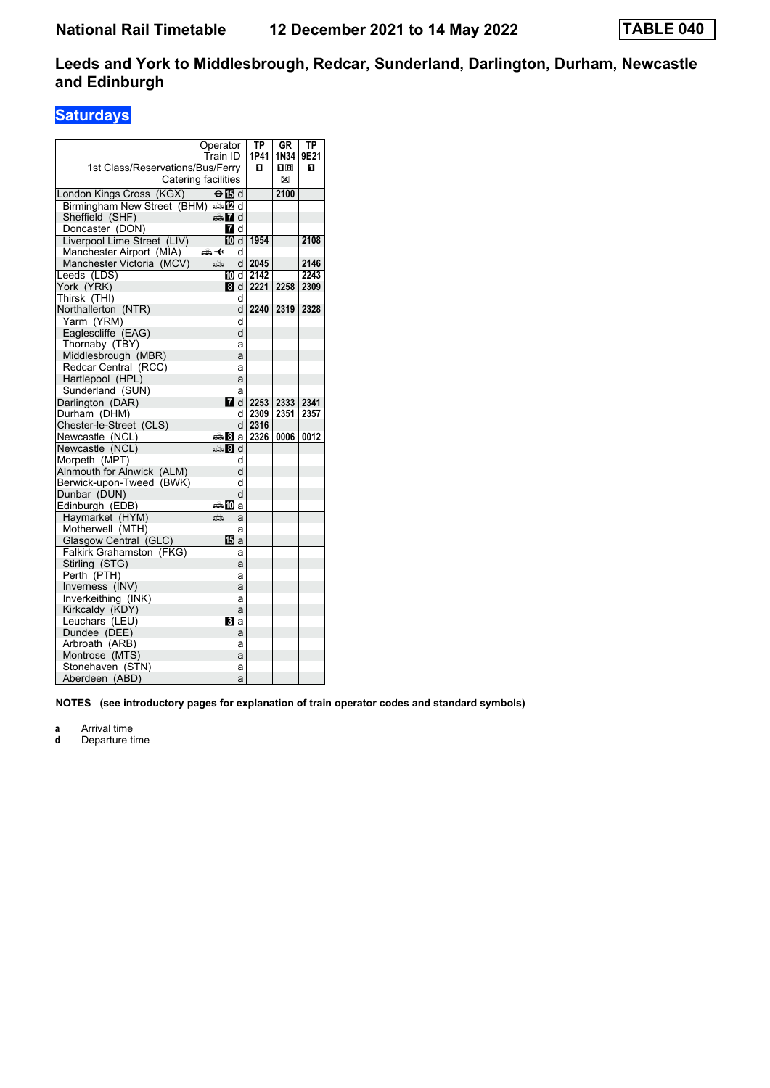### **Saturdays**

|                                                   | Operator            | $\overline{IP}$ | GR   | ТP   |
|---------------------------------------------------|---------------------|-----------------|------|------|
|                                                   | Train ID            | 1P41            | 1N34 | 9E21 |
| 1st Class/Reservations/Bus/Ferry                  |                     | п               | 0 R  | п    |
|                                                   | Catering facilities |                 | X    |      |
| London Kings Cross (KGX)                          | $\Theta$ is d       |                 | 2100 |      |
| Birmingham New Street (BHM) $\oplus \mathbb{Z}$ d |                     |                 |      |      |
| Sheffield (SHF)                                   | d≣n 7d              |                 |      |      |
| Doncaster (DON)                                   | <b>7</b> d          |                 |      |      |
| Liverpool Lime Street (LIV)                       | 10 d                | 1954            |      | 2108 |
| Manchester Airport (MIA)                          | ക+<br>d             |                 |      |      |
| Manchester Victoria (MCV)                         | æ<br>d              | 2045            |      | 2146 |
| Leeds (LDS)                                       | 100 d               | 2142            |      | 2243 |
| York (YRK)                                        | 8d                  | 2221            | 2258 | 2309 |
| Thirsk (THI)                                      | d                   |                 |      |      |
| Northallerton (NTR)                               | d                   | 2240            | 2319 | 2328 |
| Yarm (YRM)                                        | d                   |                 |      |      |
| Eaglescliffe (EAG)                                | d                   |                 |      |      |
| Thornaby (TBY)                                    | a                   |                 |      |      |
| Middlesbrough (MBR)                               | a                   |                 |      |      |
| Redcar Central (RCC)                              | a                   |                 |      |      |
| Hartlepool (HPL)                                  | a                   |                 |      |      |
| Sunderland (SUN)                                  | a                   |                 |      |      |
| Darlington (DAR)                                  | $\blacksquare$ d    | 2253            | 2333 | 2341 |
| Durham (DHM)                                      | d                   | 2309            | 2351 | 2357 |
| Chester-le-Street (CLS)                           | d                   | 2316            |      |      |
| Newcastle (NCL)                                   | ⊯≌ 8la              | 2326            | 0006 | 0012 |
| Newcastle (NCL)                                   | ্ৰভ্ৰী d            |                 |      |      |
| Morpeth (MPT)                                     | d                   |                 |      |      |
| Alnmouth for Alnwick (ALM)                        | d                   |                 |      |      |
| Berwick-upon-Tweed (BWK)                          | d                   |                 |      |      |
| Dunbar (DUN)                                      | d                   |                 |      |      |
| Edinburgh (EDB)                                   | ⇔‱ ∐Dia             |                 |      |      |
| Haymarket (HYM)                                   | پې<br>a             |                 |      |      |
| Motherwell (MTH)                                  | a                   |                 |      |      |
| Glasgow Central (GLC)                             | 16 a                |                 |      |      |
| Falkirk Grahamston (FKG)                          | a                   |                 |      |      |
| Stirling (STG)                                    | a                   |                 |      |      |
| Perth (PTH)                                       | a                   |                 |      |      |
| Inverness (INV)                                   | a                   |                 |      |      |
| Inverkeithing (INK)                               | a                   |                 |      |      |
| Kirkcaldy (KDY)                                   | a                   |                 |      |      |
| Leuchars (LEU)                                    | BI a                |                 |      |      |
| Dundee (DEE)                                      | a                   |                 |      |      |
| Arbroath (ARB)                                    | а                   |                 |      |      |
| Montrose (MTS)                                    | a                   |                 |      |      |
| Stonehaven (STN)                                  | a                   |                 |      |      |
| Aberdeen (ABD)                                    | a                   |                 |      |      |

**NOTES (see introductory pages for explanation of train operator codes and standard symbols)**

**a** Arrival time<br>**d** Departure t

**d** Departure time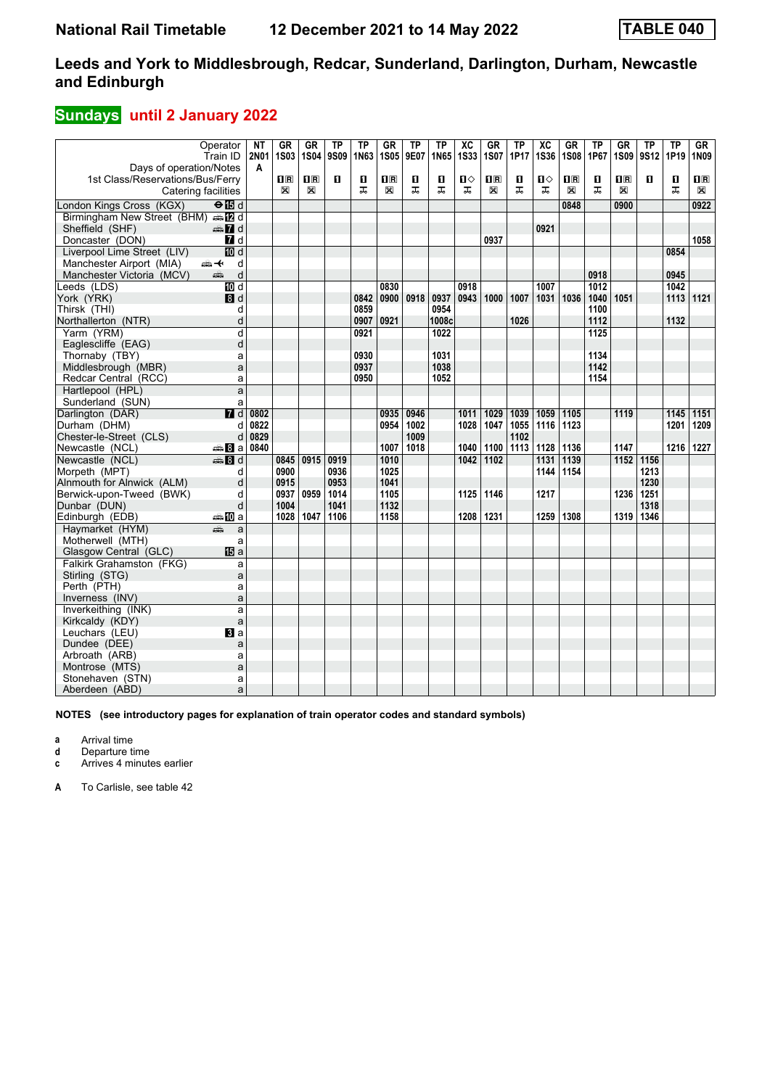## **Sundays** until 2 January 2022

|                                                             | Operator         | ΝT               | GR                                              | <b>GR</b>    | <b>TP</b> | ТP   | <b>GR</b>   | ТP   | TP    | $\overline{\text{xc}}$ | <b>GR</b>      | <b>TP</b> | $\overline{\text{xc}}$ | <b>GR</b>                 | ΤP               | <b>GR</b>               | <b>TP</b> | TP   | $G$ R          |
|-------------------------------------------------------------|------------------|------------------|-------------------------------------------------|--------------|-----------|------|-------------|------|-------|------------------------|----------------|-----------|------------------------|---------------------------|------------------|-------------------------|-----------|------|----------------|
|                                                             | Train ID         | <b>2N01</b><br>A | <b>1S03</b>                                     | <b>1S04</b>  | 9S09      | 1N63 | <b>1S05</b> | 9E07 | 1N65  | <b>1S33</b>            | 1S07           | 1P17      | <b>1S36</b>            | <b>1S08</b>               | 1P67             | <b>1S09</b>             | 9S12      | 1P19 | <b>1N09</b>    |
| Days of operation/Notes<br>1st Class/Reservations/Bus/Ferry |                  |                  | $\overline{\mathbf{H}}$ $\overline{\mathbf{R}}$ | $\mathbf{H}$ | 0         | O    | 0 B         | O    | O     | ்ப                     | 1 <sup>R</sup> | О         | ்ப                     | $\mathbf{I}^{\mathbf{R}}$ | O                | $\overline{\mathbf{H}}$ | п         | O    | $\mathbf{I}$ R |
| Catering facilities                                         |                  |                  | X                                               | X            |           | ᠼ    | X           | ᠼ    | ᠼ     | ᠼ                      | X              | ᠼ         | ᅚ                      | X                         | ᠼ                | X                       |           | ᠼ    | X              |
|                                                             |                  |                  |                                                 |              |           |      |             |      |       |                        |                |           |                        |                           |                  |                         |           |      |                |
| London Kings Cross (KGX)                                    | $\Theta$ is d    |                  |                                                 |              |           |      |             |      |       |                        |                |           |                        | 0848                      |                  | 0900                    |           |      | 0922           |
| Birmingham New Street (BHM) and                             |                  |                  |                                                 |              |           |      |             |      |       |                        |                |           |                        |                           |                  |                         |           |      |                |
| Sheffield (SHF)                                             | d Ma             |                  |                                                 |              |           |      |             |      |       |                        |                |           | 0921                   |                           |                  |                         |           |      |                |
| Doncaster (DON)                                             | 7d               |                  |                                                 |              |           |      |             |      |       |                        | 0937           |           |                        |                           |                  |                         |           |      | 1058           |
| Liverpool Lime Street (LIV)                                 | <b>ID</b> d      |                  |                                                 |              |           |      |             |      |       |                        |                |           |                        |                           |                  |                         |           | 0854 |                |
| Manchester Airport (MIA)                                    | ⇜↞<br>d          |                  |                                                 |              |           |      |             |      |       |                        |                |           |                        |                           |                  |                         |           |      |                |
| Manchester Victoria (MCV)                                   | d<br>aîn         |                  |                                                 |              |           |      |             |      |       |                        |                |           |                        |                           | 0918             |                         |           | 0945 |                |
| Leeds (LDS)                                                 | $\overline{M}$ d |                  |                                                 |              |           |      | 0830        |      |       | 0918                   |                |           | 1007                   |                           | $\frac{1}{1012}$ |                         |           | 1042 |                |
| York (YRK)                                                  | 8d               |                  |                                                 |              |           | 0842 | 0900        | 0918 | 0937  | 0943                   | 1000           | 1007      | 1031                   | 1036                      | 1040             | 1051                    |           | 1113 | 1121           |
| Thirsk (THI)                                                | d                |                  |                                                 |              |           | 0859 |             |      | 0954  |                        |                |           |                        |                           | 1100             |                         |           |      |                |
| Northallerton (NTR)                                         | d                |                  |                                                 |              |           | 0907 | 0921        |      | 1008c |                        |                | 1026      |                        |                           | 1112             |                         |           | 1132 |                |
| Yarm (YRM)                                                  | d                |                  |                                                 |              |           | 0921 |             |      | 1022  |                        |                |           |                        |                           | 1125             |                         |           |      |                |
| Eaglescliffe (EAG)                                          | d                |                  |                                                 |              |           |      |             |      |       |                        |                |           |                        |                           |                  |                         |           |      |                |
| Thornaby (TBY)                                              | a                |                  |                                                 |              |           | 0930 |             |      | 1031  |                        |                |           |                        |                           | 1134             |                         |           |      |                |
| Middlesbrough (MBR)                                         | a                |                  |                                                 |              |           | 0937 |             |      | 1038  |                        |                |           |                        |                           | 1142             |                         |           |      |                |
| Redcar Central (RCC)                                        | a                |                  |                                                 |              |           | 0950 |             |      | 1052  |                        |                |           |                        |                           | 1154             |                         |           |      |                |
| Hartlepool (HPL)                                            | a                |                  |                                                 |              |           |      |             |      |       |                        |                |           |                        |                           |                  |                         |           |      |                |
| Sunderland (SUN)                                            | a                |                  |                                                 |              |           |      |             |      |       |                        |                |           |                        |                           |                  |                         |           |      |                |
| Darlington (DAR)                                            | $\overline{H}$ d | 0802             |                                                 |              |           |      | 0935        | 0946 |       | 1011                   | 1029           | 1039      | 1059                   | 1105                      |                  | 1119                    |           | 1145 | 1151           |
| Durham (DHM)                                                | d                | 0822             |                                                 |              |           |      | 0954        | 1002 |       | 1028                   | 1047           | 1055      | 1116                   | 1123                      |                  |                         |           | 1201 | 1209           |
| Chester-le-Street (CLS)                                     | d                | 0829             |                                                 |              |           |      |             | 1009 |       |                        |                | 1102      |                        |                           |                  |                         |           |      |                |
| Newcastle (NCL)                                             | anna Bla         | 0840             |                                                 |              |           |      | 1007        | 1018 |       | 1040                   | 1100           | 1113      | 1128                   | 1136                      |                  | 1147                    |           | 1216 | 1227           |
| Newcastle (NCL)                                             | $\clubsuit$ 8 d  |                  | 0845                                            | 0915         | 0919      |      | 1010        |      |       | 1042                   | 1102           |           | 1131                   | 1139                      |                  | 1152                    | 1156      |      |                |
| Morpeth (MPT)                                               | d                |                  | 0900                                            |              | 0936      |      | 1025        |      |       |                        |                |           | 1144                   | 1154                      |                  |                         | 1213      |      |                |
| Alnmouth for Alnwick (ALM)                                  | d                |                  | 0915                                            |              | 0953      |      | 1041        |      |       |                        |                |           |                        |                           |                  |                         | 1230      |      |                |
| Berwick-upon-Tweed (BWK)                                    | d                |                  | 0937                                            | 0959         | 1014      |      | 1105        |      |       | 1125                   | 1146           |           | 1217                   |                           |                  | 1236                    | 1251      |      |                |
| Dunbar (DUN)                                                | d                |                  | 1004                                            |              | 1041      |      | 1132        |      |       |                        |                |           |                        |                           |                  |                         | 1318      |      |                |
| Edinburgh (EDB)                                             | ⇔ID a            |                  | 1028                                            | 1047         | 1106      |      | 1158        |      |       | 1208                   | 1231           |           | 1259                   | 1308                      |                  | 1319                    | 1346      |      |                |
| Havmarket (HYM)                                             | æ<br>a           |                  |                                                 |              |           |      |             |      |       |                        |                |           |                        |                           |                  |                         |           |      |                |
| Motherwell (MTH)                                            | a                |                  |                                                 |              |           |      |             |      |       |                        |                |           |                        |                           |                  |                         |           |      |                |
| Glasgow Central (GLC)                                       | <b>個</b> a       |                  |                                                 |              |           |      |             |      |       |                        |                |           |                        |                           |                  |                         |           |      |                |
| Falkirk Grahamston (FKG)                                    | a                |                  |                                                 |              |           |      |             |      |       |                        |                |           |                        |                           |                  |                         |           |      |                |
| Stirling (STG)                                              | a                |                  |                                                 |              |           |      |             |      |       |                        |                |           |                        |                           |                  |                         |           |      |                |
| Perth (PTH)                                                 | a                |                  |                                                 |              |           |      |             |      |       |                        |                |           |                        |                           |                  |                         |           |      |                |
| Inverness (INV)                                             | a                |                  |                                                 |              |           |      |             |      |       |                        |                |           |                        |                           |                  |                         |           |      |                |
| Inverkeithing (INK)                                         | a                |                  |                                                 |              |           |      |             |      |       |                        |                |           |                        |                           |                  |                         |           |      |                |
| Kirkcaldy (KDY)                                             | a                |                  |                                                 |              |           |      |             |      |       |                        |                |           |                        |                           |                  |                         |           |      |                |
| Leuchars (LEU)                                              | <b>B</b> a       |                  |                                                 |              |           |      |             |      |       |                        |                |           |                        |                           |                  |                         |           |      |                |
| Dundee (DEE)                                                | a                |                  |                                                 |              |           |      |             |      |       |                        |                |           |                        |                           |                  |                         |           |      |                |
| Arbroath (ARB)                                              | a                |                  |                                                 |              |           |      |             |      |       |                        |                |           |                        |                           |                  |                         |           |      |                |
| Montrose (MTS)                                              | a                |                  |                                                 |              |           |      |             |      |       |                        |                |           |                        |                           |                  |                         |           |      |                |
| Stonehaven (STN)                                            | a                |                  |                                                 |              |           |      |             |      |       |                        |                |           |                        |                           |                  |                         |           |      |                |
| Aberdeen (ABD)                                              | a                |                  |                                                 |              |           |      |             |      |       |                        |                |           |                        |                           |                  |                         |           |      |                |

**NOTES (see introductory pages for explanation of train operator codes and standard symbols)**

**a** Arrival time

**d** Departure time

**c** Arrives 4 minutes earlier

**A** To Carlisle, see table 42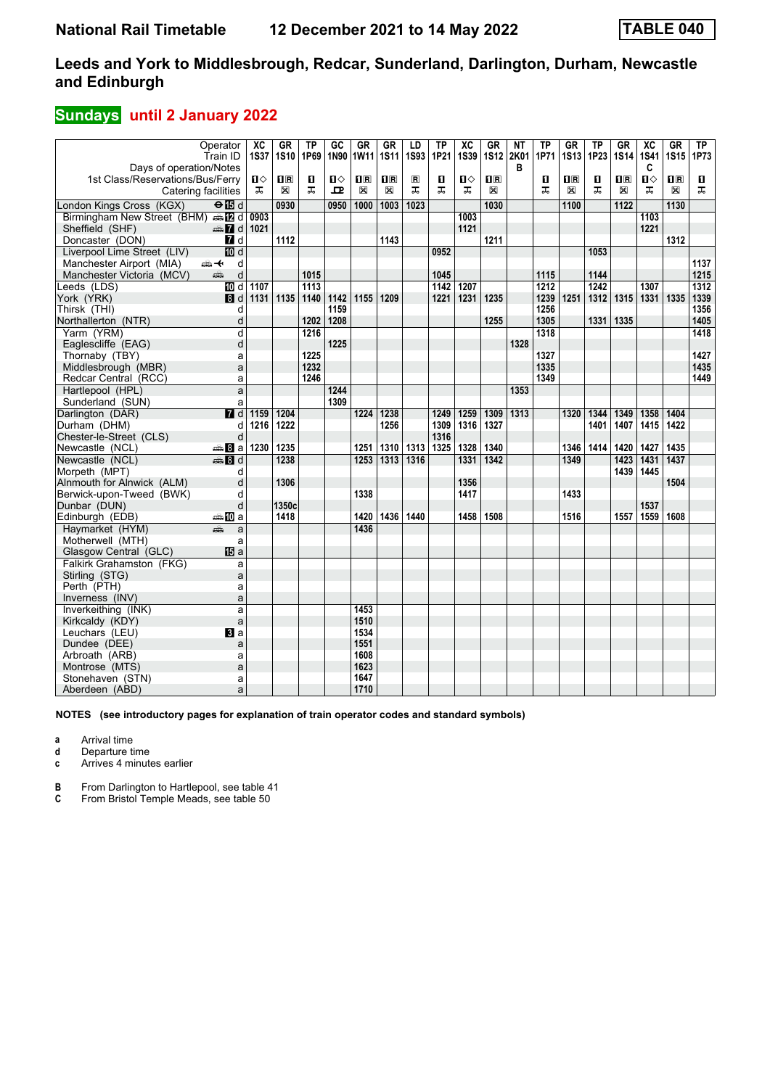## **Sundays** until 2 January 2022

|                                                  | Operator<br>Train ID | $\overline{\text{xc}}$<br><b>1S37</b> | <b>GR</b><br><b>1S10</b>  | TP<br>1P69 | GC<br>1N90   | <b>GR</b><br>1W11 | <b>GR</b><br><b>1S11</b> | LD<br><b>1S93</b> | TP<br>1P21 | $\overline{\text{xc}}$<br><b>1S39</b> | <b>GR</b><br><b>1S12</b> | <b>NT</b><br>2K01 | <b>TP</b><br>1P71 | <b>GR</b><br><b>1S13</b> | TP<br>1P23 | $G$ R<br>1S14           | $\overline{\text{xc}}$<br><b>1S41</b> | $G$ R<br><b>1S15</b> | TP<br>1P73 |
|--------------------------------------------------|----------------------|---------------------------------------|---------------------------|------------|--------------|-------------------|--------------------------|-------------------|------------|---------------------------------------|--------------------------|-------------------|-------------------|--------------------------|------------|-------------------------|---------------------------------------|----------------------|------------|
| Days of operation/Notes                          |                      |                                       |                           |            |              |                   |                          |                   |            |                                       |                          | в                 |                   |                          |            |                         | C                                     |                      |            |
| 1st Class/Reservations/Bus/Ferry                 |                      | ்ப                                    | $\mathbf{I}^{\mathbb{R}}$ | O          | $\mathbf{u}$ | $\mathbf{1}$ R    | $\overline{\mathbf{R}}$  | $\blacksquare$    | O          | п⇔                                    | $\overline{\mathbf{H}}$  |                   | П                 | $\overline{\mathbf{H}}$  | О          | $\overline{\mathbf{H}}$ | п                                     | 1R                   | O.         |
| Catering facilities                              |                      | ᠼ                                     | X                         | ᠼ          | 모            | X                 | X                        | ᠼ                 | ᠼ          | ᠼ                                     | X                        |                   | ᠼ                 | X                        | ᠼ          | X                       | ᠼ                                     | X                    | ᠼ          |
| London Kings Cross (KGX)                         | $\Theta$ is d        |                                       | 0930                      |            | 0950         | 1000              | 1003                     | 1023              |            |                                       | 1030                     |                   |                   | 1100                     |            | 1122                    |                                       | 1130                 |            |
| Birmingham New Street (BHM) $\oplus \boxtimes d$ |                      | 0903                                  |                           |            |              |                   |                          |                   |            | 1003                                  |                          |                   |                   |                          |            |                         | 1103                                  |                      |            |
| Sheffield (SHF)                                  | $\oplus$ 7 d         | 1021                                  |                           |            |              |                   |                          |                   |            | 1121                                  |                          |                   |                   |                          |            |                         | 1221                                  |                      |            |
| Doncaster (DON)                                  | 7d                   |                                       | 1112                      |            |              |                   | 1143                     |                   |            |                                       | 1211                     |                   |                   |                          |            |                         |                                       | 1312                 |            |
| Liverpool Lime Street (LIV)                      | $\overline{m}$ d     |                                       |                           |            |              |                   |                          |                   | 0952       |                                       |                          |                   |                   |                          | 1053       |                         |                                       |                      |            |
| Manchester Airport (MIA)                         | d<br>安               |                                       |                           |            |              |                   |                          |                   |            |                                       |                          |                   |                   |                          |            |                         |                                       |                      | 1137       |
| Manchester Victoria (MCV)                        | d<br>پتھ             |                                       |                           | 1015       |              |                   |                          |                   | 1045       |                                       |                          |                   | 1115              |                          | 1144       |                         |                                       |                      | 1215       |
| Leeds (LDS)                                      | TO d                 | 1107                                  |                           | 1113       |              |                   |                          |                   | 1142       | 1207                                  |                          |                   | 1212              |                          | 1242       |                         | 1307                                  |                      | 1312       |
| York (YRK)                                       | $\blacksquare$       | 1131                                  | 1135                      | 1140       | 1142         | 1155              | 1209                     |                   | 1221       | 1231                                  | 1235                     |                   | 1239              | 1251                     | 1312       | 1315                    | 1331                                  | 1335                 | 1339       |
| Thirsk (THI)                                     | d                    |                                       |                           |            | 1159         |                   |                          |                   |            |                                       |                          |                   | 1256              |                          |            |                         |                                       |                      | 1356       |
| Northallerton (NTR)                              | d                    |                                       |                           | 1202       | 1208         |                   |                          |                   |            |                                       | 1255                     |                   | 1305              |                          | 1331       | 1335                    |                                       |                      | 1405       |
| Yarm (YRM)                                       | d                    |                                       |                           | 1216       |              |                   |                          |                   |            |                                       |                          |                   | 1318              |                          |            |                         |                                       |                      | 1418       |
| Eaglescliffe (EAG)                               | d                    |                                       |                           |            | 1225         |                   |                          |                   |            |                                       |                          | 1328              |                   |                          |            |                         |                                       |                      |            |
| Thornaby (TBY)                                   | a                    |                                       |                           | 1225       |              |                   |                          |                   |            |                                       |                          |                   | 1327              |                          |            |                         |                                       |                      | 1427       |
| Middlesbrough (MBR)                              | a                    |                                       |                           | 1232       |              |                   |                          |                   |            |                                       |                          |                   | 1335              |                          |            |                         |                                       |                      | 1435       |
| Redcar Central (RCC)                             | a                    |                                       |                           | 1246       |              |                   |                          |                   |            |                                       |                          |                   | 1349              |                          |            |                         |                                       |                      | 1449       |
| Hartlepool (HPL)                                 | a                    |                                       |                           |            | 1244         |                   |                          |                   |            |                                       |                          | 1353              |                   |                          |            |                         |                                       |                      |            |
| Sunderland (SUN)                                 | a                    |                                       |                           |            | 1309         |                   |                          |                   |            |                                       |                          |                   |                   |                          |            |                         |                                       |                      |            |
| Darlington (DAR)                                 | $\overline{H}$ d     | 1159                                  | 1204                      |            |              | 1224              | 1238                     |                   | 1249       | 1259                                  | 1309                     | 1313              |                   | 1320                     | 1344       | 1349                    | 1358                                  | 1404                 |            |
| Durham (DHM)                                     | d                    | 1216                                  | 1222                      |            |              |                   | 1256                     |                   | 1309       | 1316                                  | 1327                     |                   |                   |                          | 1401       | 1407                    | 1415                                  | 1422                 |            |
| Chester-le-Street (CLS)                          | d                    |                                       |                           |            |              |                   |                          |                   | 1316       |                                       |                          |                   |                   |                          |            |                         |                                       |                      |            |
| Newcastle (NCL)                                  | <del>⊯</del> ыВа     | 1230                                  | 1235                      |            |              | 1251              | 1310                     | 1313              | 1325       | 1328                                  | 1340                     |                   |                   | 1346                     | 1414       | 1420                    | 1427                                  | 1435                 |            |
| Newcastle (NCL)                                  | <b>第8d</b>           |                                       | 1238                      |            |              | 1253              | 1313                     | 1316              |            | 1331                                  | 1342                     |                   |                   | 1349                     |            | 1423                    | 1431                                  | 1437                 |            |
| Morpeth (MPT)                                    | d                    |                                       |                           |            |              |                   |                          |                   |            |                                       |                          |                   |                   |                          |            | 1439                    | 1445                                  |                      |            |
| Alnmouth for Alnwick (ALM)                       | d                    |                                       | 1306                      |            |              |                   |                          |                   |            | 1356                                  |                          |                   |                   |                          |            |                         |                                       | 1504                 |            |
| Berwick-upon-Tweed (BWK)                         | d                    |                                       |                           |            |              | 1338              |                          |                   |            | 1417                                  |                          |                   |                   | 1433                     |            |                         |                                       |                      |            |
| Dunbar (DUN)                                     | d                    |                                       | 1350c                     |            |              |                   |                          |                   |            |                                       |                          |                   |                   |                          |            |                         | 1537                                  |                      |            |
| Edinburgh (EDB)                                  | a‱MDa                |                                       | 1418                      |            |              | 1420              | 1436                     | 1440              |            | 1458                                  | 1508                     |                   |                   | 1516                     |            | 1557                    | 1559                                  | 1608                 |            |
| Haymarket (HYM)                                  | æ<br>a               |                                       |                           |            |              | 1436              |                          |                   |            |                                       |                          |                   |                   |                          |            |                         |                                       |                      |            |
| Motherwell (MTH)                                 | a                    |                                       |                           |            |              |                   |                          |                   |            |                                       |                          |                   |                   |                          |            |                         |                                       |                      |            |
| Glasgow Central (GLC)                            | <b>IB</b> a          |                                       |                           |            |              |                   |                          |                   |            |                                       |                          |                   |                   |                          |            |                         |                                       |                      |            |
| Falkirk Grahamston (FKG)                         | a                    |                                       |                           |            |              |                   |                          |                   |            |                                       |                          |                   |                   |                          |            |                         |                                       |                      |            |
| Stirling (STG)                                   | a                    |                                       |                           |            |              |                   |                          |                   |            |                                       |                          |                   |                   |                          |            |                         |                                       |                      |            |
| Perth (PTH)                                      | a                    |                                       |                           |            |              |                   |                          |                   |            |                                       |                          |                   |                   |                          |            |                         |                                       |                      |            |
| Inverness (INV)                                  | a                    |                                       |                           |            |              |                   |                          |                   |            |                                       |                          |                   |                   |                          |            |                         |                                       |                      |            |
| Inverkeithing (INK)                              | a                    |                                       |                           |            |              | 1453              |                          |                   |            |                                       |                          |                   |                   |                          |            |                         |                                       |                      |            |
| Kirkcaldy (KDY)                                  | a                    |                                       |                           |            |              | 1510              |                          |                   |            |                                       |                          |                   |                   |                          |            |                         |                                       |                      |            |
| Leuchars (LEU)                                   | $\mathbf{B}$ a       |                                       |                           |            |              | 1534<br>1551      |                          |                   |            |                                       |                          |                   |                   |                          |            |                         |                                       |                      |            |
| Dundee (DEE)                                     | a                    |                                       |                           |            |              |                   |                          |                   |            |                                       |                          |                   |                   |                          |            |                         |                                       |                      |            |
| Arbroath (ARB)<br>Montrose (MTS)                 | a<br>a               |                                       |                           |            |              | 1608<br>1623      |                          |                   |            |                                       |                          |                   |                   |                          |            |                         |                                       |                      |            |
| Stonehaven (STN)                                 | a                    |                                       |                           |            |              | 1647              |                          |                   |            |                                       |                          |                   |                   |                          |            |                         |                                       |                      |            |
| Aberdeen (ABD)                                   | a                    |                                       |                           |            |              | 1710              |                          |                   |            |                                       |                          |                   |                   |                          |            |                         |                                       |                      |            |
|                                                  |                      |                                       |                           |            |              |                   |                          |                   |            |                                       |                          |                   |                   |                          |            |                         |                                       |                      |            |

**NOTES (see introductory pages for explanation of train operator codes and standard symbols)**

**a** Arrival time

**d** Departure time

**c** Arrives 4 minutes earlier

**B** From Darlington to Hartlepool, see table 41 **C** From Bristol Temple Meads, see table 50

**C** From Bristol Temple Meads, see table 50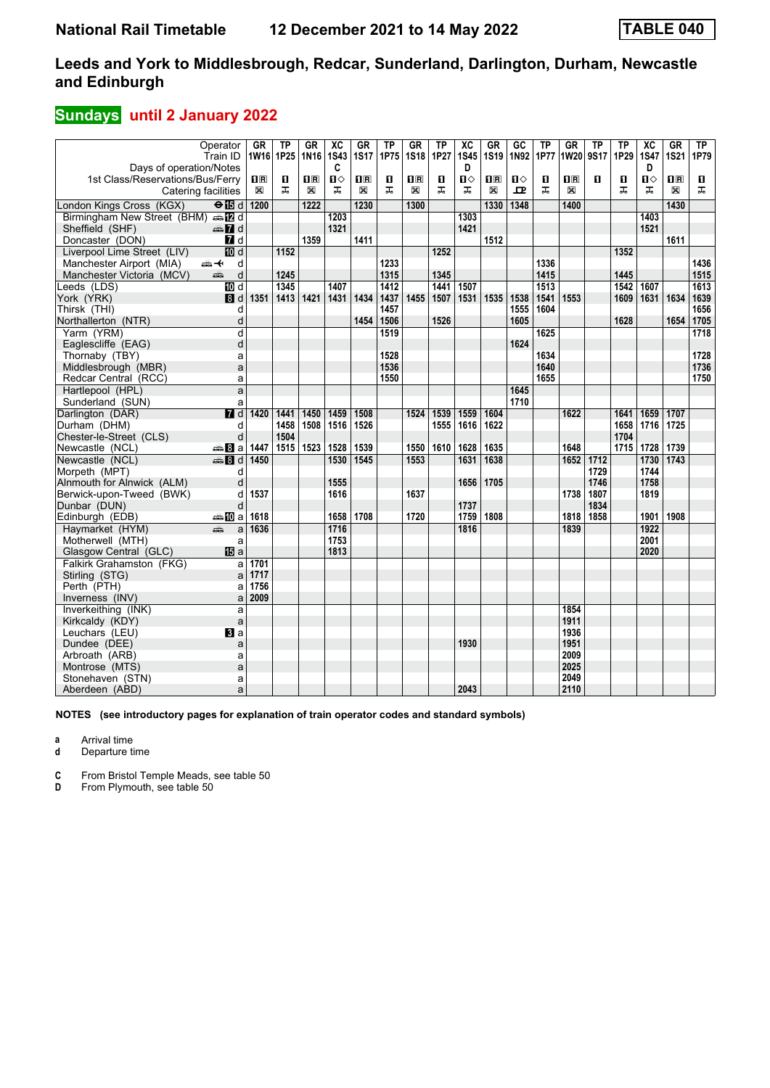## **Sundays** until 2 January 2022

| Operator<br>Train ID                                     | <b>GR</b>      | <b>TP</b><br>1W16 1P25 | <b>GR</b><br>1N <sub>16</sub> | $\overline{\mathsf{xc}}$<br><b>1S43</b> | GR<br><b>1S17</b> | <b>TP</b><br>1P75 | <b>GR</b><br><b>1S18</b> | <b>TP</b><br>1P27 | $\overline{AC}$<br><b>1S45</b> | <b>GR</b><br><b>1S19</b> | $\overline{GC}$<br>1N92 | TP<br>1P77 | $G$ R<br>1W20           | <b>TP</b><br>9S17 | <b>TP</b><br>1P29 | $\overline{AC}$<br><b>1S47</b> | <b>GR</b><br><b>1S21</b> | ТP<br>1P79 |
|----------------------------------------------------------|----------------|------------------------|-------------------------------|-----------------------------------------|-------------------|-------------------|--------------------------|-------------------|--------------------------------|--------------------------|-------------------------|------------|-------------------------|-------------------|-------------------|--------------------------------|--------------------------|------------|
| Days of operation/Notes                                  |                |                        |                               | C                                       |                   |                   |                          |                   | D                              |                          |                         |            |                         |                   |                   | D                              |                          |            |
| 1st Class/Reservations/Bus/Ferry                         | $\mathbf{H}$ R | п                      | $\overline{\mathbf{R}}$       | $\blacksquare$                          | $\mathbf{1}$ R    | п                 | 1R                       | п                 | п⇔                             | 1R                       | $\mathbf{u}$            | п          | $\overline{\mathbf{H}}$ | п                 | п                 | п                              | $\overline{\mathbf{H}}$  | D.         |
| Catering facilities                                      | $\boxtimes$    | ᠼ                      | ⊠                             | ᅚ                                       | X                 | ᠼ                 | X                        | ᠼ                 | ᠼ                              | X                        | ᇁ                       | ᠼ          | X                       |                   | ᠼ                 | ᠼ                              | X                        | ᅚ          |
| London Kings Cross (KGX)<br>$\Theta$ ibid                | 1200           |                        | 1222                          |                                         | 1230              |                   | 1300                     |                   |                                | 1330                     | 1348                    |            | 1400                    |                   |                   |                                | 1430                     |            |
| Birmingham New Street (BHM) supply                       |                |                        |                               | 1203                                    |                   |                   |                          |                   | 1303                           |                          |                         |            |                         |                   |                   | 1403                           |                          |            |
| an 7d d<br>Sheffield (SHF)                               |                |                        |                               | 1321                                    |                   |                   |                          |                   | 1421                           |                          |                         |            |                         |                   |                   | 1521                           |                          |            |
| Doncaster (DON)<br>7d                                    |                |                        | 1359                          |                                         | 1411              |                   |                          |                   |                                | 1512                     |                         |            |                         |                   |                   |                                | 1611                     |            |
| $\overline{10}$ d<br>Liverpool Lime Street (LIV)         |                | 1152                   |                               |                                         |                   |                   |                          | 1252              |                                |                          |                         |            |                         |                   | 1352              |                                |                          |            |
| Manchester Airport (MIA)<br>安<br>d                       |                |                        |                               |                                         |                   | 1233              |                          |                   |                                |                          |                         | 1336       |                         |                   |                   |                                |                          | 1436       |
| d<br>Manchester Victoria (MCV)<br>پتھ                    |                | 1245                   |                               |                                         |                   | 1315              |                          | 1345              |                                |                          |                         | 1415       |                         |                   | 1445              |                                |                          | 1515       |
| 10 d<br>Leeds (LDS)                                      |                | 1345                   |                               | 1407                                    |                   | 1412              |                          | 1441              | 1507                           |                          |                         | 1513       |                         |                   | 1542              | 1607                           |                          | 1613       |
| 8 d<br>York (YRK)                                        | 1351           | 1413                   | 1421                          | 1431                                    | 1434              | 1437              | 1455                     | 1507              | 1531                           | 1535                     | 1538                    | 1541       | 1553                    |                   | 1609              | 1631                           | 1634                     | 1639       |
| Thirsk (THI)<br>d                                        |                |                        |                               |                                         |                   | 1457              |                          |                   |                                |                          | 1555                    | 1604       |                         |                   |                   |                                |                          | 1656       |
| d<br>Northallerton (NTR)                                 |                |                        |                               |                                         | 1454              | 1506              |                          | 1526              |                                |                          | 1605                    |            |                         |                   | 1628              |                                | 1654                     | 1705       |
| $\overline{d}$<br>Yarm (YRM)                             |                |                        |                               |                                         |                   | 1519              |                          |                   |                                |                          |                         | 1625       |                         |                   |                   |                                |                          | 1718       |
| d<br>Eaglescliffe (EAG)                                  |                |                        |                               |                                         |                   |                   |                          |                   |                                |                          | 1624                    |            |                         |                   |                   |                                |                          |            |
| Thornaby (TBY)<br>a                                      |                |                        |                               |                                         |                   | 1528              |                          |                   |                                |                          |                         | 1634       |                         |                   |                   |                                |                          | 1728       |
| Middlesbrough (MBR)<br>a                                 |                |                        |                               |                                         |                   | 1536              |                          |                   |                                |                          |                         | 1640       |                         |                   |                   |                                |                          | 1736       |
| Redcar Central (RCC)<br>a                                |                |                        |                               |                                         |                   | 1550              |                          |                   |                                |                          |                         | 1655       |                         |                   |                   |                                |                          | 1750       |
| Hartlepool (HPL)<br>a                                    |                |                        |                               |                                         |                   |                   |                          |                   |                                |                          | 1645                    |            |                         |                   |                   |                                |                          |            |
| Sunderland (SUN)<br>a                                    |                |                        |                               |                                         |                   |                   |                          |                   |                                |                          | 1710                    |            |                         |                   |                   |                                |                          |            |
| Darlington (DAR)<br>$\blacksquare$ d                     | 1420           | 1441                   | 1450                          | 1459                                    | 1508              |                   | 1524                     | 1539              | 1559                           | 1604                     |                         |            | 1622                    |                   | 1641              | 1659                           | 1707                     |            |
| Durham (DHM)<br>d                                        |                | 1458                   | 1508                          | 1516                                    | 1526              |                   |                          | 1555              | 1616                           | 1622                     |                         |            |                         |                   | 1658              | 1716                           | 1725                     |            |
| d<br>Chester-le-Street (CLS)                             |                | 1504                   |                               |                                         |                   |                   |                          |                   |                                |                          |                         |            |                         |                   | 1704              |                                |                          |            |
| Newcastle (NCL)<br><del>⊯</del> 8la                      | 1447           | 1515                   | 1523                          | 1528                                    | 1539              |                   | 1550                     | 1610              | 1628                           | 1635                     |                         |            | 1648                    |                   | 1715              | 1728                           | 1739                     |            |
| Newcastle (NCL)<br><b>⊯Bid</b>                           | 1450           |                        |                               | 1530                                    | 1545              |                   | 1553                     |                   | 1631                           | 1638                     |                         |            | 1652                    | 1712              |                   | 1730                           | 1743                     |            |
| Morpeth (MPT)<br>d                                       |                |                        |                               |                                         |                   |                   |                          |                   |                                |                          |                         |            |                         | 1729              |                   | 1744                           |                          |            |
| Alnmouth for Alnwick (ALM)<br>d                          |                |                        |                               | 1555                                    |                   |                   |                          |                   | 1656                           | 1705                     |                         |            |                         | 1746              |                   | 1758                           |                          |            |
| Berwick-upon-Tweed (BWK)<br>d                            | 1537           |                        |                               | 1616                                    |                   |                   | 1637                     |                   |                                |                          |                         |            | 1738                    | 1807              |                   | 1819                           |                          |            |
| Dunbar (DUN)<br>d                                        |                |                        |                               |                                         |                   |                   |                          |                   | 1737                           |                          |                         |            |                         | 1834              |                   |                                |                          |            |
| Edinburgh (EDB)<br>⇔≞MDa                                 | 1618           |                        |                               | 1658                                    | 1708              |                   | 1720                     |                   | 1759                           | 1808                     |                         |            | 1818                    | 1858              |                   | 1901                           | 1908                     |            |
| Haymarket (HYM)<br>وشبه<br>a                             | 1636           |                        |                               | 1716                                    |                   |                   |                          |                   | 1816                           |                          |                         |            | 1839                    |                   |                   | 1922                           |                          |            |
| Motherwell (MTH)<br>a                                    |                |                        |                               | 1753                                    |                   |                   |                          |                   |                                |                          |                         |            |                         |                   |                   | 2001                           |                          |            |
| <b>阳</b> a<br>Glasgow Central (GLC)                      |                |                        |                               | 1813                                    |                   |                   |                          |                   |                                |                          |                         |            |                         |                   |                   | 2020                           |                          |            |
| Falkirk Grahamston (FKG)<br>a                            | 1701           |                        |                               |                                         |                   |                   |                          |                   |                                |                          |                         |            |                         |                   |                   |                                |                          |            |
| Stirling (STG)<br>a                                      | 1717           |                        |                               |                                         |                   |                   |                          |                   |                                |                          |                         |            |                         |                   |                   |                                |                          |            |
| Perth (PTH)<br>a                                         | 1756           |                        |                               |                                         |                   |                   |                          |                   |                                |                          |                         |            |                         |                   |                   |                                |                          |            |
| Inverness (INV)<br>a                                     | 2009           |                        |                               |                                         |                   |                   |                          |                   |                                |                          |                         |            |                         |                   |                   |                                |                          |            |
| Inverkeithing (INK)<br>a                                 |                |                        |                               |                                         |                   |                   |                          |                   |                                |                          |                         |            | 1854                    |                   |                   |                                |                          |            |
| Kirkcaldy (KDY)<br>a<br>Leuchars (LEU)<br>$\mathbf{B}$ a |                |                        |                               |                                         |                   |                   |                          |                   |                                |                          |                         |            | 1911<br>1936            |                   |                   |                                |                          |            |
| Dundee (DEE)                                             |                |                        |                               |                                         |                   |                   |                          |                   | 1930                           |                          |                         |            | 1951                    |                   |                   |                                |                          |            |
| a<br>Arbroath (ARB)<br>a                                 |                |                        |                               |                                         |                   |                   |                          |                   |                                |                          |                         |            | 2009                    |                   |                   |                                |                          |            |
| Montrose (MTS)<br>a                                      |                |                        |                               |                                         |                   |                   |                          |                   |                                |                          |                         |            | 2025                    |                   |                   |                                |                          |            |
| Stonehaven (STN)<br>a                                    |                |                        |                               |                                         |                   |                   |                          |                   |                                |                          |                         |            | 2049                    |                   |                   |                                |                          |            |
| Aberdeen (ABD)<br>a                                      |                |                        |                               |                                         |                   |                   |                          |                   | 2043                           |                          |                         |            | 2110                    |                   |                   |                                |                          |            |

**NOTES (see introductory pages for explanation of train operator codes and standard symbols)**

**a** Arrival time

**d** Departure time

**C** From Bristol Temple Meads, see table 50<br>**D** From Plymouth, see table 50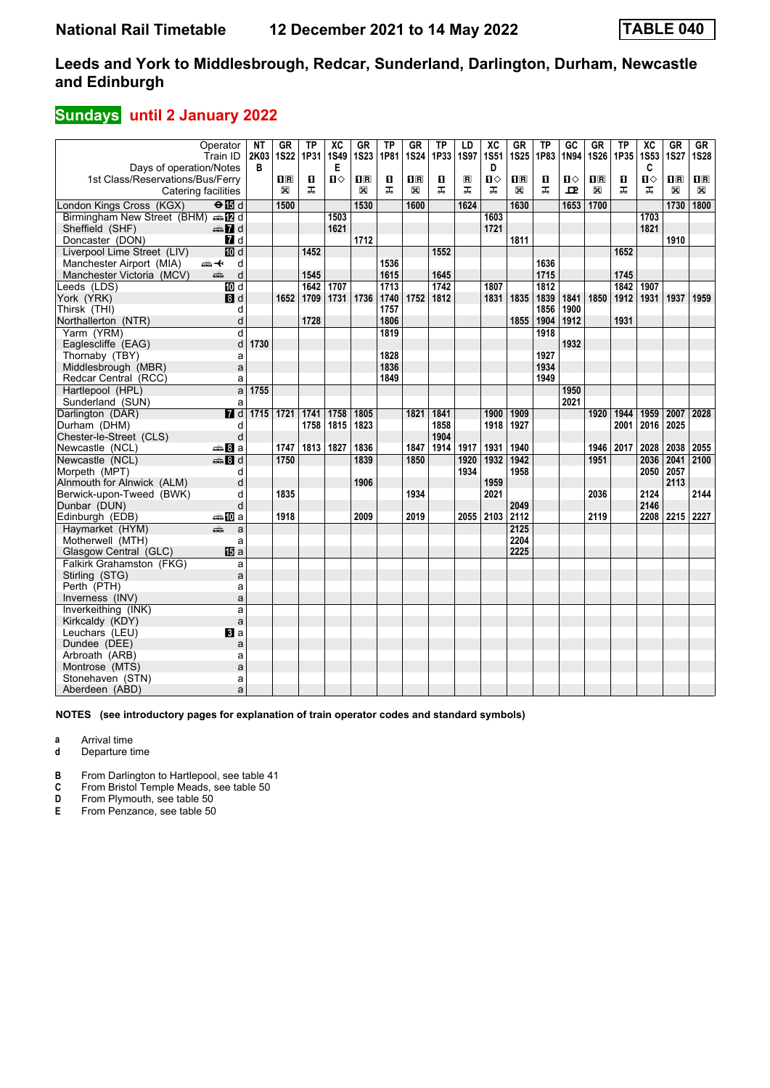## **Sundays** until 2 January 2022

|                                    | Operator<br>Train ID | NT<br>2K03 | <b>GR</b><br><b>1S22</b> | TP<br>1P31 | $\overline{\text{xc}}$<br><b>1S49</b> | GR<br><b>1S23</b> | <b>TP</b><br>1P81 | <b>GR</b><br><b>1S24</b> | <b>TP</b><br>1P33 | LD<br>1S97     | $\overline{\text{xc}}$<br><b>1S51</b> | <b>GR</b><br><b>1S25</b>  | TP<br>1P83 | $\overline{GC}$<br>1N94 | <b>GR</b><br><b>1S26</b>  | <b>TP</b><br>1P35 | $\overline{\mathbf{X}}$<br><b>1S53</b> | GR<br><b>1S27</b>       | GR<br><b>1S28</b> |
|------------------------------------|----------------------|------------|--------------------------|------------|---------------------------------------|-------------------|-------------------|--------------------------|-------------------|----------------|---------------------------------------|---------------------------|------------|-------------------------|---------------------------|-------------------|----------------------------------------|-------------------------|-------------------|
| Days of operation/Notes            |                      | В          |                          |            | Е                                     |                   |                   |                          |                   |                | D                                     |                           |            |                         |                           |                   | C                                      |                         |                   |
| 1st Class/Reservations/Bus/Ferry   |                      |            | $\overline{\mathbf{B}}$  | O          | П⇔                                    | $\mathbf{I}$ R    | П                 | $\overline{\mathbf{H}}$  | п                 | $\blacksquare$ | $\mathbf{u}$                          | $\mathbf{I}^{\mathbb{R}}$ | п          | ்ப                      | $\mathbf{I}^{\mathbb{R}}$ | п                 | $\mathbf{u}$                           | $\overline{\mathbf{H}}$ | $\mathbf{H}$      |
| Catering facilities                |                      |            | $\boxtimes$              | ᠼ          |                                       | X                 | ᠼ                 | X                        | ᅚ                 | ᠼ              | ᠼ                                     | X                         | ᠼ          | 고                       | X                         | ᠼ                 | ᅚ                                      | X                       | $\boxtimes$       |
| London Kings Cross (KGX)           | $\Theta$ is d        |            | 1500                     |            |                                       | 1530              |                   | 1600                     |                   | 1624           |                                       | 1630                      |            | 1653                    | 1700                      |                   |                                        | 1730                    | 1800              |
| Birmingham New Street (BHM) s [2 d |                      |            |                          |            | 1503                                  |                   |                   |                          |                   |                | 1603                                  |                           |            |                         |                           |                   | 1703                                   |                         |                   |
| Sheffield (SHF)                    | ana 7did             |            |                          |            | 1621                                  |                   |                   |                          |                   |                | 1721                                  |                           |            |                         |                           |                   | 1821                                   |                         |                   |
| Doncaster (DON)                    | 7d                   |            |                          |            |                                       | 1712              |                   |                          |                   |                |                                       | 1811                      |            |                         |                           |                   |                                        | 1910                    |                   |
| Liverpool Lime Street (LIV)        | $\overline{10}$ d    |            |                          | 1452       |                                       |                   |                   |                          | 1552              |                |                                       |                           |            |                         |                           | 1652              |                                        |                         |                   |
| Manchester Airport (MIA)           | ⇜↞<br>d              |            |                          |            |                                       |                   | 1536              |                          |                   |                |                                       |                           | 1636       |                         |                           |                   |                                        |                         |                   |
| Manchester Victoria (MCV)          | d<br>پېښ             |            |                          | 1545       |                                       |                   | 1615              |                          | 1645              |                |                                       |                           | 1715       |                         |                           | 1745              |                                        |                         |                   |
| Leeds (LDS)                        | $\overline{M}$ d     |            |                          | 1642       | 1707                                  |                   | 1713              |                          | 1742              |                | 1807                                  |                           | 1812       |                         |                           | 1842              | 1907                                   |                         |                   |
| York (YRK)                         | 8d                   |            | 1652                     | 1709       | 1731                                  | 1736              | 1740              | 1752                     | 1812              |                | 1831                                  | 1835                      | 1839       | 1841                    | 1850                      | 1912              | 1931                                   | 1937                    | 1959              |
| Thirsk (THI)                       | d                    |            |                          |            |                                       |                   | 1757              |                          |                   |                |                                       |                           | 1856       | 1900                    |                           |                   |                                        |                         |                   |
| Northallerton (NTR)                | d                    |            |                          | 1728       |                                       |                   | 1806              |                          |                   |                |                                       | 1855                      | 1904       | 1912                    |                           | 1931              |                                        |                         |                   |
| Yarm (YRM)                         | d                    |            |                          |            |                                       |                   | 1819              |                          |                   |                |                                       |                           | 1918       |                         |                           |                   |                                        |                         |                   |
| Eaglescliffe (EAG)                 | d                    | 1730       |                          |            |                                       |                   |                   |                          |                   |                |                                       |                           |            | 1932                    |                           |                   |                                        |                         |                   |
| Thornaby (TBY)                     | a                    |            |                          |            |                                       |                   | 1828              |                          |                   |                |                                       |                           | 1927       |                         |                           |                   |                                        |                         |                   |
| Middlesbrough (MBR)                | a                    |            |                          |            |                                       |                   | 1836              |                          |                   |                |                                       |                           | 1934       |                         |                           |                   |                                        |                         |                   |
| Redcar Central (RCC)               | a                    |            |                          |            |                                       |                   | 1849              |                          |                   |                |                                       |                           | 1949       |                         |                           |                   |                                        |                         |                   |
| Hartlepool (HPL)                   | a                    | 1755       |                          |            |                                       |                   |                   |                          |                   |                |                                       |                           |            | 1950                    |                           |                   |                                        |                         |                   |
| Sunderland (SUN)                   | a                    |            |                          |            |                                       |                   |                   |                          |                   |                |                                       |                           |            | 2021                    |                           |                   |                                        |                         |                   |
| Darlington (DAR)                   | $\overline{H}$ d     | 1715 1721  |                          | 1741       | 1758                                  | 1805              |                   | 1821                     | 1841              |                | 1900                                  | 1909                      |            |                         | 1920                      | 1944              | 1959                                   | 2007                    | 2028              |
| Durham (DHM)                       | d                    |            |                          | 1758       | 1815                                  | 1823              |                   |                          | 1858              |                | 1918                                  | 1927                      |            |                         |                           | 2001              | 2016                                   | 2025                    |                   |
| Chester-le-Street (CLS)            | d                    |            |                          |            |                                       |                   |                   |                          | 1904              |                |                                       |                           |            |                         |                           |                   |                                        |                         |                   |
| Newcastle (NCL)                    | ⊯⊪Ва                 |            | 1747                     | 1813       | 1827                                  | 1836              |                   | 1847                     | 1914              | 1917           | 1931                                  | 1940                      |            |                         | 1946                      | 2017              | 2028                                   | 2038                    | 2055              |
| Newcastle (NCL)                    | <b>第8d</b>           |            | 1750                     |            |                                       | 1839              |                   | 1850                     |                   | 1920           | 1932                                  | 1942                      |            |                         | 1951                      |                   | 2036                                   | 2041                    | 2100              |
| Morpeth (MPT)                      | d                    |            |                          |            |                                       |                   |                   |                          |                   | 1934           |                                       | 1958                      |            |                         |                           |                   | 2050                                   | 2057                    |                   |
| Alnmouth for Alnwick (ALM)         | d                    |            |                          |            |                                       | 1906              |                   |                          |                   |                | 1959                                  |                           |            |                         |                           |                   |                                        | 2113                    |                   |
| Berwick-upon-Tweed (BWK)           | d                    |            | 1835                     |            |                                       |                   |                   | 1934                     |                   |                | 2021                                  |                           |            |                         | 2036                      |                   | 2124                                   |                         | 2144              |
| Dunbar (DUN)                       | d                    |            |                          |            |                                       |                   |                   |                          |                   |                |                                       | 2049                      |            |                         |                           |                   | 2146                                   |                         |                   |
| Edinburgh (EDB)                    | a‱MDa                |            | 1918                     |            |                                       | 2009              |                   | 2019                     |                   |                | 2055 2103                             | 2112                      |            |                         | 2119                      |                   |                                        | 2208 2215 2227          |                   |
| Havmarket (HYM)                    | يتثبه<br>a           |            |                          |            |                                       |                   |                   |                          |                   |                |                                       | 2125                      |            |                         |                           |                   |                                        |                         |                   |
| Motherwell (MTH)                   | a                    |            |                          |            |                                       |                   |                   |                          |                   |                |                                       | 2204                      |            |                         |                           |                   |                                        |                         |                   |
| Glasgow Central (GLC)              | <b>個</b> a           |            |                          |            |                                       |                   |                   |                          |                   |                |                                       | 2225                      |            |                         |                           |                   |                                        |                         |                   |
| Falkirk Grahamston (FKG)           | a                    |            |                          |            |                                       |                   |                   |                          |                   |                |                                       |                           |            |                         |                           |                   |                                        |                         |                   |
| Stirling (STG)                     | a                    |            |                          |            |                                       |                   |                   |                          |                   |                |                                       |                           |            |                         |                           |                   |                                        |                         |                   |
| Perth (PTH)                        | a                    |            |                          |            |                                       |                   |                   |                          |                   |                |                                       |                           |            |                         |                           |                   |                                        |                         |                   |
| Inverness (INV)                    | a                    |            |                          |            |                                       |                   |                   |                          |                   |                |                                       |                           |            |                         |                           |                   |                                        |                         |                   |
| Inverkeithing (INK)                | a                    |            |                          |            |                                       |                   |                   |                          |                   |                |                                       |                           |            |                         |                           |                   |                                        |                         |                   |
| Kirkcaldy (KDY)                    | a                    |            |                          |            |                                       |                   |                   |                          |                   |                |                                       |                           |            |                         |                           |                   |                                        |                         |                   |
| Leuchars (LEU)                     | <b>El</b> a          |            |                          |            |                                       |                   |                   |                          |                   |                |                                       |                           |            |                         |                           |                   |                                        |                         |                   |
| Dundee (DEE)                       | a                    |            |                          |            |                                       |                   |                   |                          |                   |                |                                       |                           |            |                         |                           |                   |                                        |                         |                   |
| Arbroath (ARB)                     | a                    |            |                          |            |                                       |                   |                   |                          |                   |                |                                       |                           |            |                         |                           |                   |                                        |                         |                   |
| Montrose (MTS)                     | a                    |            |                          |            |                                       |                   |                   |                          |                   |                |                                       |                           |            |                         |                           |                   |                                        |                         |                   |
| Stonehaven (STN)                   | a                    |            |                          |            |                                       |                   |                   |                          |                   |                |                                       |                           |            |                         |                           |                   |                                        |                         |                   |
| Aberdeen (ABD)                     | a                    |            |                          |            |                                       |                   |                   |                          |                   |                |                                       |                           |            |                         |                           |                   |                                        |                         |                   |

**NOTES (see introductory pages for explanation of train operator codes and standard symbols)**

**a** Arrival time

**d** Departure time

**B** From Darlington to Hartlepool, see table 41 **C** From Bristol Temple Meads, see table 50

**C** From Bristol Temple Meads, see table 50<br>**D** From Plymouth, see table 50

**D** From Plymouth, see table 50<br>**E** From Penzance, see table 50

From Penzance, see table 50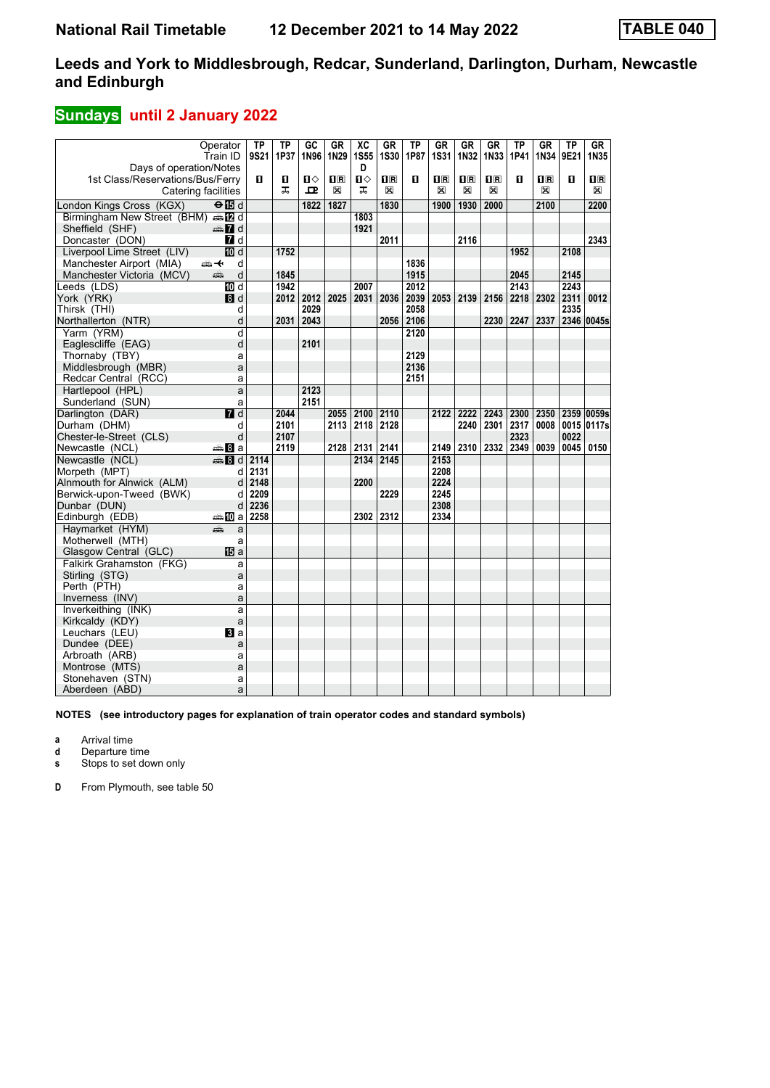## **Sundays** until 2 January 2022

| Operator                                   |                           | TP   | TP   | $G$ <sub>C</sub> | <b>GR</b>               | $\overline{AC}$ | GR                      | $\overline{TP}$ | <b>GR</b>                                       | <b>GR</b>                                       | <b>GR</b>               | $\overline{\text{TP}}$ | <b>GR</b>               | $\overline{TP}$ | GR             |
|--------------------------------------------|---------------------------|------|------|------------------|-------------------------|-----------------|-------------------------|-----------------|-------------------------------------------------|-------------------------------------------------|-------------------------|------------------------|-------------------------|-----------------|----------------|
| Train ID                                   |                           | 9S21 | 1P37 | 1N96             | 1N29                    | <b>1S55</b>     | 1S30                    | 1P87            | <b>1S31</b>                                     | 1N32                                            | 1N33                    | 1P41                   | 1N34                    | 9E21            | 1N35           |
| Days of operation/Notes                    |                           |      |      |                  |                         | D               |                         |                 |                                                 |                                                 |                         |                        |                         |                 |                |
| 1st Class/Reservations/Bus/Ferry           |                           | П.   | п    | Ω                | $\overline{\mathbf{R}}$ | Π               | $\overline{\mathbf{H}}$ | п               | $\overline{\mathbf{H}}$ $\overline{\mathbf{R}}$ | $\overline{\mathbf{H}}$ $\overline{\mathbf{R}}$ | $\overline{\mathbf{R}}$ | п                      | $\overline{\mathbf{H}}$ | п               | $\mathbf{H}$ R |
| Catering facilities                        |                           |      | ᅚ    | $\mathbf{p}$     | X                       | ᅚ               | X                       |                 | X                                               | X                                               | X                       |                        | X                       |                 | X              |
| London Kings Cross (KGX)                   | $\Theta$ $\blacksquare$ d |      |      | 1822             | 1827                    |                 | 1830                    |                 | 1900                                            | 1930                                            | 2000                    |                        | 2100                    |                 | 2200           |
| Birmingham New Street (BHM) AD d           |                           |      |      |                  |                         | 1803            |                         |                 |                                                 |                                                 |                         |                        |                         |                 |                |
| Sheffield (SHF)                            | d ann                     |      |      |                  |                         | 1921            |                         |                 |                                                 |                                                 |                         |                        |                         |                 |                |
| Doncaster (DON)                            | <b>7</b> d                |      |      |                  |                         |                 | 2011                    |                 |                                                 | 2116                                            |                         |                        |                         |                 | 2343           |
| Liverpool Lime Street (LIV)                | $\overline{10}$ d         |      | 1752 |                  |                         |                 |                         |                 |                                                 |                                                 |                         | 1952                   |                         | 2108            |                |
| Manchester Airport (MIA)<br><del>∰ ∢</del> | d                         |      |      |                  |                         |                 |                         | 1836            |                                                 |                                                 |                         |                        |                         |                 |                |
| Manchester Victoria (MCV)<br>پېښ           | d                         |      | 1845 |                  |                         |                 |                         | 1915            |                                                 |                                                 |                         | 2045                   |                         | 2145            |                |
| Leeds (LDS)                                | $\overline{M}$ d          |      | 1942 |                  |                         | 2007            |                         | 2012            |                                                 |                                                 |                         | 2143                   |                         | 2243            |                |
| York (YRK)                                 | 8d                        |      | 2012 | 2012             | 2025                    | 2031            | 2036                    | 2039            | 2053                                            | 2139                                            | 2156                    | 2218                   | 2302                    | 2311            | 0012           |
| Thirsk (THI)                               | d                         |      |      | 2029             |                         |                 |                         | 2058            |                                                 |                                                 |                         |                        |                         | 2335            |                |
| Northallerton (NTR)                        | d                         |      | 2031 | 2043             |                         |                 | 2056                    | 2106            |                                                 |                                                 | 2230                    | 2247                   | 2337                    |                 | 2346 0045s     |
| Yarm (YRM)                                 | d                         |      |      |                  |                         |                 |                         | 2120            |                                                 |                                                 |                         |                        |                         |                 |                |
| Eaglescliffe (EAG)                         | d                         |      |      | 2101             |                         |                 |                         |                 |                                                 |                                                 |                         |                        |                         |                 |                |
| Thornaby (TBY)                             | a                         |      |      |                  |                         |                 |                         | 2129            |                                                 |                                                 |                         |                        |                         |                 |                |
| Middlesbrough (MBR)                        | a                         |      |      |                  |                         |                 |                         | 2136            |                                                 |                                                 |                         |                        |                         |                 |                |
| Redcar Central (RCC)                       | a                         |      |      |                  |                         |                 |                         | 2151            |                                                 |                                                 |                         |                        |                         |                 |                |
| Hartlepool (HPL)                           | a                         |      |      | 2123             |                         |                 |                         |                 |                                                 |                                                 |                         |                        |                         |                 |                |
| Sunderland (SUN)                           | a                         |      |      | 2151             |                         |                 |                         |                 |                                                 |                                                 |                         |                        |                         |                 |                |
| Darlington (DAR)                           | 7d                        |      | 2044 |                  |                         | 2055 2100       | 2110                    |                 | 2122                                            | 2222                                            | 2243                    | 2300                   | 2350                    |                 | 2359 0059s     |
| Durham (DHM)                               | d                         |      | 2101 |                  | 2113                    | 2118            | 2128                    |                 |                                                 | 2240                                            | 2301                    | 2317                   | 0008                    |                 | 0015 0117s     |
| Chester-le-Street (CLS)                    | d                         |      | 2107 |                  |                         |                 |                         |                 |                                                 |                                                 |                         | 2323                   |                         | 0022            |                |
| Newcastle (NCL)                            | <del>⊯</del> 8∃а          |      | 2119 |                  |                         | 2128 2131       | 2141                    |                 | 2149                                            | 2310                                            | 2332                    | 2349                   | 0039                    | 0045            | 0150           |
| Newcastle (NCL)                            | den and                   | 2114 |      |                  |                         | 2134            | 2145                    |                 | 2153                                            |                                                 |                         |                        |                         |                 |                |
| Morpeth (MPT)                              | d                         | 2131 |      |                  |                         |                 |                         |                 | 2208                                            |                                                 |                         |                        |                         |                 |                |
| Alnmouth for Alnwick (ALM)                 | d                         | 2148 |      |                  |                         | 2200            |                         |                 | 2224                                            |                                                 |                         |                        |                         |                 |                |
| Berwick-upon-Tweed (BWK)                   | d                         | 2209 |      |                  |                         |                 | 2229                    |                 | 2245                                            |                                                 |                         |                        |                         |                 |                |
| Dunbar (DUN)                               | d                         | 2236 |      |                  |                         |                 |                         |                 | 2308                                            |                                                 |                         |                        |                         |                 |                |
| Edinburgh (EDB)                            | ⇔‱il0la                   | 2258 |      |                  |                         |                 | 2302 2312               |                 | 2334                                            |                                                 |                         |                        |                         |                 |                |
| Haymarket (HYM)<br>پېش                     | a                         |      |      |                  |                         |                 |                         |                 |                                                 |                                                 |                         |                        |                         |                 |                |
| Motherwell (MTH)                           | a                         |      |      |                  |                         |                 |                         |                 |                                                 |                                                 |                         |                        |                         |                 |                |
| Glasgow Central (GLC)                      | <b>阳</b> a                |      |      |                  |                         |                 |                         |                 |                                                 |                                                 |                         |                        |                         |                 |                |
| Falkirk Grahamston (FKG)                   | a                         |      |      |                  |                         |                 |                         |                 |                                                 |                                                 |                         |                        |                         |                 |                |
| Stirling (STG)                             | a                         |      |      |                  |                         |                 |                         |                 |                                                 |                                                 |                         |                        |                         |                 |                |
| Perth (PTH)                                | a                         |      |      |                  |                         |                 |                         |                 |                                                 |                                                 |                         |                        |                         |                 |                |
| Inverness (INV)                            | a                         |      |      |                  |                         |                 |                         |                 |                                                 |                                                 |                         |                        |                         |                 |                |
| Inverkeithing (INK)                        | a                         |      |      |                  |                         |                 |                         |                 |                                                 |                                                 |                         |                        |                         |                 |                |
| Kirkcaldy (KDY)                            | a                         |      |      |                  |                         |                 |                         |                 |                                                 |                                                 |                         |                        |                         |                 |                |
| Leuchars (LEU)                             | $\mathbf{B}$ a            |      |      |                  |                         |                 |                         |                 |                                                 |                                                 |                         |                        |                         |                 |                |
| Dundee (DEE)                               | a                         |      |      |                  |                         |                 |                         |                 |                                                 |                                                 |                         |                        |                         |                 |                |
| Arbroath (ARB)                             | a                         |      |      |                  |                         |                 |                         |                 |                                                 |                                                 |                         |                        |                         |                 |                |
| Montrose (MTS)                             | a                         |      |      |                  |                         |                 |                         |                 |                                                 |                                                 |                         |                        |                         |                 |                |
| Stonehaven (STN)                           | a                         |      |      |                  |                         |                 |                         |                 |                                                 |                                                 |                         |                        |                         |                 |                |
| Aberdeen (ABD)                             | a                         |      |      |                  |                         |                 |                         |                 |                                                 |                                                 |                         |                        |                         |                 |                |

**NOTES (see introductory pages for explanation of train operator codes and standard symbols)**

**a** Arrival time

**d** Departure time

**s** Stops to set down only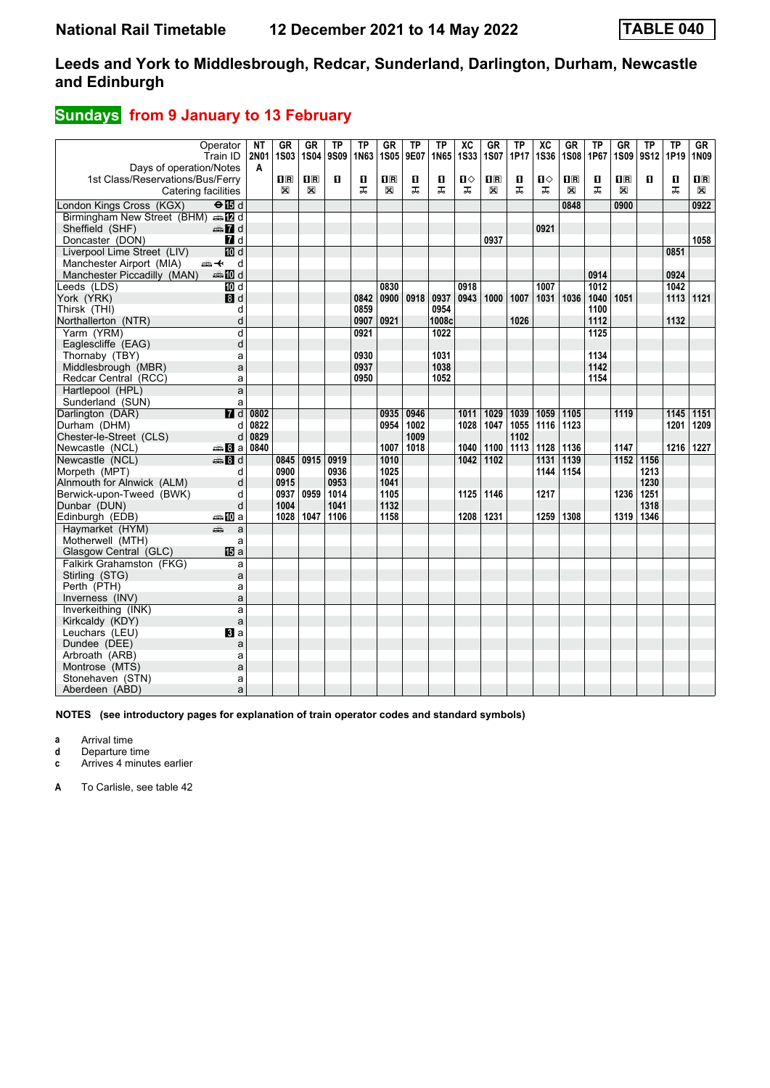### **Sundays** from 9 January to 13 February

|                                    | Operator         | NΤ               | GR          | GR             | ΤP   | TP   | GR             | <b>TP</b> | <b>TP</b> | $\overline{X}C$<br><b>1S33</b> | <b>GR</b>               | <b>TP</b> | $\overline{\text{xc}}$ | <b>GR</b><br><b>1S08</b> | ТP               | <b>GR</b>               | <b>TP</b> | <b>TP</b> | GR             |
|------------------------------------|------------------|------------------|-------------|----------------|------|------|----------------|-----------|-----------|--------------------------------|-------------------------|-----------|------------------------|--------------------------|------------------|-------------------------|-----------|-----------|----------------|
| Days of operation/Notes            | Train ID         | <b>2N01</b><br>A | <b>1S03</b> | <b>1S04</b>    | 9S09 | 1N63 | <b>1S05</b>    | 9E07      | 1N65      |                                | 1S07                    | 1P17      | <b>1S36</b>            |                          | 1P67             | <b>1S09</b>             | 9S12      | 1P19      | 1N09           |
| 1st Class/Reservations/Bus/Ferry   |                  |                  | $n_{\rm R}$ | $\mathbf{1}$ R | п    | п    | $\mathbf{H}$ R | O.        | O         | $\mathbf{u}$                   | $\overline{\mathbf{H}}$ | 0         | ்ப                     | $\mathbf{H}$             | П                | $\overline{\mathbf{H}}$ | п         | п         | $\mathbf{I}$ R |
| Catering facilities                |                  |                  | $\boxtimes$ | X              |      | ᅚ    | $\boxtimes$    | ᠼ         | ᠼ         | ᠼ                              | X                       | ᠼ         | ᠼ                      | X                        | ᠼ                | X                       |           | ᠼ         | X              |
| London Kings Cross (KGX)           | ⊖n⊟d             |                  |             |                |      |      |                |           |           |                                |                         |           |                        | 0848                     |                  | 0900                    |           |           | 0922           |
| Birmingham New Street (BHM) en E d |                  |                  |             |                |      |      |                |           |           |                                |                         |           |                        |                          |                  |                         |           |           |                |
| Sheffield (SHF)                    | d≣ 7d            |                  |             |                |      |      |                |           |           |                                |                         |           | 0921                   |                          |                  |                         |           |           |                |
| Doncaster (DON)                    | $\blacksquare$ d |                  |             |                |      |      |                |           |           |                                | 0937                    |           |                        |                          |                  |                         |           |           | 1058           |
| Liverpool Lime Street (LIV)        | <b>ID</b> d      |                  |             |                |      |      |                |           |           |                                |                         |           |                        |                          |                  |                         |           | 0851      |                |
| Manchester Airport (MIA)           | d<br>安           |                  |             |                |      |      |                |           |           |                                |                         |           |                        |                          |                  |                         |           |           |                |
| Manchester Piccadilly (MAN)        | <b>entin</b> d   |                  |             |                |      |      |                |           |           |                                |                         |           |                        |                          | 0914             |                         |           | 0924      |                |
| Leeds (LDS)                        | 10 d             |                  |             |                |      |      | 0830           |           |           | 0918                           |                         |           | 1007                   |                          | $\frac{1}{1012}$ |                         |           | 1042      |                |
| York (YRK)                         | 8d               |                  |             |                |      | 0842 | 0900           | 0918      | 0937      | 0943                           | 1000                    | 1007      | 1031                   | 1036                     | 1040             | 1051                    |           | 1113      | 1121           |
| Thirsk (THI)                       | d                |                  |             |                |      | 0859 |                |           | 0954      |                                |                         |           |                        |                          | 1100             |                         |           |           |                |
| Northallerton (NTR)                | d                |                  |             |                |      | 0907 | 0921           |           | 1008c     |                                |                         | 1026      |                        |                          | 1112             |                         |           | 1132      |                |
| Yarm (YRM)                         | d                |                  |             |                |      | 0921 |                |           | 1022      |                                |                         |           |                        |                          | 1125             |                         |           |           |                |
| Eaglescliffe (EAG)                 | d                |                  |             |                |      |      |                |           |           |                                |                         |           |                        |                          |                  |                         |           |           |                |
| Thornaby (TBY)                     | a                |                  |             |                |      | 0930 |                |           | 1031      |                                |                         |           |                        |                          | 1134             |                         |           |           |                |
| Middlesbrough (MBR)                | a                |                  |             |                |      | 0937 |                |           | 1038      |                                |                         |           |                        |                          | 1142             |                         |           |           |                |
| Redcar Central (RCC)               | a                |                  |             |                |      | 0950 |                |           | 1052      |                                |                         |           |                        |                          | 1154             |                         |           |           |                |
| Hartlepool (HPL)                   | a                |                  |             |                |      |      |                |           |           |                                |                         |           |                        |                          |                  |                         |           |           |                |
| Sunderland (SUN)                   | a                |                  |             |                |      |      |                |           |           |                                |                         |           |                        |                          |                  |                         |           |           |                |
| Darlington (DAR)                   | $\overline{H}$ d | 0802             |             |                |      |      | 0935           | 0946      |           | 1011                           | 1029                    | 1039      | 1059                   | 1105                     |                  | 1119                    |           | 1145      | 1151           |
| Durham (DHM)                       | d                | 0822             |             |                |      |      | 0954           | 1002      |           | 1028                           | 1047                    | 1055      | 1116                   | 1123                     |                  |                         |           | 1201      | 1209           |
| Chester-le-Street (CLS)            | d                | 0829             |             |                |      |      |                | 1009      |           |                                |                         | 1102      |                        |                          |                  |                         |           |           |                |
| Newcastle (NCL)                    | anna 8∎an        | 0840             |             |                |      |      | 1007           | 1018      |           | 1040                           | 1100                    | 1113      | 1128                   | 1136                     |                  | 1147                    |           | 1216      | 1227           |
| Newcastle (NCL)                    | $\clubsuit$ 8 d  |                  | 0845        | 0915           | 0919 |      | 1010           |           |           | 1042                           | 1102                    |           | 1131                   | 1139                     |                  | 1152                    | 1156      |           |                |
| Morpeth (MPT)                      | d                |                  | 0900        |                | 0936 |      | 1025           |           |           |                                |                         |           | 1144                   | 1154                     |                  |                         | 1213      |           |                |
| Alnmouth for Alnwick (ALM)         | d                |                  | 0915        |                | 0953 |      | 1041           |           |           |                                |                         |           |                        |                          |                  |                         | 1230      |           |                |
| Berwick-upon-Tweed (BWK)           | d                |                  | 0937        | 0959           | 1014 |      | 1105           |           |           | 1125                           | 1146                    |           | 1217                   |                          |                  | 1236                    | 1251      |           |                |
| Dunbar (DUN)                       | d                |                  | 1004        |                | 1041 |      | 1132           |           |           |                                |                         |           |                        |                          |                  |                         | 1318      |           |                |
| Edinburgh (EDB)                    | ⇔≞MDa            |                  | 1028        | 1047           | 1106 |      | 1158           |           |           | 1208                           | 1231                    |           | 1259                   | 1308                     |                  | 1319                    | 1346      |           |                |
| Havmarket (HYM)                    | æ<br>a           |                  |             |                |      |      |                |           |           |                                |                         |           |                        |                          |                  |                         |           |           |                |
| Motherwell (MTH)                   | a                |                  |             |                |      |      |                |           |           |                                |                         |           |                        |                          |                  |                         |           |           |                |
| Glasgow Central (GLC)              | 间 <sub>a</sub>   |                  |             |                |      |      |                |           |           |                                |                         |           |                        |                          |                  |                         |           |           |                |
| Falkirk Grahamston (FKG)           | a                |                  |             |                |      |      |                |           |           |                                |                         |           |                        |                          |                  |                         |           |           |                |
| Stirling (STG)                     | a                |                  |             |                |      |      |                |           |           |                                |                         |           |                        |                          |                  |                         |           |           |                |
| Perth (PTH)                        | a                |                  |             |                |      |      |                |           |           |                                |                         |           |                        |                          |                  |                         |           |           |                |
| Inverness (INV)                    | a                |                  |             |                |      |      |                |           |           |                                |                         |           |                        |                          |                  |                         |           |           |                |
| Inverkeithing (INK)                | a                |                  |             |                |      |      |                |           |           |                                |                         |           |                        |                          |                  |                         |           |           |                |
| Kirkcaldy (KDY)                    | a                |                  |             |                |      |      |                |           |           |                                |                         |           |                        |                          |                  |                         |           |           |                |
| Leuchars (LEU)                     | BI a             |                  |             |                |      |      |                |           |           |                                |                         |           |                        |                          |                  |                         |           |           |                |
| Dundee (DEE)                       | a                |                  |             |                |      |      |                |           |           |                                |                         |           |                        |                          |                  |                         |           |           |                |
| Arbroath (ARB)                     | a                |                  |             |                |      |      |                |           |           |                                |                         |           |                        |                          |                  |                         |           |           |                |
| Montrose (MTS)                     | a                |                  |             |                |      |      |                |           |           |                                |                         |           |                        |                          |                  |                         |           |           |                |
| Stonehaven (STN)                   | a                |                  |             |                |      |      |                |           |           |                                |                         |           |                        |                          |                  |                         |           |           |                |
| Aberdeen (ABD)                     | a                |                  |             |                |      |      |                |           |           |                                |                         |           |                        |                          |                  |                         |           |           |                |

**NOTES (see introductory pages for explanation of train operator codes and standard symbols)**

**a** Arrival time

**d** Departure time

**c** Arrives 4 minutes earlier

**A** To Carlisle, see table 42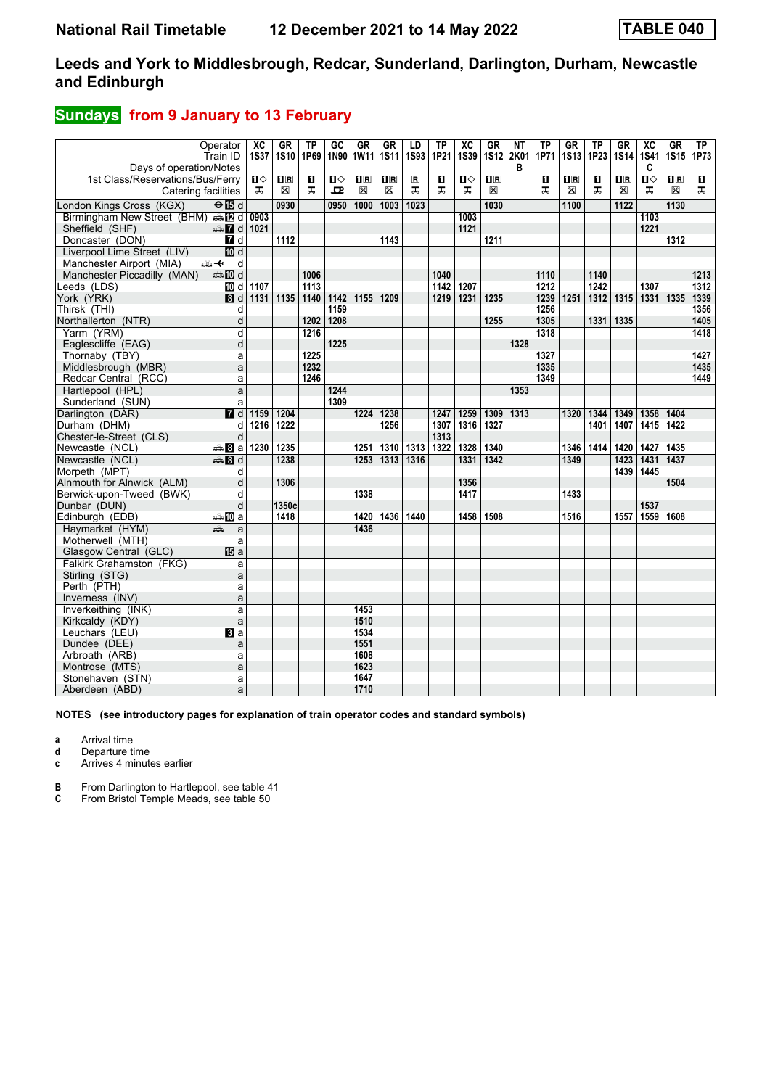### **Sundays** from 9 January to 13 February

| Days of operation/Notes                         | Operator<br>Train ID      | $\overline{\text{xc}}$<br><b>1S37</b> | GR<br><b>1S10</b> | TP<br>1P69 | GC<br>1N90 | <b>GR</b><br>1W11 | <b>GR</b><br><b>1S11</b> | LD<br><b>1S93</b> | TP<br>1P21 | $\overline{\text{xc}}$<br><b>1S39</b> | <b>GR</b><br><b>1S12</b> | <b>NT</b><br>2K01<br>в | TP<br>1P71 | GR<br><b>1S13</b> | TP<br>1P23 | GR<br><b>1S14</b> | <b>XC</b><br><b>1S41</b><br>C | GR<br><b>1S15</b> | TP<br>1P73       |
|-------------------------------------------------|---------------------------|---------------------------------------|-------------------|------------|------------|-------------------|--------------------------|-------------------|------------|---------------------------------------|--------------------------|------------------------|------------|-------------------|------------|-------------------|-------------------------------|-------------------|------------------|
| 1st Class/Reservations/Bus/Ferry                |                           | п⇔                                    | $\Pi$ R           | п          | Ⅱ♦         | 1R                | $\overline{\mathbf{R}}$  | $\blacksquare$    | п          | п⇔                                    | $\Pi$ R                  |                        | п          | $n_{\rm R}$       | п          | $\mathbf{H}$ R    | п⇔                            | nR                | п                |
| Catering facilities                             |                           | ᠼ                                     | X                 | ᠼ          | 모          | X                 | X                        | ᠼ                 | ᅚ          | ᠼ                                     | ⊠                        |                        | ᠼ          | X                 | ᠼ          | X                 | ᠼ                             | X                 | ᅚ                |
| London Kings Cross (KGX)                        | $\Theta$ $\overline{B}$ d |                                       | 0930              |            | 0950       | 1000              | $\overline{1003}$        | 1023              |            |                                       | 1030                     |                        |            | 1100              |            | 1122              |                               | 1130              |                  |
| Birmingham New Street (BHM) $\oplus$ [2] d 0903 |                           |                                       |                   |            |            |                   |                          |                   |            | 1003                                  |                          |                        |            |                   |            |                   | 1103                          |                   |                  |
| Sheffield (SHF)                                 | <b>AD</b> d 1021          |                                       |                   |            |            |                   |                          |                   |            | 1121                                  |                          |                        |            |                   |            |                   | 1221                          |                   |                  |
| Doncaster (DON)                                 | 7 d                       |                                       | 1112              |            |            |                   | 1143                     |                   |            |                                       | 1211                     |                        |            |                   |            |                   |                               | 1312              |                  |
| Liverpool Lime Street (LIV)                     | 10d                       |                                       |                   |            |            |                   |                          |                   |            |                                       |                          |                        |            |                   |            |                   |                               |                   |                  |
| Manchester Airport (MIA)                        | <del>∰ ⊄</del><br>d       |                                       |                   |            |            |                   |                          |                   |            |                                       |                          |                        |            |                   |            |                   |                               |                   |                  |
| Manchester Piccadilly (MAN)                     | <b>美国d</b>                |                                       |                   | 1006       |            |                   |                          |                   | 1040       |                                       |                          |                        | 1110       |                   | 1140       |                   |                               |                   | 1213             |
| Leeds (LDS)                                     | ilDi d                    | 1107                                  |                   | 1113       |            |                   |                          |                   | 1142       | 1207                                  |                          |                        | 1212       |                   | 1242       |                   | 1307                          |                   | $\frac{1}{1312}$ |
| York (YRK)                                      | 3d                        | 1131                                  | 1135              | 1140       | 1142       | 1155              | 1209                     |                   | 1219       | 1231                                  | 1235                     |                        | 1239       | 1251              | 1312       | 1315              | 1331 1335                     |                   | 1339             |
| Thirsk (THI)                                    | d                         |                                       |                   |            | 1159       |                   |                          |                   |            |                                       |                          |                        | 1256       |                   |            |                   |                               |                   | 1356             |
| Northallerton (NTR)                             | d                         |                                       |                   | 1202       | 1208       |                   |                          |                   |            |                                       | 1255                     |                        | 1305       |                   | 1331       | 1335              |                               |                   | 1405             |
| Yarm (YRM)                                      | d                         |                                       |                   | 1216       |            |                   |                          |                   |            |                                       |                          |                        | 1318       |                   |            |                   |                               |                   | 1418             |
| Eaglescliffe (EAG)                              | d                         |                                       |                   |            | 1225       |                   |                          |                   |            |                                       |                          | 1328                   |            |                   |            |                   |                               |                   |                  |
| Thornaby (TBY)                                  | a                         |                                       |                   | 1225       |            |                   |                          |                   |            |                                       |                          |                        | 1327       |                   |            |                   |                               |                   | 1427             |
| Middlesbrough (MBR)                             | a                         |                                       |                   | 1232       |            |                   |                          |                   |            |                                       |                          |                        | 1335       |                   |            |                   |                               |                   | 1435             |
| Redcar Central (RCC)                            | a                         |                                       |                   | 1246       |            |                   |                          |                   |            |                                       |                          |                        | 1349       |                   |            |                   |                               |                   | 1449             |
| Hartlepool (HPL)                                | a                         |                                       |                   |            | 1244       |                   |                          |                   |            |                                       |                          | 1353                   |            |                   |            |                   |                               |                   |                  |
| Sunderland (SUN)                                | a                         |                                       |                   |            | 1309       |                   |                          |                   |            |                                       |                          |                        |            |                   |            |                   |                               |                   |                  |
| Darlington (DAR)                                | $\overline{H}$ d          | 1159                                  | 1204              |            |            | 1224              | 1238                     |                   | 1247       | 1259                                  | 1309                     | 1313                   |            | 1320              | 1344       | 1349              | 1358                          | 1404              |                  |
| Durham (DHM)                                    | d                         | 1216                                  | 1222              |            |            |                   | 1256                     |                   | 1307       | 1316                                  | 1327                     |                        |            |                   | 1401       | 1407              | 1415                          | 1422              |                  |
| Chester-le-Street (CLS)                         | d                         |                                       |                   |            |            |                   |                          |                   | 1313       |                                       |                          |                        |            |                   |            |                   |                               |                   |                  |
| Newcastle (NCL)                                 | $\clubsuit 8a$            | 1230                                  | 1235              |            |            | 1251              | 1310                     | 1313              | 1322       | 1328                                  | 1340                     |                        |            | 1346              | 1414       | 1420              | 1427                          | 1435              |                  |
| Newcastle (NCL)                                 | $\oplus$ 8 d              |                                       | 1238              |            |            | 1253              | 1313                     | 1316              |            | 1331                                  | 1342                     |                        |            | 1349              |            | 1423              | 1431                          | 1437              |                  |
| Morpeth (MPT)                                   | d                         |                                       |                   |            |            |                   |                          |                   |            |                                       |                          |                        |            |                   |            | 1439              | 1445                          |                   |                  |
| Alnmouth for Alnwick (ALM)                      | d                         |                                       | 1306              |            |            |                   |                          |                   |            | 1356                                  |                          |                        |            |                   |            |                   |                               | 1504              |                  |
| Berwick-upon-Tweed (BWK)                        | d                         |                                       |                   |            |            | 1338              |                          |                   |            | 1417                                  |                          |                        |            | 1433              |            |                   |                               |                   |                  |
| Dunbar (DUN)                                    | d                         |                                       | 1350c             |            |            |                   |                          |                   |            |                                       |                          |                        |            |                   |            |                   | 1537                          |                   |                  |
| Edinburgh (EDB)                                 | ⇔⇒MDa                     |                                       | 1418              |            |            | 1420              | 1436 1440                |                   |            | 1458                                  | 1508                     |                        |            | 1516              |            | 1557              | 1559                          | 1608              |                  |
| Haymarket (HYM)                                 | æ<br>a                    |                                       |                   |            |            | 1436              |                          |                   |            |                                       |                          |                        |            |                   |            |                   |                               |                   |                  |
| Motherwell (MTH)                                | a                         |                                       |                   |            |            |                   |                          |                   |            |                                       |                          |                        |            |                   |            |                   |                               |                   |                  |
| Glasgow Central (GLC)                           | <b>個</b> a                |                                       |                   |            |            |                   |                          |                   |            |                                       |                          |                        |            |                   |            |                   |                               |                   |                  |
| Falkirk Grahamston (FKG)                        | a                         |                                       |                   |            |            |                   |                          |                   |            |                                       |                          |                        |            |                   |            |                   |                               |                   |                  |
| Stirling (STG)                                  | a                         |                                       |                   |            |            |                   |                          |                   |            |                                       |                          |                        |            |                   |            |                   |                               |                   |                  |
| Perth (PTH)                                     | a                         |                                       |                   |            |            |                   |                          |                   |            |                                       |                          |                        |            |                   |            |                   |                               |                   |                  |
| Inverness (INV)                                 | a                         |                                       |                   |            |            |                   |                          |                   |            |                                       |                          |                        |            |                   |            |                   |                               |                   |                  |
| Inverkeithing (INK)                             | a                         |                                       |                   |            |            | 1453              |                          |                   |            |                                       |                          |                        |            |                   |            |                   |                               |                   |                  |
| Kirkcaldy (KDY)                                 | a                         |                                       |                   |            |            | 1510              |                          |                   |            |                                       |                          |                        |            |                   |            |                   |                               |                   |                  |
| Leuchars (LEU)                                  | $\mathbf{B}$ a            |                                       |                   |            |            | 1534              |                          |                   |            |                                       |                          |                        |            |                   |            |                   |                               |                   |                  |
| Dundee (DEE)                                    | a                         |                                       |                   |            |            | 1551              |                          |                   |            |                                       |                          |                        |            |                   |            |                   |                               |                   |                  |
| Arbroath (ARB)                                  | a                         |                                       |                   |            |            | 1608              |                          |                   |            |                                       |                          |                        |            |                   |            |                   |                               |                   |                  |
| Montrose (MTS)                                  | a                         |                                       |                   |            |            | 1623              |                          |                   |            |                                       |                          |                        |            |                   |            |                   |                               |                   |                  |
| Stonehaven (STN)                                | a                         |                                       |                   |            |            | 1647              |                          |                   |            |                                       |                          |                        |            |                   |            |                   |                               |                   |                  |
| Aberdeen (ABD)                                  | a                         |                                       |                   |            |            | 1710              |                          |                   |            |                                       |                          |                        |            |                   |            |                   |                               |                   |                  |

**NOTES (see introductory pages for explanation of train operator codes and standard symbols)**

**a** Arrival time

**d** Departure time

**c** Arrives 4 minutes earlier

**B** From Darlington to Hartlepool, see table 41 **C** From Bristol Temple Meads, see table 50

**C** From Bristol Temple Meads, see table 50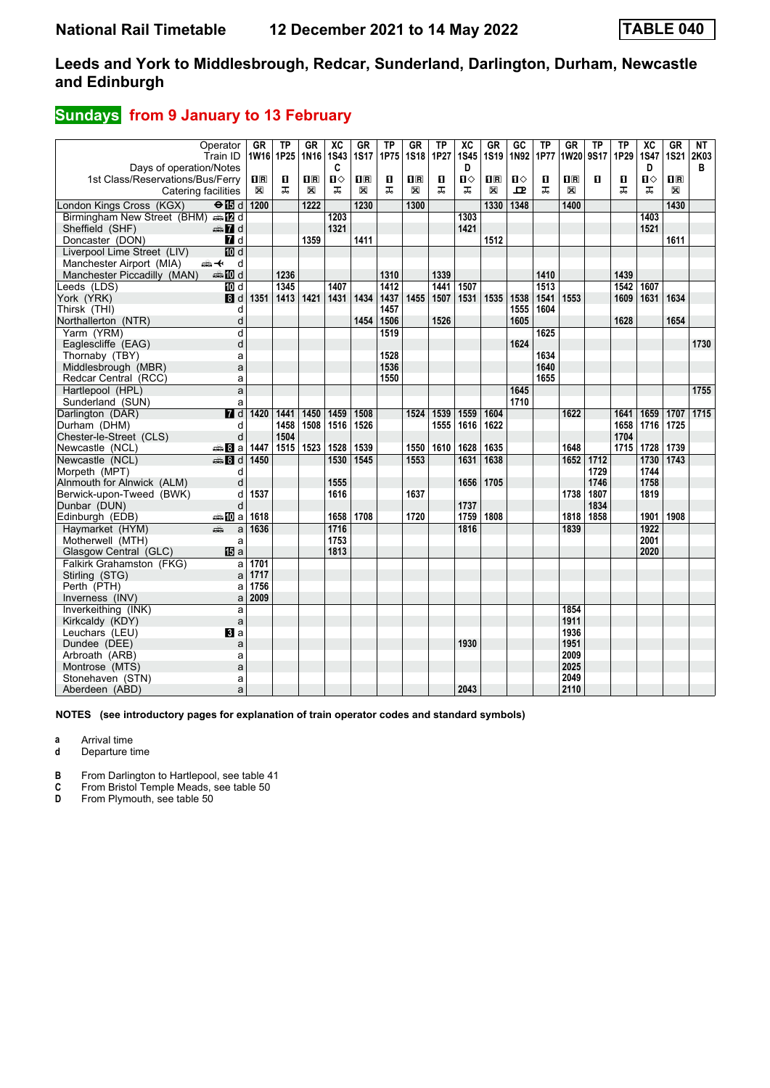### **Sundays** from 9 January to 13 February

|                                    | Operator                  | <b>GR</b>      | <b>TP</b>      | GR             | $\overline{\mathsf{xc}}$ | GR             | <b>TP</b> | <b>GR</b>               | <b>TP</b> | $\overline{AC}$ | <b>GR</b>   | $G$ <sub>C</sub> | TP   | <b>GR</b>    | <b>TP</b>    | <b>TP</b> | $\overline{X}C$ | <b>GR</b>      | NT        |
|------------------------------------|---------------------------|----------------|----------------|----------------|--------------------------|----------------|-----------|-------------------------|-----------|-----------------|-------------|------------------|------|--------------|--------------|-----------|-----------------|----------------|-----------|
|                                    | Train ID                  | 1W16 1P25      |                | 1N16           | <b>1S43</b>              | <b>1S17</b>    | 1P75      | <b>1S18</b>             | 1P27      | <b>1S45</b>     | <b>1S19</b> | 1N92             | 1P77 | <b>1W20</b>  | <b>9S17</b>  | 1P29      | <b>1S47</b>     |                | 1S21 2K03 |
| Days of operation/Notes            |                           |                |                |                | C                        |                |           |                         |           | D               |             |                  |      |              |              |           | D               |                | в         |
| 1st Class/Reservations/Bus/Ferry   |                           | $\mathbf{H}$ R | $\blacksquare$ | $\mathbf{1}$ R | $\mathbf{u}$             | $\mathbf{1}$ R | П         | $\overline{\mathbf{H}}$ | п         | п⇔              | 1R          | $\mathbf{u}$     | п    | $\mathbf{H}$ | $\mathbf{u}$ | п         | п               | $\mathbf{I}$ R |           |
| Catering facilities                |                           | X              | ᠼ              | X              | ᅚ                        | $\boxtimes$    | ᠼ         | X                       | ᠼ         | ᠼ               | X           | 모                | ᅚ    | ⊠            |              | ᅚ         | ᠼ               | $\mathbb{X}$   |           |
| London Kings Cross (KGX)           | $\Theta$ $\blacksquare$ d | 1200           |                | 1222           |                          | 1230           |           | 1300                    |           |                 | 1330        | 1348             |      | 1400         |              |           |                 | 1430           |           |
| Birmingham New Street (BHM) s [2 d |                           |                |                |                | 1203                     |                |           |                         |           | 1303            |             |                  |      |              |              |           | 1403            |                |           |
| Sheffield (SHF)                    | <b>en 7</b> d             |                |                |                | 1321                     |                |           |                         |           | 1421            |             |                  |      |              |              |           | 1521            |                |           |
| Doncaster (DON)                    | 7d                        |                |                | 1359           |                          | 1411           |           |                         |           |                 | 1512        |                  |      |              |              |           |                 | 1611           |           |
| Liverpool Lime Street (LIV)        | <b>ID</b> d               |                |                |                |                          |                |           |                         |           |                 |             |                  |      |              |              |           |                 |                |           |
| Manchester Airport (MIA)           | ⇜↞<br>d                   |                |                |                |                          |                |           |                         |           |                 |             |                  |      |              |              |           |                 |                |           |
| Manchester Piccadilly (MAN)        | <b>美国d</b>                |                | 1236           |                |                          |                | 1310      |                         | 1339      |                 |             |                  | 1410 |              |              | 1439      |                 |                |           |
| Leeds (LDS)                        | TO d                      |                | 1345           |                | 1407                     |                | 1412      |                         | 1441      | 1507            |             |                  | 1513 |              |              | 1542      | 1607            |                |           |
| York (YRK)                         | 8d                        | 1351           | $ 1413\rangle$ | 1421           | 1431                     | 1434           | 1437      | 1455                    | 1507      | 1531            | 1535        | 1538             | 1541 | 1553         |              | 1609      | 1631            | 1634           |           |
| Thirsk (THI)                       | d                         |                |                |                |                          |                | 1457      |                         |           |                 |             | 1555             | 1604 |              |              |           |                 |                |           |
| Northallerton (NTR)                | d                         |                |                |                |                          | 1454           | 1506      |                         | 1526      |                 |             | 1605             |      |              |              | 1628      |                 | 1654           |           |
| Yarm (YRM)                         | d                         |                |                |                |                          |                | 1519      |                         |           |                 |             |                  | 1625 |              |              |           |                 |                |           |
| Eaglescliffe (EAG)                 | d                         |                |                |                |                          |                |           |                         |           |                 |             | 1624             |      |              |              |           |                 |                | 1730      |
| Thornaby (TBY)                     | a                         |                |                |                |                          |                | 1528      |                         |           |                 |             |                  | 1634 |              |              |           |                 |                |           |
| Middlesbrough (MBR)                | a                         |                |                |                |                          |                | 1536      |                         |           |                 |             |                  | 1640 |              |              |           |                 |                |           |
| Redcar Central (RCC)               | a                         |                |                |                |                          |                | 1550      |                         |           |                 |             |                  | 1655 |              |              |           |                 |                |           |
| Hartlepool (HPL)                   | a                         |                |                |                |                          |                |           |                         |           |                 |             | 1645             |      |              |              |           |                 |                | 1755      |
| Sunderland (SUN)                   | a                         |                |                |                |                          |                |           |                         |           |                 |             | 1710             |      |              |              |           |                 |                |           |
| Darlington (DAR)                   | $\overline{H}$ d          | 1420           | 1441           | 1450           | 1459                     | 1508           |           | 1524                    | 1539      | 1559            | 1604        |                  |      | 1622         |              | 1641      | 1659            | 1707           | 1715      |
| Durham (DHM)                       | d                         |                | 1458           | 1508           | 1516                     | 1526           |           |                         | 1555      | 1616            | 1622        |                  |      |              |              | 1658      | 1716            | 1725           |           |
| Chester-le-Street (CLS)            | d                         |                | 1504           |                |                          |                |           |                         |           |                 |             |                  |      |              |              | 1704      |                 |                |           |
| Newcastle (NCL)                    | <del>⊯</del> Ва           | 1447           | 1515           | 1523           | 1528                     | 1539           |           | 1550                    | 1610      | 1628            | 1635        |                  |      | 1648         |              | 1715      | 1728            | 1739           |           |
| Newcastle (NCL)                    | <b>第8d</b>                | 1450           |                |                | 1530                     | 1545           |           | 1553                    |           | 1631            | 1638        |                  |      | 1652         | 1712         |           | 1730            | 1743           |           |
| Morpeth (MPT)                      | d                         |                |                |                |                          |                |           |                         |           |                 |             |                  |      |              | 1729         |           | 1744            |                |           |
| Alnmouth for Alnwick (ALM)         | d                         |                |                |                | 1555                     |                |           |                         |           | 1656            | 1705        |                  |      |              | 1746         |           | 1758            |                |           |
| Berwick-upon-Tweed (BWK)           | d                         | 1537           |                |                | 1616                     |                |           | 1637                    |           |                 |             |                  |      | 1738         | 1807         |           | 1819            |                |           |
| Dunbar (DUN)                       | d                         |                |                |                |                          |                |           |                         |           | 1737            |             |                  |      |              | 1834         |           |                 |                |           |
| Edinburgh (EDB)                    | <b>▲ID</b> a              | 1618           |                |                | 1658                     | 1708           |           | 1720                    |           | 1759            | 1808        |                  |      | 1818         | 1858         |           | 1901            | 1908           |           |
| Haymarket (HYM)                    | æ<br>a                    | 1636           |                |                | 1716                     |                |           |                         |           | 1816            |             |                  |      | 1839         |              |           | 1922            |                |           |
| Motherwell (MTH)                   | a                         |                |                |                | 1753                     |                |           |                         |           |                 |             |                  |      |              |              |           | 2001            |                |           |
| Glasgow Central (GLC)              | <b>旧</b> a                |                |                |                | 1813                     |                |           |                         |           |                 |             |                  |      |              |              |           | 2020            |                |           |
| Falkirk Grahamston (FKG)           | a                         | 1701           |                |                |                          |                |           |                         |           |                 |             |                  |      |              |              |           |                 |                |           |
| Stirling (STG)                     | a                         | 1717           |                |                |                          |                |           |                         |           |                 |             |                  |      |              |              |           |                 |                |           |
| Perth (PTH)                        | a                         | 1756           |                |                |                          |                |           |                         |           |                 |             |                  |      |              |              |           |                 |                |           |
| Inverness (INV)                    | a                         | 2009           |                |                |                          |                |           |                         |           |                 |             |                  |      |              |              |           |                 |                |           |
| Inverkeithing (INK)                | a                         |                |                |                |                          |                |           |                         |           |                 |             |                  |      | 1854         |              |           |                 |                |           |
| Kirkcaldy (KDY)                    | a                         |                |                |                |                          |                |           |                         |           |                 |             |                  |      | 1911         |              |           |                 |                |           |
| Leuchars (LEU)                     | $\mathbf{B}$ a            |                |                |                |                          |                |           |                         |           |                 |             |                  |      | 1936         |              |           |                 |                |           |
| Dundee (DEE)                       | a                         |                |                |                |                          |                |           |                         |           | 1930            |             |                  |      | 1951         |              |           |                 |                |           |
| Arbroath (ARB)                     | a                         |                |                |                |                          |                |           |                         |           |                 |             |                  |      | 2009         |              |           |                 |                |           |
| Montrose (MTS)                     | a                         |                |                |                |                          |                |           |                         |           |                 |             |                  |      | 2025         |              |           |                 |                |           |
| Stonehaven (STN)                   | a                         |                |                |                |                          |                |           |                         |           |                 |             |                  |      | 2049         |              |           |                 |                |           |
| Aberdeen (ABD)                     | a                         |                |                |                |                          |                |           |                         |           | 2043            |             |                  |      | 2110         |              |           |                 |                |           |

**NOTES (see introductory pages for explanation of train operator codes and standard symbols)**

**a** Arrival time

**d** Departure time

**B** From Darlington to Hartlepool, see table 41 **C** From Bristol Temple Meads, see table 50

**C** From Bristol Temple Meads, see table 50<br>**D** From Plymouth, see table 50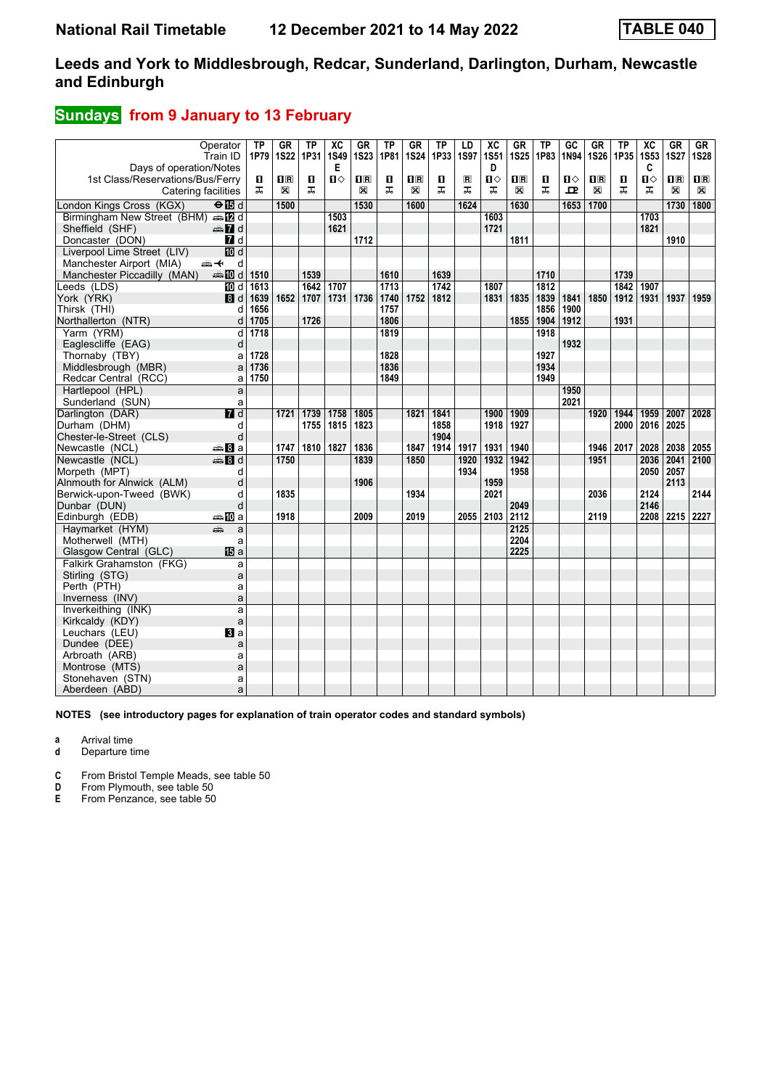### **Sundays** from 9 January to 13 February

| Days of operation/Notes                           | Operator<br>Train ID | <b>TP</b><br>1P79 | <b>GR</b><br><b>1S22</b> | <b>TP</b><br>1P31 | $\overline{\mathbf{X}}$<br><b>1S49</b><br>Е | GR<br><b>1S23</b> | TP<br>1P81 | GR<br><b>1S24</b> | <b>TP</b><br>1P33 | LD<br>1S97     | $\overline{AC}$<br><b>1S51</b><br>D | GR<br><b>1S25</b>         | <b>TP</b><br>1P83 | GC<br>1N94 | GR<br><b>1S26</b> | <b>TP</b><br>1P35 | $\overline{X}C$<br><b>1S53</b><br>C | GR<br><b>1S27</b> | <b>GR</b><br><b>1S28</b> |
|---------------------------------------------------|----------------------|-------------------|--------------------------|-------------------|---------------------------------------------|-------------------|------------|-------------------|-------------------|----------------|-------------------------------------|---------------------------|-------------------|------------|-------------------|-------------------|-------------------------------------|-------------------|--------------------------|
| 1st Class/Reservations/Bus/Ferry                  |                      | п                 | $\Pi$ R                  | п                 | $\mathbf{u}$                                | $\mathbf{H}$ R    | п          | $\Pi$ R           | п                 | $\blacksquare$ | О                                   | $\mathbf{I}^{\mathbb{R}}$ | п                 | п⇔         | $n_{\rm R}$       | п                 | $\mathbf{u}$                        | $\mathbf{H}$ R    | $\mathbf{H}$             |
| Catering facilities                               |                      | ᅚ                 | $\mathbb{X}$             | ᅚ                 |                                             | X                 | ᅚ          | X                 | ᠼ                 | ᠼ              | ᠼ                                   | X                         | ᠼ                 | 고          | X                 | ᠼ                 | ᅚ                                   | X                 | $\boxtimes$              |
| London Kings Cross (KGX)                          | $\Theta$ is d        |                   | 1500                     |                   |                                             | 1530              |            | 1600              |                   | 1624           |                                     | 1630                      |                   | 1653       | 1700              |                   |                                     | 1730              | 1800                     |
| Birmingham New Street (BHM) en E d                |                      |                   |                          |                   | 1503                                        |                   |            |                   |                   |                | 1603                                |                           |                   |            |                   |                   | 1703                                |                   |                          |
| Sheffield (SHF)                                   | d Ma                 |                   |                          |                   | 1621                                        |                   |            |                   |                   |                | 1721                                |                           |                   |            |                   |                   | 1821                                |                   |                          |
| Doncaster (DON)                                   | 7d                   |                   |                          |                   |                                             | 1712              |            |                   |                   |                |                                     | 1811                      |                   |            |                   |                   |                                     | 1910              |                          |
| Liverpool Lime Street (LIV)                       | <b>ID</b> d          |                   |                          |                   |                                             |                   |            |                   |                   |                |                                     |                           |                   |            |                   |                   |                                     |                   |                          |
| Manchester Airport (MIA)                          | ⇜↞<br>d              |                   |                          |                   |                                             |                   |            |                   |                   |                |                                     |                           |                   |            |                   |                   |                                     |                   |                          |
| Manchester Piccadilly (MAN)                       | d <b>let</b> a       | 1510              |                          | 1539              |                                             |                   | 1610       |                   | 1639              |                |                                     |                           | 1710              |            |                   | 1739              |                                     |                   |                          |
| Leeds (LDS)                                       | III d                | 1613              |                          | 1642              | 1707                                        |                   | 1713       |                   | $\frac{1}{1742}$  |                | 1807                                |                           | 1812              |            |                   | $\frac{1}{1842}$  | 1907                                |                   |                          |
| York (YRK)                                        | 3d                   | 1639              | 1652                     | 1707              | 1731                                        | 1736              | 1740       | 1752              | 1812              |                | 1831                                | 1835                      | 1839              | 1841       | 1850              | 1912              | 1931                                | 1937              | 1959                     |
| Thirsk (THI)                                      | d                    | 1656              |                          |                   |                                             |                   | 1757       |                   |                   |                |                                     |                           | 1856              | 1900       |                   |                   |                                     |                   |                          |
| Northallerton (NTR)                               | d                    | 1705              |                          | 1726              |                                             |                   | 1806       |                   |                   |                |                                     | 1855                      | 1904              | 1912       |                   | 1931              |                                     |                   |                          |
| Yarm (YRM)                                        | d                    | 1718              |                          |                   |                                             |                   | 1819       |                   |                   |                |                                     |                           | 1918              |            |                   |                   |                                     |                   |                          |
| Eaglescliffe (EAG)                                | d                    |                   |                          |                   |                                             |                   |            |                   |                   |                |                                     |                           |                   | 1932       |                   |                   |                                     |                   |                          |
| Thornaby (TBY)                                    | a                    | 1728              |                          |                   |                                             |                   | 1828       |                   |                   |                |                                     |                           | 1927              |            |                   |                   |                                     |                   |                          |
| Middlesbrough (MBR)                               | a                    | 1736              |                          |                   |                                             |                   | 1836       |                   |                   |                |                                     |                           | 1934              |            |                   |                   |                                     |                   |                          |
| Redcar Central (RCC)                              | a                    | 1750              |                          |                   |                                             |                   | 1849       |                   |                   |                |                                     |                           | 1949              |            |                   |                   |                                     |                   |                          |
| Hartlepool (HPL)                                  | a                    |                   |                          |                   |                                             |                   |            |                   |                   |                |                                     |                           |                   | 1950       |                   |                   |                                     |                   |                          |
| Sunderland (SUN)                                  | a                    |                   |                          |                   |                                             |                   |            |                   |                   |                |                                     |                           |                   | 2021       |                   |                   |                                     |                   |                          |
| Darlington (DAR)                                  | $\overline{d}$       |                   | 1721                     | 1739              | 1758                                        | 1805              |            | 1821              | 1841              |                | 1900                                | 1909                      |                   |            | 1920              | 1944              | 1959                                | 2007              | 2028                     |
| Durham (DHM)                                      | d                    |                   |                          | 1755              | 1815                                        | 1823              |            |                   | 1858              |                | 1918                                | 1927                      |                   |            |                   | 2000              | 2016                                | 2025              |                          |
| Chester-le-Street (CLS)                           | d                    |                   |                          |                   |                                             |                   |            |                   | 1904              |                |                                     |                           |                   |            |                   |                   |                                     |                   |                          |
| Newcastle (NCL)                                   | —а Па                |                   | 1747                     | 1810              | 1827                                        | 1836              |            | 1847              | 1914              | 1917           | 1931                                | 1940                      |                   |            | 1946              | 2017              | 2028                                | 2038              | 2055                     |
| Newcastle (NCL)                                   | <b>⊯Bid</b>          |                   | 1750                     |                   |                                             | 1839              |            | 1850              |                   | 1920           | 1932                                | 1942                      |                   |            | 1951              |                   | 2036                                | 2041              | 2100                     |
| Morpeth (MPT)                                     | d                    |                   |                          |                   |                                             |                   |            |                   |                   | 1934           |                                     | 1958                      |                   |            |                   |                   | 2050                                | 2057              |                          |
| Alnmouth for Alnwick (ALM)                        | d                    |                   |                          |                   |                                             | 1906              |            |                   |                   |                | 1959                                |                           |                   |            |                   |                   |                                     | 2113              |                          |
| Berwick-upon-Tweed (BWK)                          | d                    |                   | 1835                     |                   |                                             |                   |            | 1934              |                   |                | 2021                                |                           |                   |            | 2036              |                   | 2124                                |                   | 2144                     |
| Dunbar (DUN)                                      | d                    |                   |                          |                   |                                             |                   |            |                   |                   |                |                                     | 2049                      |                   |            |                   |                   | 2146                                |                   |                          |
| Edinburgh (EDB)                                   | ≞nDia                |                   | 1918                     |                   |                                             | 2009              |            | 2019              |                   |                | 2055 2103                           | 2112                      |                   |            | 2119              |                   |                                     | 2208 2215 2227    |                          |
| Haymarket (HYM)                                   | æ.<br>a              |                   |                          |                   |                                             |                   |            |                   |                   |                |                                     | 2125                      |                   |            |                   |                   |                                     |                   |                          |
| Motherwell (MTH)                                  | a                    |                   |                          |                   |                                             |                   |            |                   |                   |                |                                     | 2204<br>2225              |                   |            |                   |                   |                                     |                   |                          |
| Glasgow Central (GLC)<br>Falkirk Grahamston (FKG) | <b>IB</b> a          |                   |                          |                   |                                             |                   |            |                   |                   |                |                                     |                           |                   |            |                   |                   |                                     |                   |                          |
| Stirling (STG)                                    | a<br>a               |                   |                          |                   |                                             |                   |            |                   |                   |                |                                     |                           |                   |            |                   |                   |                                     |                   |                          |
| Perth (PTH)                                       | a                    |                   |                          |                   |                                             |                   |            |                   |                   |                |                                     |                           |                   |            |                   |                   |                                     |                   |                          |
| Inverness (INV)                                   | a                    |                   |                          |                   |                                             |                   |            |                   |                   |                |                                     |                           |                   |            |                   |                   |                                     |                   |                          |
| Inverkeithing (INK)                               | a                    |                   |                          |                   |                                             |                   |            |                   |                   |                |                                     |                           |                   |            |                   |                   |                                     |                   |                          |
| Kirkcaldy (KDY)                                   | a                    |                   |                          |                   |                                             |                   |            |                   |                   |                |                                     |                           |                   |            |                   |                   |                                     |                   |                          |
| Leuchars (LEU)                                    | <b>El</b> a          |                   |                          |                   |                                             |                   |            |                   |                   |                |                                     |                           |                   |            |                   |                   |                                     |                   |                          |
| Dundee (DEE)                                      | a                    |                   |                          |                   |                                             |                   |            |                   |                   |                |                                     |                           |                   |            |                   |                   |                                     |                   |                          |
| Arbroath (ARB)                                    | a                    |                   |                          |                   |                                             |                   |            |                   |                   |                |                                     |                           |                   |            |                   |                   |                                     |                   |                          |
| Montrose (MTS)                                    | a                    |                   |                          |                   |                                             |                   |            |                   |                   |                |                                     |                           |                   |            |                   |                   |                                     |                   |                          |
| Stonehaven (STN)                                  | a                    |                   |                          |                   |                                             |                   |            |                   |                   |                |                                     |                           |                   |            |                   |                   |                                     |                   |                          |
| Aberdeen (ABD)                                    | a                    |                   |                          |                   |                                             |                   |            |                   |                   |                |                                     |                           |                   |            |                   |                   |                                     |                   |                          |

**NOTES (see introductory pages for explanation of train operator codes and standard symbols)**

**a** Arrival time

**d** Departure time

**C** From Bristol Temple Meads, see table 50<br>**D** From Plymouth, see table 50

**D** From Plymouth, see table 50<br>**E** From Penzance, see table 50

From Penzance, see table 50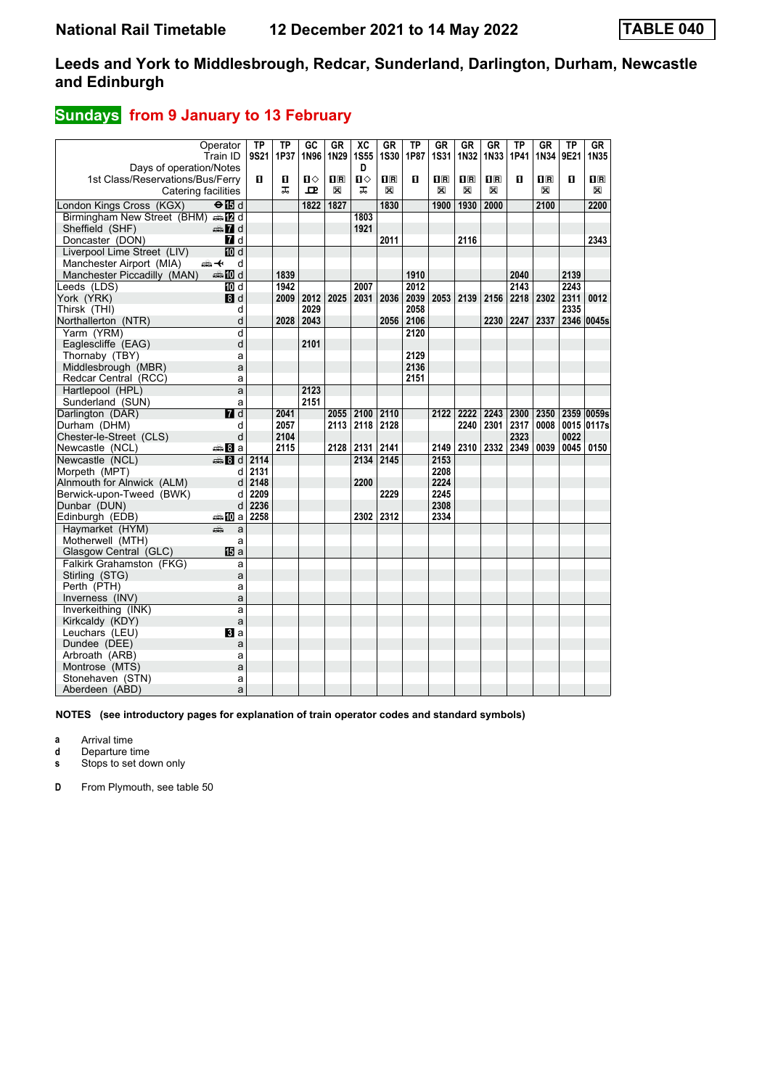### **Sundays** from 9 January to 13 February

| Operator<br>Train ID                                    | $\overline{IP}$<br>9S21 | TP<br>1P37 | GC<br>1N96   | <b>GR</b><br>1N29 | $\overline{AC}$<br><b>1S55</b> | <b>GR</b><br><b>1S30</b> | <b>TP</b><br>1P87 | <b>GR</b><br>1S31            | GR<br>1N32                   | <b>GR</b><br>1N33            | <b>TP</b><br>1P41         | GR<br>1N34                                           | <b>TP</b><br>9E21 | GR<br>1N35                                                     |
|---------------------------------------------------------|-------------------------|------------|--------------|-------------------|--------------------------------|--------------------------|-------------------|------------------------------|------------------------------|------------------------------|---------------------------|------------------------------------------------------|-------------------|----------------------------------------------------------------|
| Days of operation/Notes                                 | п                       |            | $\mathbf{u}$ |                   | D<br>$\mathbf{u}$              |                          | п                 |                              |                              |                              | п                         |                                                      | п                 |                                                                |
| 1st Class/Reservations/Bus/Ferry<br>Catering facilities |                         | п<br>ᠼ     | ᇁ            | 1R<br>X           | ᅚ                              | $\mathbf{H}$<br>X        |                   | $\overline{\mathbf{R}}$<br>X | $\overline{\mathbf{H}}$<br>X | $\overline{\mathbf{R}}$<br>X |                           | $\overline{\mathbf{H}}$ $\overline{\mathbf{R}}$<br>X |                   | $\overline{\mathbf{H}}$ $\overline{\mathbf{R}}$<br>$\boxtimes$ |
|                                                         |                         |            |              |                   |                                |                          |                   |                              |                              |                              |                           |                                                      |                   |                                                                |
| London Kings Cross (KGX)<br>$\Theta$ is d               |                         |            | 1822         | 1827              |                                | 1830                     |                   | 1900                         | 1930                         | 2000                         |                           | 2100                                                 |                   | 2200                                                           |
| Birmingham New Street (BHM) supply                      |                         |            |              |                   | 1803                           |                          |                   |                              |                              |                              |                           |                                                      |                   |                                                                |
| Sheffield (SHF)<br>d Ma                                 |                         |            |              |                   | 1921                           |                          |                   |                              |                              |                              |                           |                                                      |                   |                                                                |
| Doncaster (DON)<br><b>7</b> d                           |                         |            |              |                   |                                | 2011                     |                   |                              | 2116                         |                              |                           |                                                      |                   | 2343                                                           |
| <b>TO d</b><br>Liverpool Lime Street (LIV)              |                         |            |              |                   |                                |                          |                   |                              |                              |                              |                           |                                                      |                   |                                                                |
| Manchester Airport (MIA)<br>安全<br>d                     |                         |            |              |                   |                                |                          |                   |                              |                              |                              |                           |                                                      |                   |                                                                |
| Manchester Piccadilly (MAN)<br><b>ett III</b> d         |                         | 1839       |              |                   |                                |                          | 1910              |                              |                              |                              | 2040                      |                                                      | 2139              |                                                                |
| Leeds (LDS)<br>TO d                                     |                         | 1942       |              |                   | 2007                           |                          | 2012              |                              |                              |                              | 2143                      |                                                      | 2243              |                                                                |
| York (YRK)<br>8d                                        |                         | 2009       | 2012         | 2025              | 2031                           | 2036                     |                   | 2039 2053 2139               |                              |                              | 2156 2218 2302 2311       |                                                      |                   | 0012                                                           |
| Thirsk (THI)<br>d                                       |                         |            | 2029         |                   |                                |                          | 2058              |                              |                              |                              |                           |                                                      | 2335              |                                                                |
| Northallerton (NTR)<br>d                                |                         | 2028       | 2043         |                   |                                | 2056                     | 2106              |                              |                              |                              | 2230 2247 2337            |                                                      |                   | 2346 0045s                                                     |
| Yarm (YRM)<br>d                                         |                         |            |              |                   |                                |                          | 2120              |                              |                              |                              |                           |                                                      |                   |                                                                |
| Eaglescliffe (EAG)<br>d                                 |                         |            | 2101         |                   |                                |                          |                   |                              |                              |                              |                           |                                                      |                   |                                                                |
| Thornaby (TBY)<br>a                                     |                         |            |              |                   |                                |                          | 2129              |                              |                              |                              |                           |                                                      |                   |                                                                |
| Middlesbrough (MBR)<br>a                                |                         |            |              |                   |                                |                          | 2136              |                              |                              |                              |                           |                                                      |                   |                                                                |
| Redcar Central (RCC)<br>a                               |                         |            |              |                   |                                |                          | 2151              |                              |                              |                              |                           |                                                      |                   |                                                                |
| Hartlepool (HPL)<br>a                                   |                         |            | 2123         |                   |                                |                          |                   |                              |                              |                              |                           |                                                      |                   |                                                                |
| Sunderland (SUN)<br>a                                   |                         |            | 2151         |                   |                                |                          |                   |                              |                              |                              |                           |                                                      |                   |                                                                |
| $\Pi$ d<br>Darlington (DAR)                             |                         | 2041       |              | 2055              | 2100                           | 2110                     |                   | 2122                         | 2222                         | 2243                         | 2300                      | 2350                                                 |                   | 2359 0059s                                                     |
| Durham (DHM)<br>d                                       |                         | 2057       |              | 2113              | 2118                           | 2128                     |                   |                              | 2240                         |                              | 2301 2317                 | 0008                                                 |                   | 0015 0117s                                                     |
| d<br>Chester-le-Street (CLS)                            |                         | 2104       |              |                   |                                |                          |                   |                              |                              |                              | 2323                      |                                                      | 0022              |                                                                |
| Newcastle (NCL)<br>⊯‱ 8la                               |                         | 2115       |              |                   | 2128 2131                      | 2141                     |                   |                              |                              |                              | 2149   2310   2332   2349 | 0039                                                 | 0045              | 0150                                                           |
| Newcastle (NCL)<br>€ 8 d                                | 2114                    |            |              |                   | 2134                           | 2145                     |                   | 2153                         |                              |                              |                           |                                                      |                   |                                                                |
| Morpeth (MPT)<br>d                                      | 2131                    |            |              |                   |                                |                          |                   | 2208                         |                              |                              |                           |                                                      |                   |                                                                |
| Alnmouth for Alnwick (ALM)<br>d                         | 2148                    |            |              |                   | 2200                           |                          |                   | 2224                         |                              |                              |                           |                                                      |                   |                                                                |
| Berwick-upon-Tweed (BWK)<br>d                           | 2209                    |            |              |                   |                                | 2229                     |                   | 2245                         |                              |                              |                           |                                                      |                   |                                                                |
| Dunbar (DUN)<br>d                                       | 2236                    |            |              |                   |                                |                          |                   | 2308                         |                              |                              |                           |                                                      |                   |                                                                |
| Edinburgh (EDB)<br>⊯MDal                                | 2258                    |            |              |                   | 2302                           | 2312                     |                   | 2334                         |                              |                              |                           |                                                      |                   |                                                                |
| Haymarket (HYM)<br>æ<br>a                               |                         |            |              |                   |                                |                          |                   |                              |                              |                              |                           |                                                      |                   |                                                                |
| Motherwell (MTH)<br>a                                   |                         |            |              |                   |                                |                          |                   |                              |                              |                              |                           |                                                      |                   |                                                                |
| <b>旧</b> a<br>Glasgow Central (GLC)                     |                         |            |              |                   |                                |                          |                   |                              |                              |                              |                           |                                                      |                   |                                                                |
| Falkirk Grahamston (FKG)<br>a                           |                         |            |              |                   |                                |                          |                   |                              |                              |                              |                           |                                                      |                   |                                                                |
| Stirling (STG)<br>a                                     |                         |            |              |                   |                                |                          |                   |                              |                              |                              |                           |                                                      |                   |                                                                |
| Perth (PTH)<br>a                                        |                         |            |              |                   |                                |                          |                   |                              |                              |                              |                           |                                                      |                   |                                                                |
| Inverness (INV)<br>a                                    |                         |            |              |                   |                                |                          |                   |                              |                              |                              |                           |                                                      |                   |                                                                |
| Inverkeithing (INK)<br>a                                |                         |            |              |                   |                                |                          |                   |                              |                              |                              |                           |                                                      |                   |                                                                |
| Kirkcaldy (KDY)<br>a                                    |                         |            |              |                   |                                |                          |                   |                              |                              |                              |                           |                                                      |                   |                                                                |
| Leuchars (LEU)<br>$\mathbf{B}$ a                        |                         |            |              |                   |                                |                          |                   |                              |                              |                              |                           |                                                      |                   |                                                                |
| Dundee (DEE)<br>a                                       |                         |            |              |                   |                                |                          |                   |                              |                              |                              |                           |                                                      |                   |                                                                |
| Arbroath (ARB)<br>a                                     |                         |            |              |                   |                                |                          |                   |                              |                              |                              |                           |                                                      |                   |                                                                |
| Montrose (MTS)<br>a                                     |                         |            |              |                   |                                |                          |                   |                              |                              |                              |                           |                                                      |                   |                                                                |
| Stonehaven (STN)<br>a                                   |                         |            |              |                   |                                |                          |                   |                              |                              |                              |                           |                                                      |                   |                                                                |
| Aberdeen (ABD)<br>a                                     |                         |            |              |                   |                                |                          |                   |                              |                              |                              |                           |                                                      |                   |                                                                |

**NOTES (see introductory pages for explanation of train operator codes and standard symbols)**

**a** Arrival time

**d** Departure time

**s** Stops to set down only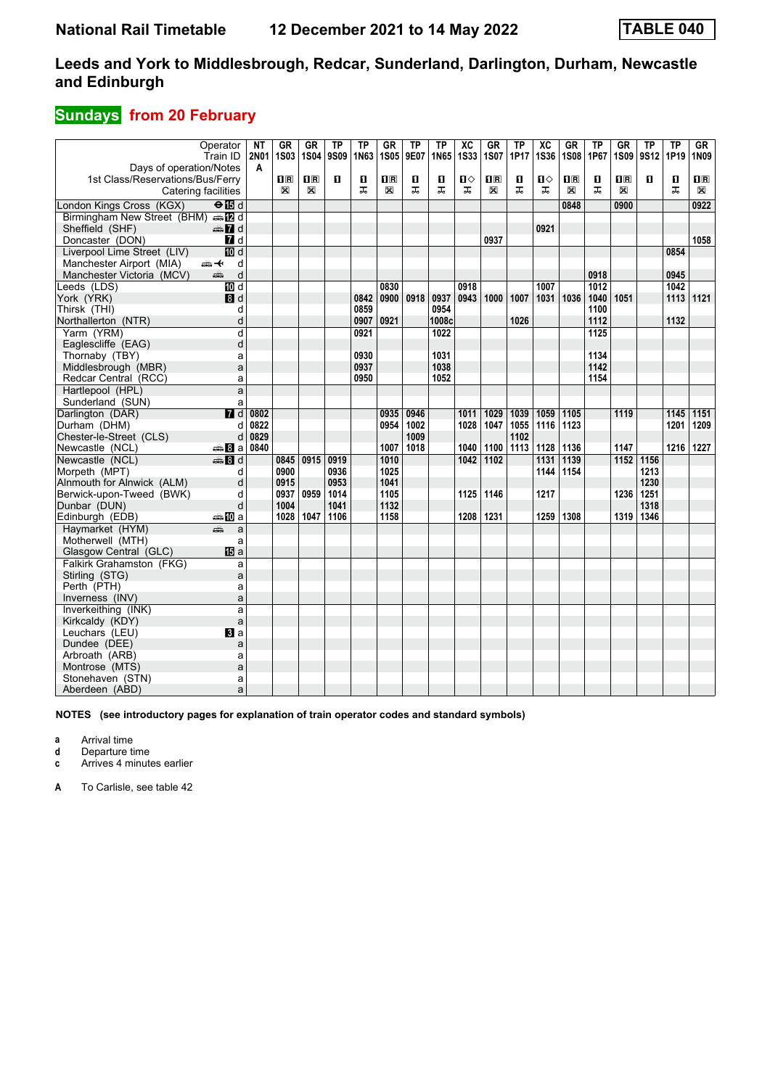## **Sundays from 20 February**

|                                                       | Operator         | <b>NT</b>        | <b>GR</b><br><b>1S03</b>                        | <b>GR</b><br><b>1S04</b> | <b>TP</b><br>9S09 | <b>TP</b>    | <b>GR</b><br><b>1S05</b> | <b>TP</b><br>9E07 | $\overline{\text{TP}}$<br>1N65 | $\overline{\text{xc}}$<br><b>1S33</b> | $G$ R<br><b>1S07</b> | <b>TP</b><br>1P17 | $\overline{\text{xc}}$<br><b>1S36</b> | GR<br><b>1S08</b>         | <b>TP</b><br>1P67 | <b>GR</b><br><b>1S09</b> | <b>TP</b><br>9S12 | TP<br>1P19   | GR<br>1N09              |
|-------------------------------------------------------|------------------|------------------|-------------------------------------------------|--------------------------|-------------------|--------------|--------------------------|-------------------|--------------------------------|---------------------------------------|----------------------|-------------------|---------------------------------------|---------------------------|-------------------|--------------------------|-------------------|--------------|-------------------------|
| Days of operation/Notes                               | Train ID         | <b>2N01</b><br>A |                                                 |                          |                   | 1N63         |                          |                   |                                |                                       |                      |                   |                                       |                           |                   |                          |                   |              |                         |
| 1st Class/Reservations/Bus/Ferry                      |                  |                  | $\overline{\mathbf{H}}$ $\overline{\mathbf{R}}$ | $\mathbf{1}$ R           | п                 | O            | 0 B                      | О                 | п                              | п⇔                                    | 1 <sup>R</sup>       | О                 | ்ப                                    | $\mathbf{I}^{\mathbf{R}}$ | O                 | $\overline{\mathbf{H}}$  | п                 | O            | $\overline{\mathbf{B}}$ |
| Catering facilities                                   |                  |                  | X                                               | X                        |                   | ᠼ            | X                        | ᠼ                 | ᠼ                              | ᠼ                                     | ⊠                    | ᠼ                 | ᅚ                                     | ⊠                         | ᠼ                 | X                        |                   | ᠼ            | X                       |
|                                                       | $\Theta$ is d    |                  |                                                 |                          |                   |              |                          |                   |                                |                                       |                      |                   |                                       | 0848                      |                   | 0900                     |                   |              | 0922                    |
| London Kings Cross (KGX)                              |                  |                  |                                                 |                          |                   |              |                          |                   |                                |                                       |                      |                   |                                       |                           |                   |                          |                   |              |                         |
| Birmingham New Street (BHM) s [2 d<br>Sheffield (SHF) | d Ma             |                  |                                                 |                          |                   |              |                          |                   |                                |                                       |                      |                   | 0921                                  |                           |                   |                          |                   |              |                         |
| Doncaster (DON)                                       | 7d               |                  |                                                 |                          |                   |              |                          |                   |                                |                                       | 0937                 |                   |                                       |                           |                   |                          |                   |              | 1058                    |
| Liverpool Lime Street (LIV)                           | <b>ID</b> d      |                  |                                                 |                          |                   |              |                          |                   |                                |                                       |                      |                   |                                       |                           |                   |                          |                   | 0854         |                         |
| Manchester Airport (MIA)                              | 安<br>d           |                  |                                                 |                          |                   |              |                          |                   |                                |                                       |                      |                   |                                       |                           |                   |                          |                   |              |                         |
| Manchester Victoria (MCV)                             | d<br>پېښ         |                  |                                                 |                          |                   |              |                          |                   |                                |                                       |                      |                   |                                       |                           | 0918              |                          |                   | 0945         |                         |
|                                                       | <b>而d</b>        |                  |                                                 |                          |                   |              |                          |                   |                                |                                       |                      |                   |                                       |                           |                   |                          |                   |              |                         |
| Leeds (LDS)                                           | 3d               |                  |                                                 |                          |                   | 0842         | 0830<br>0900             | 0918              | 0937                           | 0918<br>0943                          | 1000                 | 1007              | 1007                                  |                           | 1012<br>1040      | 1051                     |                   | 1042<br>1113 | 1121                    |
| York (YRK)<br>Thirsk (THI)                            |                  |                  |                                                 |                          |                   | 0859         |                          |                   | 0954                           |                                       |                      |                   | 1031                                  | 1036                      |                   |                          |                   |              |                         |
|                                                       | d                |                  |                                                 |                          |                   | 0907         | 0921                     |                   | 1008c                          |                                       |                      | 1026              |                                       |                           | 1100<br>1112      |                          |                   | 1132         |                         |
| Northallerton (NTR)                                   | d<br>d           |                  |                                                 |                          |                   | 0921         |                          |                   | 1022                           |                                       |                      |                   |                                       |                           | 1125              |                          |                   |              |                         |
| Yarm (YRM)                                            |                  |                  |                                                 |                          |                   |              |                          |                   |                                |                                       |                      |                   |                                       |                           |                   |                          |                   |              |                         |
| Eaglescliffe (EAG)                                    | d                |                  |                                                 |                          |                   |              |                          |                   |                                |                                       |                      |                   |                                       |                           |                   |                          |                   |              |                         |
| Thornaby (TBY)                                        | a                |                  |                                                 |                          |                   | 0930<br>0937 |                          |                   | 1031<br>1038                   |                                       |                      |                   |                                       |                           | 1134<br>1142      |                          |                   |              |                         |
| Middlesbrough (MBR)                                   | a                |                  |                                                 |                          |                   |              |                          |                   |                                |                                       |                      |                   |                                       |                           |                   |                          |                   |              |                         |
| Redcar Central (RCC)                                  | a                |                  |                                                 |                          |                   | 0950         |                          |                   | 1052                           |                                       |                      |                   |                                       |                           | 1154              |                          |                   |              |                         |
| Hartlepool (HPL)                                      | a                |                  |                                                 |                          |                   |              |                          |                   |                                |                                       |                      |                   |                                       |                           |                   |                          |                   |              |                         |
| Sunderland (SUN)                                      | a                |                  |                                                 |                          |                   |              |                          |                   |                                |                                       |                      |                   |                                       |                           |                   |                          |                   |              |                         |
| Darlington (DAR)                                      | $\overline{M}$ d | 0802             |                                                 |                          |                   |              | 0935                     | 0946              |                                | 1011                                  | 1029                 | 1039              | 1059                                  | 1105                      |                   | 1119                     |                   | 1145         | 1151                    |
| Durham (DHM)                                          | d                | 0822             |                                                 |                          |                   |              | 0954                     | 1002              |                                | 1028                                  | 1047                 | 1055              | 1116                                  | 1123                      |                   |                          |                   | 1201         | 1209                    |
| Chester-le-Street (CLS)                               | d                | 0829             |                                                 |                          |                   |              |                          | 1009              |                                |                                       |                      | 1102              |                                       |                           |                   |                          |                   |              |                         |
| Newcastle (NCL)                                       | <b>▲Ba</b>       | 0840             |                                                 |                          |                   |              | 1007                     | 1018              |                                | 1040                                  | 1100                 | 1113              | 1128                                  | 1136                      |                   | 1147                     |                   | 1216         | 1227                    |
| Newcastle (NCL)                                       | <b>第8d</b>       |                  | 0845                                            | 0915                     | 0919              |              | 1010                     |                   |                                | 1042                                  | 1102                 |                   | 1131                                  | 1139                      |                   | 1152                     | 1156              |              |                         |
| Morpeth (MPT)                                         | d                |                  | 0900                                            |                          | 0936              |              | 1025                     |                   |                                |                                       |                      |                   | 1144                                  | 1154                      |                   |                          | 1213              |              |                         |
| Alnmouth for Alnwick (ALM)                            | d                |                  | 0915                                            |                          | 0953              |              | 1041                     |                   |                                |                                       |                      |                   |                                       |                           |                   |                          | 1230              |              |                         |
| Berwick-upon-Tweed (BWK)                              | d                |                  | 0937                                            | 0959                     | 1014              |              | 1105                     |                   |                                | 1125                                  | 1146                 |                   | 1217                                  |                           |                   | 1236                     | 1251              |              |                         |
| Dunbar (DUN)                                          | d                |                  | 1004                                            |                          | 1041              |              | 1132                     |                   |                                |                                       |                      |                   |                                       |                           |                   |                          | 1318              |              |                         |
| Edinburgh (EDB)                                       | <b>▲ID</b> a     |                  | 1028                                            | 1047                     | 1106              |              | 1158                     |                   |                                | 1208                                  | 1231                 |                   | 1259                                  | 1308                      |                   | 1319                     | 1346              |              |                         |
| Havmarket (HYM)                                       | an.<br>Tin<br>a  |                  |                                                 |                          |                   |              |                          |                   |                                |                                       |                      |                   |                                       |                           |                   |                          |                   |              |                         |
| Motherwell (MTH)                                      | a                |                  |                                                 |                          |                   |              |                          |                   |                                |                                       |                      |                   |                                       |                           |                   |                          |                   |              |                         |
| Glasgow Central (GLC)                                 | <b>IB</b> a      |                  |                                                 |                          |                   |              |                          |                   |                                |                                       |                      |                   |                                       |                           |                   |                          |                   |              |                         |
| Falkirk Grahamston (FKG)                              | a                |                  |                                                 |                          |                   |              |                          |                   |                                |                                       |                      |                   |                                       |                           |                   |                          |                   |              |                         |
| Stirling (STG)                                        | a                |                  |                                                 |                          |                   |              |                          |                   |                                |                                       |                      |                   |                                       |                           |                   |                          |                   |              |                         |
| Perth (PTH)                                           | a                |                  |                                                 |                          |                   |              |                          |                   |                                |                                       |                      |                   |                                       |                           |                   |                          |                   |              |                         |
| Inverness (INV)                                       | a                |                  |                                                 |                          |                   |              |                          |                   |                                |                                       |                      |                   |                                       |                           |                   |                          |                   |              |                         |
| Inverkeithing (INK)                                   | a                |                  |                                                 |                          |                   |              |                          |                   |                                |                                       |                      |                   |                                       |                           |                   |                          |                   |              |                         |
| Kirkcaldy (KDY)                                       | a                |                  |                                                 |                          |                   |              |                          |                   |                                |                                       |                      |                   |                                       |                           |                   |                          |                   |              |                         |
| Leuchars (LEU)                                        | <b>El</b> a      |                  |                                                 |                          |                   |              |                          |                   |                                |                                       |                      |                   |                                       |                           |                   |                          |                   |              |                         |
| Dundee (DEE)                                          | a                |                  |                                                 |                          |                   |              |                          |                   |                                |                                       |                      |                   |                                       |                           |                   |                          |                   |              |                         |
| Arbroath (ARB)                                        | a                |                  |                                                 |                          |                   |              |                          |                   |                                |                                       |                      |                   |                                       |                           |                   |                          |                   |              |                         |
| Montrose (MTS)                                        | a                |                  |                                                 |                          |                   |              |                          |                   |                                |                                       |                      |                   |                                       |                           |                   |                          |                   |              |                         |
| Stonehaven (STN)                                      | a                |                  |                                                 |                          |                   |              |                          |                   |                                |                                       |                      |                   |                                       |                           |                   |                          |                   |              |                         |
| Aberdeen (ABD)                                        | a                |                  |                                                 |                          |                   |              |                          |                   |                                |                                       |                      |                   |                                       |                           |                   |                          |                   |              |                         |

**NOTES (see introductory pages for explanation of train operator codes and standard symbols)**

**a** Arrival time

**d** Departure time

**c** Arrives 4 minutes earlier

**A** To Carlisle, see table 42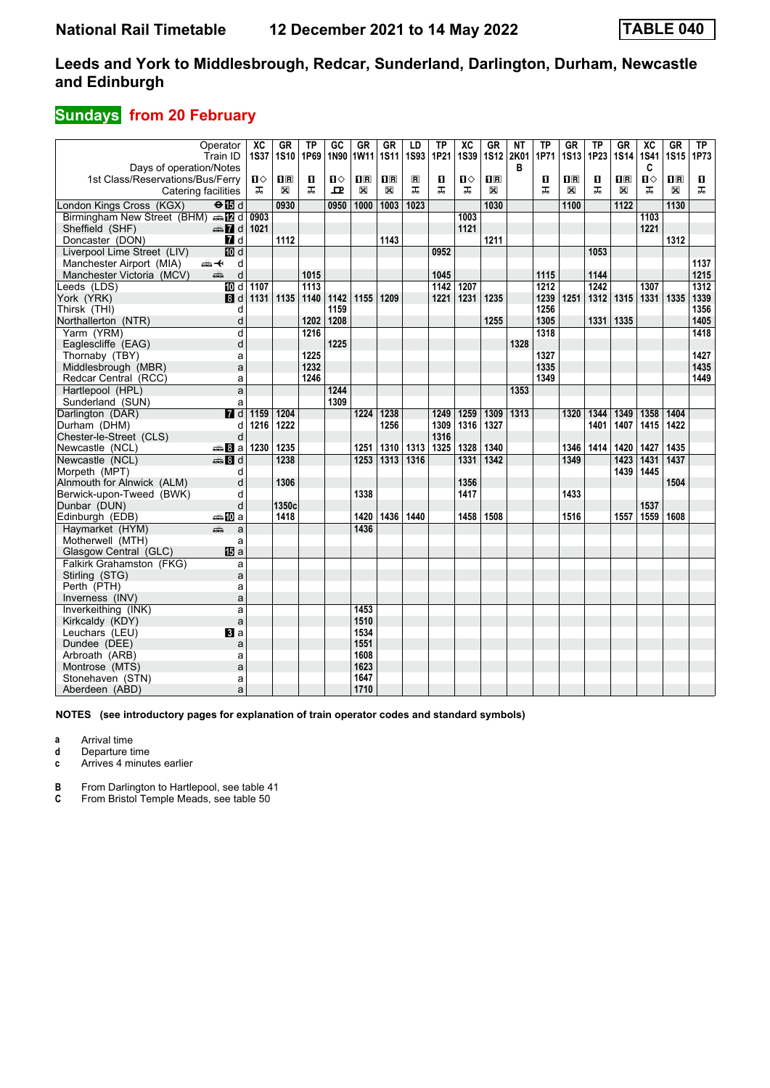## **Sundays from 20 February**

|                                        | Operator                   | $\overline{AC}$ | <b>GR</b>                                       | <b>TP</b> | $\overline{GC}$ | <b>GR</b>      | $G$ R                   | LD                      | $\overline{\text{TP}}$ | $\overline{X}C$ | GR          | $\overline{\text{NT}}$ | $\overline{TP}$ | $G$ R              | $\overline{TP}$  | $G$ R          | $\overline{AC}$ | GR           | <b>TP</b>        |
|----------------------------------------|----------------------------|-----------------|-------------------------------------------------|-----------|-----------------|----------------|-------------------------|-------------------------|------------------------|-----------------|-------------|------------------------|-----------------|--------------------|------------------|----------------|-----------------|--------------|------------------|
|                                        | Train ID                   | <b>1S37</b>     | <b>1S10</b>                                     | 1P69      | 1N90            | 1W11           | <b>1S11</b>             | <b>1S93</b>             | 1P21                   | <b>1S39</b>     | <b>1S12</b> | 2K01                   | 1P71            | <b>1S13</b>        | 1P23             | <b>1S14</b>    | <b>1S41</b>     | <b>1S15</b>  | 1P73             |
| Days of operation/Notes                |                            |                 |                                                 |           |                 |                |                         |                         |                        |                 |             | в                      |                 |                    |                  |                | C               |              |                  |
| 1st Class/Reservations/Bus/Ferry       |                            | ்ப              | $\overline{\mathbf{H}}$ $\overline{\mathbf{R}}$ | O         | $\mathbf{u}$    | $\mathbf{1}$ R | $\overline{\mathbf{R}}$ | $\overline{\mathbf{R}}$ | п                      | $\mathbf{u}$    | 1R          |                        | п               | $\Pi$ <sub>R</sub> | п                | $\mathbf{H}$ R | п               | $\prod R$    | п                |
| Catering facilities                    |                            | ᅚ               | X                                               | ㅈ         | $\mathbf{P}$    | X              | X                       | ᠼ                       | ᅚ                      | ᠼ               | X           |                        | ᅚ               | X                  | ᠼ                | X              | ㅈ               | $\mathbb{X}$ | ᅚ                |
| London Kings Cross (KGX)               | $\Theta$ is d              |                 | 0930                                            |           | 0950            | 1000           | 1003                    | 1023                    |                        |                 | 1030        |                        |                 | 1100               |                  | 1122           |                 | 1130         |                  |
| Birmingham New Street (BHM) sales d    |                            | 0903            |                                                 |           |                 |                |                         |                         |                        | 1003            |             |                        |                 |                    |                  |                | 1103            |              |                  |
| Sheffield (SHF)                        | <b><del>■</del></b> d 1021 |                 |                                                 |           |                 |                |                         |                         |                        | 1121            |             |                        |                 |                    |                  |                | 1221            |              |                  |
| Doncaster (DON)                        | 7d                         |                 | 1112                                            |           |                 |                | 1143                    |                         |                        |                 | 1211        |                        |                 |                    |                  |                |                 | 1312         |                  |
| Liverpool Lime Street (LIV)            | <b>ID</b> d                |                 |                                                 |           |                 |                |                         |                         | 0952                   |                 |             |                        |                 |                    | 1053             |                |                 |              |                  |
| Manchester Airport (MIA)               | d<br>安                     |                 |                                                 |           |                 |                |                         |                         |                        |                 |             |                        |                 |                    |                  |                |                 |              | 1137             |
| Manchester Victoria (MCV)              | d<br>پېښ                   |                 |                                                 | 1015      |                 |                |                         |                         | 1045                   |                 |             |                        | 1115            |                    | 1144             |                |                 |              | 1215             |
| Leeds (LDS)                            | 10d                        | 1107            |                                                 | 1113      |                 |                |                         |                         | $\frac{1}{1142}$       | 1207            |             |                        | 1212            |                    | $\frac{1}{1242}$ |                | 1307            |              | $\frac{1}{1312}$ |
| York (YRK)                             | 8d                         | 1131            | 1135                                            | 1140      | 1142            | 1155           | 1209                    |                         | 1221                   | 1231            | 1235        |                        | 1239            | 1251               | 1312             | 1315           | 1331            | 1335         | 1339             |
| Thirsk (THI)                           | d                          |                 |                                                 |           | 1159            |                |                         |                         |                        |                 |             |                        | 1256            |                    |                  |                |                 |              | 1356             |
| Northallerton (NTR)                    | d                          |                 |                                                 | 1202      | 1208            |                |                         |                         |                        |                 | 1255        |                        | 1305            |                    | 1331             | 1335           |                 |              | 1405             |
| Yarm (YRM)                             | d                          |                 |                                                 | 1216      |                 |                |                         |                         |                        |                 |             |                        | 1318            |                    |                  |                |                 |              | 1418             |
| Eaglescliffe (EAG)                     | d                          |                 |                                                 |           | 1225            |                |                         |                         |                        |                 |             | 1328                   |                 |                    |                  |                |                 |              |                  |
| Thornaby (TBY)                         | a                          |                 |                                                 | 1225      |                 |                |                         |                         |                        |                 |             |                        | 1327            |                    |                  |                |                 |              | 1427             |
| Middlesbrough (MBR)                    | a                          |                 |                                                 | 1232      |                 |                |                         |                         |                        |                 |             |                        | 1335            |                    |                  |                |                 |              | 1435             |
| Redcar Central (RCC)                   | a                          |                 |                                                 | 1246      |                 |                |                         |                         |                        |                 |             |                        | 1349            |                    |                  |                |                 |              | 1449             |
| Hartlepool (HPL)                       | a                          |                 |                                                 |           | 1244            |                |                         |                         |                        |                 |             | 1353                   |                 |                    |                  |                |                 |              |                  |
| Sunderland (SUN)                       | a                          |                 |                                                 |           | 1309            |                |                         |                         |                        |                 |             |                        |                 |                    |                  |                |                 |              |                  |
| Darlington (DAR)                       | 7d                         | 1159            | 1204                                            |           |                 | 1224           | 1238                    |                         | 1249                   | 1259            | 1309        | 1313                   |                 | 1320               | 1344             | 1349           | 1358            | 1404         |                  |
| Durham (DHM)                           | d                          | 1216            | 1222                                            |           |                 |                | 1256                    |                         | 1309                   | 1316            | 1327        |                        |                 |                    | 1401             | 1407           | 1415            | 1422         |                  |
| Chester-le-Street (CLS)                | d                          |                 |                                                 |           |                 |                |                         |                         | 1316                   |                 |             |                        |                 |                    |                  |                |                 |              |                  |
| Newcastle (NCL)                        | <b>美Ba</b>                 | 1230            | 1235                                            |           |                 | 1251           | 1310                    | 1313                    | 1325                   | 1328            | 1340        |                        |                 | 1346               | 1414             | 1420           | 1427            | 1435         |                  |
| Newcastle (NCL)                        | <b>第8d</b>                 |                 | 1238                                            |           |                 | 1253           | $1313$                  | 1316                    |                        | 1331            | 1342        |                        |                 | 1349               |                  | 1423           | 1431            | 1437         |                  |
| Morpeth (MPT)                          | d                          |                 |                                                 |           |                 |                |                         |                         |                        |                 |             |                        |                 |                    |                  | 1439           | 1445            |              |                  |
| Alnmouth for Alnwick (ALM)             | d                          |                 | 1306                                            |           |                 |                |                         |                         |                        | 1356            |             |                        |                 |                    |                  |                |                 | 1504         |                  |
| Berwick-upon-Tweed (BWK)               | d                          |                 |                                                 |           |                 | 1338           |                         |                         |                        | 1417            |             |                        |                 | 1433               |                  |                |                 |              |                  |
| Dunbar (DUN)                           | d                          |                 | 1350c                                           |           |                 |                |                         |                         |                        |                 |             |                        |                 |                    |                  |                | 1537            |              |                  |
| Edinburgh (EDB)                        | a‱MDa                      |                 | 1418                                            |           |                 | 1420           | 1436 1440               |                         |                        | 1458            | 1508        |                        |                 | 1516               |                  | 1557           | 1559            | 1608         |                  |
| Haymarket (HYM)                        | يتثبه<br>a                 |                 |                                                 |           |                 | 1436           |                         |                         |                        |                 |             |                        |                 |                    |                  |                |                 |              |                  |
| Motherwell (MTH)                       | a                          |                 |                                                 |           |                 |                |                         |                         |                        |                 |             |                        |                 |                    |                  |                |                 |              |                  |
| Glasgow Central (GLC)                  | <b>IB</b> a                |                 |                                                 |           |                 |                |                         |                         |                        |                 |             |                        |                 |                    |                  |                |                 |              |                  |
| Falkirk Grahamston (FKG)               | a                          |                 |                                                 |           |                 |                |                         |                         |                        |                 |             |                        |                 |                    |                  |                |                 |              |                  |
| Stirling (STG)                         | a                          |                 |                                                 |           |                 |                |                         |                         |                        |                 |             |                        |                 |                    |                  |                |                 |              |                  |
| Perth (PTH)                            | a                          |                 |                                                 |           |                 |                |                         |                         |                        |                 |             |                        |                 |                    |                  |                |                 |              |                  |
| Inverness (INV)                        | a                          |                 |                                                 |           |                 |                |                         |                         |                        |                 |             |                        |                 |                    |                  |                |                 |              |                  |
| Inverkeithing (INK)<br>Kirkcaldy (KDY) | a                          |                 |                                                 |           |                 | 1453<br>1510   |                         |                         |                        |                 |             |                        |                 |                    |                  |                |                 |              |                  |
| Leuchars (LEU)                         | a<br><b>El</b> a           |                 |                                                 |           |                 | 1534           |                         |                         |                        |                 |             |                        |                 |                    |                  |                |                 |              |                  |
| Dundee (DEE)                           | a                          |                 |                                                 |           |                 | 1551           |                         |                         |                        |                 |             |                        |                 |                    |                  |                |                 |              |                  |
| Arbroath (ARB)                         | a                          |                 |                                                 |           |                 | 1608           |                         |                         |                        |                 |             |                        |                 |                    |                  |                |                 |              |                  |
| Montrose (MTS)                         | a                          |                 |                                                 |           |                 | 1623           |                         |                         |                        |                 |             |                        |                 |                    |                  |                |                 |              |                  |
| Stonehaven (STN)                       | a                          |                 |                                                 |           |                 | 1647           |                         |                         |                        |                 |             |                        |                 |                    |                  |                |                 |              |                  |
| Aberdeen (ABD)                         | a                          |                 |                                                 |           |                 | 1710           |                         |                         |                        |                 |             |                        |                 |                    |                  |                |                 |              |                  |
|                                        |                            |                 |                                                 |           |                 |                |                         |                         |                        |                 |             |                        |                 |                    |                  |                |                 |              |                  |

**NOTES (see introductory pages for explanation of train operator codes and standard symbols)**

**a** Arrival time

**d** Departure time

**c** Arrives 4 minutes earlier

**B** From Darlington to Hartlepool, see table 41 **C** From Bristol Temple Meads, see table 50

**C** From Bristol Temple Meads, see table 50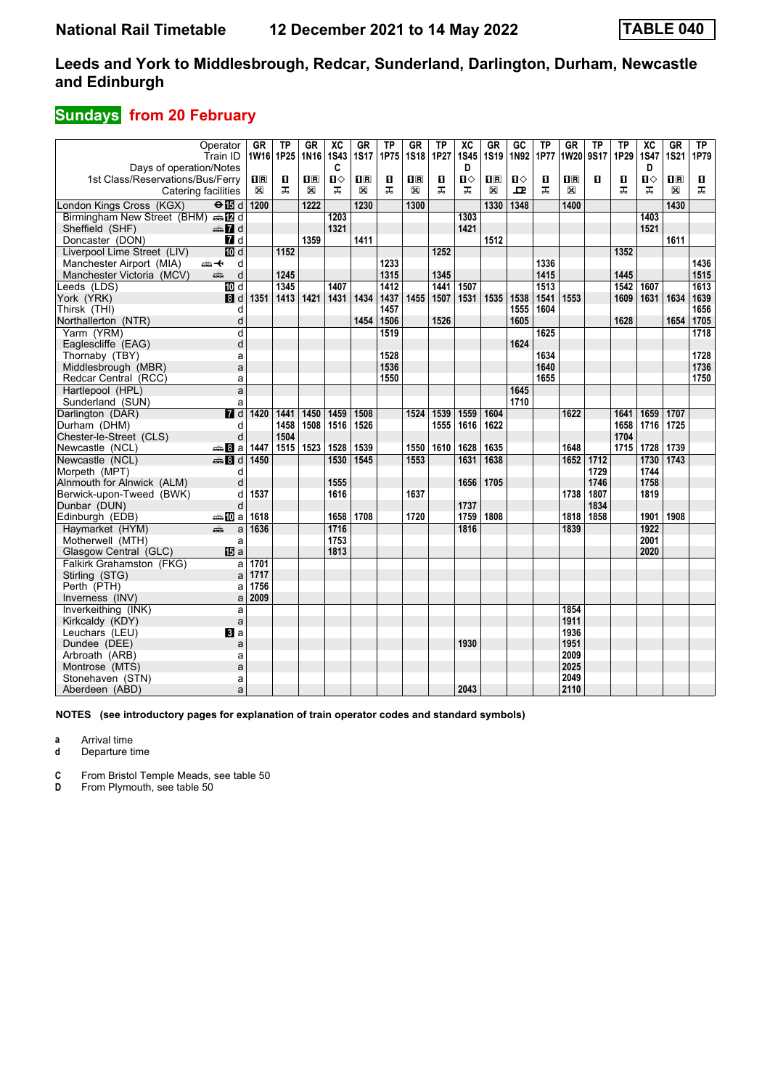## **Sundays from 20 February**

|                                                             | Operator                  | GR             | <b>TP</b> | <b>GR</b>      | $\overline{\mathbf{X}}$ | GR             | $\overline{TP}$ | $G$ R          | $\overline{TP}$ | $\overline{\mathbf{X}}$ | GR                      | $\overline{GC}$ | <b>TP</b> | $G$ R                   | <b>TP</b> | $\overline{TP}$ | $\overline{\text{xc}}$ | GR             | TP   |
|-------------------------------------------------------------|---------------------------|----------------|-----------|----------------|-------------------------|----------------|-----------------|----------------|-----------------|-------------------------|-------------------------|-----------------|-----------|-------------------------|-----------|-----------------|------------------------|----------------|------|
|                                                             | Train ID                  | 1W16 1P25      |           | 1N16           | <b>1S43</b><br>C        | <b>1S17</b>    | 1P75            | <b>1S18</b>    | 1P27            | <b>1S45</b><br>D        | <b>1S19</b>             | 1N92            | 1P77      | <b>1W20</b>             | 9S17      | 1P29            | <b>1S47</b><br>D       | <b>1S21</b>    | 1P79 |
| Days of operation/Notes<br>1st Class/Reservations/Bus/Ferry |                           | $\mathbf{I}$ R | п         | $\mathbf{H}$ R | $\mathbf{u}$            | $\mathbf{I}$ R | П               | $\mathbf{H}$ R | п               | П⇔                      | $\overline{\mathbf{H}}$ | $\mathbf{u}$    | О         | $\overline{\mathbf{H}}$ | п         | п               | п                      | $\mathbf{H}$ R | п    |
| Catering facilities                                         |                           | $\boxtimes$    | ᠼ         | X              | ᠼ                       | $\boxtimes$    | ᠼ               | X              | ᠼ               | ᠼ                       | X                       | 굔               | ᠼ         | X                       |           | ᠼ               | ᅚ                      | X              | ᠼ    |
|                                                             |                           |                |           |                |                         |                |                 |                |                 |                         |                         |                 |           |                         |           |                 |                        |                |      |
| London Kings Cross (KGX)                                    | $\Theta$ $\blacksquare$ d | 1200           |           | 1222           |                         | 1230           |                 | 1300           |                 |                         | 1330                    | 1348            |           | 1400                    |           |                 |                        | 1430           |      |
| Birmingham New Street (BHM) and                             |                           |                |           |                | 1203                    |                |                 |                |                 | 1303                    |                         |                 |           |                         |           |                 | 1403                   |                |      |
| Sheffield (SHF)                                             | $\oplus$ 7 d              |                |           |                | 1321                    |                |                 |                |                 | 1421                    |                         |                 |           |                         |           |                 | 1521                   |                |      |
| Doncaster (DON)                                             | <b>7</b> d                |                |           | 1359           |                         | 1411           |                 |                |                 |                         | 1512                    |                 |           |                         |           |                 |                        | 1611           |      |
| Liverpool Lime Street (LIV)                                 | <b>M</b> d                |                | 1152      |                |                         |                |                 |                | 1252            |                         |                         |                 |           |                         |           | 1352            |                        |                |      |
| Manchester Airport (MIA)                                    | ⇜↞<br>d                   |                |           |                |                         |                | 1233            |                |                 |                         |                         |                 | 1336      |                         |           |                 |                        |                | 1436 |
| Manchester Victoria (MCV)                                   | d<br>æ                    |                | 1245      |                |                         |                | 1315            |                | 1345            |                         |                         |                 | 1415      |                         |           | 1445            |                        |                | 1515 |
| Leeds (LDS)                                                 | 10d                       |                | 1345      |                | 1407                    |                | 1412            |                | 1441            | 1507                    |                         |                 | 1513      |                         |           | 1542            | 1607                   |                | 1613 |
| York (YRK)                                                  | $\mathbf{B}$ d            | 1351           | 1413      | 1421           | 1431                    | 1434           | 1437            | 1455           | 1507            | 1531                    | 1535                    | 1538            | 1541      | 1553                    |           | 1609            | 1631                   | 1634           | 1639 |
| Thirsk (THI)                                                | d                         |                |           |                |                         |                | 1457            |                |                 |                         |                         | 1555            | 1604      |                         |           |                 |                        |                | 1656 |
| Northallerton (NTR)                                         | d                         |                |           |                |                         | 1454           | 1506            |                | 1526            |                         |                         | 1605            |           |                         |           | 1628            |                        | 1654           | 1705 |
| Yarm (YRM)                                                  | d                         |                |           |                |                         |                | 1519            |                |                 |                         |                         |                 | 1625      |                         |           |                 |                        |                | 1718 |
| Eaglescliffe (EAG)                                          | d                         |                |           |                |                         |                |                 |                |                 |                         |                         | 1624            |           |                         |           |                 |                        |                |      |
| Thornaby (TBY)                                              | a                         |                |           |                |                         |                | 1528            |                |                 |                         |                         |                 | 1634      |                         |           |                 |                        |                | 1728 |
| Middlesbrough (MBR)                                         | a                         |                |           |                |                         |                | 1536            |                |                 |                         |                         |                 | 1640      |                         |           |                 |                        |                | 1736 |
| Redcar Central (RCC)                                        | a                         |                |           |                |                         |                | 1550            |                |                 |                         |                         |                 | 1655      |                         |           |                 |                        |                | 1750 |
| Hartlepool (HPL)                                            | a                         |                |           |                |                         |                |                 |                |                 |                         |                         | 1645            |           |                         |           |                 |                        |                |      |
| Sunderland (SUN)                                            | a                         |                |           |                |                         |                |                 |                |                 |                         |                         | 1710            |           |                         |           |                 |                        |                |      |
| Darlington (DAR)                                            | $\overline{d}$ d          | 1420           | 1441      | 1450           | 1459                    | 1508           |                 | 1524           | 1539            | 1559                    | 1604                    |                 |           | 1622                    |           | 1641            | 1659                   | 1707           |      |
| Durham (DHM)                                                | d                         |                | 1458      | 1508           | 1516                    | 1526           |                 |                | 1555            | 1616                    | 1622                    |                 |           |                         |           | 1658            | 1716                   | 1725           |      |
| Chester-le-Street (CLS)                                     | d                         |                | 1504      |                |                         |                |                 |                |                 |                         |                         |                 |           |                         |           | 1704            |                        |                |      |
| Newcastle (NCL)                                             | <del>⊯</del> 8a           | 1447           | 1515      | 1523           | 1528                    | 1539           |                 | 1550           | 1610            | 1628                    | 1635                    |                 |           | 1648                    |           | 1715            | 1728                   | 1739           |      |
| Newcastle (NCL)                                             | $\oplus$ 3 d              | 1450           |           |                | 1530                    | 1545           |                 | 1553           |                 | 1631                    | 1638                    |                 |           | 1652                    | 1712      |                 | 1730                   | 1743           |      |
| Morpeth (MPT)                                               | d                         |                |           |                |                         |                |                 |                |                 |                         |                         |                 |           |                         | 1729      |                 | 1744                   |                |      |
| Alnmouth for Alnwick (ALM)                                  | d                         |                |           |                | 1555                    |                |                 |                |                 | 1656                    | 1705                    |                 |           |                         | 1746      |                 | 1758                   |                |      |
| Berwick-upon-Tweed (BWK)                                    | d                         | 1537           |           |                | 1616                    |                |                 | 1637           |                 |                         |                         |                 |           | 1738                    | 1807      |                 | 1819                   |                |      |
| Dunbar (DUN)                                                | d                         |                |           |                |                         |                |                 |                |                 | 1737                    |                         |                 |           |                         | 1834      |                 |                        |                |      |
| Edinburgh (EDB)                                             | ⇔nDa                      | 1618           |           |                | 1658                    | 1708           |                 | 1720           |                 | 1759                    | 1808                    |                 |           | 1818                    | 1858      |                 | 1901                   | 1908           |      |
| Havmarket (HYM)                                             | æ<br>a                    | 1636           |           |                | 1716                    |                |                 |                |                 | 1816                    |                         |                 |           | 1839                    |           |                 | 1922                   |                |      |
| Motherwell (MTH)                                            | a                         |                |           |                | 1753                    |                |                 |                |                 |                         |                         |                 |           |                         |           |                 | 2001                   |                |      |
| Glasgow Central (GLC)                                       | <b>IB</b> a               |                |           |                | 1813                    |                |                 |                |                 |                         |                         |                 |           |                         |           |                 | 2020                   |                |      |
| Falkirk Grahamston (FKG)                                    | a                         | 1701           |           |                |                         |                |                 |                |                 |                         |                         |                 |           |                         |           |                 |                        |                |      |
| Stirling (STG)                                              | a                         | 1717           |           |                |                         |                |                 |                |                 |                         |                         |                 |           |                         |           |                 |                        |                |      |
| Perth (PTH)                                                 | a                         | 1756           |           |                |                         |                |                 |                |                 |                         |                         |                 |           |                         |           |                 |                        |                |      |
| Inverness (INV)                                             | a                         | 2009           |           |                |                         |                |                 |                |                 |                         |                         |                 |           |                         |           |                 |                        |                |      |
| Inverkeithing (INK)                                         | a                         |                |           |                |                         |                |                 |                |                 |                         |                         |                 |           | 1854                    |           |                 |                        |                |      |
| Kirkcaldy (KDY)                                             | a                         |                |           |                |                         |                |                 |                |                 |                         |                         |                 |           | 1911                    |           |                 |                        |                |      |
| Leuchars (LEU)                                              | $\mathbf{B}$ a            |                |           |                |                         |                |                 |                |                 |                         |                         |                 |           | 1936                    |           |                 |                        |                |      |
| Dundee (DEE)                                                | a                         |                |           |                |                         |                |                 |                |                 | 1930                    |                         |                 |           | 1951                    |           |                 |                        |                |      |
| Arbroath (ARB)                                              | a                         |                |           |                |                         |                |                 |                |                 |                         |                         |                 |           | 2009                    |           |                 |                        |                |      |
| Montrose (MTS)                                              | a                         |                |           |                |                         |                |                 |                |                 |                         |                         |                 |           | 2025                    |           |                 |                        |                |      |
| Stonehaven (STN)                                            | a                         |                |           |                |                         |                |                 |                |                 |                         |                         |                 |           | 2049                    |           |                 |                        |                |      |
| Aberdeen (ABD)                                              | a                         |                |           |                |                         |                |                 |                |                 | 2043                    |                         |                 |           | 2110                    |           |                 |                        |                |      |

**NOTES (see introductory pages for explanation of train operator codes and standard symbols)**

**a** Arrival time

**d** Departure time

**C** From Bristol Temple Meads, see table 50<br>**D** From Plymouth, see table 50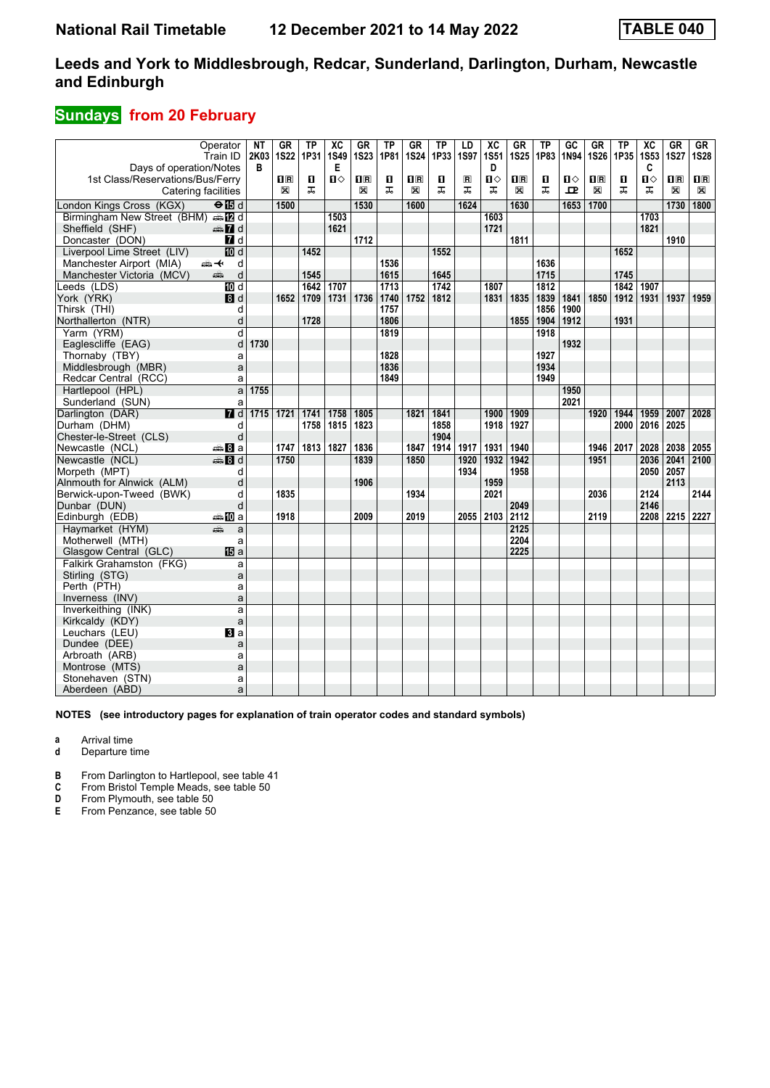## **Sundays from 20 February**

|                                  | Operator                | NT        | <b>GR</b>          | <b>TP</b>        | $\overline{\text{xc}}$ | GR             | <b>TP</b>    | <b>GR</b>               | $\overline{TP}$ | LD                      | $\overline{\text{xc}}$ | GR                      | TP   | $\overline{GC}$ | $G$ R        | <b>TP</b>        | $\overline{\text{xc}}$ | $G$ R          | $G_{R}$                   |
|----------------------------------|-------------------------|-----------|--------------------|------------------|------------------------|----------------|--------------|-------------------------|-----------------|-------------------------|------------------------|-------------------------|------|-----------------|--------------|------------------|------------------------|----------------|---------------------------|
|                                  | Train ID                | 2K03      | <b>1S22</b>        | 1P31             | <b>1S49</b>            | <b>1S23</b>    | 1P81         | <b>1S24</b>             | 1P33            | <b>1S97</b>             | <b>1S51</b>            | <b>1S25</b>             | 1P83 | 1N94            | <b>1S26</b>  | 1P35             | <b>1S53</b>            | <b>1S27</b>    | <b>1S28</b>               |
| Days of operation/Notes          |                         | В         |                    |                  | Е                      |                |              |                         |                 |                         | D                      |                         |      |                 |              |                  | C                      |                |                           |
| 1st Class/Reservations/Bus/Ferry |                         |           | $\Pi$ <sub>R</sub> | п                | $\mathbf{u}$           | $\mathbf{I}$ R | $\mathbf{u}$ | $\overline{\mathbf{H}}$ | п               | $\overline{\mathsf{R}}$ | $\mathbf{u}$           | $\overline{\mathbf{H}}$ | п    | $\blacksquare$  | $\mathbf{H}$ | п                | $\mathbf{u}$           | $n_{\rm R}$    | $\mathbf{I}$ $\mathbf{R}$ |
| Catering facilities              |                         |           | $\boxtimes$        | ᅚ                |                        | X              | ᅚ            | X                       | ᅚ               | ᠼ                       | ᠼ                      | X                       | ᅚ    | ᇁ               | X            | ᅚ                | ᅚ                      | X              | X                         |
| London Kings Cross (KGX)         | $\overline{H}$          |           | 1500               |                  |                        | 1530           |              | 1600                    |                 | 1624                    |                        | 1630                    |      | 1653            | 1700         |                  |                        | 1730           | 1800                      |
| Birmingham New Street (BHM)      | $\oplus$ $\mathbb{Z}$ d |           |                    |                  | 1503                   |                |              |                         |                 |                         | 1603                   |                         |      |                 |              |                  | 1703                   |                |                           |
| Sheffield (SHF)                  | d and                   |           |                    |                  | 1621                   |                |              |                         |                 |                         | 1721                   |                         |      |                 |              |                  | 1821                   |                |                           |
| Doncaster (DON)                  | 7d                      |           |                    |                  |                        | 1712           |              |                         |                 |                         |                        | 1811                    |      |                 |              |                  |                        | 1910           |                           |
| Liverpool Lime Street (LIV)      | $\overline{m}$ d        |           |                    | 1452             |                        |                |              |                         | 1552            |                         |                        |                         |      |                 |              | 1652             |                        |                |                           |
| Manchester Airport (MIA)         | ⇜↞<br>d                 |           |                    |                  |                        |                | 1536         |                         |                 |                         |                        |                         | 1636 |                 |              |                  |                        |                |                           |
| Manchester Victoria (MCV)        | d<br>æ                  |           |                    | 1545             |                        |                | 1615         |                         | 1645            |                         |                        |                         | 1715 |                 |              | 1745             |                        |                |                           |
| Leeds (LDS)                      | <b>TO</b> d             |           |                    | $\frac{1642}{ }$ | 1707                   |                | 1713         |                         | 1742            |                         | 1807                   |                         | 1812 |                 |              | $\frac{1}{1842}$ | 1907                   |                |                           |
| York (YRK)                       | 8d                      |           | 1652               | 1709             | 1731                   | 1736           | 1740         | 1752                    | 1812            |                         | 1831                   | 1835                    | 1839 | 1841            | 1850         | 1912             | 1931                   | 1937           | 1959                      |
| Thirsk (THI)                     | d                       |           |                    |                  |                        |                | 1757         |                         |                 |                         |                        |                         | 1856 | 1900            |              |                  |                        |                |                           |
| Northallerton (NTR)              | d                       |           |                    | 1728             |                        |                | 1806         |                         |                 |                         |                        | 1855                    | 1904 | 1912            |              | 1931             |                        |                |                           |
| Yarm (YRM)                       | d                       |           |                    |                  |                        |                | 1819         |                         |                 |                         |                        |                         | 1918 |                 |              |                  |                        |                |                           |
| Eaglescliffe (EAG)               | d                       | 1730      |                    |                  |                        |                |              |                         |                 |                         |                        |                         |      | 1932            |              |                  |                        |                |                           |
| Thornaby (TBY)                   | a                       |           |                    |                  |                        |                | 1828         |                         |                 |                         |                        |                         | 1927 |                 |              |                  |                        |                |                           |
| Middlesbrough (MBR)              | a                       |           |                    |                  |                        |                | 1836         |                         |                 |                         |                        |                         | 1934 |                 |              |                  |                        |                |                           |
| Redcar Central (RCC)             | a                       |           |                    |                  |                        |                | 1849         |                         |                 |                         |                        |                         | 1949 |                 |              |                  |                        |                |                           |
| Hartlepool (HPL)                 | a                       | 1755      |                    |                  |                        |                |              |                         |                 |                         |                        |                         |      | 1950            |              |                  |                        |                |                           |
| Sunderland (SUN)                 | a                       |           |                    |                  |                        |                |              |                         |                 |                         |                        |                         |      | 2021            |              |                  |                        |                |                           |
| Darlington (DAR)                 | $\overline{M}$ d        | 1715 1721 |                    | 1741             | 1758                   | 1805           |              | 1821                    | 1841            |                         | 1900                   | 1909                    |      |                 | 1920         | 1944             | 1959                   | 2007           | 2028                      |
| Durham (DHM)                     | d                       |           |                    | 1758             | 1815                   | 1823           |              |                         | 1858            |                         | 1918                   | 1927                    |      |                 |              | 2000             | 2016                   | 2025           |                           |
| Chester-le-Street (CLS)          | d                       |           |                    |                  |                        |                |              |                         | 1904            |                         |                        |                         |      |                 |              |                  |                        |                |                           |
| Newcastle (NCL)                  | ⊯ Bla                   |           | 1747               | 1813             | 1827                   | 1836           |              | 1847                    | 1914            | 1917                    | 1931                   | 1940                    |      |                 | 1946         | 2017             | 2028                   | 2038           | 2055                      |
| Newcastle (NCL)                  | <b>第8d</b>              |           | 1750               |                  |                        | 1839           |              | 1850                    |                 | 1920                    | 1932                   | 1942                    |      |                 | 1951         |                  | 2036                   | 2041           | 2100                      |
| Morpeth (MPT)                    | d                       |           |                    |                  |                        |                |              |                         |                 | 1934                    |                        | 1958                    |      |                 |              |                  | 2050                   | 2057           |                           |
| Alnmouth for Alnwick (ALM)       | d                       |           |                    |                  |                        | 1906           |              |                         |                 |                         | 1959                   |                         |      |                 |              |                  |                        | 2113           |                           |
| Berwick-upon-Tweed (BWK)         | d                       |           | 1835               |                  |                        |                |              | 1934                    |                 |                         | 2021                   |                         |      |                 | 2036         |                  | 2124                   |                | 2144                      |
| Dunbar (DUN)                     | d                       |           |                    |                  |                        |                |              |                         |                 |                         |                        | 2049                    |      |                 |              |                  | 2146                   |                |                           |
| Edinburgh (EDB)                  | a‱MDa                   |           | 1918               |                  |                        | 2009           |              | 2019                    |                 |                         | 2055 2103              | 2112                    |      |                 | 2119         |                  |                        | 2208 2215 2227 |                           |
| Havmarket (HYM)                  | æ<br>a                  |           |                    |                  |                        |                |              |                         |                 |                         |                        | 2125                    |      |                 |              |                  |                        |                |                           |
| Motherwell (MTH)                 | a                       |           |                    |                  |                        |                |              |                         |                 |                         |                        | 2204                    |      |                 |              |                  |                        |                |                           |
| Glasgow Central (GLC)            | <b>個</b> a              |           |                    |                  |                        |                |              |                         |                 |                         |                        | 2225                    |      |                 |              |                  |                        |                |                           |
| Falkirk Grahamston (FKG)         | a                       |           |                    |                  |                        |                |              |                         |                 |                         |                        |                         |      |                 |              |                  |                        |                |                           |
| Stirling (STG)                   | a                       |           |                    |                  |                        |                |              |                         |                 |                         |                        |                         |      |                 |              |                  |                        |                |                           |
| Perth (PTH)                      | a                       |           |                    |                  |                        |                |              |                         |                 |                         |                        |                         |      |                 |              |                  |                        |                |                           |
| Inverness (INV)                  | a                       |           |                    |                  |                        |                |              |                         |                 |                         |                        |                         |      |                 |              |                  |                        |                |                           |
| Inverkeithing (INK)              | a                       |           |                    |                  |                        |                |              |                         |                 |                         |                        |                         |      |                 |              |                  |                        |                |                           |
| Kirkcaldy (KDY)                  | a                       |           |                    |                  |                        |                |              |                         |                 |                         |                        |                         |      |                 |              |                  |                        |                |                           |
| Leuchars (LEU)                   | BI a                    |           |                    |                  |                        |                |              |                         |                 |                         |                        |                         |      |                 |              |                  |                        |                |                           |
| Dundee (DEE)                     | a                       |           |                    |                  |                        |                |              |                         |                 |                         |                        |                         |      |                 |              |                  |                        |                |                           |
| Arbroath (ARB)                   | a                       |           |                    |                  |                        |                |              |                         |                 |                         |                        |                         |      |                 |              |                  |                        |                |                           |
| Montrose (MTS)                   | a                       |           |                    |                  |                        |                |              |                         |                 |                         |                        |                         |      |                 |              |                  |                        |                |                           |
| Stonehaven (STN)                 | a                       |           |                    |                  |                        |                |              |                         |                 |                         |                        |                         |      |                 |              |                  |                        |                |                           |
| Aberdeen (ABD)                   | a                       |           |                    |                  |                        |                |              |                         |                 |                         |                        |                         |      |                 |              |                  |                        |                |                           |

**NOTES (see introductory pages for explanation of train operator codes and standard symbols)**

**a** Arrival time

**d** Departure time

**B** From Darlington to Hartlepool, see table 41 **C** From Bristol Temple Meads, see table 50

**C** From Bristol Temple Meads, see table 50<br>**D** From Plymouth, see table 50

**D** From Plymouth, see table 50<br>**E** From Penzance, see table 50

From Penzance, see table 50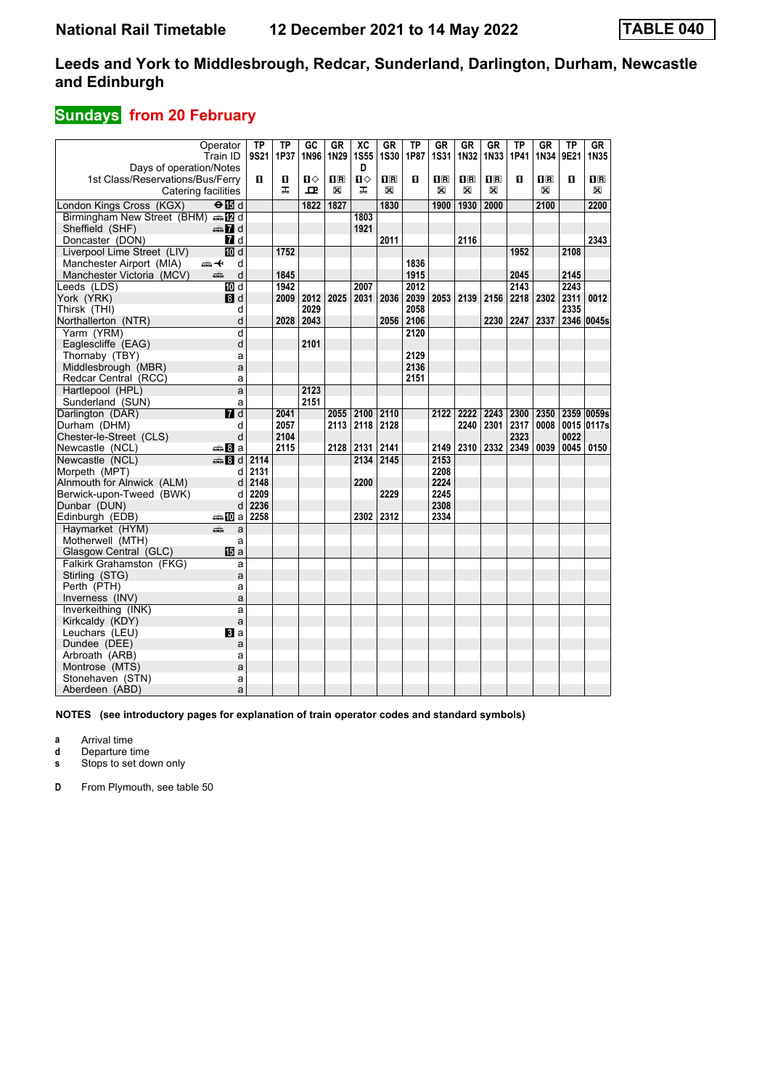## **Sundays from 20 February**

|                                  | Operator                  | TP   | TP   | $G$ <sub>C</sub> | <b>GR</b>                                       | $\overline{\text{xc}}$ | <b>GR</b>               | $\overline{TP}$ | <b>GR</b>    | GR           | GR                      | $\overline{TP}$ | <b>GR</b>               | $\overline{\text{TP}}$ | GR                   |
|----------------------------------|---------------------------|------|------|------------------|-------------------------------------------------|------------------------|-------------------------|-----------------|--------------|--------------|-------------------------|-----------------|-------------------------|------------------------|----------------------|
|                                  | Train ID                  | 9S21 | 1P37 | 1N96             | 1N29                                            | <b>1S55</b>            | <b>1S30</b>             | 1P87            | 1S31         | 1N32         | 1N33                    | 1P41            | 1N34                    | 9E21                   | 1N35                 |
| Days of operation/Notes          |                           |      |      |                  |                                                 | D                      |                         |                 |              |              |                         |                 |                         |                        |                      |
| 1st Class/Reservations/Bus/Ferry |                           | п    | п    | п⇔               | $\overline{\mathbf{H}}$ $\overline{\mathbf{R}}$ | Ω⇔                     | $\overline{\mathbf{H}}$ | п               | $\mathbf{H}$ | $\mathbf{H}$ | $\overline{\mathbf{H}}$ | п               | $\overline{\mathbf{R}}$ | п                      | $\mathbf I\mathbf R$ |
|                                  | Catering facilities       |      | ᅚ    | ᅭ                | X                                               | ᅚ                      | X                       |                 | X            | X            | X                       |                 | X                       |                        | $\boxtimes$          |
|                                  |                           |      |      | 1822             | 1827                                            |                        |                         |                 |              |              | 2000                    |                 |                         |                        |                      |
| London Kings Cross (KGX)         | $\Theta$ is d             |      |      |                  |                                                 |                        | 1830                    |                 | 1900         | 1930         |                         |                 | 2100                    |                        | 2200                 |
| Birmingham New Street (BHM) AD d |                           |      |      |                  |                                                 | 1803                   |                         |                 |              |              |                         |                 |                         |                        |                      |
| Sheffield (SHF)                  | d Ma                      |      |      |                  |                                                 | 1921                   |                         |                 |              |              |                         |                 |                         |                        |                      |
| Doncaster (DON)                  | <b>7</b> d                |      |      |                  |                                                 |                        | 2011                    |                 |              | 2116         |                         |                 |                         |                        | 2343                 |
| Liverpool Lime Street (LIV)      | $\overline{10}$ d         |      | 1752 |                  |                                                 |                        |                         |                 |              |              |                         | 1952            |                         | 2108                   |                      |
| Manchester Airport (MIA)         | ക+<br>d                   |      |      |                  |                                                 |                        |                         | 1836            |              |              |                         |                 |                         |                        |                      |
| Manchester Victoria (MCV)        | d<br>پېښ                  |      | 1845 |                  |                                                 |                        |                         | 1915            |              |              |                         | 2045            |                         | 2145                   |                      |
| Leeds (LDS)                      | <b>IDI</b> d              |      | 1942 |                  |                                                 | 2007                   |                         | 2012            |              |              |                         | 2143            |                         | 2243                   |                      |
| York (YRK)                       | 8d                        |      | 2009 | 2012             | 2025                                            | 2031                   | 2036                    | 2039            | 2053         | 2139         |                         | 2156   2218     | 2302                    | 2311                   | 0012                 |
| Thirsk (THI)                     | d                         |      |      | 2029             |                                                 |                        |                         | 2058            |              |              |                         |                 |                         | 2335                   |                      |
| Northallerton (NTR)              | d                         |      | 2028 | 2043             |                                                 |                        | 2056                    | 2106            |              |              |                         | 2230 2247       | 2337                    |                        | 2346 0045s           |
| Yarm (YRM)                       | d                         |      |      |                  |                                                 |                        |                         | 2120            |              |              |                         |                 |                         |                        |                      |
| Eaglescliffe (EAG)               | d                         |      |      | 2101             |                                                 |                        |                         |                 |              |              |                         |                 |                         |                        |                      |
| Thornaby (TBY)                   | a                         |      |      |                  |                                                 |                        |                         | 2129            |              |              |                         |                 |                         |                        |                      |
| Middlesbrough (MBR)              | a                         |      |      |                  |                                                 |                        |                         | 2136            |              |              |                         |                 |                         |                        |                      |
| Redcar Central (RCC)             | a                         |      |      |                  |                                                 |                        |                         | 2151            |              |              |                         |                 |                         |                        |                      |
| Hartlepool (HPL)                 | a                         |      |      | 2123             |                                                 |                        |                         |                 |              |              |                         |                 |                         |                        |                      |
| Sunderland (SUN)                 | a                         |      |      | 2151             |                                                 |                        |                         |                 |              |              |                         |                 |                         |                        |                      |
| Darlington (DAR)                 | $\overline{\mathbf{M}}$ d |      | 2041 |                  |                                                 | 2055 2100              | 2110                    |                 |              | 2222         |                         | 2243 2300 2350  |                         |                        | 2359 0059s           |
|                                  |                           |      |      |                  |                                                 |                        |                         |                 | 2122         |              |                         |                 |                         |                        |                      |
| Durham (DHM)                     | d                         |      | 2057 |                  | 2113                                            | 2118                   | 2128                    |                 |              | 2240         | 2301                    | 2317            | 0008                    |                        | 0015 0117s           |
| Chester-le-Street (CLS)          | d                         |      | 2104 |                  |                                                 |                        |                         |                 |              |              |                         | 2323            |                         | 0022                   |                      |
| Newcastle (NCL)                  | <del>⊯</del> Ba           |      | 2115 |                  | 2128                                            | 2131                   | 2141                    |                 | 2149         |              |                         | 2310 2332 2349  | 0039                    | 0045                   | 0150                 |
| Newcastle (NCL)                  | <b>第8d</b>                | 2114 |      |                  |                                                 | 2134                   | 2145                    |                 | 2153         |              |                         |                 |                         |                        |                      |
| Morpeth (MPT)                    | d                         | 2131 |      |                  |                                                 |                        |                         |                 | 2208         |              |                         |                 |                         |                        |                      |
| Alnmouth for Alnwick (ALM)       | d                         | 2148 |      |                  |                                                 | 2200                   |                         |                 | 2224         |              |                         |                 |                         |                        |                      |
| Berwick-upon-Tweed (BWK)         | d                         | 2209 |      |                  |                                                 |                        | 2229                    |                 | 2245         |              |                         |                 |                         |                        |                      |
| Dunbar (DUN)                     | d                         | 2236 |      |                  |                                                 |                        |                         |                 | 2308         |              |                         |                 |                         |                        |                      |
| Edinburgh (EDB)                  | ⇔≞llDial                  | 2258 |      |                  |                                                 | 2302                   | 2312                    |                 | 2334         |              |                         |                 |                         |                        |                      |
| Haymarket (HYM)                  | æ<br>a                    |      |      |                  |                                                 |                        |                         |                 |              |              |                         |                 |                         |                        |                      |
| Motherwell (MTH)                 | a                         |      |      |                  |                                                 |                        |                         |                 |              |              |                         |                 |                         |                        |                      |
| Glasgow Central (GLC)            | <b>阳</b> a                |      |      |                  |                                                 |                        |                         |                 |              |              |                         |                 |                         |                        |                      |
| Falkirk Grahamston (FKG)         | a                         |      |      |                  |                                                 |                        |                         |                 |              |              |                         |                 |                         |                        |                      |
| Stirling (STG)                   | a                         |      |      |                  |                                                 |                        |                         |                 |              |              |                         |                 |                         |                        |                      |
| Perth (PTH)                      | a                         |      |      |                  |                                                 |                        |                         |                 |              |              |                         |                 |                         |                        |                      |
| Inverness (INV)                  | a                         |      |      |                  |                                                 |                        |                         |                 |              |              |                         |                 |                         |                        |                      |
| Inverkeithing (INK)              | a                         |      |      |                  |                                                 |                        |                         |                 |              |              |                         |                 |                         |                        |                      |
| Kirkcaldy (KDY)                  | a                         |      |      |                  |                                                 |                        |                         |                 |              |              |                         |                 |                         |                        |                      |
| Leuchars (LEU)                   | $\mathbf{B}$ a            |      |      |                  |                                                 |                        |                         |                 |              |              |                         |                 |                         |                        |                      |
| Dundee (DEE)                     | a                         |      |      |                  |                                                 |                        |                         |                 |              |              |                         |                 |                         |                        |                      |
| Arbroath (ARB)                   | a                         |      |      |                  |                                                 |                        |                         |                 |              |              |                         |                 |                         |                        |                      |
| Montrose (MTS)                   | a                         |      |      |                  |                                                 |                        |                         |                 |              |              |                         |                 |                         |                        |                      |
| Stonehaven (STN)                 | a                         |      |      |                  |                                                 |                        |                         |                 |              |              |                         |                 |                         |                        |                      |
| Aberdeen (ABD)                   | a                         |      |      |                  |                                                 |                        |                         |                 |              |              |                         |                 |                         |                        |                      |
|                                  |                           |      |      |                  |                                                 |                        |                         |                 |              |              |                         |                 |                         |                        |                      |

**NOTES (see introductory pages for explanation of train operator codes and standard symbols)**

**a** Arrival time

**d** Departure time

**s** Stops to set down only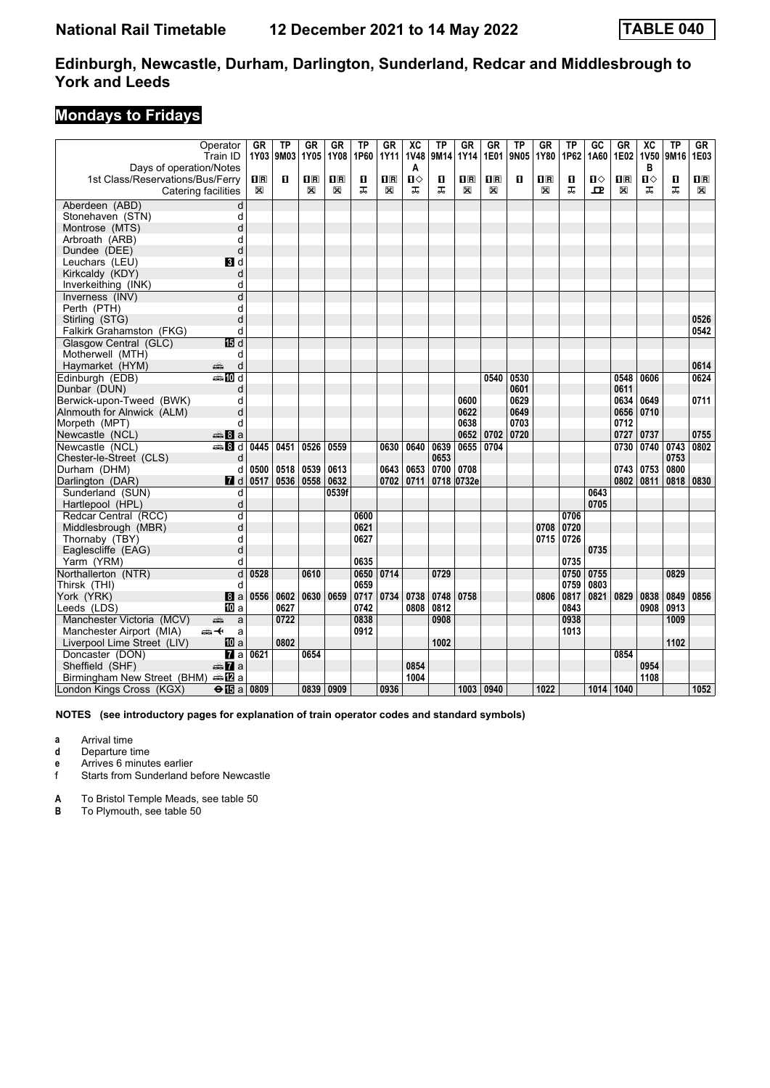### **Mondays to Fridays**

|                                              | Operator<br>Train ID            | <b>GR</b><br>1Y03       | ТP<br> 9M03 | GR<br>1Y05              | <b>GR</b><br>1Y08         | ТP<br>1P60 | $G$ R<br>1Y11  | $\overline{X}C$<br><b>1V48</b> | <b>TP</b><br>9M14 | GR<br>1Y14              | <b>GR</b><br>1E01       | TP<br>9N05 | <b>GR</b><br>1Y80       | ΤP<br>1P62 | GC<br>1A60   | $G$ R<br>1E02           | $\overline{X}C$<br><b>1V50</b> | $\overline{IP}$<br>9M16 | GR<br><b>1E03</b>       |
|----------------------------------------------|---------------------------------|-------------------------|-------------|-------------------------|---------------------------|------------|----------------|--------------------------------|-------------------|-------------------------|-------------------------|------------|-------------------------|------------|--------------|-------------------------|--------------------------------|-------------------------|-------------------------|
| Days of operation/Notes                      |                                 |                         |             |                         |                           |            |                | A                              |                   |                         |                         |            |                         |            |              |                         | в                              |                         |                         |
| 1st Class/Reservations/Bus/Ferry             |                                 | $\overline{\mathbf{H}}$ | п           | $\overline{\mathbf{R}}$ | $\mathbf{I}^{\mathbf{R}}$ | п          | $\mathbf{H}$ R | $\mathbf{u}$                   | п                 | $\overline{\mathbf{H}}$ | $\overline{\mathbf{H}}$ | O          | $\overline{\mathbf{R}}$ | п          | $\mathbf{u}$ | $\overline{\mathbf{H}}$ | $\mathbf{u}$                   | O                       | $\overline{\mathbf{B}}$ |
|                                              | Catering facilities             | ⊠                       |             | ⊠                       | X                         | ᠼ          | X              | ᠼ                              | ᠼ                 | X                       | ⊠                       |            | X                       | ᠼ          | ᇁ            | X                       | ᅚ                              | ᠼ                       | X                       |
| Aberdeen (ABD)                               | d                               |                         |             |                         |                           |            |                |                                |                   |                         |                         |            |                         |            |              |                         |                                |                         |                         |
| Stonehaven (STN)                             | d                               |                         |             |                         |                           |            |                |                                |                   |                         |                         |            |                         |            |              |                         |                                |                         |                         |
| Montrose (MTS)                               | d                               |                         |             |                         |                           |            |                |                                |                   |                         |                         |            |                         |            |              |                         |                                |                         |                         |
| Arbroath (ARB)                               | d                               |                         |             |                         |                           |            |                |                                |                   |                         |                         |            |                         |            |              |                         |                                |                         |                         |
| Dundee (DEE)                                 | d                               |                         |             |                         |                           |            |                |                                |                   |                         |                         |            |                         |            |              |                         |                                |                         |                         |
| Leuchars (LEU)                               | BI d                            |                         |             |                         |                           |            |                |                                |                   |                         |                         |            |                         |            |              |                         |                                |                         |                         |
| Kirkcaldy (KDY)                              | d                               |                         |             |                         |                           |            |                |                                |                   |                         |                         |            |                         |            |              |                         |                                |                         |                         |
| Inverkeithing (INK)                          | d                               |                         |             |                         |                           |            |                |                                |                   |                         |                         |            |                         |            |              |                         |                                |                         |                         |
| Inverness (INV)                              | d                               |                         |             |                         |                           |            |                |                                |                   |                         |                         |            |                         |            |              |                         |                                |                         |                         |
| Perth (PTH)                                  | d                               |                         |             |                         |                           |            |                |                                |                   |                         |                         |            |                         |            |              |                         |                                |                         |                         |
| Stirling (STG)                               | d                               |                         |             |                         |                           |            |                |                                |                   |                         |                         |            |                         |            |              |                         |                                |                         | 0526                    |
| Falkirk Grahamston (FKG)                     | d                               |                         |             |                         |                           |            |                |                                |                   |                         |                         |            |                         |            |              |                         |                                |                         | 0542                    |
| Glasgow Central (GLC)                        | 15日 d                           |                         |             |                         |                           |            |                |                                |                   |                         |                         |            |                         |            |              |                         |                                |                         |                         |
| Motherwell (MTH)                             | d                               |                         |             |                         |                           |            |                |                                |                   |                         |                         |            |                         |            |              |                         |                                |                         |                         |
| Haymarket (HYM)                              | d<br>پېښ                        |                         |             |                         |                           |            |                |                                |                   |                         |                         |            |                         |            |              |                         |                                |                         | 0614                    |
| Edinburgh (EDB)                              | dan <b>in</b> d                 |                         |             |                         |                           |            |                |                                |                   |                         | 0540                    | 0530       |                         |            |              | 0548                    | 0606                           |                         | 0624                    |
| Dunbar (DUN)                                 | d                               |                         |             |                         |                           |            |                |                                |                   |                         |                         | 0601       |                         |            |              | 0611                    |                                |                         |                         |
| Berwick-upon-Tweed (BWK)                     | d                               |                         |             |                         |                           |            |                |                                |                   | 0600                    |                         | 0629       |                         |            |              | 0634                    | 0649                           |                         | 0711                    |
| Alnmouth for Alnwick (ALM)                   | d                               |                         |             |                         |                           |            |                |                                |                   | 0622                    |                         | 0649       |                         |            |              |                         | 0656 0710                      |                         |                         |
| Morpeth (MPT)                                | d                               |                         |             |                         |                           |            |                |                                |                   | 0638                    |                         | 0703       |                         |            |              | 0712                    |                                |                         |                         |
| Newcastle (NCL)                              | $\oplus$ 8 a                    |                         |             |                         |                           |            |                |                                |                   | 0652                    | 0702                    | 0720       |                         |            |              | 0727                    | 0737                           |                         | 0755                    |
| Newcastle (NCL)                              | ্ৰ⊕ 8 d                         | 0445                    | 0451        | 0526                    | 0559                      |            | 0630           | 0640                           | 0639              | 0655                    | 0704                    |            |                         |            |              | 0730                    | 0740                           | 0743                    | 0802                    |
| Chester-le-Street (CLS)                      | d                               |                         |             |                         |                           |            |                |                                | 0653              |                         |                         |            |                         |            |              |                         |                                | 0753                    |                         |
| Durham (DHM)                                 | d                               | 0500                    | 0518        | 0539                    | 0613                      |            | 0643           | 0653                           | 0700              | 0708                    |                         |            |                         |            |              | 0743                    | 0753                           | 0800                    |                         |
| Darlington (DAR)                             | $\blacksquare$ d                | 0517                    | 0536        | 0558                    | 0632                      |            | 0702           | 0711                           | 0718              | 0732e                   |                         |            |                         |            |              | 0802                    | 0811                           | 0818                    | 0830                    |
| Sunderland (SUN)                             | d                               |                         |             |                         | 0539f                     |            |                |                                |                   |                         |                         |            |                         |            | 0643         |                         |                                |                         |                         |
| Hartlepool (HPL)                             | d                               |                         |             |                         |                           |            |                |                                |                   |                         |                         |            |                         |            | 0705         |                         |                                |                         |                         |
| Redcar Central (RCC)                         | d                               |                         |             |                         |                           | 0600       |                |                                |                   |                         |                         |            |                         | 0706       |              |                         |                                |                         |                         |
| Middlesbrough (MBR)                          | d                               |                         |             |                         |                           | 0621       |                |                                |                   |                         |                         |            | 0708                    | 0720       |              |                         |                                |                         |                         |
| Thornaby (TBY)                               | d                               |                         |             |                         |                           | 0627       |                |                                |                   |                         |                         |            | 0715                    | 0726       |              |                         |                                |                         |                         |
| Eaglescliffe (EAG)                           | d                               |                         |             |                         |                           |            |                |                                |                   |                         |                         |            |                         |            | 0735         |                         |                                |                         |                         |
| Yarm (YRM)                                   | d                               |                         |             |                         |                           | 0635       |                |                                |                   |                         |                         |            |                         | 0735       |              |                         |                                |                         |                         |
| Northallerton (NTR)                          | $\overline{\mathsf{d}}$         | 0528                    |             | 0610                    |                           | 0650       | 0714           |                                | 0729              |                         |                         |            |                         | 0750       | 0755         |                         |                                | 0829                    |                         |
| Thirsk (THI)                                 | d                               |                         |             |                         |                           | 0659       |                |                                |                   |                         |                         |            |                         | 0759       | 0803         |                         |                                |                         |                         |
| York (YRK)                                   | 8a                              | 0556                    | 0602        | 0630                    | 0659                      | 0717       | 0734           | 0738                           | 0748              | 0758                    |                         |            | 0806                    | 0817       | 0821         | 0829                    | 0838                           | 0849                    | 0856                    |
| Leeds (LDS)                                  | <b>ID</b> a                     |                         | 0627        |                         |                           | 0742       |                | 0808                           | 0812              |                         |                         |            |                         | 0843       |              |                         | 0908                           | 0913                    |                         |
| Manchester Victoria (MCV)                    | پېښتنه<br>a                     |                         | 0722        |                         |                           | 0838       |                |                                | 0908              |                         |                         |            |                         | 0938       |              |                         |                                | 1009                    |                         |
| Manchester Airport (MIA)                     | ക+<br>a                         |                         |             |                         |                           | 0912       |                |                                |                   |                         |                         |            |                         | 1013       |              |                         |                                |                         |                         |
| Liverpool Lime Street (LIV)                  | 10 a                            |                         | 0802        |                         |                           |            |                |                                | 1002              |                         |                         |            |                         |            |              |                         |                                | 1102                    |                         |
| Doncaster (DON)                              | <b>7</b> а                      | 0621                    |             | 0654                    |                           |            |                |                                |                   |                         |                         |            |                         |            |              | 0854                    |                                |                         |                         |
| Sheffield (SHF)                              | $\oplus \blacksquare$ a         |                         |             |                         |                           |            |                | 0854                           |                   |                         |                         |            |                         |            |              |                         | 0954                           |                         |                         |
| Birmingham New Street (BHM) $\triangleq 2$ a |                                 |                         |             |                         |                           |            |                | 1004                           |                   |                         |                         |            |                         |            |              |                         | 1108                           |                         |                         |
| London Kings Cross (KGX)                     | $\Theta$ $\overline{15}$ a 0809 |                         |             | 0839                    | 0909                      |            | 0936           |                                |                   | 1003                    | 0940                    |            | 1022                    |            | 1014 1040    |                         |                                |                         | 1052                    |

**NOTES (see introductory pages for explanation of train operator codes and standard symbols)**

**a** Arrival time

**d** Departure time

**e** Arrives 6 minutes earlier<br>f Starts from Sunderland b

Starts from Sunderland before Newcastle

**A** To Bristol Temple Meads, see table 50

**B** To Plymouth, see table 50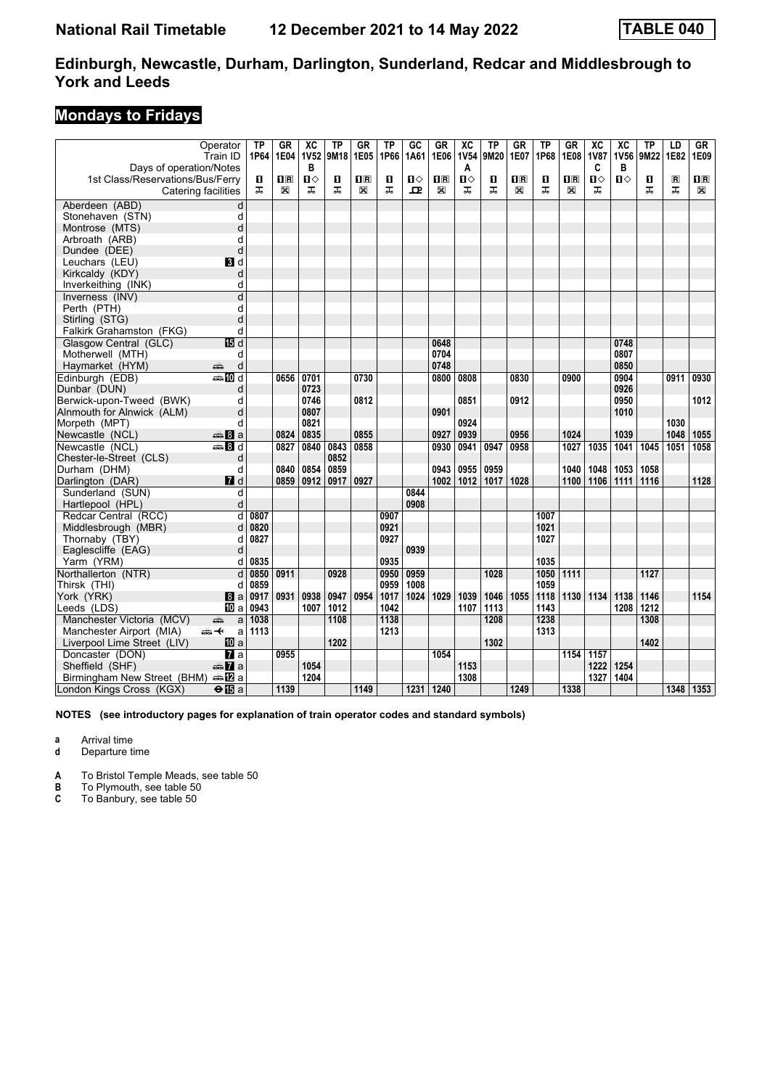### **Mondays to Fridays**

| Days of operation/Notes          | Operator<br>Train ID      | <b>TP</b><br>1P64 | <b>GR</b><br>1E04       | $\overline{AC}$<br><b>1V52</b><br>в | <b>TP</b><br>9M18 | GR<br>1E05                                      | <b>TP</b><br>1P66 | GC<br>1A61   | GR<br>1E06              | $\overline{AC}$<br><b>1V54</b><br>A | <b>TP</b><br>9M20 | <b>GR</b><br>1E07       | <b>TP</b><br>1P68 | <b>GR</b><br>1E08       | $\overline{X}C$<br><b>1V87</b><br>C | $\overline{X}C$<br>1V56<br>в | <b>TP</b><br>9M22 | LD<br>1E82   | GF<br>1E09              |
|----------------------------------|---------------------------|-------------------|-------------------------|-------------------------------------|-------------------|-------------------------------------------------|-------------------|--------------|-------------------------|-------------------------------------|-------------------|-------------------------|-------------------|-------------------------|-------------------------------------|------------------------------|-------------------|--------------|-------------------------|
| 1st Class/Reservations/Bus/Ferry |                           | 0                 | $\overline{\mathbf{R}}$ | Ⅱ♦                                  | п                 | $\overline{\mathbf{H}}$ $\overline{\mathbf{R}}$ | п                 | $\mathbf{u}$ | $\overline{\mathbf{H}}$ | $\mathbf{u}$                        | п                 | $\overline{\mathbf{B}}$ | п                 | $\overline{\mathbf{H}}$ | $\mathbf{u}$                        | Ⅱ♦                           | п                 | $\mathbf{R}$ | $\overline{\mathbf{B}}$ |
|                                  | Catering facilities       | ᅚ                 | X                       | ᠼ                                   | ᠼ                 | X                                               | ᠼ                 | ᇁ            | X                       | ᠼ                                   | ᠼ                 | X                       | ᠼ                 | X                       | ᠼ                                   |                              | ᠼ                 | ᠼ            | X                       |
| Aberdeen (ABD)                   | d                         |                   |                         |                                     |                   |                                                 |                   |              |                         |                                     |                   |                         |                   |                         |                                     |                              |                   |              |                         |
| Stonehaven (STN)                 | d                         |                   |                         |                                     |                   |                                                 |                   |              |                         |                                     |                   |                         |                   |                         |                                     |                              |                   |              |                         |
| Montrose (MTS)                   | d                         |                   |                         |                                     |                   |                                                 |                   |              |                         |                                     |                   |                         |                   |                         |                                     |                              |                   |              |                         |
| Arbroath (ARB)                   | d                         |                   |                         |                                     |                   |                                                 |                   |              |                         |                                     |                   |                         |                   |                         |                                     |                              |                   |              |                         |
| Dundee (DEE)                     | d                         |                   |                         |                                     |                   |                                                 |                   |              |                         |                                     |                   |                         |                   |                         |                                     |                              |                   |              |                         |
| Leuchars (LEU)                   | BI d                      |                   |                         |                                     |                   |                                                 |                   |              |                         |                                     |                   |                         |                   |                         |                                     |                              |                   |              |                         |
| Kirkcaldy (KDY)                  | d                         |                   |                         |                                     |                   |                                                 |                   |              |                         |                                     |                   |                         |                   |                         |                                     |                              |                   |              |                         |
| Inverkeithing (INK)              | d                         |                   |                         |                                     |                   |                                                 |                   |              |                         |                                     |                   |                         |                   |                         |                                     |                              |                   |              |                         |
| Inverness (INV)                  | d                         |                   |                         |                                     |                   |                                                 |                   |              |                         |                                     |                   |                         |                   |                         |                                     |                              |                   |              |                         |
| Perth (PTH)                      | d                         |                   |                         |                                     |                   |                                                 |                   |              |                         |                                     |                   |                         |                   |                         |                                     |                              |                   |              |                         |
| Stirling (STG)                   | d                         |                   |                         |                                     |                   |                                                 |                   |              |                         |                                     |                   |                         |                   |                         |                                     |                              |                   |              |                         |
| Falkirk Grahamston (FKG)         | d                         |                   |                         |                                     |                   |                                                 |                   |              |                         |                                     |                   |                         |                   |                         |                                     |                              |                   |              |                         |
| Glasgow Central (GLC)            | IB d                      |                   |                         |                                     |                   |                                                 |                   |              | 0648                    |                                     |                   |                         |                   |                         |                                     | 0748                         |                   |              |                         |
| Motherwell (MTH)                 | d                         |                   |                         |                                     |                   |                                                 |                   |              | 0704                    |                                     |                   |                         |                   |                         |                                     | 0807                         |                   |              |                         |
| Haymarket (HYM)                  | d<br>پېښ                  |                   |                         |                                     |                   |                                                 |                   |              | 0748                    |                                     |                   |                         |                   |                         |                                     | 0850                         |                   |              |                         |
| Edinburgh (EDB)                  | <b>●IIId</b>              |                   | 0656                    | 0701                                |                   | 0730                                            |                   |              | 0800                    | 0808                                |                   | 0830                    |                   | 0900                    |                                     | 0904                         |                   | 0911         | 0930                    |
| Dunbar (DUN)                     | d                         |                   |                         | 0723                                |                   |                                                 |                   |              |                         |                                     |                   |                         |                   |                         |                                     | 0926                         |                   |              |                         |
| Berwick-upon-Tweed (BWK)         | d                         |                   |                         | 0746                                |                   | 0812                                            |                   |              |                         | 0851                                |                   | 0912                    |                   |                         |                                     | 0950                         |                   |              | 1012                    |
| Alnmouth for Alnwick (ALM)       | d                         |                   |                         | 0807                                |                   |                                                 |                   |              | 0901                    |                                     |                   |                         |                   |                         |                                     | 1010                         |                   |              |                         |
| Morpeth (MPT)                    | d                         |                   |                         | 0821                                |                   |                                                 |                   |              |                         | 0924                                |                   |                         |                   |                         |                                     |                              |                   | 1030         |                         |
| Newcastle (NCL)                  | $\clubsuit 8a$            |                   | 0824                    | 0835                                |                   | 0855                                            |                   |              | 0927                    | 0939                                |                   | 0956                    |                   | 1024                    |                                     | 1039                         |                   | 1048         | 1055                    |
| Newcastle (NCL)                  | $\frac{1}{2}$ 8 d         |                   | 0827                    | 0840                                | 0843              | 0858                                            |                   |              | 0930                    | 0941                                | 0947              | 0958                    |                   | 1027                    | 1035                                | 1041                         | $\frac{1}{1045}$  | 1051         | 1058                    |
| Chester-le-Street (CLS)          | d                         |                   |                         |                                     | 0852              |                                                 |                   |              |                         |                                     |                   |                         |                   |                         |                                     |                              |                   |              |                         |
| Durham (DHM)                     | d                         |                   | 0840                    | 0854                                | 0859              |                                                 |                   |              | 0943                    | 0955                                | 0959              |                         |                   | 1040                    | 1048                                | 1053                         | 1058              |              |                         |
| Darlington (DAR)                 | $I$ d                     |                   | 0859                    | 0912                                | 0917              | 0927                                            |                   |              | 1002                    | 1012                                | 1017              | 1028                    |                   | 1100                    | 1106                                | 1111                         | 1116              |              | 1128                    |
| Sunderland (SUN)                 | d                         |                   |                         |                                     |                   |                                                 |                   | 0844         |                         |                                     |                   |                         |                   |                         |                                     |                              |                   |              |                         |
| Hartlepool (HPL)                 | d                         |                   |                         |                                     |                   |                                                 |                   | 0908         |                         |                                     |                   |                         |                   |                         |                                     |                              |                   |              |                         |
| Redcar Central (RCC)             | d                         | 0807              |                         |                                     |                   |                                                 | 0907              |              |                         |                                     |                   |                         | 1007              |                         |                                     |                              |                   |              |                         |
| Middlesbrough (MBR)              | d                         | 0820              |                         |                                     |                   |                                                 | 0921              |              |                         |                                     |                   |                         | 1021              |                         |                                     |                              |                   |              |                         |
| Thornaby (TBY)                   | d                         | 0827              |                         |                                     |                   |                                                 | 0927              |              |                         |                                     |                   |                         | 1027              |                         |                                     |                              |                   |              |                         |
| Eaglescliffe (EAG)               | d                         |                   |                         |                                     |                   |                                                 |                   | 0939         |                         |                                     |                   |                         |                   |                         |                                     |                              |                   |              |                         |
| Yarm (YRM)                       | d                         | 0835              |                         |                                     |                   |                                                 | 0935              |              |                         |                                     |                   |                         | 1035              |                         |                                     |                              |                   |              |                         |
| Northallerton (NTR)              | d                         | 0850              | 0911                    |                                     | 0928              |                                                 | 0950              | 0959         |                         |                                     | 1028              |                         | 1050              | 1111                    |                                     |                              | $\overline{1127}$ |              |                         |
| Thirsk (THI)                     | d                         | 0859              |                         |                                     |                   |                                                 | 0959              | 1008         |                         |                                     |                   |                         | 1059              |                         |                                     |                              |                   |              |                         |
| York (YRK)                       | l8 a                      | 0917              | 0931                    | 0938                                | 0947              | 0954                                            | 1017              | 1024         | 1029                    | 1039                                | 1046              | 1055                    | 1118              | 1130                    | 1134                                | 1138                         | 1146              |              | 1154                    |
| Leeds (LDS)                      | 100 a                     | 0943              |                         | 1007                                | 1012              |                                                 | 1042              |              |                         | 1107                                | 1113              |                         | 1143              |                         |                                     | 1208                         | 1212              |              |                         |
| Manchester Victoria (MCV)        | پېښ<br>a                  | 1038              |                         |                                     | 1108              |                                                 | 1138              |              |                         |                                     | 1208              |                         | 1238              |                         |                                     |                              | 1308              |              |                         |
| Manchester Airport (MIA)         | 安全<br>a                   | 1113              |                         |                                     |                   |                                                 | 1213              |              |                         |                                     |                   |                         | 1313              |                         |                                     |                              |                   |              |                         |
| Liverpool Lime Street (LIV)      | <b>ID</b> a               |                   |                         |                                     | 1202              |                                                 |                   |              |                         |                                     | 1302              |                         |                   |                         |                                     |                              | 1402              |              |                         |
| Doncaster (DON)                  | $\overline{\mathbf{h}}$ a |                   | 0955                    |                                     |                   |                                                 |                   |              | 1054                    |                                     |                   |                         |                   | 1154                    | 1157                                |                              |                   |              |                         |
| Sheffield (SHF)                  | <del>⊯</del> 7a           |                   |                         | 1054                                |                   |                                                 |                   |              |                         | 1153                                |                   |                         |                   |                         | 1222                                | 1254                         |                   |              |                         |
| Birmingham New Street (BHM)      | nnan Da                   |                   |                         | 1204                                |                   |                                                 |                   |              |                         | 1308                                |                   |                         |                   |                         | 1327                                | 1404                         |                   |              |                         |
| London Kings Cross (KGX)         | $\Theta$ $E$ a            |                   | 1139                    |                                     |                   | 1149                                            |                   |              | 1231 1240               |                                     |                   | 1249                    |                   | 1338                    |                                     |                              |                   |              | 1348 1353               |

**NOTES (see introductory pages for explanation of train operator codes and standard symbols)**

**a** Arrival time

**d** Departure time

**A** To Bristol Temple Meads, see table 50

**B** To Plymouth, see table 50<br>**C** To Banbury, see table 50

**C** To Banbury, see table 50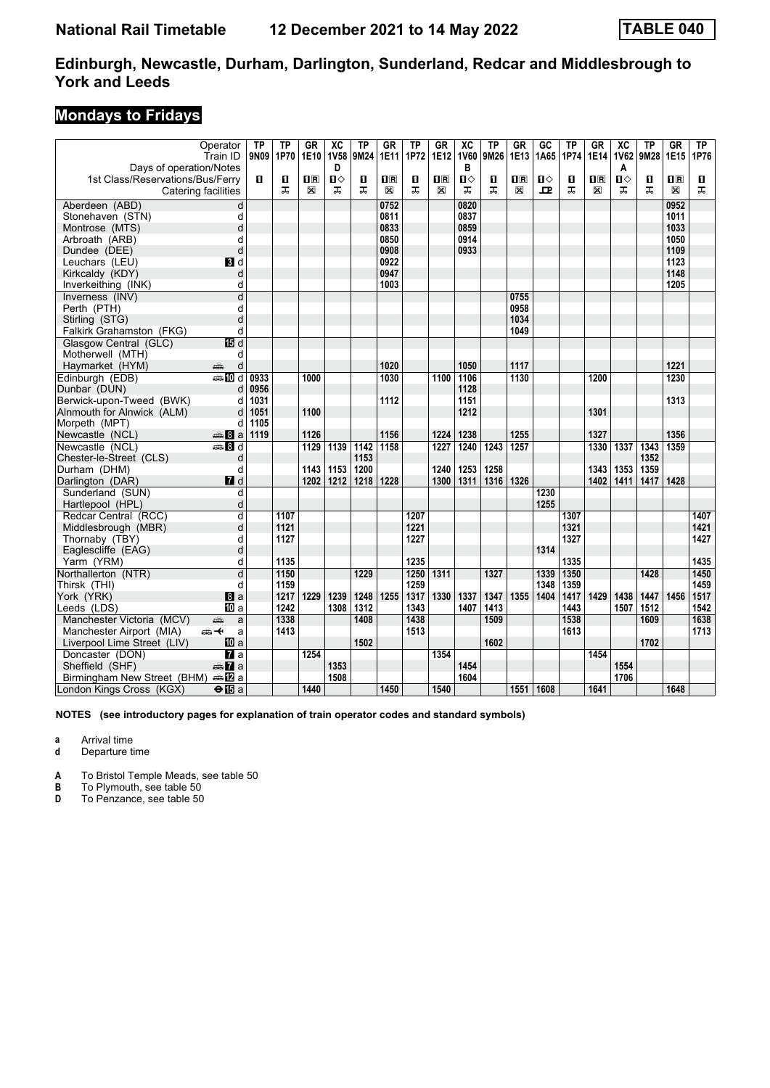### **Mondays to Fridays**

| Days of operation/Notes                      | Operator<br>Train ID      | <b>TP</b><br>9N09 | <b>TP</b><br>1P70 | <b>GR</b><br>1E10 | $\overline{X}C$<br><b>1V58</b><br>D | <b>TP</b><br>9M24 | <b>GR</b><br>1E11 | <b>TP</b><br>1P72 | $G_{R}$<br>1E12         | $\overline{\mathbf{X}}$<br><b>1V60</b><br>в | <b>TP</b><br>9M26 | <b>GR</b><br>1E13       | $\overline{GC}$<br>1A65 | <b>TP</b><br>1P74 | <b>GR</b><br>1E14       | $\overline{\mathbf{X}}$<br><b>1V62</b><br>A | <b>TP</b><br>9M28 | $G$ R<br>1E15             | TP<br>1P76 |
|----------------------------------------------|---------------------------|-------------------|-------------------|-------------------|-------------------------------------|-------------------|-------------------|-------------------|-------------------------|---------------------------------------------|-------------------|-------------------------|-------------------------|-------------------|-------------------------|---------------------------------------------|-------------------|---------------------------|------------|
| 1st Class/Reservations/Bus/Ferry             |                           | П                 | п                 | $\mathbf{H}$ R    | $\mathbf{u}$                        | п                 | $\mathbf{H}$      | O                 | $\overline{\mathbf{R}}$ | $\mathbf{u}$                                | п                 | $\overline{\mathbf{B}}$ | Ⅱ◇                      | п                 | $\overline{\mathbf{H}}$ | $\mathbf{u}$                                | п                 | $\overline{\mathbf{H}}$ R | п          |
|                                              | Catering facilities       |                   | ᠼ                 | ⊠                 | ᠼ                                   | ᠼ                 | X                 | ᠼ                 | $\boxtimes$             | ᠼ                                           | ᠼ                 | X                       | $\mathbf{P}$            | ᠼ                 | $\mathbb{X}$            | ᠼ                                           | ᅚ                 | X                         | ᅚ          |
| Aberdeen (ABD)                               | d                         |                   |                   |                   |                                     |                   | 0752              |                   |                         | 0820                                        |                   |                         |                         |                   |                         |                                             |                   | 0952                      |            |
| Stonehaven (STN)                             | d                         |                   |                   |                   |                                     |                   | 0811              |                   |                         | 0837                                        |                   |                         |                         |                   |                         |                                             |                   | 1011                      |            |
| Montrose (MTS)                               | d                         |                   |                   |                   |                                     |                   | 0833              |                   |                         | 0859                                        |                   |                         |                         |                   |                         |                                             |                   | 1033                      |            |
| Arbroath (ARB)                               | d                         |                   |                   |                   |                                     |                   | 0850              |                   |                         | 0914                                        |                   |                         |                         |                   |                         |                                             |                   | 1050                      |            |
| Dundee (DEE)                                 | d                         |                   |                   |                   |                                     |                   | 0908              |                   |                         | 0933                                        |                   |                         |                         |                   |                         |                                             |                   | 1109                      |            |
| Leuchars (LEU)                               | BI d                      |                   |                   |                   |                                     |                   | 0922              |                   |                         |                                             |                   |                         |                         |                   |                         |                                             |                   | 1123                      |            |
| Kirkcaldy (KDY)                              | d                         |                   |                   |                   |                                     |                   | 0947              |                   |                         |                                             |                   |                         |                         |                   |                         |                                             |                   | 1148                      |            |
| Inverkeithing (INK)                          | d                         |                   |                   |                   |                                     |                   | 1003              |                   |                         |                                             |                   |                         |                         |                   |                         |                                             |                   | 1205                      |            |
| Inverness (INV)                              | $\overline{d}$            |                   |                   |                   |                                     |                   |                   |                   |                         |                                             |                   | 0755                    |                         |                   |                         |                                             |                   |                           |            |
| Perth (PTH)                                  | d                         |                   |                   |                   |                                     |                   |                   |                   |                         |                                             |                   | 0958                    |                         |                   |                         |                                             |                   |                           |            |
| Stirling (STG)                               | d                         |                   |                   |                   |                                     |                   |                   |                   |                         |                                             |                   | 1034                    |                         |                   |                         |                                             |                   |                           |            |
| Falkirk Grahamston (FKG)                     | d                         |                   |                   |                   |                                     |                   |                   |                   |                         |                                             |                   | 1049                    |                         |                   |                         |                                             |                   |                           |            |
| Glasgow Central (GLC)                        | 115 d                     |                   |                   |                   |                                     |                   |                   |                   |                         |                                             |                   |                         |                         |                   |                         |                                             |                   |                           |            |
| Motherwell (MTH)                             | d                         |                   |                   |                   |                                     |                   |                   |                   |                         |                                             |                   |                         |                         |                   |                         |                                             |                   |                           |            |
| Haymarket (HYM)                              | d<br>æ                    |                   |                   |                   |                                     |                   | 1020              |                   |                         | 1050                                        |                   | 1117                    |                         |                   |                         |                                             |                   | 1221                      |            |
| Edinburgh (EDB)                              | $\bigoplus$ $\bigoplus$ d | 0933              |                   | 1000              |                                     |                   | 1030              |                   | $\frac{1100}{ }$        | 1106                                        |                   | 1130                    |                         |                   | 1200                    |                                             |                   | 1230                      |            |
| Dunbar (DUN)                                 | d                         | 0956              |                   |                   |                                     |                   |                   |                   |                         | 1128                                        |                   |                         |                         |                   |                         |                                             |                   |                           |            |
| Berwick-upon-Tweed (BWK)                     | d                         | 1031              |                   |                   |                                     |                   | 1112              |                   |                         | 1151                                        |                   |                         |                         |                   |                         |                                             |                   | 1313                      |            |
| Alnmouth for Alnwick (ALM)                   | d                         | 1051              |                   | 1100              |                                     |                   |                   |                   |                         | 1212                                        |                   |                         |                         |                   | 1301                    |                                             |                   |                           |            |
| Morpeth (MPT)                                | d                         | 1105              |                   |                   |                                     |                   |                   |                   |                         |                                             |                   |                         |                         |                   |                         |                                             |                   |                           |            |
| Newcastle (NCL)                              | $\bigoplus$ 8 a           | 1119              |                   | 1126              |                                     |                   | 1156              |                   | 1224                    | 1238                                        |                   | 1255                    |                         |                   | 1327                    |                                             |                   | 1356                      |            |
| Newcastle (NCL)                              | <b>美日d</b>                |                   |                   | 1129              | 1139                                | 1142              | 1158              |                   | 1227                    | 1240                                        | 1243              | 1257                    |                         |                   | 1330                    | 1337                                        | 1343              | 1359                      |            |
| Chester-le-Street (CLS)                      | d                         |                   |                   |                   |                                     | 1153              |                   |                   |                         |                                             |                   |                         |                         |                   |                         |                                             | 1352              |                           |            |
| Durham (DHM)                                 | d                         |                   |                   | 1143              | 1153                                | 1200              |                   |                   | 1240                    | 1253                                        | 1258              |                         |                         |                   | 1343                    | 1353                                        | 1359              |                           |            |
| Darlington (DAR)                             | $I$ d                     |                   |                   | 1202              | 1212                                | 1218              | 1228              |                   | 1300                    | 1311                                        | 1316              | 1326                    |                         |                   | 1402                    | 1411                                        | 1417              | 1428                      |            |
| Sunderland (SUN)                             | d                         |                   |                   |                   |                                     |                   |                   |                   |                         |                                             |                   |                         | 1230                    |                   |                         |                                             |                   |                           |            |
| Hartlepool (HPL)                             | d                         |                   |                   |                   |                                     |                   |                   |                   |                         |                                             |                   |                         | 1255                    |                   |                         |                                             |                   |                           |            |
| Redcar Central (RCC)                         | d                         |                   | 1107              |                   |                                     |                   |                   | 1207              |                         |                                             |                   |                         |                         | 1307              |                         |                                             |                   |                           | 1407       |
| Middlesbrough (MBR)                          | d                         |                   | 1121              |                   |                                     |                   |                   | 1221              |                         |                                             |                   |                         |                         | 1321              |                         |                                             |                   |                           | 1421       |
| Thornaby (TBY)                               | d                         |                   | 1127              |                   |                                     |                   |                   | 1227              |                         |                                             |                   |                         |                         | 1327              |                         |                                             |                   |                           | 1427       |
| Eaglescliffe (EAG)                           | d                         |                   |                   |                   |                                     |                   |                   |                   |                         |                                             |                   |                         | 1314                    |                   |                         |                                             |                   |                           |            |
| Yarm (YRM)                                   | d                         |                   | 1135              |                   |                                     |                   |                   | 1235              |                         |                                             |                   |                         |                         | 1335              |                         |                                             |                   |                           | 1435       |
| Northallerton (NTR)                          | $\overline{\mathsf{d}}$   |                   | 1150              |                   |                                     | 1229              |                   | 1250              | 1311                    |                                             | 1327              |                         | 1339                    | 1350              |                         |                                             | 1428              |                           | 1450       |
| Thirsk (THI)                                 | d                         |                   | 1159              |                   |                                     |                   |                   | 1259              |                         |                                             |                   |                         | 1348                    | 1359              |                         |                                             |                   |                           | 1459       |
| York (YRK)                                   | 8a                        |                   | 1217              | 1229              | 1239                                | 1248              | 1255              | 1317              | 1330                    | 1337                                        | 1347              | 1355                    | 1404                    | 1417              | 1429                    | 1438                                        | 1447              | 1456                      | 1517       |
| Leeds (LDS)                                  | <b>四</b> a                |                   | 1242              |                   | 1308                                | 1312              |                   | 1343              |                         | 1407                                        | 1413              |                         |                         | 1443              |                         | 1507                                        | 1512              |                           | 1542       |
| Manchester Victoria (MCV)                    | a<br>پېښ                  |                   | 1338              |                   |                                     | 1408              |                   | 1438              |                         |                                             | 1509              |                         |                         | 1538              |                         |                                             | 1609              |                           | 1638       |
| Manchester Airport (MIA)                     | ക≁<br>a                   |                   | 1413              |                   |                                     |                   |                   | 1513              |                         |                                             |                   |                         |                         | 1613              |                         |                                             |                   |                           | 1713       |
| Liverpool Lime Street (LIV)                  | 10 a                      |                   |                   |                   |                                     | 1502              |                   |                   |                         |                                             | 1602              |                         |                         |                   |                         |                                             | 1702              |                           |            |
| Doncaster (DON)                              | $\overline{a}$ a          |                   |                   | 1254              |                                     |                   |                   |                   | 1354                    |                                             |                   |                         |                         |                   | 1454                    |                                             |                   |                           |            |
| Sheffield (SHF)                              | $\oplus \mathbf{Z}$ a     |                   |                   |                   | 1353                                |                   |                   |                   |                         | 1454                                        |                   |                         |                         |                   |                         | 1554                                        |                   |                           |            |
| Birmingham New Street (BHM) $\triangleq 2$ a |                           |                   |                   |                   | 1508                                |                   |                   |                   |                         | 1604                                        |                   |                         |                         |                   |                         | 1706                                        |                   |                           |            |
| London Kings Cross (KGX)                     | $\Theta$ <b>i</b> s a     |                   |                   | 1440              |                                     |                   | 1450              |                   | 1540                    |                                             |                   | 1551                    | 1608                    |                   | 1641                    |                                             |                   | 1648                      |            |

**NOTES (see introductory pages for explanation of train operator codes and standard symbols)**

**a** Arrival time

**d** Departure time

**A** To Bristol Temple Meads, see table 50

**B** To Plymouth, see table 50<br>**D** To Penzance, see table 50

To Penzance, see table 50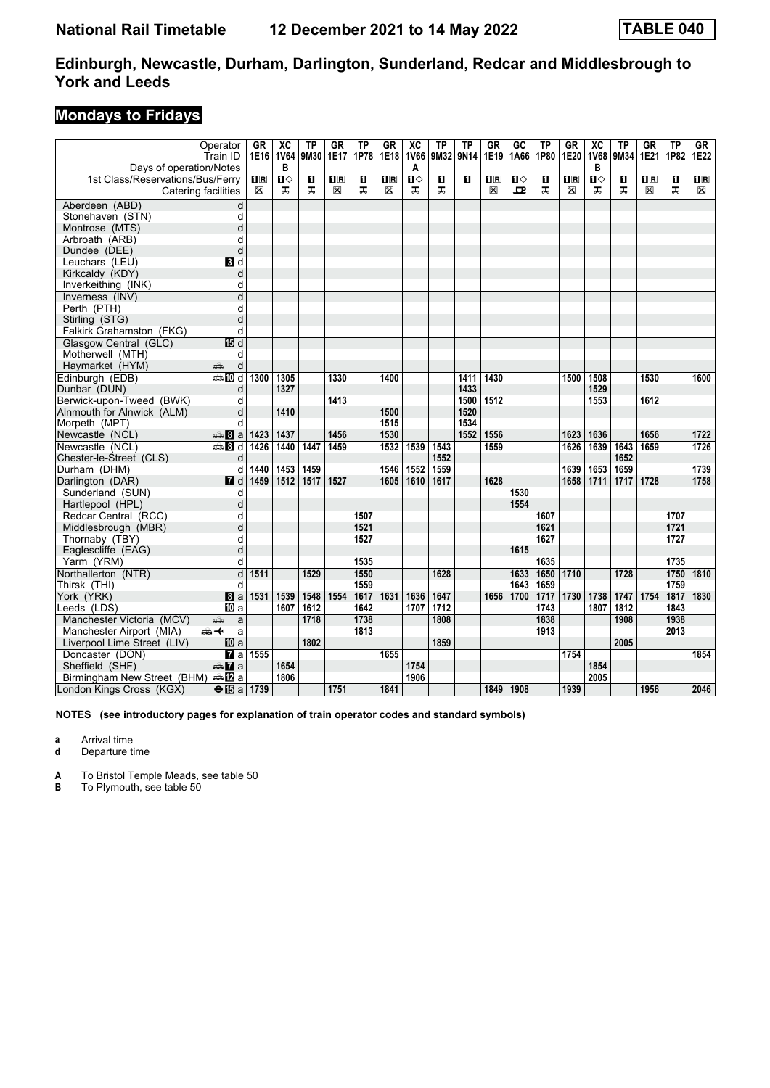### **Mondays to Fridays**

|                                                             | Operator<br>Train ID         | GR             | $\overline{AC}$<br>1E16 1V64<br>в | ТP<br>9M30 | GR<br>1E17                                      | ΤP<br>1P78 | GR<br>1E18 | XC<br>1V66<br>A | <b>TP</b><br>9M32 | <b>TP</b><br>9N14 | <b>GR</b><br>1E19 | GC<br>1A66 | TP<br>1P80 | <b>GR</b><br>1E20       | $\overline{X}C$<br><b>1V68</b><br>в | <b>TP</b><br>9M34 | GR<br>1E21 | <b>TP</b><br>1P82 | GR<br>1E22              |
|-------------------------------------------------------------|------------------------------|----------------|-----------------------------------|------------|-------------------------------------------------|------------|------------|-----------------|-------------------|-------------------|-------------------|------------|------------|-------------------------|-------------------------------------|-------------------|------------|-------------------|-------------------------|
| Days of operation/Notes<br>1st Class/Reservations/Bus/Ferry |                              | $\mathbf{H}$ R | $\blacksquare$                    | п          | $\overline{\mathbf{H}}$ $\overline{\mathbf{R}}$ | О          | 0 B        | Ⅱ◇              | О                 | п                 | 1R                | ்ப         | О          | $\overline{\mathbf{H}}$ | П⇔                                  | П                 | $n_{R}$    | п                 | $\overline{\mathbf{B}}$ |
|                                                             | Catering facilities          | X              | ᅚ                                 | ㅈ          | X                                               | ᠼ          | X          | ᠼ               | ᇁ                 |                   | X                 | ᇁ          | ᠼ          | X                       | ᠼ                                   | ᅚ                 | X          | ᠼ                 | X                       |
|                                                             |                              |                |                                   |            |                                                 |            |            |                 |                   |                   |                   |            |            |                         |                                     |                   |            |                   |                         |
| Aberdeen (ABD)                                              | d                            |                |                                   |            |                                                 |            |            |                 |                   |                   |                   |            |            |                         |                                     |                   |            |                   |                         |
| Stonehaven (STN)                                            | d<br>d                       |                |                                   |            |                                                 |            |            |                 |                   |                   |                   |            |            |                         |                                     |                   |            |                   |                         |
| Montrose (MTS)                                              |                              |                |                                   |            |                                                 |            |            |                 |                   |                   |                   |            |            |                         |                                     |                   |            |                   |                         |
| Arbroath (ARB)                                              | d<br>d                       |                |                                   |            |                                                 |            |            |                 |                   |                   |                   |            |            |                         |                                     |                   |            |                   |                         |
| Dundee (DEE)                                                | BI d                         |                |                                   |            |                                                 |            |            |                 |                   |                   |                   |            |            |                         |                                     |                   |            |                   |                         |
| Leuchars (LEU)<br>Kirkcaldy (KDY)                           | d                            |                |                                   |            |                                                 |            |            |                 |                   |                   |                   |            |            |                         |                                     |                   |            |                   |                         |
|                                                             |                              |                |                                   |            |                                                 |            |            |                 |                   |                   |                   |            |            |                         |                                     |                   |            |                   |                         |
| Inverkeithing (INK)<br>Inverness (INV)                      | d<br>$\overline{\mathsf{d}}$ |                |                                   |            |                                                 |            |            |                 |                   |                   |                   |            |            |                         |                                     |                   |            |                   |                         |
| Perth (PTH)                                                 |                              |                |                                   |            |                                                 |            |            |                 |                   |                   |                   |            |            |                         |                                     |                   |            |                   |                         |
|                                                             | d                            |                |                                   |            |                                                 |            |            |                 |                   |                   |                   |            |            |                         |                                     |                   |            |                   |                         |
| Stirling (STG)                                              | d<br>d                       |                |                                   |            |                                                 |            |            |                 |                   |                   |                   |            |            |                         |                                     |                   |            |                   |                         |
| Falkirk Grahamston (FKG)                                    |                              |                |                                   |            |                                                 |            |            |                 |                   |                   |                   |            |            |                         |                                     |                   |            |                   |                         |
| Glasgow Central (GLC)<br>Motherwell (MTH)                   | 個 d                          |                |                                   |            |                                                 |            |            |                 |                   |                   |                   |            |            |                         |                                     |                   |            |                   |                         |
| Haymarket (HYM)                                             | d<br>پېښتنه<br>d             |                |                                   |            |                                                 |            |            |                 |                   |                   |                   |            |            |                         |                                     |                   |            |                   |                         |
| Edinburgh (EDB)                                             | <b>●IIId</b>                 | 1300           | 1305                              |            | 1330                                            |            | 1400       |                 |                   | 1411              | 1430              |            |            | 1500                    | 1508                                |                   | 1530       |                   | 1600                    |
|                                                             |                              |                | 1327                              |            |                                                 |            |            |                 |                   | 1433              |                   |            |            |                         | 1529                                |                   |            |                   |                         |
| Dunbar (DUN)                                                | d                            |                |                                   |            |                                                 |            |            |                 |                   |                   |                   |            |            |                         |                                     |                   | 1612       |                   |                         |
| Berwick-upon-Tweed (BWK)                                    | d                            |                |                                   |            | 1413                                            |            | 1500       |                 |                   | 1500<br>1520      | 1512              |            |            |                         | 1553                                |                   |            |                   |                         |
| Alnmouth for Alnwick (ALM)                                  | d                            |                | 1410                              |            |                                                 |            | 1515       |                 |                   | 1534              |                   |            |            |                         |                                     |                   |            |                   |                         |
| Morpeth (MPT)<br>Newcastle (NCL)                            | d                            |                | 1437                              |            | 1456                                            |            | 1530       |                 |                   | 1552              | 1556              |            |            | 1623                    | 1636                                |                   | 1656       |                   | 1722                    |
| Newcastle (NCL)                                             | <del>⊯</del> 8 a             | 1423<br>1426   | 1440                              | 1447       | 1459                                            |            |            | 1539            | 1543              |                   | 1559              |            |            | 1626                    | 1639                                | 1643              | 1659       |                   | 1726                    |
|                                                             | <b>▲Bd</b>                   |                |                                   |            |                                                 |            | 1532       |                 | 1552              |                   |                   |            |            |                         |                                     | 1652              |            |                   |                         |
| Chester-le-Street (CLS)<br>Durham (DHM)                     | d                            | 1440           | 1453                              | 1459       |                                                 |            | 1546       |                 | 1559              |                   |                   |            |            | 1639                    | 1653                                | 1659              |            |                   | 1739                    |
|                                                             | d<br>$\blacksquare$          | 1459           | 1512                              | 1517       | 1527                                            |            | 1605       | 1552            | 1617              |                   | 1628              |            |            | 1658                    | 1711                                | 1717              | 1728       |                   | 1758                    |
| Darlington (DAR)                                            |                              |                |                                   |            |                                                 |            |            | 1610            |                   |                   |                   | 1530       |            |                         |                                     |                   |            |                   |                         |
| Sunderland (SUN)                                            | d                            |                |                                   |            |                                                 |            |            |                 |                   |                   |                   |            |            |                         |                                     |                   |            |                   |                         |
| Hartlepool (HPL)                                            | d                            |                |                                   |            |                                                 |            |            |                 |                   |                   |                   | 1554       |            |                         |                                     |                   |            |                   |                         |
| Redcar Central (RCC)                                        | d                            |                |                                   |            |                                                 | 1507       |            |                 |                   |                   |                   |            | 1607       |                         |                                     |                   |            | 1707              |                         |
| Middlesbrough (MBR)                                         | d                            |                |                                   |            |                                                 | 1521       |            |                 |                   |                   |                   |            | 1621       |                         |                                     |                   |            | 1721              |                         |
| Thornaby (TBY)                                              | d<br>d                       |                |                                   |            |                                                 | 1527       |            |                 |                   |                   |                   |            | 1627       |                         |                                     |                   |            | 1727              |                         |
| Eaglescliffe (EAG)                                          | d                            |                |                                   |            |                                                 | 1535       |            |                 |                   |                   |                   | 1615       | 1635       |                         |                                     |                   |            | 1735              |                         |
| Yarm (YRM)                                                  | d                            | 1511           |                                   | 1529       |                                                 | 1550       |            |                 | 1628              |                   |                   | 1633       | 1650       | 1710                    |                                     | 1728              |            | 1750              | 1810                    |
| Northallerton (NTR)                                         |                              |                |                                   |            |                                                 | 1559       |            |                 |                   |                   |                   | 1643       | 1659       |                         |                                     |                   |            | 1759              |                         |
| Thirsk (THI)                                                | d                            | 1531           | 1539                              | 1548       | 1554                                            | 1617       | 1631       | 1636            | 1647              |                   | 1656              | 1700       | 1717       | 1730                    | 1738                                |                   | 1754       | 1817              | 1830                    |
| York (YRK)                                                  | l8la<br><b>四</b> a           |                | 1607                              | 1612       |                                                 | 1642       |            | 1707            | 1712              |                   |                   |            | 1743       |                         | 1807                                | 1747<br>1812      |            | 1843              |                         |
| Leeds (LDS)<br>Manchester Victoria (MCV)                    |                              |                |                                   | 1718       |                                                 | 1738       |            |                 | 1808              |                   |                   |            | 1838       |                         |                                     | 1908              |            | 1938              |                         |
|                                                             | a<br>پېښ                     |                |                                   |            |                                                 |            |            |                 |                   |                   |                   |            |            |                         |                                     |                   |            | 2013              |                         |
| Manchester Airport (MIA)                                    | ക≁<br>a                      |                |                                   | 1802       |                                                 | 1813       |            |                 | 1859              |                   |                   |            | 1913       |                         |                                     | 2005              |            |                   |                         |
| Liverpool Lime Street (LIV)<br>Doncaster (DON)              | 100 a<br>$\overline{a}$ a    | 1555           |                                   |            |                                                 |            | 1655       |                 |                   |                   |                   |            |            | 1754                    |                                     |                   |            |                   | 1854                    |
| Sheffield (SHF)                                             | <del>⊯</del> 7aa             |                | 1654                              |            |                                                 |            |            | 1754            |                   |                   |                   |            |            |                         | 1854                                |                   |            |                   |                         |
| Birmingham New Street (BHM)                                 | ⊯mDa                         |                | 1806                              |            |                                                 |            |            | 1906            |                   |                   |                   |            |            |                         | 2005                                |                   |            |                   |                         |
|                                                             |                              |                |                                   |            |                                                 |            |            |                 |                   |                   |                   |            |            |                         |                                     |                   |            |                   |                         |
| London Kings Cross (KGX)                                    | $\Theta$ is a   1739         |                |                                   |            | 1751                                            |            | 1841       |                 |                   |                   | 1849              | 1908       |            | 1939                    |                                     |                   | 1956       |                   | 2046                    |

**NOTES (see introductory pages for explanation of train operator codes and standard symbols)**

**a** Arrival time

**d** Departure time

**A** To Bristol Temple Meads, see table 50

**B** To Plymouth, see table 50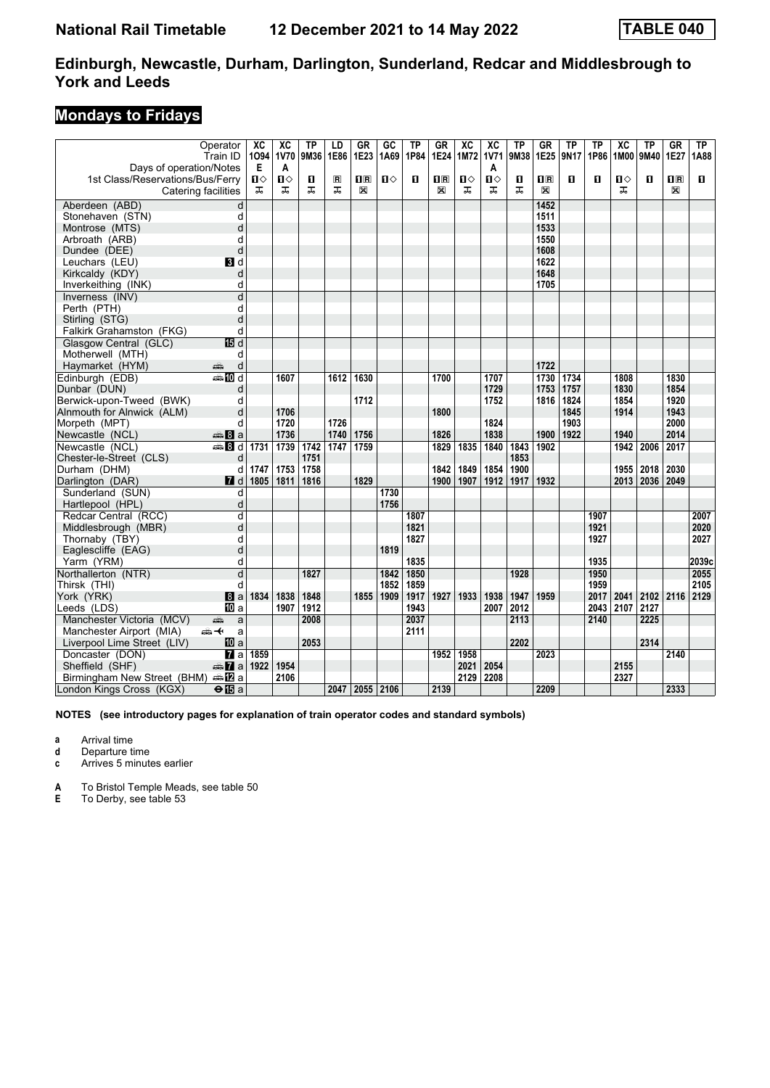### **Mondays to Fridays**

|                                            | Operator<br>Train ID            | XC<br>1094 | $\overline{AC}$<br>1V70 | TP<br>9M36 | LD<br>1E86     | GR<br>1E23     | GC<br>1A69   | ΤP<br>1P84   | GR<br>1E24     | $\overline{AC}$<br>1M72 | $\overline{AC}$<br><b>1V71</b> | TP<br>9M38 | GR<br>1E25              | ΤP<br>9N17 | ΤP<br>1P86   | $\overline{\text{xc}}$<br>1M00 | <b>TP</b><br>9M40 | <b>GR</b><br>1E27       | ΤP<br>1A88    |
|--------------------------------------------|---------------------------------|------------|-------------------------|------------|----------------|----------------|--------------|--------------|----------------|-------------------------|--------------------------------|------------|-------------------------|------------|--------------|--------------------------------|-------------------|-------------------------|---------------|
| Days of operation/Notes                    |                                 | Е          | A                       |            |                |                |              |              |                |                         | A                              |            |                         |            |              |                                |                   |                         |               |
| 1st Class/Reservations/Bus/Ferry           |                                 | Ⅱ◇         | Ⅱ♦                      | п          | $\blacksquare$ | 1 <sup>R</sup> | Ⅱ◇           | п            | $\mathbf{u}$ R | п⇔                      | $\mathbf{u}$                   | O          | $\overline{\mathbf{B}}$ | п          | п            | ்ப                             | п                 | $\overline{\mathbf{H}}$ | п             |
|                                            | Catering facilities             | ᅚ          | 굾                       | ㅈ          | ᠼ              | X              |              |              | X              | ㅈ                       | ㅈ                              | ᇁ          | X                       |            |              | ᅚ                              |                   | X                       |               |
| Aberdeen (ABD)                             | d                               |            |                         |            |                |                |              |              |                |                         |                                |            | 1452                    |            |              |                                |                   |                         |               |
| Stonehaven (STN)                           | d                               |            |                         |            |                |                |              |              |                |                         |                                |            | 1511                    |            |              |                                |                   |                         |               |
| Montrose (MTS)                             | d                               |            |                         |            |                |                |              |              |                |                         |                                |            | 1533                    |            |              |                                |                   |                         |               |
| Arbroath (ARB)                             | d                               |            |                         |            |                |                |              |              |                |                         |                                |            | 1550                    |            |              |                                |                   |                         |               |
| Dundee (DEE)                               | d                               |            |                         |            |                |                |              |              |                |                         |                                |            | 1608                    |            |              |                                |                   |                         |               |
| Leuchars (LEU)                             | BI d                            |            |                         |            |                |                |              |              |                |                         |                                |            | 1622                    |            |              |                                |                   |                         |               |
| Kirkcaldy (KDY)                            | d                               |            |                         |            |                |                |              |              |                |                         |                                |            | 1648                    |            |              |                                |                   |                         |               |
| Inverkeithing (INK)                        | d                               |            |                         |            |                |                |              |              |                |                         |                                |            | 1705                    |            |              |                                |                   |                         |               |
| Inverness (INV)                            | d                               |            |                         |            |                |                |              |              |                |                         |                                |            |                         |            |              |                                |                   |                         |               |
| Perth (PTH)                                | d                               |            |                         |            |                |                |              |              |                |                         |                                |            |                         |            |              |                                |                   |                         |               |
| Stirling (STG)                             | d                               |            |                         |            |                |                |              |              |                |                         |                                |            |                         |            |              |                                |                   |                         |               |
| Falkirk Grahamston (FKG)                   | d                               |            |                         |            |                |                |              |              |                |                         |                                |            |                         |            |              |                                |                   |                         |               |
| Glasgow Central (GLC)                      | 15日 d                           |            |                         |            |                |                |              |              |                |                         |                                |            |                         |            |              |                                |                   |                         |               |
| Motherwell (MTH)                           | d                               |            |                         |            |                |                |              |              |                |                         |                                |            |                         |            |              |                                |                   |                         |               |
| Haymarket (HYM)                            | پېښ<br>d                        |            |                         |            |                |                |              |              |                |                         |                                |            | 1722                    |            |              |                                |                   |                         |               |
| Edinburgh (EDB)                            | <b>●IIId</b>                    |            | 1607                    |            | 1612           | 1630           |              |              | 1700           |                         | 1707                           |            | 1730                    | 1734       |              | 1808                           |                   | 1830                    |               |
| Dunbar (DUN)                               | d                               |            |                         |            |                |                |              |              |                |                         | 1729                           |            | 1753                    | 1757       |              | 1830                           |                   | 1854                    |               |
| Berwick-upon-Tweed (BWK)                   | d                               |            |                         |            |                | 1712           |              |              |                |                         | 1752                           |            | 1816                    | 1824       |              | 1854                           |                   | 1920                    |               |
| Alnmouth for Alnwick (ALM)                 | d                               |            | 1706                    |            |                |                |              |              | 1800           |                         |                                |            |                         | 1845       |              | 1914                           |                   | 1943                    |               |
| Morpeth (MPT)                              | d                               |            | 1720                    |            | 1726           |                |              |              |                |                         | 1824                           |            |                         | 1903       |              |                                |                   | 2000                    |               |
| Newcastle (NCL)                            | <del>⊯</del> 8a                 |            | 1736                    |            | 1740           | 1756           |              |              | 1826           |                         | 1838                           |            | 1900                    | 1922       |              | 1940                           |                   | 2014                    |               |
| Newcastle (NCL)                            | <b>●Bd</b>                      | 1731       | 1739                    | 1742       | 1747           | 1759           |              |              | 1829           | 1835                    | 1840                           | 1843       | 1902                    |            |              | 1942                           | 2006              | 2017                    |               |
| Chester-le-Street (CLS)                    | d                               |            |                         | 1751       |                |                |              |              |                |                         |                                | 1853       |                         |            |              |                                |                   |                         |               |
| Durham (DHM)                               | d                               | 1747       | 1753                    | 1758       |                |                |              |              | 1842           | 1849                    | 1854                           | 1900       |                         |            |              | 1955                           | 2018              | 2030                    |               |
| Darlington (DAR)                           | $I$ d                           | 1805       | 1811                    | 1816       |                | 1829           |              |              | 1900           | 1907                    | 1912                           | 1917       | 1932                    |            |              | 2013                           | 2036              | 2049                    |               |
| Sunderland (SUN)                           | d                               |            |                         |            |                |                | 1730         |              |                |                         |                                |            |                         |            |              |                                |                   |                         |               |
| Hartlepool (HPL)                           | d                               |            |                         |            |                |                | 1756         |              |                |                         |                                |            |                         |            |              |                                |                   |                         |               |
| Redcar Central (RCC)                       | $\overline{\mathsf{d}}$         |            |                         |            |                |                |              | 1807         |                |                         |                                |            |                         |            | 1907         |                                |                   |                         | 2007          |
| Middlesbrough (MBR)                        | d                               |            |                         |            |                |                |              | 1821         |                |                         |                                |            |                         |            | 1921         |                                |                   |                         | 2020          |
| Thornaby (TBY)                             | d                               |            |                         |            |                |                |              | 1827         |                |                         |                                |            |                         |            | 1927         |                                |                   |                         | 2027          |
| Eaglescliffe (EAG)                         | d<br>d                          |            |                         |            |                |                | 1819         | 1835         |                |                         |                                |            |                         |            | 1935         |                                |                   |                         |               |
| Yarm (YRM)                                 | $\overline{\mathsf{d}}$         |            |                         | 1827       |                |                |              |              |                |                         |                                |            |                         |            |              |                                |                   |                         | 2039c<br>2055 |
| Northallerton (NTR)                        |                                 |            |                         |            |                |                | 1842         | 1850         |                |                         |                                | 1928       |                         |            | 1950<br>1959 |                                |                   |                         | 2105          |
| Thirsk (THI)                               | d                               | 1834       | 1838                    | 1848       |                | 1855           | 1852<br>1909 | 1859<br>1917 | 1927           | 1933                    | 1938                           | 1947       | 1959                    |            | 2017         | 2041                           | 2102              | 2116                    | 2129          |
| York (YRK)                                 | 8 a                             |            | 1907                    | 1912       |                |                |              | 1943         |                |                         | 2007                           | 2012       |                         |            | 2043         | 2107                           | 2127              |                         |               |
| Leeds (LDS)<br>Manchester Victoria (MCV)   | IIII a                          |            |                         | 2008       |                |                |              | 2037         |                |                         |                                | 2113       |                         |            | 2140         |                                | 2225              |                         |               |
| Manchester Airport (MIA)                   | a<br>پېښ<br><del>∰ ≮</del><br>a |            |                         |            |                |                |              | 2111         |                |                         |                                |            |                         |            |              |                                |                   |                         |               |
| Liverpool Lime Street (LIV)                | 10 a                            |            |                         | 2053       |                |                |              |              |                |                         |                                | 2202       |                         |            |              |                                | 2314              |                         |               |
| Doncaster (DON)                            | $\overline{a}$ a                | 1859       |                         |            |                |                |              |              | 1952           | 1958                    |                                |            | 2023                    |            |              |                                |                   | 2140                    |               |
| Sheffield (SHF)                            | $\triangle \mathbf{Z}$ a        | 1922       | 1954                    |            |                |                |              |              |                | 2021                    | 2054                           |            |                         |            |              | 2155                           |                   |                         |               |
| Birmingham New Street (BHM) and <b>E</b> a |                                 |            | 2106                    |            |                |                |              |              |                | 2129                    | 2208                           |            |                         |            |              | 2327                           |                   |                         |               |
| London Kings Cross (KGX)                   | $\Theta$ $E$ a                  |            |                         |            | 2047           | 2055 2106      |              |              | 2139           |                         |                                |            | 2209                    |            |              |                                |                   | 2333                    |               |
|                                            |                                 |            |                         |            |                |                |              |              |                |                         |                                |            |                         |            |              |                                |                   |                         |               |

**NOTES (see introductory pages for explanation of train operator codes and standard symbols)**

**a** Arrival time

**d** Departure time

**c** Arrives 5 minutes earlier

**A** To Bristol Temple Meads, see table 50

**E** To Derby, see table 53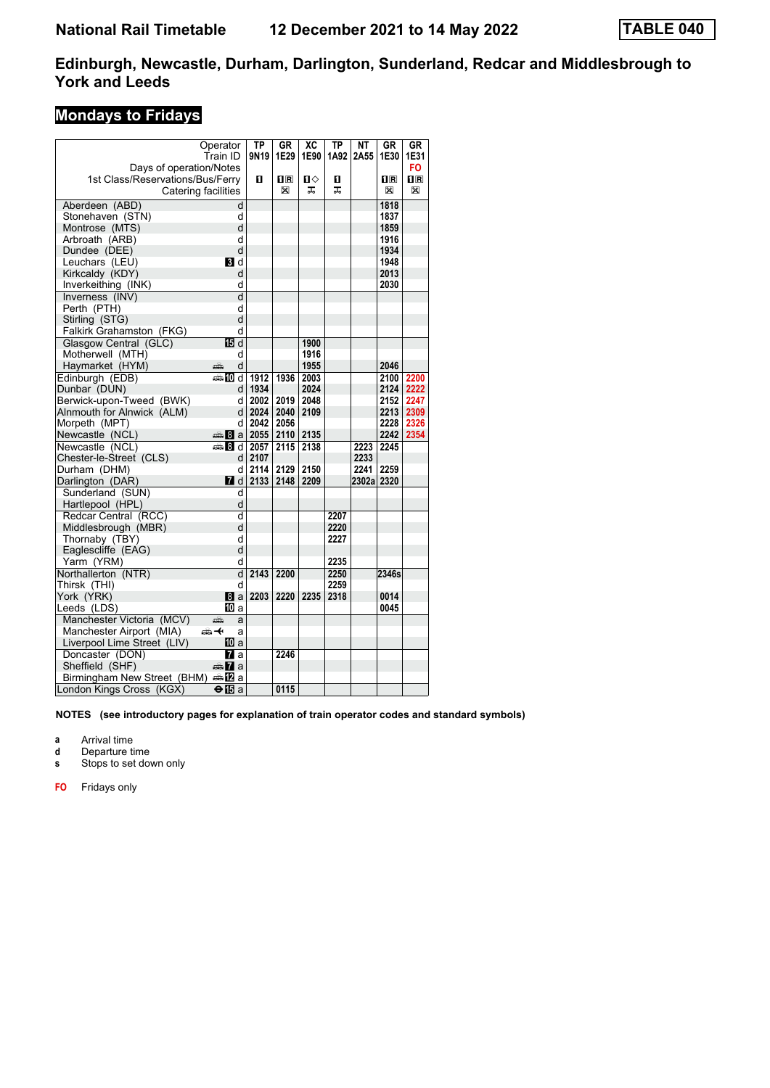### **Mondays to Fridays**

|                                                             | Operator                  | ТP               | GR                                              | XC   | ТP   | <b>NT</b> | GR                      | GR                                              |
|-------------------------------------------------------------|---------------------------|------------------|-------------------------------------------------|------|------|-----------|-------------------------|-------------------------------------------------|
|                                                             | Train ID                  | 9N <sub>19</sub> | 1E29                                            | 1E90 | 1A92 | 2A55      | 1E30                    | 1E31<br>F <sub>O</sub>                          |
| Days of operation/Notes<br>1st Class/Reservations/Bus/Ferry |                           | п                | $\overline{\mathbf{H}}$ $\overline{\mathbf{R}}$ | п⇔   | п    |           | $\overline{\mathbf{R}}$ | $\overline{\mathbf{H}}$ $\overline{\mathbf{R}}$ |
|                                                             | Catering facilities       |                  | X                                               | ᠼ    | ᅚ    |           | X                       | X                                               |
|                                                             |                           |                  |                                                 |      |      |           |                         |                                                 |
| Aberdeen (ABD)                                              | d                         |                  |                                                 |      |      |           | 1818                    |                                                 |
| Stonehaven (STN)                                            | d                         |                  |                                                 |      |      |           | 1837                    |                                                 |
| Montrose (MTS)                                              | d                         |                  |                                                 |      |      |           | 1859                    |                                                 |
| Arbroath (ARB)                                              | d<br>d                    |                  |                                                 |      |      |           | 1916<br>1934            |                                                 |
| Dundee (DEE)                                                | BI d                      |                  |                                                 |      |      |           | 1948                    |                                                 |
| Leuchars (LEU)                                              | d                         |                  |                                                 |      |      |           | 2013                    |                                                 |
| Kirkcaldy (KDY)                                             | d                         |                  |                                                 |      |      |           | 2030                    |                                                 |
| Inverkeithing (INK)                                         | d                         |                  |                                                 |      |      |           |                         |                                                 |
| Inverness (INV)<br>Perth (PTH)                              | d                         |                  |                                                 |      |      |           |                         |                                                 |
| Stirling (STG)                                              | d                         |                  |                                                 |      |      |           |                         |                                                 |
|                                                             | d                         |                  |                                                 |      |      |           |                         |                                                 |
| Falkirk Grahamston (FKG)                                    | $\overline{\mathbb{B}^d}$ |                  |                                                 | 1900 |      |           |                         |                                                 |
| Glasgow Central (GLC)<br>Motherwell (MTH)                   | d                         |                  |                                                 | 1916 |      |           |                         |                                                 |
|                                                             | d                         |                  |                                                 | 1955 |      |           | 2046                    |                                                 |
| Haymarket (HYM)                                             | ۵Ë                        |                  |                                                 |      |      |           |                         |                                                 |
| Edinburgh (EDB)                                             | ब्क∎0d                    | 1912             | 1936                                            | 2003 |      |           | 2100                    | 2200                                            |
| Dunbar (DUN)                                                | d                         | 1934             |                                                 | 2024 |      |           | 2124                    | 2222                                            |
| Berwick-upon-Tweed (BWK)                                    | d                         | 2002             | 2019                                            | 2048 |      |           | 2152                    | 2247                                            |
| Alnmouth for Alnwick (ALM)                                  | d                         | 2024             | 2040                                            | 2109 |      |           | 2213                    | 2309                                            |
| Morpeth (MPT)                                               | d                         | 2042             | 2056                                            |      |      |           | 2228                    | 2326                                            |
| Newcastle (NCL)                                             | <b>as 8</b> a 2055        |                  | 2110                                            | 2135 |      |           | 2242                    | 2354                                            |
| Newcastle (NCL)                                             | ্ৰ≞ 8l d                  | 2057             | 2115                                            | 2138 |      | 2223      | 2245                    |                                                 |
| Chester-le-Street (CLS)                                     | d l                       | 2107             |                                                 |      |      | 2233      |                         |                                                 |
| Durham (DHM)                                                | d                         | 2114             | 2129                                            | 2150 |      | 2241      | 2259                    |                                                 |
| Darlington (DAR)                                            | <b>7</b> d                | 2133             | 2148                                            | 2209 |      | 2302al    | 2320                    |                                                 |
| Sunderland (SUN)                                            | d                         |                  |                                                 |      |      |           |                         |                                                 |
| Hartlepool (HPL)                                            | d                         |                  |                                                 |      |      |           |                         |                                                 |
| Redcar Central (RCC)                                        | d                         |                  |                                                 |      | 2207 |           |                         |                                                 |
| Middlesbrough (MBR)                                         | d                         |                  |                                                 |      | 2220 |           |                         |                                                 |
| Thornaby (TBY)                                              | d                         |                  |                                                 |      | 2227 |           |                         |                                                 |
| Eaglescliffe (EAG)                                          | d                         |                  |                                                 |      |      |           |                         |                                                 |
| Yarm (YRM)                                                  | d                         |                  |                                                 |      | 2235 |           |                         |                                                 |
| Northallerton (NTR)                                         | $\overline{\mathsf{d}}$   | 2143             | 2200                                            |      | 2250 |           | 2346s                   |                                                 |
| Thirsk (THI)                                                | d                         |                  |                                                 |      | 2259 |           |                         |                                                 |
| York (YRK)                                                  | 8a                        | 2203             | 2220                                            | 2235 | 2318 |           | 0014                    |                                                 |
| Leeds (LDS)                                                 | IIII a                    |                  |                                                 |      |      |           | 0045                    |                                                 |
| Manchester Victoria (MCV)                                   | æ<br>a                    |                  |                                                 |      |      |           |                         |                                                 |
| Manchester Airport (MIA)                                    | 安<br>a                    |                  |                                                 |      |      |           |                         |                                                 |
| Liverpool Lime Street (LIV)                                 | 10 a                      |                  |                                                 |      |      |           |                         |                                                 |
| Doncaster (DON)                                             | <b>7</b> a                |                  | 2246                                            |      |      |           |                         |                                                 |
| Sheffield (SHF)                                             | dan <mark>7</mark> a      |                  |                                                 |      |      |           |                         |                                                 |
| Birmingham New Street (BHM)                                 | ana <mark>na</mark> na    |                  |                                                 |      |      |           |                         |                                                 |
| London Kings Cross (KGX)                                    | $\bigoplus$ a             |                  | 0115                                            |      |      |           |                         |                                                 |

**NOTES (see introductory pages for explanation of train operator codes and standard symbols)**

**a** Arrival time

**d** Departure time

**s** Stops to set down only

**FO** Fridays only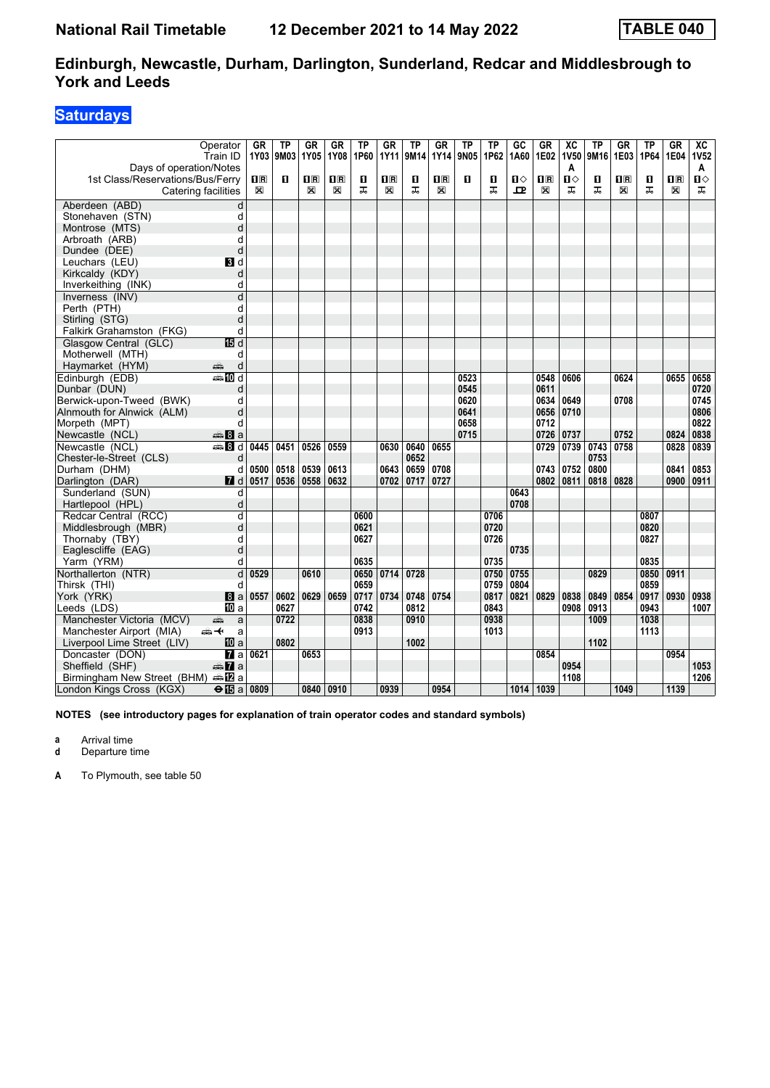### **Saturdays**

|                                  | Operator<br>Train ID      | GR                                              | ΤP<br>1Y03 9M03 | GR<br>1Y05              | GR<br>1Y08              | ΤP<br>1P60 | <b>GR</b><br>1Y11       | TP<br>9M14 | GR<br>1Y14                                      | TP<br>9N05 | TP<br>1P62 | GC<br>1A60 | GR<br>1E02              | $\overline{X}C$<br>1V50 | ТP<br>9M16 | GR<br>1E03              | TP<br>1P64 | GR<br>1E04              | $\overline{AC}$<br><b>1V52</b> |
|----------------------------------|---------------------------|-------------------------------------------------|-----------------|-------------------------|-------------------------|------------|-------------------------|------------|-------------------------------------------------|------------|------------|------------|-------------------------|-------------------------|------------|-------------------------|------------|-------------------------|--------------------------------|
| Days of operation/Notes          |                           |                                                 |                 |                         |                         |            |                         |            |                                                 |            |            |            |                         | A                       |            |                         |            |                         | A                              |
| 1st Class/Reservations/Bus/Ferry |                           | $\overline{\mathbf{H}}$ $\overline{\mathbf{R}}$ | п               | $\overline{\mathbf{R}}$ | $\overline{\mathbf{H}}$ | O          | $\overline{\mathbf{R}}$ | O          | $\overline{\mathbf{H}}$ $\overline{\mathbf{R}}$ | п          | O          | П⇔         | $\overline{\mathbf{R}}$ | $\mathbf{u}$            | O          | $\overline{\mathbf{H}}$ | п          | $\overline{\mathbf{H}}$ | Ⅱ♦                             |
|                                  | Catering facilities       | X                                               |                 | X                       | X                       | ᠼ          | ⊠                       | ᠼ          | X                                               |            | ᠼ          | ᇁ          | X                       | ᠼ                       | ᠼ          | X                       | ᅚ          | X                       | ᅚ                              |
| Aberdeen (ABD)                   | d                         |                                                 |                 |                         |                         |            |                         |            |                                                 |            |            |            |                         |                         |            |                         |            |                         |                                |
| Stonehaven (STN)                 | d                         |                                                 |                 |                         |                         |            |                         |            |                                                 |            |            |            |                         |                         |            |                         |            |                         |                                |
| Montrose (MTS)                   | d                         |                                                 |                 |                         |                         |            |                         |            |                                                 |            |            |            |                         |                         |            |                         |            |                         |                                |
| Arbroath (ARB)                   | d                         |                                                 |                 |                         |                         |            |                         |            |                                                 |            |            |            |                         |                         |            |                         |            |                         |                                |
| Dundee (DEE)                     | d                         |                                                 |                 |                         |                         |            |                         |            |                                                 |            |            |            |                         |                         |            |                         |            |                         |                                |
| Leuchars (LEU)                   | BI d                      |                                                 |                 |                         |                         |            |                         |            |                                                 |            |            |            |                         |                         |            |                         |            |                         |                                |
| Kirkcaldy (KDY)                  | d                         |                                                 |                 |                         |                         |            |                         |            |                                                 |            |            |            |                         |                         |            |                         |            |                         |                                |
| Inverkeithing (INK)              | d                         |                                                 |                 |                         |                         |            |                         |            |                                                 |            |            |            |                         |                         |            |                         |            |                         |                                |
| Inverness (INV)                  | d                         |                                                 |                 |                         |                         |            |                         |            |                                                 |            |            |            |                         |                         |            |                         |            |                         |                                |
| Perth (PTH)                      | d                         |                                                 |                 |                         |                         |            |                         |            |                                                 |            |            |            |                         |                         |            |                         |            |                         |                                |
| Stirling (STG)                   | d                         |                                                 |                 |                         |                         |            |                         |            |                                                 |            |            |            |                         |                         |            |                         |            |                         |                                |
| Falkirk Grahamston (FKG)         | d                         |                                                 |                 |                         |                         |            |                         |            |                                                 |            |            |            |                         |                         |            |                         |            |                         |                                |
| Glasgow Central (GLC)            | 15 d                      |                                                 |                 |                         |                         |            |                         |            |                                                 |            |            |            |                         |                         |            |                         |            |                         |                                |
| Motherwell (MTH)                 | d                         |                                                 |                 |                         |                         |            |                         |            |                                                 |            |            |            |                         |                         |            |                         |            |                         |                                |
| Haymarket (HYM)                  | d<br>پېښتنه               |                                                 |                 |                         |                         |            |                         |            |                                                 |            |            |            |                         |                         |            |                         |            |                         |                                |
| Edinburgh (EDB)                  | <b>⊯Md</b>                |                                                 |                 |                         |                         |            |                         |            |                                                 | 0523       |            |            | 0548                    | 0606                    |            | 0624                    |            | 0655                    | 0658                           |
| Dunbar (DUN)                     | d                         |                                                 |                 |                         |                         |            |                         |            |                                                 | 0545       |            |            | 0611                    |                         |            |                         |            |                         | 0720                           |
| Berwick-upon-Tweed (BWK)         | d                         |                                                 |                 |                         |                         |            |                         |            |                                                 | 0620       |            |            | 0634                    | 0649                    |            | 0708                    |            |                         | 0745                           |
| Alnmouth for Alnwick (ALM)       | d                         |                                                 |                 |                         |                         |            |                         |            |                                                 | 0641       |            |            | 0656                    | 0710                    |            |                         |            |                         | 0806                           |
| Morpeth (MPT)                    | d                         |                                                 |                 |                         |                         |            |                         |            |                                                 | 0658       |            |            | 0712                    |                         |            |                         |            |                         | 0822                           |
| Newcastle (NCL)                  | ⊯‱ 8 a                    |                                                 |                 |                         |                         |            |                         |            |                                                 | 0715       |            |            | 0726                    | 0737                    |            | 0752                    |            | 0824                    | 0838                           |
| Newcastle (NCL)                  | <b>第8d</b>                | 0445                                            | 0451            | 0526                    | 0559                    |            | 0630                    | 0640       | 0655                                            |            |            |            | 0729                    | 0739                    | 0743       | 0758                    |            | 0828                    | 0839                           |
| Chester-le-Street (CLS)          | d                         |                                                 |                 |                         |                         |            |                         | 0652       |                                                 |            |            |            |                         |                         | 0753       |                         |            |                         |                                |
| Durham (DHM)                     | d                         | 0500                                            | 0518            | 0539                    | 0613                    |            | 0643                    | 0659       | 0708                                            |            |            |            | 0743                    | 0752                    | 0800       |                         |            | 0841                    | 0853                           |
| Darlington (DAR)                 | $\blacksquare$ d          | 0517                                            | 0536            | 0558                    | 0632                    |            | 0702                    | 0717       | 0727                                            |            |            |            | 0802                    | 0811                    | 0818       | 0828                    |            | 0900                    | 0911                           |
| Sunderland (SUN)                 | d                         |                                                 |                 |                         |                         |            |                         |            |                                                 |            |            | 0643       |                         |                         |            |                         |            |                         |                                |
| Hartlepool (HPL)                 | d                         |                                                 |                 |                         |                         |            |                         |            |                                                 |            |            | 0708       |                         |                         |            |                         |            |                         |                                |
| Redcar Central (RCC)             | d                         |                                                 |                 |                         |                         | 0600       |                         |            |                                                 |            | 0706       |            |                         |                         |            |                         | 0807       |                         |                                |
| Middlesbrough (MBR)              | d                         |                                                 |                 |                         |                         | 0621       |                         |            |                                                 |            | 0720       |            |                         |                         |            |                         | 0820       |                         |                                |
| Thornaby (TBY)                   | d                         |                                                 |                 |                         |                         | 0627       |                         |            |                                                 |            | 0726       |            |                         |                         |            |                         | 0827       |                         |                                |
| Eaglescliffe (EAG)               | d                         |                                                 |                 |                         |                         |            |                         |            |                                                 |            |            | 0735       |                         |                         |            |                         |            |                         |                                |
| Yarm (YRM)                       | d                         |                                                 |                 |                         |                         | 0635       |                         |            |                                                 |            | 0735       |            |                         |                         |            |                         | 0835       |                         |                                |
| Northallerton (NTR)              | d                         | 0529                                            |                 | 0610                    |                         | 0650       | 0714                    | 0728       |                                                 |            | 0750       | 0755       |                         |                         | 0829       |                         | 0850       | 0911                    |                                |
| Thirsk (THI)                     | d                         |                                                 |                 |                         |                         | 0659       |                         |            |                                                 |            | 0759       | 0804       |                         |                         |            |                         | 0859       |                         |                                |
| York (YRK)                       | l8 a                      | 0557                                            | 0602            | 0629                    | 0659                    | 0717       | 0734                    | 0748       | 0754                                            |            | 0817       | 0821       | 0829                    | 0838                    | 0849       | 0854                    | 0917       | 0930                    | 0938                           |
| Leeds (LDS)                      | <b>iD</b> a               |                                                 | 0627            |                         |                         | 0742       |                         | 0812       |                                                 |            | 0843       |            |                         | 0908                    | 0913       |                         | 0943       |                         | 1007                           |
| Manchester Victoria (MCV)        | پیش<br>a                  |                                                 | 0722            |                         |                         | 0838       |                         | 0910       |                                                 |            | 0938       |            |                         |                         | 1009       |                         | 1038       |                         |                                |
| Manchester Airport (MIA)         | ക—⊬<br>a                  |                                                 |                 |                         |                         | 0913       |                         |            |                                                 |            | 1013       |            |                         |                         |            |                         | 1113       |                         |                                |
| Liverpool Lime Street (LIV)      | 10 a                      |                                                 | 0802            |                         |                         |            |                         | 1002       |                                                 |            |            |            |                         |                         | 1102       |                         |            |                         |                                |
| Doncaster (DON)                  | $\overline{\mathbf{z}}$ a | 0621                                            |                 | 0653                    |                         |            |                         |            |                                                 |            |            |            | 0854                    |                         |            |                         |            | 0954                    |                                |
| Sheffield (SHF)                  | $\blacksquare$ a          |                                                 |                 |                         |                         |            |                         |            |                                                 |            |            |            |                         | 0954                    |            |                         |            |                         | 1053                           |
| Birmingham New Street (BHM)      | ana <mark>na</mark> na    |                                                 |                 |                         |                         |            |                         |            |                                                 |            |            |            |                         | 1108                    |            |                         |            |                         | 1206                           |
| London Kings Cross (KGX)         | $\Theta$ $\mathbf{E}$ a   | 0809                                            |                 | 0840 0910               |                         |            | 0939                    |            | 0954                                            |            |            |            | 1014 1039               |                         |            | 1049                    |            | 1139                    |                                |

**NOTES (see introductory pages for explanation of train operator codes and standard symbols)**

**a** Arrival time

**d** Departure time

**A** To Plymouth, see table 50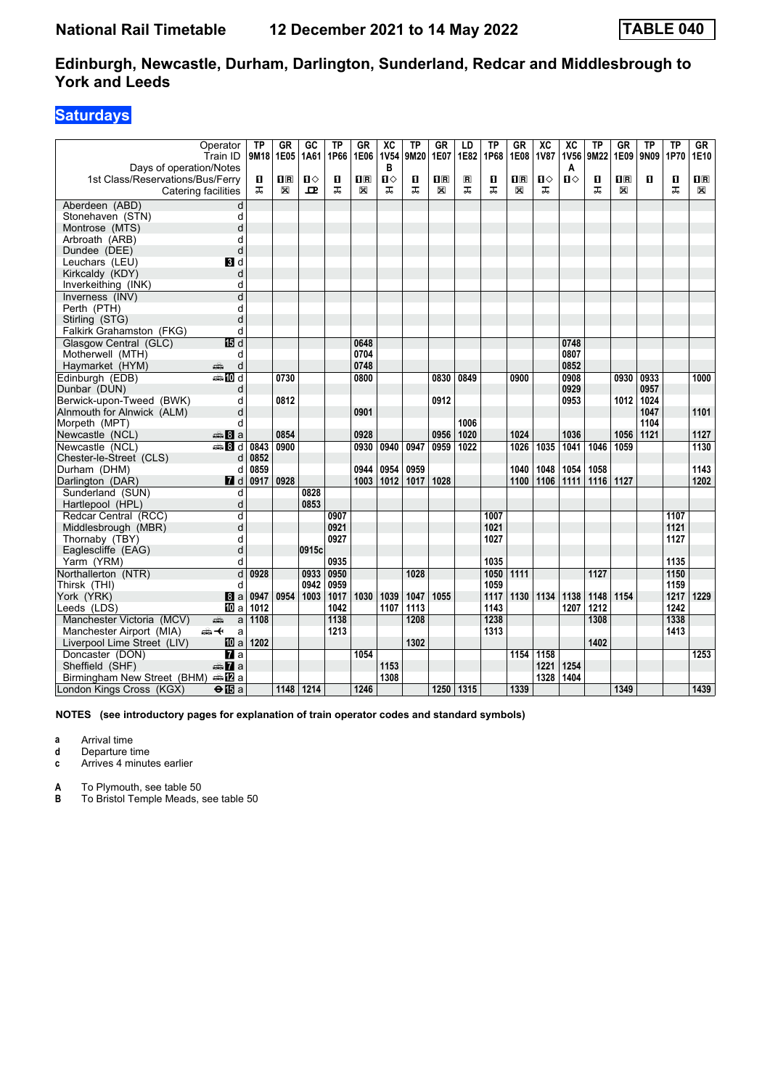### **Saturdays**

| Days of operation/Notes          | Operator<br>Train ID    | TP<br>9M18 | GR<br>1E05              | GC<br>1A61 | ΤP<br>1P66 | GR<br>1E06     | $\overline{AC}$<br><b>1V54</b><br>B | ΤP<br>9M20 | <b>GR</b><br>1E07                               | LD<br>1E82              | TP<br>1P68 | <b>GR</b><br>1E08 | $\overline{\text{xc}}$<br><b>1V87</b> | $\overline{X}C$<br><b>1V56</b><br>A | ТP<br>9M22 | GR<br>1E09              | ΤP<br>9N09 | <b>TP</b><br>1P70 | GR<br>1E10              |
|----------------------------------|-------------------------|------------|-------------------------|------------|------------|----------------|-------------------------------------|------------|-------------------------------------------------|-------------------------|------------|-------------------|---------------------------------------|-------------------------------------|------------|-------------------------|------------|-------------------|-------------------------|
| 1st Class/Reservations/Bus/Ferry |                         | П          | $\overline{\mathbf{R}}$ | ப⇔         | O          | 1 <sup>R</sup> | Ⅱ◇                                  | 0          | $\overline{\mathbf{H}}$ $\overline{\mathbf{R}}$ | $\overline{\mathbf{R}}$ | O          | $n_{\rm{R}}$      | Ⅱ◇                                    | Ⅱ♦                                  | 0          | $\overline{\mathbf{H}}$ | п          | O                 | $\overline{\mathbf{B}}$ |
|                                  | Catering facilities     | ᅚ          | X                       | ᇁ          | ᠼ          | X              | ᠼ                                   | ᠼ          | X                                               | ㅈ                       | ᠼ          | X                 | ᠼ                                     |                                     | ᠼ          | X                       |            | ᅚ                 | X                       |
| Aberdeen (ABD)                   | d                       |            |                         |            |            |                |                                     |            |                                                 |                         |            |                   |                                       |                                     |            |                         |            |                   |                         |
| Stonehaven (STN)                 | d                       |            |                         |            |            |                |                                     |            |                                                 |                         |            |                   |                                       |                                     |            |                         |            |                   |                         |
| Montrose (MTS)                   | d                       |            |                         |            |            |                |                                     |            |                                                 |                         |            |                   |                                       |                                     |            |                         |            |                   |                         |
| Arbroath (ARB)                   | d                       |            |                         |            |            |                |                                     |            |                                                 |                         |            |                   |                                       |                                     |            |                         |            |                   |                         |
| Dundee (DEE)                     | d                       |            |                         |            |            |                |                                     |            |                                                 |                         |            |                   |                                       |                                     |            |                         |            |                   |                         |
| Leuchars (LEU)                   | BI d                    |            |                         |            |            |                |                                     |            |                                                 |                         |            |                   |                                       |                                     |            |                         |            |                   |                         |
| Kirkcaldy (KDY)                  | d                       |            |                         |            |            |                |                                     |            |                                                 |                         |            |                   |                                       |                                     |            |                         |            |                   |                         |
| Inverkeithing (INK)              | d                       |            |                         |            |            |                |                                     |            |                                                 |                         |            |                   |                                       |                                     |            |                         |            |                   |                         |
| Inverness (INV)                  | d                       |            |                         |            |            |                |                                     |            |                                                 |                         |            |                   |                                       |                                     |            |                         |            |                   |                         |
| Perth (PTH)                      | d                       |            |                         |            |            |                |                                     |            |                                                 |                         |            |                   |                                       |                                     |            |                         |            |                   |                         |
| Stirling (STG)                   | d                       |            |                         |            |            |                |                                     |            |                                                 |                         |            |                   |                                       |                                     |            |                         |            |                   |                         |
| Falkirk Grahamston (FKG)         | d                       |            |                         |            |            |                |                                     |            |                                                 |                         |            |                   |                                       |                                     |            |                         |            |                   |                         |
| Glasgow Central (GLC)            | IB d                    |            |                         |            |            | 0648           |                                     |            |                                                 |                         |            |                   |                                       | 0748                                |            |                         |            |                   |                         |
| Motherwell (MTH)                 | d                       |            |                         |            |            | 0704           |                                     |            |                                                 |                         |            |                   |                                       | 0807                                |            |                         |            |                   |                         |
| Haymarket (HYM)                  | پیش<br>d                |            |                         |            |            | 0748           |                                     |            |                                                 |                         |            |                   |                                       | 0852                                |            |                         |            |                   |                         |
| Edinburgh (EDB)                  | <b>●IIId</b>            |            | 0730                    |            |            | 0800           |                                     |            | 0830                                            | 0849                    |            | 0900              |                                       | 0908                                |            | 0930                    | 0933       |                   | 1000                    |
| Dunbar (DUN)                     | d                       |            |                         |            |            |                |                                     |            |                                                 |                         |            |                   |                                       | 0929                                |            |                         | 0957       |                   |                         |
| Berwick-upon-Tweed (BWK)         | d                       |            | 0812                    |            |            |                |                                     |            | 0912                                            |                         |            |                   |                                       | 0953                                |            | 1012                    | 1024       |                   |                         |
| Alnmouth for Alnwick (ALM)       | d                       |            |                         |            |            | 0901           |                                     |            |                                                 |                         |            |                   |                                       |                                     |            |                         | 1047       |                   | 1101                    |
| Morpeth (MPT)                    | d                       |            |                         |            |            |                |                                     |            |                                                 | 1006                    |            |                   |                                       |                                     |            |                         | 1104       |                   |                         |
| Newcastle (NCL)                  | € 8 a                   |            | 0854                    |            |            | 0928           |                                     |            | 0956                                            | 1020                    |            | 1024              |                                       | 1036                                |            | 1056                    | 1121       |                   | 1127                    |
| Newcastle (NCL)                  | <b>●Bd</b>              | 0843       | 0900                    |            |            | 0930           | 0940                                | 0947       | 0959                                            | 1022                    |            | 1026              | 1035                                  | 1041                                | 1046       | 1059                    |            |                   | 1130                    |
| Chester-le-Street (CLS)          | d                       | 0852       |                         |            |            |                |                                     |            |                                                 |                         |            |                   |                                       |                                     |            |                         |            |                   |                         |
| Durham (DHM)                     | d                       | 0859       |                         |            |            | 0944           | 0954                                | 0959       |                                                 |                         |            | 1040              | 1048                                  | 1054                                | 1058       |                         |            |                   | 1143                    |
| Darlington (DAR)                 | $\blacksquare$ d        | 0917       | 0928                    |            |            | 1003           | 1012                                | 1017       | 1028                                            |                         |            | 1100              | 1106                                  | 1111                                | 1116       | 1127                    |            |                   | 1202                    |
| Sunderland (SUN)                 | d                       |            |                         | 0828       |            |                |                                     |            |                                                 |                         |            |                   |                                       |                                     |            |                         |            |                   |                         |
| Hartlepool (HPL)                 | d                       |            |                         | 0853       |            |                |                                     |            |                                                 |                         |            |                   |                                       |                                     |            |                         |            |                   |                         |
| Redcar Central (RCC)             | d                       |            |                         |            | 0907       |                |                                     |            |                                                 |                         | 1007       |                   |                                       |                                     |            |                         |            | 1107              |                         |
| Middlesbrough (MBR)              | d                       |            |                         |            | 0921       |                |                                     |            |                                                 |                         | 1021       |                   |                                       |                                     |            |                         |            | 1121              |                         |
| Thornaby (TBY)                   | d                       |            |                         |            | 0927       |                |                                     |            |                                                 |                         | 1027       |                   |                                       |                                     |            |                         |            | 1127              |                         |
| Eaglescliffe (EAG)               | d                       |            |                         | 0915c      |            |                |                                     |            |                                                 |                         |            |                   |                                       |                                     |            |                         |            |                   |                         |
| Yarm (YRM)                       | d                       |            |                         |            | 0935       |                |                                     |            |                                                 |                         | 1035       |                   |                                       |                                     |            |                         |            | 1135              |                         |
| Northallerton (NTR)              | d                       | 0928       |                         | 0933       | 0950       |                |                                     | 1028       |                                                 |                         | 1050       | 1111              |                                       |                                     | 1127       |                         |            | 1150              |                         |
| Thirsk (THI)                     | d                       |            |                         | 0942       | 0959       |                |                                     |            |                                                 |                         | 1059       |                   |                                       |                                     |            |                         |            | 1159              |                         |
| York (YRK)                       | 8a                      | 0947       | 0954                    | 1003       | 1017       | 1030           | 1039                                | 1047       | 1055                                            |                         | 1117       | 1130              | 1134                                  | 1138                                | 1148       | 1154                    |            | 1217              | 1229                    |
| Leeds (LDS)                      | <b>ID</b> a             | 1012       |                         |            | 1042       |                | 1107                                | 1113       |                                                 |                         | 1143       |                   |                                       | 1207                                | 1212       |                         |            | 1242              |                         |
| Manchester Victoria (MCV)        | a<br>پیش                | 1108       |                         |            | 1138       |                |                                     | 1208       |                                                 |                         | 1238       |                   |                                       |                                     | 1308       |                         |            | 1338              |                         |
| Manchester Airport (MIA)         | <del>∰ ≮</del><br>a     |            |                         |            | 1213       |                |                                     |            |                                                 |                         | 1313       |                   |                                       |                                     |            |                         |            | 1413              |                         |
| Liverpool Lime Street (LIV)      | 10 a                    | 1202       |                         |            |            |                |                                     | 1302       |                                                 |                         |            |                   |                                       |                                     | 1402       |                         |            |                   |                         |
| Doncaster (DON)                  | $\overline{a}$          |            |                         |            |            | 1054           |                                     |            |                                                 |                         |            | 1154              | 1158                                  |                                     |            |                         |            |                   | 1253                    |
| Sheffield (SHF)                  | $\oplus \mathbf{Z}$ a   |            |                         |            |            |                | 1153                                |            |                                                 |                         |            |                   | 1221                                  | 1254                                |            |                         |            |                   |                         |
| Birmingham New Street (BHM)      |                         |            |                         |            |            |                | 1308                                |            |                                                 |                         |            |                   | 1328                                  | 1404                                |            |                         |            |                   |                         |
| London Kings Cross (KGX)         | $\Theta$ $\mathbb{E}$ a |            | 1148                    | 1214       |            | 1246           |                                     |            | 1250                                            | 1315                    |            | 1339              |                                       |                                     |            | 1349                    |            |                   | 1439                    |

**NOTES (see introductory pages for explanation of train operator codes and standard symbols)**

**a** Arrival time

**d** Departure time

**c** Arrives 4 minutes earlier

**A** To Plymouth, see table 50<br>**B** To Bristol Temple Meads,

**B** To Bristol Temple Meads, see table 50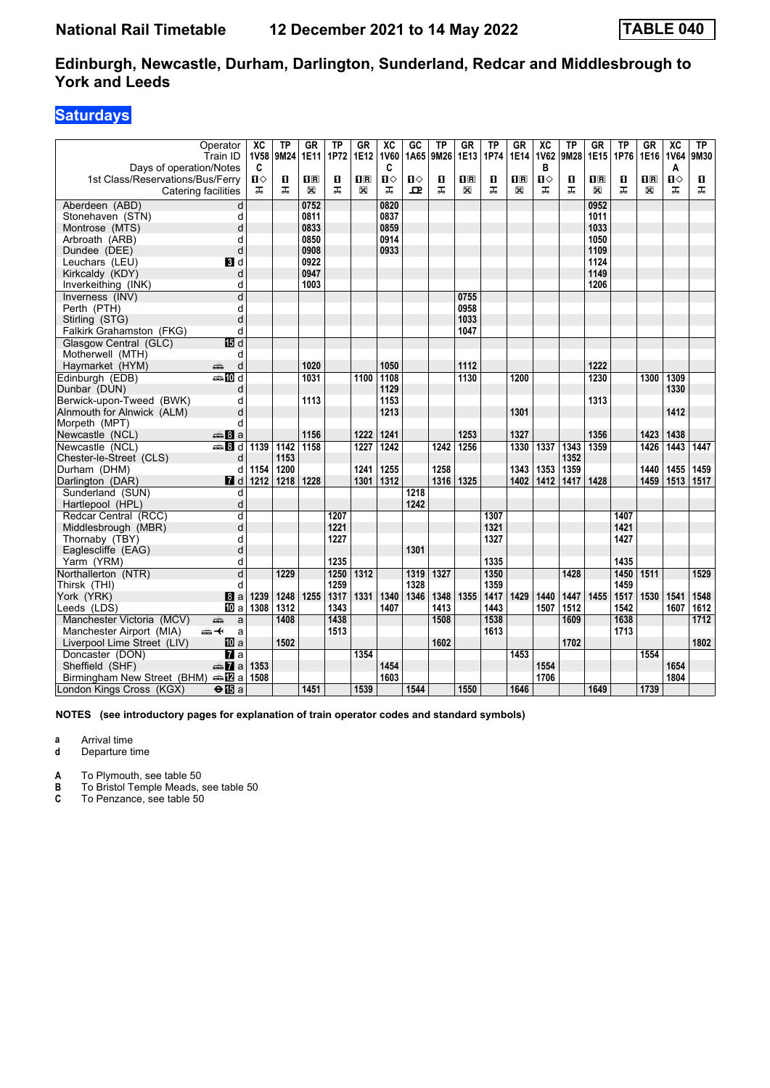### **Saturdays**

|                                             | Operator<br>Train ID    | XC<br><b>1V58</b> | ΤP<br>9M24 | <b>GR</b><br>1E11 | ТP<br>1P72 | <b>GR</b><br>1E12 | $\overline{\text{xc}}$<br><b>1V60</b> | GC<br>1A65 | TP<br>9M26 | GR<br>1E13              | TP<br>1P74 | GR<br>1E14     | $\overline{\text{xc}}$<br><b>1V62</b> | ΤP<br>9M28 | <b>GR</b><br>1E15 | <b>TP</b><br>1P76 | <b>GR</b><br>1E16 | $\overline{\text{xc}}$<br><b>1V64</b> | TP<br>9M30 |
|---------------------------------------------|-------------------------|-------------------|------------|-------------------|------------|-------------------|---------------------------------------|------------|------------|-------------------------|------------|----------------|---------------------------------------|------------|-------------------|-------------------|-------------------|---------------------------------------|------------|
| Days of operation/Notes                     |                         | C                 |            |                   |            |                   | C                                     |            |            |                         |            |                | в                                     |            |                   |                   |                   | A                                     |            |
| 1st Class/Reservations/Bus/Ferry            |                         | $\mathbf{u}$      | П          | $\mathbf{H}$ R    | 0          | 1R                | Ⅱ◇                                    | п⇔         | О          | $\overline{\mathbf{B}}$ | п          | $\mathbf{u}$ R | п⇔                                    | П          | $\Pi$ R           | O                 | 1 <sup>R</sup>    | П⇔                                    | П          |
|                                             | Catering facilities     | ㅈ                 | ᠼ          | X                 | ᠼ          | X                 | ᠼ                                     | ᇁ          | ᠼ          | X                       | ᠼ          | X              | ᠼ                                     | ᠼ          | X                 | ᠼ                 | $\boxtimes$       | ᠼ                                     | ᠼ          |
| Aberdeen (ABD)                              | d                       |                   |            | 0752              |            |                   | 0820                                  |            |            |                         |            |                |                                       |            | 0952              |                   |                   |                                       |            |
| Stonehaven (STN)                            | d                       |                   |            | 0811              |            |                   | 0837                                  |            |            |                         |            |                |                                       |            | 1011              |                   |                   |                                       |            |
| Montrose (MTS)                              | d                       |                   |            | 0833              |            |                   | 0859                                  |            |            |                         |            |                |                                       |            | 1033              |                   |                   |                                       |            |
| Arbroath (ARB)                              | d                       |                   |            | 0850              |            |                   | 0914                                  |            |            |                         |            |                |                                       |            | 1050              |                   |                   |                                       |            |
| Dundee (DEE)                                | d                       |                   |            | 0908              |            |                   | 0933                                  |            |            |                         |            |                |                                       |            | 1109              |                   |                   |                                       |            |
| Leuchars (LEU)                              | BI d                    |                   |            | 0922              |            |                   |                                       |            |            |                         |            |                |                                       |            | 1124              |                   |                   |                                       |            |
| Kirkcaldy (KDY)                             | d                       |                   |            | 0947              |            |                   |                                       |            |            |                         |            |                |                                       |            | 1149              |                   |                   |                                       |            |
| Inverkeithing (INK)                         | d                       |                   |            | 1003              |            |                   |                                       |            |            |                         |            |                |                                       |            | 1206              |                   |                   |                                       |            |
| Inverness (INV)                             | $\overline{d}$          |                   |            |                   |            |                   |                                       |            |            | 0755                    |            |                |                                       |            |                   |                   |                   |                                       |            |
| Perth (PTH)                                 | d                       |                   |            |                   |            |                   |                                       |            |            | 0958                    |            |                |                                       |            |                   |                   |                   |                                       |            |
| Stirling (STG)                              | d                       |                   |            |                   |            |                   |                                       |            |            | 1033                    |            |                |                                       |            |                   |                   |                   |                                       |            |
| Falkirk Grahamston (FKG)                    | d                       |                   |            |                   |            |                   |                                       |            |            | 1047                    |            |                |                                       |            |                   |                   |                   |                                       |            |
| Glasgow Central (GLC)                       | <b>個d</b>               |                   |            |                   |            |                   |                                       |            |            |                         |            |                |                                       |            |                   |                   |                   |                                       |            |
| Motherwell (MTH)                            | d                       |                   |            |                   |            |                   |                                       |            |            |                         |            |                |                                       |            |                   |                   |                   |                                       |            |
| Haymarket (HYM)                             | پیش<br>d                |                   |            | 1020              |            |                   | 1050                                  |            |            | 1112                    |            |                |                                       |            | 1222              |                   |                   |                                       |            |
| Edinburgh (EDB)                             | <b>entin</b> d          |                   |            | 1031              |            | 1100              | 1108                                  |            |            | $\frac{1130}{ }$        |            | 1200           |                                       |            | 1230              |                   | 1300              | 1309                                  |            |
| Dunbar (DUN)                                | d                       |                   |            |                   |            |                   | 1129                                  |            |            |                         |            |                |                                       |            |                   |                   |                   | 1330                                  |            |
| Berwick-upon-Tweed (BWK)                    | d                       |                   |            | 1113              |            |                   | 1153                                  |            |            |                         |            |                |                                       |            | 1313              |                   |                   |                                       |            |
| Alnmouth for Alnwick (ALM)                  | d                       |                   |            |                   |            |                   | 1213                                  |            |            |                         |            | 1301           |                                       |            |                   |                   |                   | 1412                                  |            |
| Morpeth (MPT)                               | d                       |                   |            |                   |            |                   |                                       |            |            |                         |            |                |                                       |            |                   |                   |                   |                                       |            |
| Newcastle (NCL)                             | <del>⊯</del> Ba         |                   |            | 1156              |            | 1222              | 1241                                  |            |            | 1253                    |            | 1327           |                                       |            | 1356              |                   | 1423              | 1438                                  |            |
| Newcastle (NCL)                             | €Bd                     | 1139              | 1142       | 1158              |            | 1227              | 1242                                  |            | 1242       | 1256                    |            | 1330           | 1337                                  | 1343       | 1359              |                   | 1426              | 1443                                  | 1447       |
| Chester-le-Street (CLS)                     | d                       |                   | 1153       |                   |            |                   |                                       |            |            |                         |            |                |                                       | 1352       |                   |                   |                   |                                       |            |
| Durham (DHM)                                | d                       | 1154              | 1200       |                   |            | 1241              | 1255                                  |            | 1258       |                         |            | 1343           | 1353                                  | 1359       |                   |                   | 1440              | 1455                                  | 1459       |
| Darlington (DAR)                            | 7d                      | 1212              | 1218       | 1228              |            | 1301              | 1312                                  |            | 1316       | 1325                    |            | 1402           | 1412                                  | 1417       | 1428              |                   | 1459              | 1513                                  | 1517       |
| Sunderland (SUN)                            | d                       |                   |            |                   |            |                   |                                       | 1218       |            |                         |            |                |                                       |            |                   |                   |                   |                                       |            |
| Hartlepool (HPL)                            | d                       |                   |            |                   |            |                   |                                       | 1242       |            |                         |            |                |                                       |            |                   |                   |                   |                                       |            |
| Redcar Central (RCC)                        | d                       |                   |            |                   | 1207       |                   |                                       |            |            |                         | 1307       |                |                                       |            |                   | 1407              |                   |                                       |            |
| Middlesbrough (MBR)                         | d                       |                   |            |                   | 1221       |                   |                                       |            |            |                         | 1321       |                |                                       |            |                   | 1421              |                   |                                       |            |
| Thornaby (TBY)                              | d                       |                   |            |                   | 1227       |                   |                                       |            |            |                         | 1327       |                |                                       |            |                   | 1427              |                   |                                       |            |
| Eaglescliffe (EAG)                          | d                       |                   |            |                   |            |                   |                                       | 1301       |            |                         |            |                |                                       |            |                   |                   |                   |                                       |            |
| Yarm (YRM)                                  | d                       |                   |            |                   | 1235       |                   |                                       |            |            |                         | 1335       |                |                                       |            |                   | 1435              |                   |                                       |            |
| Northallerton (NTR)                         | d                       |                   | 1229       |                   | 1250       | 1312              |                                       | 1319       | 1327       |                         | 1350       |                |                                       | 1428       |                   | 1450              | 1511              |                                       | 1529       |
| Thirsk (THI)                                | d                       |                   |            |                   | 1259       |                   |                                       | 1328       |            |                         | 1359       |                |                                       |            |                   | 1459              |                   |                                       |            |
| York (YRK)                                  | 8 a                     | 1239              | 1248       | 1255              | 1317       | 1331              | 1340                                  | 1346       | 1348       | 1355                    | 1417       | 1429           | 1440                                  | 1447       | 1455              | 1517              | 1530              | 1541                                  | 1548       |
| Leeds (LDS)                                 | <b>ID</b> a             | 1308              | 1312       |                   | 1343       |                   | 1407                                  |            | 1413       |                         | 1443       |                | 1507                                  | 1512       |                   | 1542              |                   | 1607                                  | 1612       |
| Manchester Victoria (MCV)                   | پېښ<br>a                |                   | 1408       |                   | 1438       |                   |                                       |            | 1508       |                         | 1538       |                |                                       | 1609       |                   | 1638              |                   |                                       | 1712       |
| Manchester Airport (MIA)                    | ക+<br>a                 |                   |            |                   | 1513       |                   |                                       |            |            |                         | 1613       |                |                                       |            |                   | 1713              |                   |                                       |            |
| Liverpool Lime Street (LIV)                 | 10 a                    |                   | 1502       |                   |            |                   |                                       |            | 1602       |                         |            |                |                                       | 1702       |                   |                   |                   |                                       | 1802       |
| Doncaster (DON)                             | $\overline{a}$          |                   |            |                   |            | 1354              |                                       |            |            |                         |            | 1453           |                                       |            |                   |                   | 1554              |                                       |            |
| Sheffield (SHF)                             | $\bigoplus$ a           | 1353              |            |                   |            |                   | 1454                                  |            |            |                         |            |                | 1554                                  |            |                   |                   |                   | 1654                                  |            |
| Birmingham New Street (BHM) and <b>Ex</b> a |                         | 1508              |            |                   |            |                   | 1603                                  |            |            |                         |            |                | 1706                                  |            |                   |                   |                   | 1804                                  |            |
| London Kings Cross (KGX)                    | $\Theta$ $\mathbf{E}$ a |                   |            | 1451              |            | 1539              |                                       | 1544       |            | 1550                    |            | 1646           |                                       |            | 1649              |                   | 1739              |                                       |            |

**NOTES (see introductory pages for explanation of train operator codes and standard symbols)**

**a** Arrival time

**d** Departure time

**A** To Plymouth, see table 50<br>**B** To Bristol Temple Meads.

**B** To Bristol Temple Meads, see table 50<br>**C** To Penzance, see table 50

To Penzance, see table 50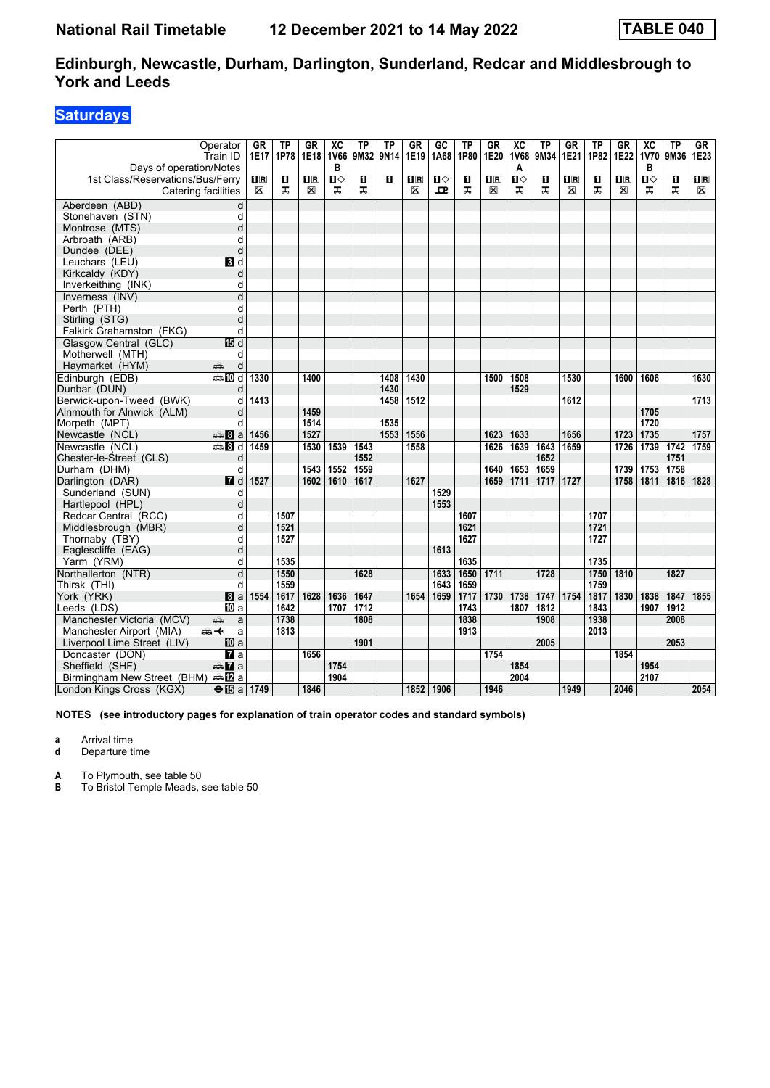### **Saturdays**

| Operator<br>Train ID<br>Days of operation/Notes |                          | GR<br>1E17                                      | ТP<br>1P78 | <b>GR</b><br>1E18       | $\overline{X}C$<br><b>1V66</b><br>в | ΤP<br>9M32 | ТP<br>9N <sub>14</sub> | <b>GR</b><br>1E19                               | GC<br>1A68 | ΤP<br>1P80 | <b>GR</b><br>1E20       | $\overline{\mathsf{xc}}$<br><b>1V68</b><br>A | ТP<br>9M34 | GR<br>1E21              | ΤP<br>1P82 | <b>GR</b><br>1E22       | $\overline{X}C$<br><b>1V70</b><br>в | <b>TP</b><br>9M36 | GR<br>1E23              |
|-------------------------------------------------|--------------------------|-------------------------------------------------|------------|-------------------------|-------------------------------------|------------|------------------------|-------------------------------------------------|------------|------------|-------------------------|----------------------------------------------|------------|-------------------------|------------|-------------------------|-------------------------------------|-------------------|-------------------------|
| 1st Class/Reservations/Bus/Ferry                |                          | $\overline{\mathbf{H}}$ $\overline{\mathbf{R}}$ | п          | $\overline{\mathbf{R}}$ | Ⅱ◇                                  | п          | п                      | $\overline{\mathbf{H}}$ $\overline{\mathbf{R}}$ | П⇔         | п          | $\overline{\mathbf{R}}$ | $\mathbf{u}$                                 | п          | $\overline{\mathbf{R}}$ | O          | $\overline{\mathbf{H}}$ | $\mathbf{u}$                        | $\mathbf{u}$      | $\overline{\mathbf{B}}$ |
| Catering facilities                             |                          | X                                               | ᠼ          | ⊠                       | ᠼ                                   | ᠼ          |                        | X                                               | 모          | ᠼ          | ⊠                       | ᠼ                                            | ᠼ          | X                       | ᠼ          | X                       | ᅚ                                   | ᠼ                 | X                       |
| Aberdeen (ABD)                                  | d                        |                                                 |            |                         |                                     |            |                        |                                                 |            |            |                         |                                              |            |                         |            |                         |                                     |                   |                         |
| Stonehaven (STN)                                | d                        |                                                 |            |                         |                                     |            |                        |                                                 |            |            |                         |                                              |            |                         |            |                         |                                     |                   |                         |
| Montrose (MTS)                                  | d                        |                                                 |            |                         |                                     |            |                        |                                                 |            |            |                         |                                              |            |                         |            |                         |                                     |                   |                         |
| Arbroath (ARB)                                  | d                        |                                                 |            |                         |                                     |            |                        |                                                 |            |            |                         |                                              |            |                         |            |                         |                                     |                   |                         |
| Dundee (DEE)                                    | d                        |                                                 |            |                         |                                     |            |                        |                                                 |            |            |                         |                                              |            |                         |            |                         |                                     |                   |                         |
| Leuchars (LEU)                                  | BI d                     |                                                 |            |                         |                                     |            |                        |                                                 |            |            |                         |                                              |            |                         |            |                         |                                     |                   |                         |
| Kirkcaldy (KDY)                                 | d                        |                                                 |            |                         |                                     |            |                        |                                                 |            |            |                         |                                              |            |                         |            |                         |                                     |                   |                         |
| Inverkeithing (INK)                             | d                        |                                                 |            |                         |                                     |            |                        |                                                 |            |            |                         |                                              |            |                         |            |                         |                                     |                   |                         |
| Inverness (INV)                                 | d                        |                                                 |            |                         |                                     |            |                        |                                                 |            |            |                         |                                              |            |                         |            |                         |                                     |                   |                         |
| Perth (PTH)                                     | d                        |                                                 |            |                         |                                     |            |                        |                                                 |            |            |                         |                                              |            |                         |            |                         |                                     |                   |                         |
| Stirling (STG)                                  | d                        |                                                 |            |                         |                                     |            |                        |                                                 |            |            |                         |                                              |            |                         |            |                         |                                     |                   |                         |
| Falkirk Grahamston (FKG)                        | d                        |                                                 |            |                         |                                     |            |                        |                                                 |            |            |                         |                                              |            |                         |            |                         |                                     |                   |                         |
| Glasgow Central (GLC)                           | IB d                     |                                                 |            |                         |                                     |            |                        |                                                 |            |            |                         |                                              |            |                         |            |                         |                                     |                   |                         |
| Motherwell (MTH)                                | d                        |                                                 |            |                         |                                     |            |                        |                                                 |            |            |                         |                                              |            |                         |            |                         |                                     |                   |                         |
| Haymarket (HYM)<br>پیشته                        | d                        |                                                 |            |                         |                                     |            |                        |                                                 |            |            |                         |                                              |            |                         |            |                         |                                     |                   |                         |
| Edinburgh (EDB)                                 | <b>ADd</b>               | 1330                                            |            | 1400                    |                                     |            | 1408                   | 1430                                            |            |            | 1500                    | 1508                                         |            | 1530                    |            | 1600                    | 1606                                |                   | 1630                    |
| Dunbar (DUN)                                    | d                        |                                                 |            |                         |                                     |            | 1430                   |                                                 |            |            |                         | 1529                                         |            |                         |            |                         |                                     |                   |                         |
| Berwick-upon-Tweed (BWK)                        | d                        | 1413                                            |            |                         |                                     |            | 1458                   | 1512                                            |            |            |                         |                                              |            | 1612                    |            |                         |                                     |                   | 1713                    |
| Alnmouth for Alnwick (ALM)                      | d                        |                                                 |            | 1459                    |                                     |            |                        |                                                 |            |            |                         |                                              |            |                         |            |                         | 1705                                |                   |                         |
| Morpeth (MPT)                                   | d                        |                                                 |            | 1514                    |                                     |            | 1535                   |                                                 |            |            |                         |                                              |            |                         |            |                         | 1720                                |                   |                         |
| Newcastle (NCL)                                 | € 8 a                    | 1456                                            |            | 1527                    |                                     |            | 1553                   | 1556                                            |            |            | 1623                    | 1633                                         |            | 1656                    |            | 1723                    | 1735                                |                   | 1757                    |
| Newcastle (NCL)                                 | <b>第8d</b>               | 1459                                            |            | 1530                    | 1539                                | 1543       |                        | 1558                                            |            |            | 1626                    | 1639                                         | 1643       | 1659                    |            | 1726                    | 1739                                | 1742              | 1759                    |
| Chester-le-Street (CLS)                         | d                        |                                                 |            |                         |                                     | 1552       |                        |                                                 |            |            |                         |                                              | 1652       |                         |            |                         |                                     | 1751              |                         |
| Durham (DHM)                                    | d                        |                                                 |            | 1543                    | 1552                                | 1559       |                        |                                                 |            |            | 1640                    | 1653                                         | 1659       |                         |            | 1739                    | 1753                                | 1758              |                         |
| Darlington (DAR)                                | 7d                       | 1527                                            |            | 1602                    | 1610                                | 1617       |                        | 1627                                            |            |            | 1659                    | 1711                                         | 1717       | 1727                    |            | 1758                    | 1811                                | 1816              | 1828                    |
| Sunderland (SUN)                                | d                        |                                                 |            |                         |                                     |            |                        |                                                 | 1529       |            |                         |                                              |            |                         |            |                         |                                     |                   |                         |
| Hartlepool (HPL)                                | d                        |                                                 |            |                         |                                     |            |                        |                                                 | 1553       |            |                         |                                              |            |                         |            |                         |                                     |                   |                         |
| Redcar Central (RCC)                            | d                        |                                                 | 1507       |                         |                                     |            |                        |                                                 |            | 1607       |                         |                                              |            |                         | 1707       |                         |                                     |                   |                         |
| Middlesbrough (MBR)                             | d                        |                                                 | 1521       |                         |                                     |            |                        |                                                 |            | 1621       |                         |                                              |            |                         | 1721       |                         |                                     |                   |                         |
| Thornaby (TBY)                                  | d                        |                                                 | 1527       |                         |                                     |            |                        |                                                 |            | 1627       |                         |                                              |            |                         | 1727       |                         |                                     |                   |                         |
| Eaglescliffe (EAG)                              | d                        |                                                 |            |                         |                                     |            |                        |                                                 | 1613       |            |                         |                                              |            |                         |            |                         |                                     |                   |                         |
| Yarm (YRM)                                      | d                        |                                                 | 1535       |                         |                                     |            |                        |                                                 |            | 1635       |                         |                                              |            |                         | 1735       |                         |                                     |                   |                         |
| Northallerton (NTR)                             | d                        |                                                 | 1550       |                         |                                     | 1628       |                        |                                                 | 1633       | 1650       | 1711                    |                                              | 1728       |                         | 1750       | 1810                    |                                     | 1827              |                         |
| Thirsk (THI)                                    | d                        |                                                 | 1559       |                         |                                     |            |                        |                                                 | 1643       | 1659       |                         |                                              |            |                         | 1759       |                         |                                     |                   |                         |
| York (YRK)                                      | 8a                       | 1554                                            | 1617       | 1628                    | 1636                                | 1647       |                        | 1654                                            | 1659       | 1717       | 1730                    | 1738                                         | 1747       | 1754                    | 1817       | 1830                    | 1838                                | 1847              | 1855                    |
| Leeds (LDS)                                     | <b>ID</b> a              |                                                 | 1642       |                         | 1707                                | 1712       |                        |                                                 |            | 1743       |                         | 1807                                         | 1812       |                         | 1843       |                         | 1907                                | 1912              |                         |
| Manchester Victoria (MCV)<br>پیش                | a                        |                                                 | 1738       |                         |                                     | 1808       |                        |                                                 |            | 1838       |                         |                                              | 1908       |                         | 1938       |                         |                                     | 2008              |                         |
| Manchester Airport (MIA)<br>ക—⊬                 | a                        |                                                 | 1813       |                         |                                     |            |                        |                                                 |            | 1913       |                         |                                              |            |                         | 2013       |                         |                                     |                   |                         |
| Liverpool Lime Street (LIV)                     | 10 a                     |                                                 |            |                         |                                     | 1901       |                        |                                                 |            |            |                         |                                              | 2005       |                         |            |                         |                                     | 2053              |                         |
| Doncaster (DON)                                 | <b>и</b> а               |                                                 |            | 1656                    |                                     |            |                        |                                                 |            |            | 1754                    |                                              |            |                         |            | 1854                    |                                     |                   |                         |
| Sheffield (SHF)                                 | $\oplus \mathbf{Z}$ a    |                                                 |            |                         | 1754                                |            |                        |                                                 |            |            |                         | 1854                                         |            |                         |            |                         | 1954                                |                   |                         |
| Birmingham New Street (BHM)                     | dana <mark>ana</mark> na |                                                 |            |                         | 1904                                |            |                        |                                                 |            |            |                         | 2004                                         |            |                         |            |                         | 2107                                |                   |                         |
| London Kings Cross (KGX)                        | $\Theta$ $\mathbf{E}$ a  | 1749                                            |            | 1846                    |                                     |            |                        |                                                 | 1852 1906  |            | 1946                    |                                              |            | 1949                    |            | 2046                    |                                     |                   | 2054                    |

**NOTES (see introductory pages for explanation of train operator codes and standard symbols)**

**a** Arrival time

**d** Departure time

**A** To Plymouth, see table 50<br>**B** To Bristol Temple Meads.

**B** To Bristol Temple Meads, see table 50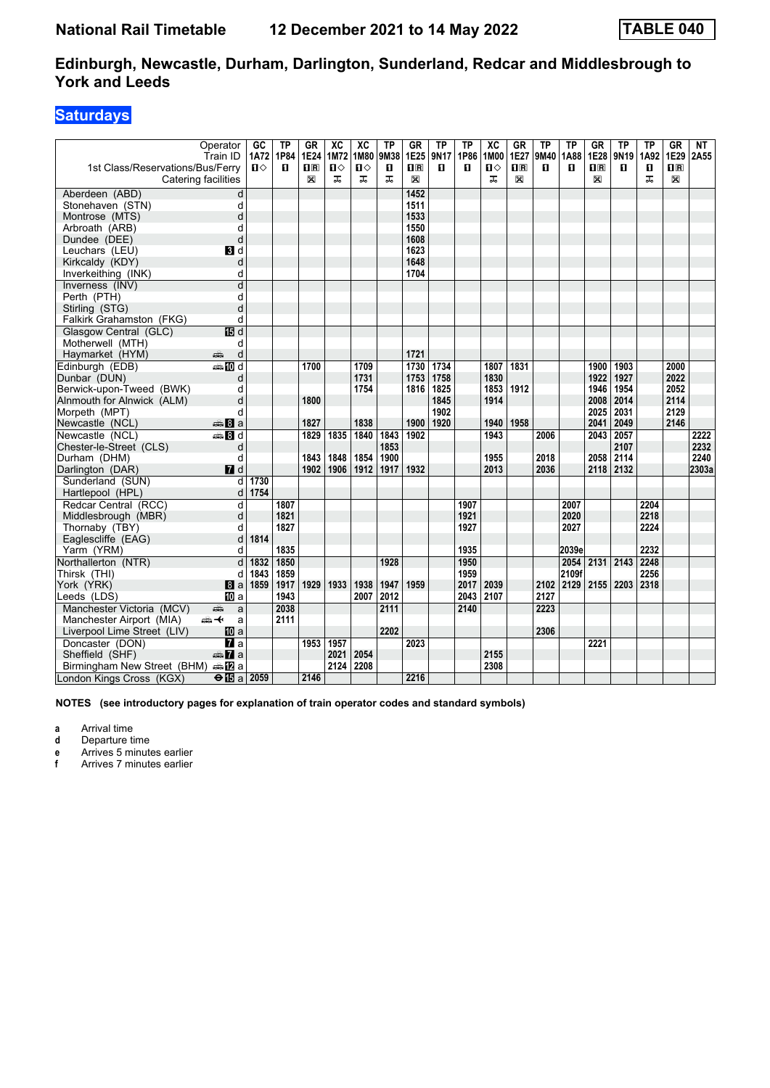### **Saturdays**

| 1st Class/Reservations/Bus/Ferry         | Operator<br>Train ID<br>Catering facilities | GC<br><b>1A72</b><br>$\mathbf{n}$ | TP<br>1P84<br>п | GR<br>1E24<br>nR<br>X | XC<br>1M72<br>$\mathbf{u}$<br>ᠼ | $\overline{X}C$<br>1M80<br>$\mathbf{u}$<br>ᠼ | TP<br>9M38<br>п<br>ᠼ | <b>GR</b><br>1E25<br>$\Pi$ <sub>R</sub><br>X | <b>TP</b><br>9N17<br>п | ТP<br>1P86<br>п | $\overline{AC}$<br>1M00<br>$\mathbf{u}$<br>ᠼ | <b>GR</b><br>1E27<br>$\overline{\mathbf{H}}$<br>X | ТP<br>9M40<br>п | ΤP<br>1A88<br>п | GR<br>1E28<br>$\overline{\mathbf{H}}$ $\overline{\mathbf{R}}$<br>$\mathbb{X}$ | <b>TP</b><br>9N <sub>19</sub><br>п | ΤP<br>1A92<br>$\blacksquare$<br>ᠼ | GR<br>1E29<br>$\Pi$ <sub>R</sub><br>$\mathbb{X}$ | NT<br>2A55 |
|------------------------------------------|---------------------------------------------|-----------------------------------|-----------------|-----------------------|---------------------------------|----------------------------------------------|----------------------|----------------------------------------------|------------------------|-----------------|----------------------------------------------|---------------------------------------------------|-----------------|-----------------|-------------------------------------------------------------------------------|------------------------------------|-----------------------------------|--------------------------------------------------|------------|
| Aberdeen (ABD)                           | d                                           |                                   |                 |                       |                                 |                                              |                      | 1452                                         |                        |                 |                                              |                                                   |                 |                 |                                                                               |                                    |                                   |                                                  |            |
| Stonehaven (STN)                         | d                                           |                                   |                 |                       |                                 |                                              |                      | 1511                                         |                        |                 |                                              |                                                   |                 |                 |                                                                               |                                    |                                   |                                                  |            |
| Montrose (MTS)                           | d                                           |                                   |                 |                       |                                 |                                              |                      | 1533                                         |                        |                 |                                              |                                                   |                 |                 |                                                                               |                                    |                                   |                                                  |            |
| Arbroath (ARB)                           | d                                           |                                   |                 |                       |                                 |                                              |                      | 1550                                         |                        |                 |                                              |                                                   |                 |                 |                                                                               |                                    |                                   |                                                  |            |
| Dundee (DEE)                             | d                                           |                                   |                 |                       |                                 |                                              |                      | 1608                                         |                        |                 |                                              |                                                   |                 |                 |                                                                               |                                    |                                   |                                                  |            |
| Leuchars (LEU)                           | $\blacksquare$                              |                                   |                 |                       |                                 |                                              |                      | 1623                                         |                        |                 |                                              |                                                   |                 |                 |                                                                               |                                    |                                   |                                                  |            |
| Kirkcaldy (KDY)                          | d                                           |                                   |                 |                       |                                 |                                              |                      | 1648                                         |                        |                 |                                              |                                                   |                 |                 |                                                                               |                                    |                                   |                                                  |            |
| Inverkeithing (INK)                      | d                                           |                                   |                 |                       |                                 |                                              |                      | 1704                                         |                        |                 |                                              |                                                   |                 |                 |                                                                               |                                    |                                   |                                                  |            |
| Inverness (INV)                          | d                                           |                                   |                 |                       |                                 |                                              |                      |                                              |                        |                 |                                              |                                                   |                 |                 |                                                                               |                                    |                                   |                                                  |            |
| Perth (PTH)                              | d                                           |                                   |                 |                       |                                 |                                              |                      |                                              |                        |                 |                                              |                                                   |                 |                 |                                                                               |                                    |                                   |                                                  |            |
| Stirling (STG)                           | d                                           |                                   |                 |                       |                                 |                                              |                      |                                              |                        |                 |                                              |                                                   |                 |                 |                                                                               |                                    |                                   |                                                  |            |
| Falkirk Grahamston (FKG)                 | d                                           |                                   |                 |                       |                                 |                                              |                      |                                              |                        |                 |                                              |                                                   |                 |                 |                                                                               |                                    |                                   |                                                  |            |
| Glasgow Central (GLC)                    | <b>個d</b>                                   |                                   |                 |                       |                                 |                                              |                      |                                              |                        |                 |                                              |                                                   |                 |                 |                                                                               |                                    |                                   |                                                  |            |
| Motherwell (MTH)                         | d                                           |                                   |                 |                       |                                 |                                              |                      | 1721                                         |                        |                 |                                              |                                                   |                 |                 |                                                                               |                                    |                                   |                                                  |            |
| Haymarket (HYM)<br>Edinburgh (EDB)       | پیش<br>d<br><b>美丽d</b>                      |                                   |                 | 1700                  |                                 | 1709                                         |                      | 1730                                         | 1734                   |                 | 1807                                         | 1831                                              |                 |                 | 1900                                                                          | 1903                               |                                   | 2000                                             |            |
| Dunbar (DUN)                             |                                             |                                   |                 |                       |                                 | 1731                                         |                      | 1753                                         | 1758                   |                 | 1830                                         |                                                   |                 |                 | 1922                                                                          | 1927                               |                                   | 2022                                             |            |
| Berwick-upon-Tweed (BWK)                 | d<br>d                                      |                                   |                 |                       |                                 | 1754                                         |                      | 1816                                         | 1825                   |                 | 1853                                         | 1912                                              |                 |                 | 1946                                                                          | 1954                               |                                   | 2052                                             |            |
| Alnmouth for Alnwick (ALM)               | d                                           |                                   |                 | 1800                  |                                 |                                              |                      |                                              | 1845                   |                 | 1914                                         |                                                   |                 |                 | 2008                                                                          | 2014                               |                                   | 2114                                             |            |
| Morpeth (MPT)                            | q                                           |                                   |                 |                       |                                 |                                              |                      |                                              | 1902                   |                 |                                              |                                                   |                 |                 | 2025                                                                          | 2031                               |                                   | 2129                                             |            |
| Newcastle (NCL)                          | $\oplus$ 8 a                                |                                   |                 | 1827                  |                                 | 1838                                         |                      | 1900                                         | 1920                   |                 | 1940                                         | 1958                                              |                 |                 | 2041                                                                          | 2049                               |                                   | 2146                                             |            |
| Newcastle (NCL)                          | $\blacksquare$ $\blacksquare$ d             |                                   |                 | 1829                  | 1835                            | 1840                                         | 1843                 | 1902                                         |                        |                 | 1943                                         |                                                   | 2006            |                 | 2043                                                                          | 2057                               |                                   |                                                  | 2222       |
| Chester-le-Street (CLS)                  | d                                           |                                   |                 |                       |                                 |                                              | 1853                 |                                              |                        |                 |                                              |                                                   |                 |                 |                                                                               | 2107                               |                                   |                                                  | 2232       |
| Durham (DHM)                             | d                                           |                                   |                 | 1843                  | 1848                            | 1854                                         | 1900                 |                                              |                        |                 | 1955                                         |                                                   | 2018            |                 | 2058                                                                          | 2114                               |                                   |                                                  | 2240       |
| Darlington (DAR)                         | $I$ d                                       |                                   |                 | 1902                  | 1906                            | 1912                                         | 1917                 | 1932                                         |                        |                 | 2013                                         |                                                   | 2036            |                 | 2118 2132                                                                     |                                    |                                   |                                                  | 2303a      |
| Sunderland (SUN)                         | d                                           | 1730                              |                 |                       |                                 |                                              |                      |                                              |                        |                 |                                              |                                                   |                 |                 |                                                                               |                                    |                                   |                                                  |            |
| Hartlepool (HPL)                         | d                                           | 1754                              |                 |                       |                                 |                                              |                      |                                              |                        |                 |                                              |                                                   |                 |                 |                                                                               |                                    |                                   |                                                  |            |
| Redcar Central (RCC)                     | d                                           |                                   | 1807            |                       |                                 |                                              |                      |                                              |                        | 1907            |                                              |                                                   |                 | 2007            |                                                                               |                                    | 2204                              |                                                  |            |
| Middlesbrough (MBR)                      | d                                           |                                   | 1821            |                       |                                 |                                              |                      |                                              |                        | 1921            |                                              |                                                   |                 | 2020            |                                                                               |                                    | 2218                              |                                                  |            |
| Thornaby (TBY)                           | d                                           |                                   | 1827            |                       |                                 |                                              |                      |                                              |                        | 1927            |                                              |                                                   |                 | 2027            |                                                                               |                                    | 2224                              |                                                  |            |
| Eaglescliffe (EAG)                       | d                                           | 1814                              |                 |                       |                                 |                                              |                      |                                              |                        |                 |                                              |                                                   |                 |                 |                                                                               |                                    |                                   |                                                  |            |
| Yarm (YRM)                               | q                                           |                                   | 1835            |                       |                                 |                                              |                      |                                              |                        | 1935            |                                              |                                                   |                 | 2039e           |                                                                               |                                    | 2232                              |                                                  |            |
| Northallerton (NTR)                      | d                                           | 1832                              | 1850            |                       |                                 |                                              | 1928                 |                                              |                        | 1950            |                                              |                                                   |                 | 2054            | 2131 2143                                                                     |                                    | 2248                              |                                                  |            |
| Thirsk (THI)                             | d                                           | 1843                              | 1859            |                       |                                 |                                              |                      |                                              |                        | 1959            |                                              |                                                   |                 | 2109f           |                                                                               |                                    | 2256                              |                                                  |            |
| York (YRK)                               | a                                           | 1859                              | 1917            | 1929                  | 1933                            | 1938                                         | 1947                 | 1959                                         |                        | 2017            | 2039                                         |                                                   | 2102            | 2129            | 2155 2203                                                                     |                                    | 2318                              |                                                  |            |
| Leeds (LDS)                              | <b>ID</b> a                                 |                                   | 1943            |                       |                                 | 2007                                         | 2012                 |                                              |                        | 2043            | 2107                                         |                                                   | 2127            |                 |                                                                               |                                    |                                   |                                                  |            |
| Manchester Victoria (MCV)                | a<br>پېښتنه                                 |                                   | 2038            |                       |                                 |                                              | 2111                 |                                              |                        | 2140            |                                              |                                                   | 2223            |                 |                                                                               |                                    |                                   |                                                  |            |
| Manchester Airport (MIA)                 | ക≁<br>a                                     |                                   | 2111            |                       |                                 |                                              |                      |                                              |                        |                 |                                              |                                                   |                 |                 |                                                                               |                                    |                                   |                                                  |            |
| Liverpool Lime Street (LIV)              | 10 a                                        |                                   |                 |                       |                                 |                                              | 2202                 |                                              |                        |                 |                                              |                                                   | 2306            |                 |                                                                               |                                    |                                   |                                                  |            |
| Doncaster (DON)                          | <b>7</b> a                                  |                                   |                 | 1953                  | 1957                            |                                              |                      | 2023                                         |                        |                 |                                              |                                                   |                 |                 | 2221                                                                          |                                    |                                   |                                                  |            |
| Sheffield (SHF)                          | <b><del>€</del></b> 7a                      |                                   |                 |                       | 2021                            | 2054                                         |                      |                                              |                        |                 | 2155                                         |                                                   |                 |                 |                                                                               |                                    |                                   |                                                  |            |
| Birmingham New Street (BHM) $\oplus$ 2 a |                                             |                                   |                 |                       | 2124                            | 2208                                         |                      |                                              |                        |                 | 2308                                         |                                                   |                 |                 |                                                                               |                                    |                                   |                                                  |            |
| London Kings Cross (KGX)                 | $\Theta$ is a   2059                        |                                   |                 | 2146                  |                                 |                                              |                      | 2216                                         |                        |                 |                                              |                                                   |                 |                 |                                                                               |                                    |                                   |                                                  |            |

**NOTES (see introductory pages for explanation of train operator codes and standard symbols)**

**a** Arrival time<br>**d** Departure t

**d** Departure time

**e** Arrives 5 minutes earlier<br>**f** Arrives 7 minutes earlier

**f** Arrives 7 minutes earlier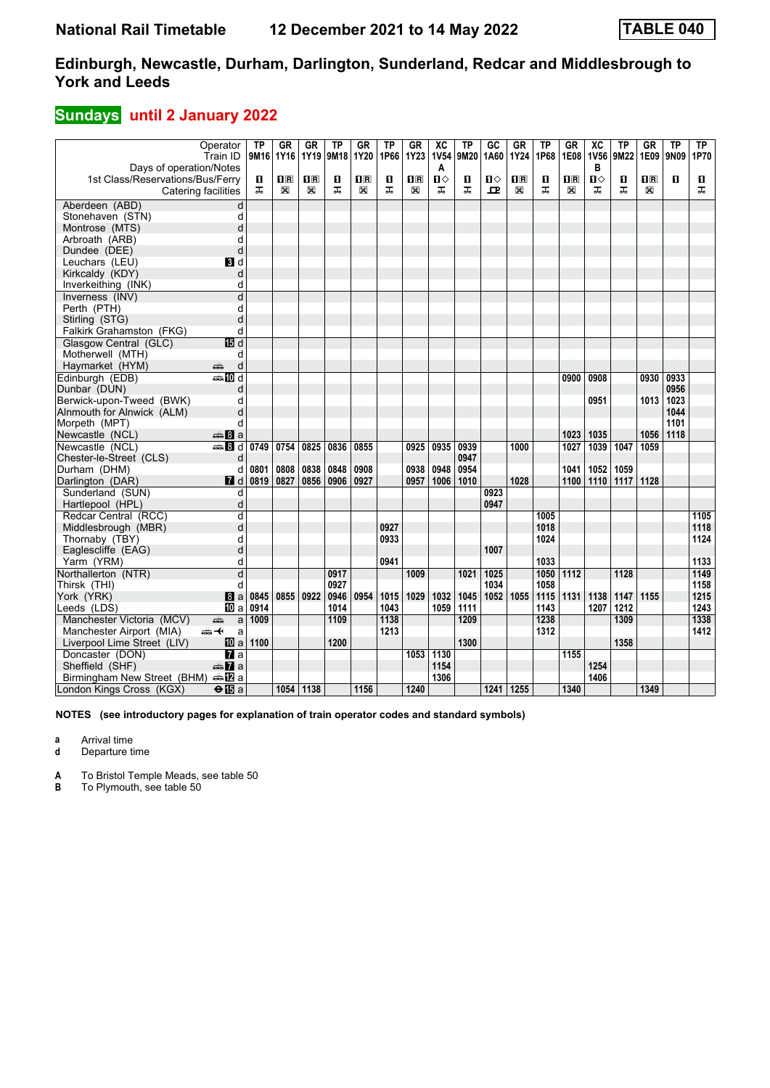# **Sundays** until 2 January 2022

|                                  | Operator<br>Train ID                    | <b>TP</b><br>9M16 | <b>GR</b><br>1Y16 | GR<br>1Y19              | <b>TP</b><br>9M18 | GR<br>1Y20              | TP<br>1P66 | GR<br><b>1Y23</b>       | $\overline{AC}$<br><b>1V54</b> | TP<br>9M20 | GC<br>1A60       | <b>GR</b><br><b>1Y24</b> | <b>TP</b><br>1P68 | GR<br>1E08              | $\overline{X}C$<br><b>1V56</b> | <b>TP</b><br>9M22 | <b>GR</b><br>1E09       | <b>TP</b><br>9N09 | TP<br>1P70 |
|----------------------------------|-----------------------------------------|-------------------|-------------------|-------------------------|-------------------|-------------------------|------------|-------------------------|--------------------------------|------------|------------------|--------------------------|-------------------|-------------------------|--------------------------------|-------------------|-------------------------|-------------------|------------|
| Days of operation/Notes          |                                         |                   |                   |                         |                   |                         |            |                         | A                              |            |                  |                          |                   |                         | в                              |                   |                         |                   |            |
| 1st Class/Reservations/Bus/Ferry |                                         | 0                 | $n_{\rm R}$       | $\overline{\mathbf{R}}$ | п                 | $\overline{\mathbf{B}}$ | п          | $\overline{\mathbf{R}}$ | $\mathbf{u}$                   | п          | Ⅱ◇               | $\overline{\mathbf{B}}$  | О                 | $\overline{\mathbf{H}}$ | П⇔                             | п                 | $\overline{\mathbf{H}}$ | $\mathbf{u}$      | П          |
|                                  | Catering facilities                     | ᅚ                 | X                 | X                       | ᅚ                 | $\mathbb{X}$            | ᠼ          | X                       | ᠼ                              | ᠼ          | 굔                | X                        | ᠼ                 | X                       | ᠼ                              | ᠼ                 | X                       |                   | ᠼ          |
| Aberdeen (ABD)                   | d                                       |                   |                   |                         |                   |                         |            |                         |                                |            |                  |                          |                   |                         |                                |                   |                         |                   |            |
| Stonehaven (STN)                 | d                                       |                   |                   |                         |                   |                         |            |                         |                                |            |                  |                          |                   |                         |                                |                   |                         |                   |            |
| Montrose (MTS)                   | d                                       |                   |                   |                         |                   |                         |            |                         |                                |            |                  |                          |                   |                         |                                |                   |                         |                   |            |
| Arbroath (ARB)                   | d                                       |                   |                   |                         |                   |                         |            |                         |                                |            |                  |                          |                   |                         |                                |                   |                         |                   |            |
| Dundee (DEE)                     | d                                       |                   |                   |                         |                   |                         |            |                         |                                |            |                  |                          |                   |                         |                                |                   |                         |                   |            |
| Leuchars (LEU)                   | BI d                                    |                   |                   |                         |                   |                         |            |                         |                                |            |                  |                          |                   |                         |                                |                   |                         |                   |            |
| Kirkcaldy (KDY)                  | d                                       |                   |                   |                         |                   |                         |            |                         |                                |            |                  |                          |                   |                         |                                |                   |                         |                   |            |
| Inverkeithing (INK)              | d                                       |                   |                   |                         |                   |                         |            |                         |                                |            |                  |                          |                   |                         |                                |                   |                         |                   |            |
| Inverness (INV)                  | d                                       |                   |                   |                         |                   |                         |            |                         |                                |            |                  |                          |                   |                         |                                |                   |                         |                   |            |
| Perth (PTH)                      | d                                       |                   |                   |                         |                   |                         |            |                         |                                |            |                  |                          |                   |                         |                                |                   |                         |                   |            |
| Stirling (STG)                   | d                                       |                   |                   |                         |                   |                         |            |                         |                                |            |                  |                          |                   |                         |                                |                   |                         |                   |            |
| Falkirk Grahamston (FKG)         | d                                       |                   |                   |                         |                   |                         |            |                         |                                |            |                  |                          |                   |                         |                                |                   |                         |                   |            |
| Glasgow Central (GLC)            | 個 d                                     |                   |                   |                         |                   |                         |            |                         |                                |            |                  |                          |                   |                         |                                |                   |                         |                   |            |
| Motherwell (MTH)                 | d                                       |                   |                   |                         |                   |                         |            |                         |                                |            |                  |                          |                   |                         |                                |                   |                         |                   |            |
| Haymarket (HYM)                  | d<br>پېښ                                |                   |                   |                         |                   |                         |            |                         |                                |            |                  |                          |                   |                         |                                |                   |                         |                   |            |
| Edinburgh (EDB)                  | ana Mid                                 |                   |                   |                         |                   |                         |            |                         |                                |            |                  |                          |                   | 0900                    | 0908                           |                   | 0930                    | 0933              |            |
| Dunbar (DUN)                     | d                                       |                   |                   |                         |                   |                         |            |                         |                                |            |                  |                          |                   |                         |                                |                   |                         | 0956              |            |
| Berwick-upon-Tweed (BWK)         | d                                       |                   |                   |                         |                   |                         |            |                         |                                |            |                  |                          |                   |                         | 0951                           |                   | 1013                    | 1023              |            |
| Alnmouth for Alnwick (ALM)       | d                                       |                   |                   |                         |                   |                         |            |                         |                                |            |                  |                          |                   |                         |                                |                   |                         | 1044              |            |
| Morpeth (MPT)                    | d                                       |                   |                   |                         |                   |                         |            |                         |                                |            |                  |                          |                   |                         |                                |                   |                         | 1101              |            |
| Newcastle (NCL)                  | $\oplus$ 8 a                            |                   |                   |                         |                   |                         |            |                         |                                |            |                  |                          |                   | 1023                    | 1035                           |                   | 1056                    | 1118              |            |
| Newcastle (NCL)                  | de <b>B</b> d                           | 0749              | $ 0754\rangle$    | 0825                    | 0836              | 0855                    |            | 0925                    | 0935                           | 0939       |                  | 1000                     |                   | 1027                    | 1039                           | 1047              | 1059                    |                   |            |
| Chester-le-Street (CLS)          | d                                       |                   |                   |                         |                   |                         |            |                         |                                | 0947       |                  |                          |                   |                         |                                |                   |                         |                   |            |
| Durham (DHM)                     | d                                       | 0801              | 0808              | 0838                    | 0848              | 0908                    |            | 0938                    | 0948                           | 0954       |                  |                          |                   | 1041                    | 1052                           | 1059              |                         |                   |            |
| Darlington (DAR)                 | $\blacksquare$ d                        | 0819              | 0827              | 0856                    | 0906              | 0927                    |            | 0957                    | 1006                           | 1010       |                  | 1028                     |                   | 1100                    | 1110                           | 1117              | 1128                    |                   |            |
| Sunderland (SUN)                 | d                                       |                   |                   |                         |                   |                         |            |                         |                                |            | 0923             |                          |                   |                         |                                |                   |                         |                   |            |
| Hartlepool (HPL)                 | d                                       |                   |                   |                         |                   |                         |            |                         |                                |            | 0947             |                          |                   |                         |                                |                   |                         |                   |            |
| Redcar Central (RCC)             | d                                       |                   |                   |                         |                   |                         |            |                         |                                |            |                  |                          | 1005              |                         |                                |                   |                         |                   | 1105       |
| Middlesbrough (MBR)              | d                                       |                   |                   |                         |                   |                         | 0927       |                         |                                |            |                  |                          | 1018              |                         |                                |                   |                         |                   | 1118       |
| Thornaby (TBY)                   | d                                       |                   |                   |                         |                   |                         | 0933       |                         |                                |            |                  |                          | 1024              |                         |                                |                   |                         |                   | 1124       |
| Eaglescliffe (EAG)               | d                                       |                   |                   |                         |                   |                         |            |                         |                                |            | 1007             |                          |                   |                         |                                |                   |                         |                   |            |
| Yarm (YRM)                       | d                                       |                   |                   |                         |                   |                         | 0941       |                         |                                |            |                  |                          | 1033              |                         |                                |                   |                         |                   | 1133       |
| Northallerton (NTR)              | $\overline{\mathsf{d}}$                 |                   |                   |                         | 0917              |                         |            | 1009                    |                                | 1021       | $\frac{1025}{ }$ |                          | 1050              | 1112                    |                                | 1128              |                         |                   | 1149       |
| Thirsk (THI)                     | d                                       |                   |                   |                         | 0927              |                         |            |                         |                                |            | 1034             |                          | 1058              |                         |                                |                   |                         |                   | 1158       |
| York (YRK)                       | $\mathbf{B}$ a                          | 0845              | 0855              | 0922                    | 0946              | 0954                    | 1015       | 1029                    | 1032                           | 1045       | 1052             | 1055                     | 1115              | 1131                    | 1138                           | 1147              | 1155                    |                   | 1215       |
| Leeds (LDS)                      | <b>ID</b> a                             | 0914              |                   |                         | 1014              |                         | 1043       |                         | 1059                           | 1111       |                  |                          | 1143              |                         | 1207                           | 1212              |                         |                   | 1243       |
| Manchester Victoria (MCV)        | a<br>پېش                                | 1009              |                   |                         | 1109              |                         | 1138       |                         |                                | 1209       |                  |                          | 1238              |                         |                                | 1309              |                         |                   | 1338       |
| Manchester Airport (MIA)         | ക≁<br>a                                 |                   |                   |                         |                   |                         | 1213       |                         |                                |            |                  |                          | 1312              |                         |                                |                   |                         |                   | 1412       |
| Liverpool Lime Street (LIV)      | 10 a                                    | 1100              |                   |                         | 1200              |                         |            |                         |                                | 1300       |                  |                          |                   |                         |                                | 1358              |                         |                   |            |
| Doncaster (DON)                  | <b>и</b> а                              |                   |                   |                         |                   |                         |            | 1053                    | 1130                           |            |                  |                          |                   | 1155                    |                                |                   |                         |                   |            |
| Sheffield (SHF)                  | $\oplus \mathbf{Z}$ a                   |                   |                   |                         |                   |                         |            |                         | 1154                           |            |                  |                          |                   |                         | 1254                           |                   |                         |                   |            |
| Birmingham New Street (BHM)      | dana <mark>a</mark> na <mark>a</mark> n |                   |                   |                         |                   |                         |            |                         | 1306                           |            |                  |                          |                   |                         | 1406                           |                   |                         |                   |            |
| London Kings Cross (KGX)         | $\Theta$ $\mathbf{E}$ a                 |                   | 1054 1138         |                         |                   | 1156                    |            | 1240                    |                                |            | 1241 1255        |                          |                   | 1340                    |                                |                   | 1349                    |                   |            |

**NOTES (see introductory pages for explanation of train operator codes and standard symbols)**

**a** Arrival time

**d** Departure time

**A** To Bristol Temple Meads, see table 50

**B** To Plymouth, see table 50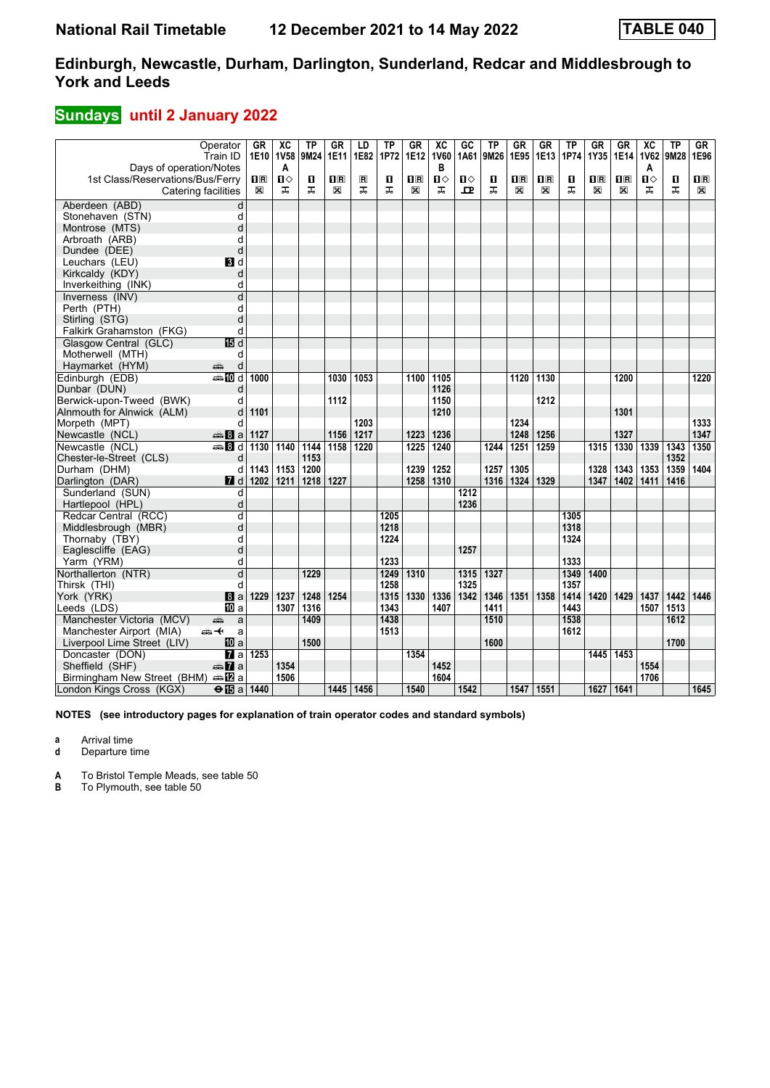# **Sundays** until 2 January 2022

|                                          | Operator<br>Train ID    | GR<br>1E10          | $\overline{AC}$<br><b>1V58</b> | <b>TP</b><br>9M24 | GR<br>1E11                   | LD<br>1E82          | <b>TP</b><br>1P72 | GR<br>1E12                                           | $\overline{AC}$<br><b>1V60</b> | GC<br>1A61 | ΤP<br>9M26 | <b>GR</b><br>1E95                                    | <b>GR</b><br>1E13            | <b>TP</b><br>1P74 | <b>GR</b><br>1Y35                                    | <b>GR</b><br>1E14            | $\overline{X}C$<br><b>1V62</b> | <b>TP</b><br>9M28 | GF<br>1E96                   |
|------------------------------------------|-------------------------|---------------------|--------------------------------|-------------------|------------------------------|---------------------|-------------------|------------------------------------------------------|--------------------------------|------------|------------|------------------------------------------------------|------------------------------|-------------------|------------------------------------------------------|------------------------------|--------------------------------|-------------------|------------------------------|
| Days of operation/Notes                  |                         |                     | A                              |                   |                              |                     |                   |                                                      | в                              |            |            |                                                      |                              |                   |                                                      |                              | A                              |                   |                              |
| 1st Class/Reservations/Bus/Ferry         |                         | $\mathbf{H}$ R<br>X | П⇔<br>ᠼ                        | П<br>ᅚ            | $\overline{\mathbf{R}}$<br>X | $\blacksquare$<br>ᠼ | П<br>ᠼ            | $\overline{\mathbf{H}}$ $\overline{\mathbf{R}}$<br>X | $\mathbf{u}$<br>ᠼ              | Ⅱ♦<br>ᇁ    | п<br>ᠼ     | $\overline{\mathbf{H}}$ $\overline{\mathbf{R}}$<br>X | $\overline{\mathbf{B}}$<br>X | п<br>ᠼ            | $\overline{\mathbf{H}}$ $\overline{\mathbf{R}}$<br>X | $\overline{\mathbf{H}}$<br>X | $\mathbf{u}$<br>ᅚ              | П<br>ᠼ            | $\overline{\mathbf{B}}$<br>X |
|                                          | Catering facilities     |                     |                                |                   |                              |                     |                   |                                                      |                                |            |            |                                                      |                              |                   |                                                      |                              |                                |                   |                              |
| Aberdeen (ABD)                           | d                       |                     |                                |                   |                              |                     |                   |                                                      |                                |            |            |                                                      |                              |                   |                                                      |                              |                                |                   |                              |
| Stonehaven (STN)                         | d                       |                     |                                |                   |                              |                     |                   |                                                      |                                |            |            |                                                      |                              |                   |                                                      |                              |                                |                   |                              |
| Montrose (MTS)                           | d                       |                     |                                |                   |                              |                     |                   |                                                      |                                |            |            |                                                      |                              |                   |                                                      |                              |                                |                   |                              |
| Arbroath (ARB)                           | d                       |                     |                                |                   |                              |                     |                   |                                                      |                                |            |            |                                                      |                              |                   |                                                      |                              |                                |                   |                              |
| Dundee (DEE)                             | d                       |                     |                                |                   |                              |                     |                   |                                                      |                                |            |            |                                                      |                              |                   |                                                      |                              |                                |                   |                              |
| Leuchars (LEU)                           | BI d                    |                     |                                |                   |                              |                     |                   |                                                      |                                |            |            |                                                      |                              |                   |                                                      |                              |                                |                   |                              |
| Kirkcaldy (KDY)                          | d                       |                     |                                |                   |                              |                     |                   |                                                      |                                |            |            |                                                      |                              |                   |                                                      |                              |                                |                   |                              |
| Inverkeithing (INK)                      | d                       |                     |                                |                   |                              |                     |                   |                                                      |                                |            |            |                                                      |                              |                   |                                                      |                              |                                |                   |                              |
| Inverness (INV)                          | d                       |                     |                                |                   |                              |                     |                   |                                                      |                                |            |            |                                                      |                              |                   |                                                      |                              |                                |                   |                              |
| Perth (PTH)                              | d                       |                     |                                |                   |                              |                     |                   |                                                      |                                |            |            |                                                      |                              |                   |                                                      |                              |                                |                   |                              |
| Stirling (STG)                           | d                       |                     |                                |                   |                              |                     |                   |                                                      |                                |            |            |                                                      |                              |                   |                                                      |                              |                                |                   |                              |
| Falkirk Grahamston (FKG)                 | d                       |                     |                                |                   |                              |                     |                   |                                                      |                                |            |            |                                                      |                              |                   |                                                      |                              |                                |                   |                              |
| Glasgow Central (GLC)                    | 個 d                     |                     |                                |                   |                              |                     |                   |                                                      |                                |            |            |                                                      |                              |                   |                                                      |                              |                                |                   |                              |
| Motherwell (MTH)                         | d                       |                     |                                |                   |                              |                     |                   |                                                      |                                |            |            |                                                      |                              |                   |                                                      |                              |                                |                   |                              |
| Haymarket (HYM)                          | پېښتنه<br>d             |                     |                                |                   |                              |                     |                   |                                                      |                                |            |            |                                                      |                              |                   |                                                      |                              |                                |                   |                              |
| Edinburgh (EDB)                          | <b>ential</b> d         | 1000                |                                |                   | 1030                         | 1053                |                   | 1100                                                 | 1105                           |            |            | 1120                                                 | 1130                         |                   |                                                      | 1200                         |                                |                   | 1220                         |
| Dunbar (DUN)                             | d                       |                     |                                |                   |                              |                     |                   |                                                      | 1126                           |            |            |                                                      |                              |                   |                                                      |                              |                                |                   |                              |
| Berwick-upon-Tweed (BWK)                 | d                       |                     |                                |                   | 1112                         |                     |                   |                                                      | 1150                           |            |            |                                                      | 1212                         |                   |                                                      |                              |                                |                   |                              |
| Alnmouth for Alnwick (ALM)               | d                       | 1101                |                                |                   |                              |                     |                   |                                                      | 1210                           |            |            |                                                      |                              |                   |                                                      | 1301                         |                                |                   |                              |
| Morpeth (MPT)                            | d                       |                     |                                |                   |                              | 1203                |                   |                                                      |                                |            |            | 1234                                                 |                              |                   |                                                      |                              |                                |                   | 1333                         |
| Newcastle (NCL)                          | $\clubsuit 8a$          | 1127                |                                |                   | 1156                         | 1217                |                   | 1223                                                 | 1236                           |            |            | 1248                                                 | 1256                         |                   |                                                      | 1327                         |                                |                   | 1347                         |
| Newcastle (NCL)                          | <b>第8d</b>              | 1130                | 1140                           | 1144              | 1158                         | 1220                |                   | 1225                                                 | 1240                           |            | 1244       | 1251                                                 | 1259                         |                   | 1315                                                 | 1330                         | 1339                           | 1343              | 1350                         |
| Chester-le-Street (CLS)                  | d                       |                     |                                | 1153              |                              |                     |                   |                                                      |                                |            |            |                                                      |                              |                   |                                                      |                              |                                | 1352              |                              |
| Durham (DHM)                             | d                       | 1143                | 1153                           | 1200              |                              |                     |                   | 1239                                                 | 1252                           |            | 1257       | 1305                                                 |                              |                   | 1328                                                 | 1343                         | 1353                           | 1359              | 1404                         |
| Darlington (DAR)                         | $\blacksquare$ d        | 1202                | 1211                           | 1218              | 1227                         |                     |                   | 1258                                                 | 1310                           |            | 1316       | 1324                                                 | 1329                         |                   | 1347                                                 | 1402                         | 1411                           | 1416              |                              |
| Sunderland (SUN)                         | d                       |                     |                                |                   |                              |                     |                   |                                                      |                                | 1212       |            |                                                      |                              |                   |                                                      |                              |                                |                   |                              |
| Hartlepool (HPL)                         | d                       |                     |                                |                   |                              |                     |                   |                                                      |                                | 1236       |            |                                                      |                              |                   |                                                      |                              |                                |                   |                              |
| Redcar Central (RCC)                     | d                       |                     |                                |                   |                              |                     | 1205              |                                                      |                                |            |            |                                                      |                              | 1305              |                                                      |                              |                                |                   |                              |
| Middlesbrough (MBR)                      | d                       |                     |                                |                   |                              |                     | 1218              |                                                      |                                |            |            |                                                      |                              | 1318              |                                                      |                              |                                |                   |                              |
| Thornaby (TBY)                           | d                       |                     |                                |                   |                              |                     | 1224              |                                                      |                                |            |            |                                                      |                              | 1324              |                                                      |                              |                                |                   |                              |
| Eaglescliffe (EAG)                       | d                       |                     |                                |                   |                              |                     |                   |                                                      |                                | 1257       |            |                                                      |                              |                   |                                                      |                              |                                |                   |                              |
| Yarm (YRM)                               | d                       |                     |                                |                   |                              |                     | 1233              |                                                      |                                |            |            |                                                      |                              | 1333              |                                                      |                              |                                |                   |                              |
| Northallerton (NTR)                      | $\overline{\mathsf{d}}$ |                     |                                | 1229              |                              |                     | 1249              | 1310                                                 |                                | 1315       | 1327       |                                                      |                              | 1349              | 1400                                                 |                              |                                |                   |                              |
| Thirsk (THI)                             | d                       |                     |                                |                   |                              |                     | 1258              |                                                      |                                | 1325       |            |                                                      |                              | 1357              |                                                      |                              |                                |                   |                              |
| York (YRK)                               | 8a                      | 1229                | 1237                           | 1248              | 1254                         |                     | 1315              | 1330                                                 | 1336                           | 1342       | 1346       | 1351                                                 | 1358                         | 1414              | 1420                                                 | 1429                         | 1437                           | 1442              | 1446                         |
|                                          | <b>ID</b> a             |                     | 1307                           | 1316              |                              |                     | 1343              |                                                      | 1407                           |            | 1411       |                                                      |                              | 1443              |                                                      |                              | 1507                           | 1513              |                              |
| Leeds (LDS)<br>Manchester Victoria (MCV) | پیش<br>a                |                     |                                | 1409              |                              |                     | 1438              |                                                      |                                |            | 1510       |                                                      |                              | 1538              |                                                      |                              |                                | 1612              |                              |
| Manchester Airport (MIA)                 | ക+<br>a                 |                     |                                |                   |                              |                     | 1513              |                                                      |                                |            |            |                                                      |                              | 1612              |                                                      |                              |                                |                   |                              |
|                                          |                         |                     |                                | 1500              |                              |                     |                   |                                                      |                                |            | 1600       |                                                      |                              |                   |                                                      |                              |                                | 1700              |                              |
| Liverpool Lime Street (LIV)              | 10 a                    | 1253                |                                |                   |                              |                     |                   | 1354                                                 |                                |            |            |                                                      |                              |                   | 1445                                                 | 1453                         |                                |                   |                              |
| Doncaster (DON)                          | $\overline{a}$ a        |                     |                                |                   |                              |                     |                   |                                                      |                                |            |            |                                                      |                              |                   |                                                      |                              |                                |                   |                              |
| Sheffield (SHF)                          | $\oplus \mathbf{Z}$ a   |                     | 1354                           |                   |                              |                     |                   |                                                      | 1452                           |            |            |                                                      |                              |                   |                                                      |                              | 1554                           |                   |                              |
| Birmingham New Street (BHM)              | dan <mark>na</mark> n⊡  |                     | 1506                           |                   |                              |                     |                   |                                                      | 1604                           |            |            |                                                      |                              |                   |                                                      |                              | 1706                           |                   |                              |
| London Kings Cross (KGX)                 | $\Theta$ $\mathbf{E}$ a | 1440                |                                |                   |                              | 1445 1456           |                   | 1540                                                 |                                | 1542       |            | 1547 1551                                            |                              |                   | 1627   1641                                          |                              |                                |                   | 1645                         |

**NOTES (see introductory pages for explanation of train operator codes and standard symbols)**

**a** Arrival time

**d** Departure time

**A** To Bristol Temple Meads, see table 50

**B** To Plymouth, see table 50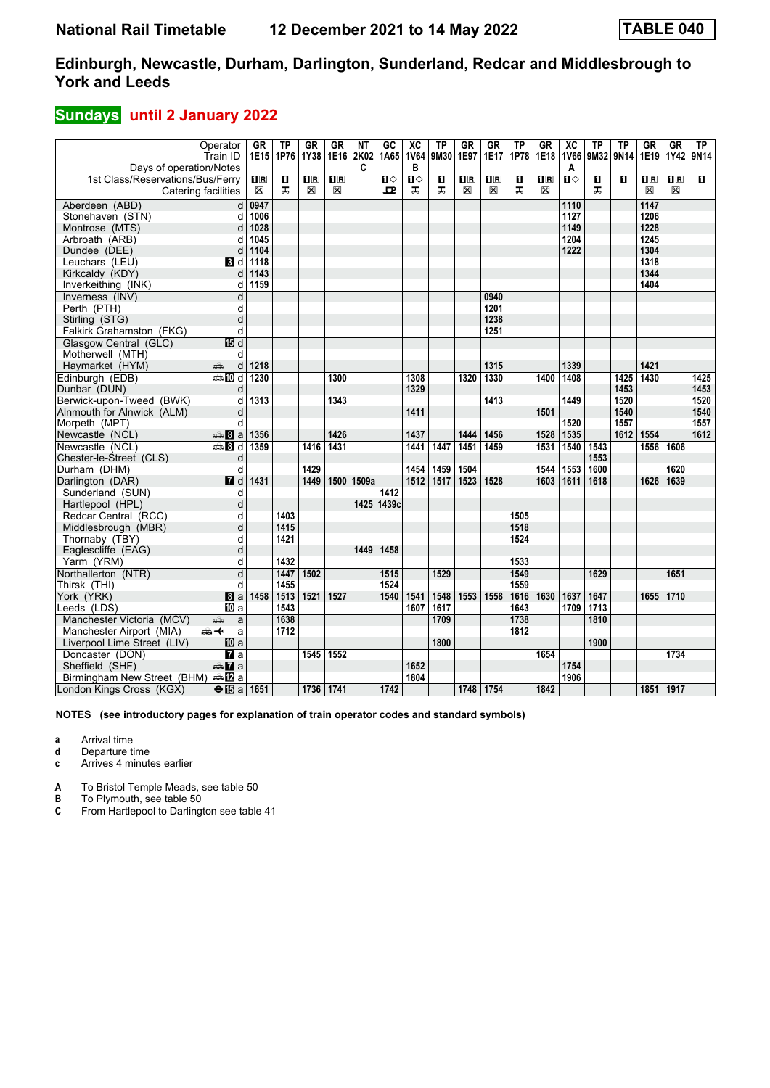# **Sundays** until 2 January 2022

|                                                         | Operator<br>Train ID | <b>GR</b><br>1E15                               | TP<br>1P76 | <b>GR</b><br>1Y38       | GR<br>1E16 2K02 | NΤ    | $G$ <sub>C</sub><br>1A65 | $\overline{\mathbf{X}}$<br><b>1V64</b> | $\overline{TP}$<br>9M30 | $G$ R<br>1E97           | $G$ R<br><b>1E17</b>    | $\overline{TP}$<br>1P78 | $G$ R<br>1E18           | $\overline{X}C$<br><b>1V66</b> | <b>TP</b><br>9M32 | <b>TP</b><br>9N14 | $G$ R<br>1E19 | $G$ R<br>1Y42      | TP<br>9N14   |
|---------------------------------------------------------|----------------------|-------------------------------------------------|------------|-------------------------|-----------------|-------|--------------------------|----------------------------------------|-------------------------|-------------------------|-------------------------|-------------------------|-------------------------|--------------------------------|-------------------|-------------------|---------------|--------------------|--------------|
| Days of operation/Notes                                 |                      |                                                 |            |                         |                 | C     |                          | в                                      |                         |                         |                         |                         |                         | Α                              |                   |                   |               |                    |              |
| 1st Class/Reservations/Bus/Ferry                        |                      | $\overline{\mathbf{H}}$ $\overline{\mathbf{R}}$ | п<br>ᠼ     | $\overline{\mathbf{R}}$ | $n_{R}$         |       | Ⅱ◇                       | $\mathbf{u}$                           | п                       | $\overline{\mathbf{H}}$ | $\overline{\mathbf{H}}$ | O                       | $\overline{\mathbf{H}}$ | $\mathbf{u}$                   | П                 | п                 | $n_{\rm R}$   | $\Pi$ <sub>R</sub> | $\mathbf{u}$ |
|                                                         | Catering facilities  | $\boxtimes$                                     |            | X                       | X               |       | ᇁ                        | ᠼ                                      | ᠼ                       | ⊠                       | X                       | ᠼ                       | X                       |                                | ᠼ                 |                   | X             | X                  |              |
| Aberdeen (ABD)                                          | d                    | 0947                                            |            |                         |                 |       |                          |                                        |                         |                         |                         |                         |                         | 1110                           |                   |                   | 1147          |                    |              |
| Stonehaven (STN)                                        | d                    | 1006                                            |            |                         |                 |       |                          |                                        |                         |                         |                         |                         |                         | 1127                           |                   |                   | 1206          |                    |              |
| Montrose (MTS)                                          | d                    | 1028                                            |            |                         |                 |       |                          |                                        |                         |                         |                         |                         |                         | 1149                           |                   |                   | 1228          |                    |              |
| Arbroath (ARB)                                          | d                    | 1045                                            |            |                         |                 |       |                          |                                        |                         |                         |                         |                         |                         | 1204                           |                   |                   | 1245          |                    |              |
| Dundee (DEE)                                            | d                    | 1104                                            |            |                         |                 |       |                          |                                        |                         |                         |                         |                         |                         | 1222                           |                   |                   | 1304          |                    |              |
| Leuchars (LEU)                                          | BI d                 | 1118                                            |            |                         |                 |       |                          |                                        |                         |                         |                         |                         |                         |                                |                   |                   | 1318          |                    |              |
| Kirkcaldy (KDY)                                         | d                    | 1143                                            |            |                         |                 |       |                          |                                        |                         |                         |                         |                         |                         |                                |                   |                   | 1344          |                    |              |
| Inverkeithing (INK)                                     | d                    | 1159                                            |            |                         |                 |       |                          |                                        |                         |                         |                         |                         |                         |                                |                   |                   | 1404          |                    |              |
| Inverness (INV)                                         | d                    |                                                 |            |                         |                 |       |                          |                                        |                         |                         | 0940                    |                         |                         |                                |                   |                   |               |                    |              |
| Perth (PTH)                                             | d                    |                                                 |            |                         |                 |       |                          |                                        |                         |                         | 1201                    |                         |                         |                                |                   |                   |               |                    |              |
| Stirling (STG)                                          | d                    |                                                 |            |                         |                 |       |                          |                                        |                         |                         | 1238                    |                         |                         |                                |                   |                   |               |                    |              |
| Falkirk Grahamston (FKG)                                | d                    |                                                 |            |                         |                 |       |                          |                                        |                         |                         | 1251                    |                         |                         |                                |                   |                   |               |                    |              |
| Glasgow Central (GLC)                                   | 15 d                 |                                                 |            |                         |                 |       |                          |                                        |                         |                         |                         |                         |                         |                                |                   |                   |               |                    |              |
| Motherwell (MTH)                                        | d                    |                                                 |            |                         |                 |       |                          |                                        |                         |                         |                         |                         |                         |                                |                   |                   |               |                    |              |
| Haymarket (HYM)                                         | æ<br>d               | 1218                                            |            |                         |                 |       |                          |                                        |                         |                         | 1315                    |                         |                         | 1339                           |                   |                   | 1421          |                    |              |
| Edinburgh (EDB)                                         | <b>一面d</b>           | 1230                                            |            |                         | 1300            |       |                          | 1308                                   |                         | 1320                    | 1330                    |                         | 1400                    | 1408                           |                   | 1425              | 1430          |                    | 1425         |
| Dunbar (DUN)                                            | d                    |                                                 |            |                         |                 |       |                          | 1329                                   |                         |                         |                         |                         |                         |                                |                   | 1453              |               |                    | 1453         |
| Berwick-upon-Tweed (BWK)                                | d                    | 1313                                            |            |                         | 1343            |       |                          |                                        |                         |                         | 1413                    |                         |                         | 1449                           |                   | 1520              |               |                    | 1520         |
| Alnmouth for Alnwick (ALM)                              | d                    |                                                 |            |                         |                 |       |                          | 1411                                   |                         |                         |                         |                         | 1501                    |                                |                   | 1540              |               |                    | 1540         |
| Morpeth (MPT)                                           | d                    |                                                 |            |                         |                 |       |                          |                                        |                         |                         |                         |                         |                         | 1520                           |                   | 1557              |               |                    | 1557         |
| Newcastle (NCL)                                         | <b>美Ba</b>           | 1356                                            |            |                         | 1426            |       |                          | 1437                                   |                         | 1444                    | 1456                    |                         | 1528                    | 1535                           |                   | 1612              | 1554          |                    | 1612         |
| Newcastle (NCL)                                         | <b>第8d</b>           | 1359                                            |            | 1416                    | 1431            |       |                          | 1441                                   | 1447                    | 1451                    | 1459                    |                         | 1531                    | 1540                           | 1543              |                   | 1556          | 1606               |              |
| Chester-le-Street (CLS)                                 | d                    |                                                 |            |                         |                 |       |                          |                                        |                         |                         |                         |                         |                         |                                | 1553              |                   |               |                    |              |
| Durham (DHM)                                            | d                    |                                                 |            | 1429                    |                 |       |                          | 1454                                   | 1459                    | 1504                    |                         |                         | 1544                    | 1553                           | 1600              |                   |               | 1620               |              |
| Darlington (DAR)                                        | $\blacksquare$ d     | 1431                                            |            | 1449                    | 1500            | 1509a |                          | 1512                                   | 1517                    | 1523                    | 1528                    |                         | 1603                    | 1611                           | 1618              |                   | 1626          | 1639               |              |
| Sunderland (SUN)                                        | d                    |                                                 |            |                         |                 |       | 1412                     |                                        |                         |                         |                         |                         |                         |                                |                   |                   |               |                    |              |
| Hartlepool (HPL)                                        | d                    |                                                 |            |                         |                 |       | 1425 1439c               |                                        |                         |                         |                         |                         |                         |                                |                   |                   |               |                    |              |
| Redcar Central (RCC)                                    | d                    |                                                 | 1403       |                         |                 |       |                          |                                        |                         |                         |                         | 1505                    |                         |                                |                   |                   |               |                    |              |
| Middlesbrough (MBR)                                     | d                    |                                                 | 1415       |                         |                 |       |                          |                                        |                         |                         |                         | 1518                    |                         |                                |                   |                   |               |                    |              |
| Thornaby (TBY)                                          | d                    |                                                 | 1421       |                         |                 |       |                          |                                        |                         |                         |                         | 1524                    |                         |                                |                   |                   |               |                    |              |
| Eaglescliffe (EAG)                                      | d                    |                                                 | 1432       |                         |                 | 1449  | 1458                     |                                        |                         |                         |                         | 1533                    |                         |                                |                   |                   |               |                    |              |
| Yarm (YRM)                                              | d<br>d               |                                                 | 1447       | 1502                    |                 |       | 1515                     |                                        | 1529                    |                         |                         | 1549                    |                         |                                | 1629              |                   |               | 1651               |              |
| Northallerton (NTR)                                     |                      |                                                 | 1455       |                         |                 |       | 1524                     |                                        |                         |                         |                         |                         |                         |                                |                   |                   |               |                    |              |
| Thirsk (THI)                                            | d                    | 1458                                            | 1513       | 1521                    | 1527            |       | 1540                     | 1541                                   | 1548                    | 1553                    | 1558                    | 1559<br>1616            | 1630                    | 1637                           | 1647              |                   | 1655          | 1710               |              |
| York (YRK)<br>Leeds (LDS)                               | 8a<br>III a          |                                                 | 1543       |                         |                 |       |                          | 1607                                   | 1617                    |                         |                         | 1643                    |                         | 1709                           | 1713              |                   |               |                    |              |
| Manchester Victoria (MCV)                               | پیش                  |                                                 | 1638       |                         |                 |       |                          |                                        | 1709                    |                         |                         | 1738                    |                         |                                | 1810              |                   |               |                    |              |
|                                                         | a<br>ക—⊬<br>a        |                                                 | 1712       |                         |                 |       |                          |                                        |                         |                         |                         | 1812                    |                         |                                |                   |                   |               |                    |              |
| Manchester Airport (MIA)<br>Liverpool Lime Street (LIV) | <b>iD</b> a          |                                                 |            |                         |                 |       |                          |                                        | 1800                    |                         |                         |                         |                         |                                | 1900              |                   |               |                    |              |
| Doncaster (DON)                                         | $\overline{a}$ a     |                                                 |            | 1545                    | 1552            |       |                          |                                        |                         |                         |                         |                         | 1654                    |                                |                   |                   |               | 1734               |              |
| Sheffield (SHF)                                         | <del>m</del> ⊾ a     |                                                 |            |                         |                 |       |                          | 1652                                   |                         |                         |                         |                         |                         | 1754                           |                   |                   |               |                    |              |
| Birmingham New Street (BHM) AD a                        |                      |                                                 |            |                         |                 |       |                          | 1804                                   |                         |                         |                         |                         |                         | 1906                           |                   |                   |               |                    |              |
| London Kings Cross (KGX)                                | <b>⊖ l⊡</b> a ∣      | 1651                                            |            | 1736 1741               |                 |       | 1742                     |                                        |                         | 1748                    | $1754$                  |                         | 1842                    |                                |                   |                   | 1851 1917     |                    |              |
|                                                         |                      |                                                 |            |                         |                 |       |                          |                                        |                         |                         |                         |                         |                         |                                |                   |                   |               |                    |              |

**NOTES (see introductory pages for explanation of train operator codes and standard symbols)**

**a** Arrival time

**d** Departure time

**c** Arrives 4 minutes earlier

**A** To Bristol Temple Meads, see table 50

**B** To Plymouth, see table 50<br>**C** From Hartlepool to Darling **C** From Hartlepool to Darlington see table 41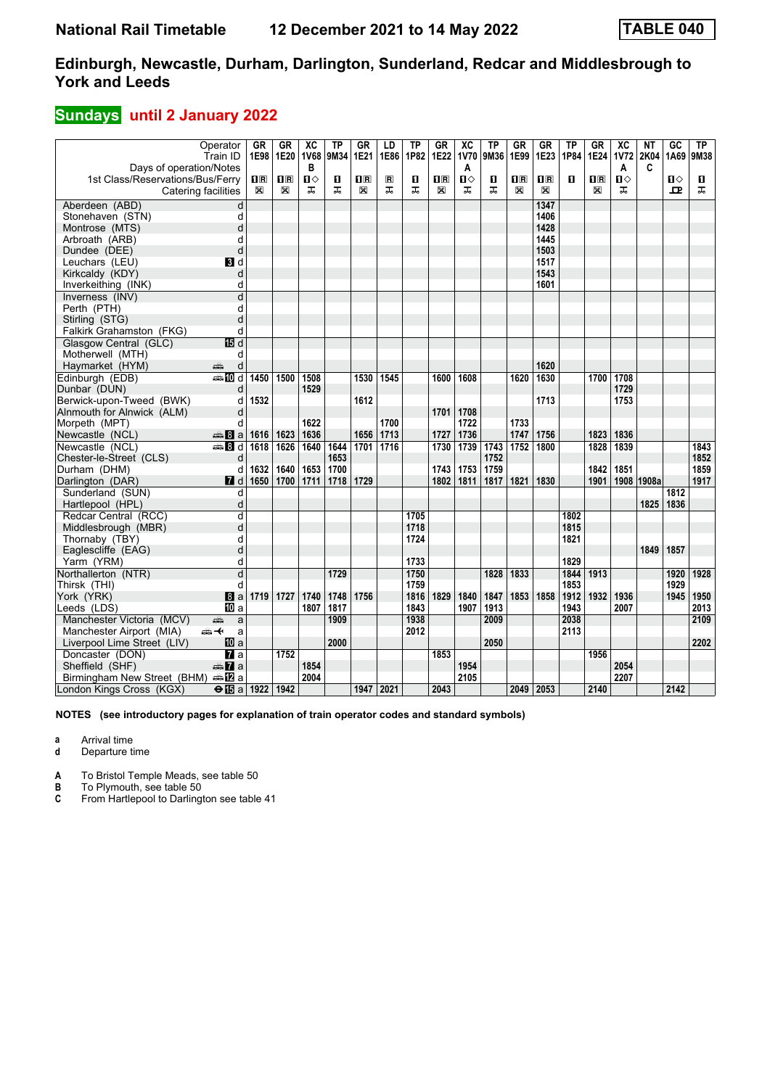## **Sundays** until 2 January 2022

|                                  | Operator<br>Train ID    | GR<br>1E98  | GR<br>1E20   | $\overline{X}C$<br><b>1V68</b> | <b>TP</b><br>9M34 | GR<br>1E21              | LD<br>1E86     | $\overline{IP}$<br>1P82 | $G_{R}$<br>1E22         | $\overline{\mathbf{X}}$<br>1V70 | TP<br>9M36 | $G_{R}$<br>1E99         | $G$ R<br>1E23           | $\overline{TP}$<br>1P84 | <b>GR</b><br>1E24       | $\overline{\mathbf{X}}$<br><b>1V72</b> | NT<br>2K04 | $\overline{GC}$<br>1A69 | TP<br>9M38 |
|----------------------------------|-------------------------|-------------|--------------|--------------------------------|-------------------|-------------------------|----------------|-------------------------|-------------------------|---------------------------------|------------|-------------------------|-------------------------|-------------------------|-------------------------|----------------------------------------|------------|-------------------------|------------|
| Days of operation/Notes          |                         |             |              | B                              |                   |                         |                |                         |                         | A                               |            |                         |                         |                         |                         | A                                      | C          |                         |            |
| 1st Class/Reservations/Bus/Ferry |                         | 0 R         | $\mathbf{H}$ | Ⅱ◇                             | п                 | $\overline{\mathbf{B}}$ | $\blacksquare$ | п                       | $\overline{\mathbf{R}}$ | $\mathbf{u}$                    | п          | $\overline{\mathbf{B}}$ | $\overline{\mathbf{H}}$ | П                       | $\overline{\mathbf{H}}$ | $\mathbf{u}$                           |            | $\mathbf{u}$            | п          |
|                                  | Catering facilities     | $\boxtimes$ | X            | ᠼ                              | ᠼ                 | $\boxtimes$             | ᠼ              | ᠼ                       | X                       | ᠼ                               | ᠼ          | X                       | X                       |                         | X                       | ᠼ                                      |            | ᇁ                       | ᠼ          |
| Aberdeen (ABD)                   | d                       |             |              |                                |                   |                         |                |                         |                         |                                 |            |                         | 1347                    |                         |                         |                                        |            |                         |            |
| Stonehaven (STN)                 | d                       |             |              |                                |                   |                         |                |                         |                         |                                 |            |                         | 1406                    |                         |                         |                                        |            |                         |            |
| Montrose (MTS)                   | d                       |             |              |                                |                   |                         |                |                         |                         |                                 |            |                         | 1428                    |                         |                         |                                        |            |                         |            |
| Arbroath (ARB)                   | d                       |             |              |                                |                   |                         |                |                         |                         |                                 |            |                         | 1445                    |                         |                         |                                        |            |                         |            |
| Dundee (DEE)                     | d                       |             |              |                                |                   |                         |                |                         |                         |                                 |            |                         | 1503                    |                         |                         |                                        |            |                         |            |
| Leuchars (LEU)                   | BI d                    |             |              |                                |                   |                         |                |                         |                         |                                 |            |                         | 1517                    |                         |                         |                                        |            |                         |            |
| Kirkcaldy (KDY)                  | d                       |             |              |                                |                   |                         |                |                         |                         |                                 |            |                         | 1543                    |                         |                         |                                        |            |                         |            |
| Inverkeithing (INK)              | d                       |             |              |                                |                   |                         |                |                         |                         |                                 |            |                         | 1601                    |                         |                         |                                        |            |                         |            |
| Inverness (INV)                  | d                       |             |              |                                |                   |                         |                |                         |                         |                                 |            |                         |                         |                         |                         |                                        |            |                         |            |
| Perth (PTH)                      | d                       |             |              |                                |                   |                         |                |                         |                         |                                 |            |                         |                         |                         |                         |                                        |            |                         |            |
| Stirling (STG)                   | d                       |             |              |                                |                   |                         |                |                         |                         |                                 |            |                         |                         |                         |                         |                                        |            |                         |            |
| Falkirk Grahamston (FKG)         | d                       |             |              |                                |                   |                         |                |                         |                         |                                 |            |                         |                         |                         |                         |                                        |            |                         |            |
| Glasgow Central (GLC)            | 15日 d                   |             |              |                                |                   |                         |                |                         |                         |                                 |            |                         |                         |                         |                         |                                        |            |                         |            |
| Motherwell (MTH)                 | d                       |             |              |                                |                   |                         |                |                         |                         |                                 |            |                         |                         |                         |                         |                                        |            |                         |            |
| Haymarket (HYM)                  | d<br>æ                  |             |              |                                |                   |                         |                |                         |                         |                                 |            |                         | 1620                    |                         |                         |                                        |            |                         |            |
| Edinburgh (EDB)                  | $\bigoplus$ 10 d        | 1450        | 1500         | 1508                           |                   | 1530                    | 1545           |                         | 1600                    | 1608                            |            | 1620                    | 1630                    |                         | 1700                    | 1708                                   |            |                         |            |
| Dunbar (DUN)                     | d                       |             |              | 1529                           |                   |                         |                |                         |                         |                                 |            |                         |                         |                         |                         | 1729                                   |            |                         |            |
| Berwick-upon-Tweed (BWK)         | d                       | 1532        |              |                                |                   | 1612                    |                |                         |                         |                                 |            |                         | 1713                    |                         |                         | 1753                                   |            |                         |            |
| Alnmouth for Alnwick (ALM)       | d                       |             |              |                                |                   |                         |                |                         | 1701                    | 1708                            |            |                         |                         |                         |                         |                                        |            |                         |            |
| Morpeth (MPT)                    | d                       |             |              | 1622                           |                   |                         | 1700           |                         |                         | 1722                            |            | 1733                    |                         |                         |                         |                                        |            |                         |            |
| Newcastle (NCL)                  | $\oplus 8$ a            | 1616        | 1623         | 1636                           |                   | 1656                    | 1713           |                         | 1727                    | 1736                            |            | 1747                    | 1756                    |                         | 1823                    | 1836                                   |            |                         |            |
| Newcastle (NCL)                  | <b>第8d</b>              | 1618        | 1626         | 1640                           | 1644              | 1701                    | 1716           |                         | 1730                    | 1739                            | 1743       | 1752                    | 1800                    |                         | 1828                    | 1839                                   |            |                         | 1843       |
| Chester-le-Street (CLS)          | d                       |             |              |                                | 1653              |                         |                |                         |                         |                                 | 1752       |                         |                         |                         |                         |                                        |            |                         | 1852       |
| Durham (DHM)                     | d                       | 1632        | 1640         | 1653                           | 1700              |                         |                |                         | 1743                    | 1753                            | 1759       |                         |                         |                         | 1842                    | 1851                                   |            |                         | 1859       |
| Darlington (DAR)                 | $\blacksquare$ d        | 1650        | 1700         | 1711                           | 1718              | 1729                    |                |                         | 1802                    | 1811                            | 1817       | 1821                    | 1830                    |                         | 1901                    | 1908                                   | 1908a      |                         | 1917       |
| Sunderland (SUN)                 | d                       |             |              |                                |                   |                         |                |                         |                         |                                 |            |                         |                         |                         |                         |                                        |            | 1812                    |            |
| Hartlepool (HPL)                 | d                       |             |              |                                |                   |                         |                |                         |                         |                                 |            |                         |                         |                         |                         |                                        | 1825       | 1836                    |            |
| Redcar Central (RCC)             | $\overline{\mathsf{d}}$ |             |              |                                |                   |                         |                | 1705                    |                         |                                 |            |                         |                         | 1802                    |                         |                                        |            |                         |            |
| Middlesbrough (MBR)              | d                       |             |              |                                |                   |                         |                | 1718                    |                         |                                 |            |                         |                         | 1815                    |                         |                                        |            |                         |            |
| Thornaby (TBY)                   | d                       |             |              |                                |                   |                         |                | 1724                    |                         |                                 |            |                         |                         | 1821                    |                         |                                        |            |                         |            |
| Eaglescliffe (EAG)               | d                       |             |              |                                |                   |                         |                |                         |                         |                                 |            |                         |                         |                         |                         |                                        | 1849       | 1857                    |            |
| Yarm (YRM)                       | d                       |             |              |                                |                   |                         |                | 1733                    |                         |                                 |            |                         |                         | 1829                    |                         |                                        |            |                         |            |
| Northallerton (NTR)              | $\overline{\mathsf{d}}$ |             |              |                                | 1729              |                         |                | 1750                    |                         |                                 | 1828       | 1833                    |                         | 1844                    | 1913                    |                                        |            | 1920                    | 1928       |
| Thirsk (THI)                     | d                       |             |              |                                |                   |                         |                | 1759                    |                         |                                 |            |                         |                         | 1853                    |                         |                                        |            | 1929                    |            |
| York (YRK)                       | 8a                      | 1719        | 1727         | 1740                           | 1748              | 1756                    |                | 1816                    | 1829                    | 1840                            | 1847       | 1853                    | 1858                    | 1912                    | 1932                    | 1936                                   |            | 1945                    | 1950       |
| Leeds (LDS)                      | IIII a                  |             |              | 1807                           | 1817              |                         |                | 1843                    |                         | 1907                            | 1913       |                         |                         | 1943                    |                         | 2007                                   |            |                         | 2013       |
| Manchester Victoria (MCV)        | پېښ<br>a                |             |              |                                | 1909              |                         |                | 1938                    |                         |                                 | 2009       |                         |                         | 2038                    |                         |                                        |            |                         | 2109       |
| Manchester Airport (MIA)         | ക≁<br>a                 |             |              |                                |                   |                         |                | 2012                    |                         |                                 |            |                         |                         | 2113                    |                         |                                        |            |                         |            |
| Liverpool Lime Street (LIV)      | <b>ID</b> a             |             |              |                                | 2000              |                         |                |                         |                         |                                 | 2050       |                         |                         |                         |                         |                                        |            |                         | 2202       |
| Doncaster (DON)                  | <b>и</b> а              |             | 1752         |                                |                   |                         |                |                         | 1853                    |                                 |            |                         |                         |                         | 1956                    |                                        |            |                         |            |
| Sheffield (SHF)                  | <b><del>m</del></b> 7a  |             |              | 1854                           |                   |                         |                |                         |                         | 1954                            |            |                         |                         |                         |                         | 2054                                   |            |                         |            |
| Birmingham New Street (BHM)      |                         |             |              | 2004                           |                   |                         |                |                         |                         | 2105                            |            |                         |                         |                         |                         | 2207                                   |            |                         |            |
| London Kings Cross (KGX)         | $\Theta$ is a 1922 1942 |             |              |                                |                   |                         | 1947   2021    |                         | 2043                    |                                 |            |                         | 2049 2053               |                         | 2140                    |                                        |            | 2142                    |            |

**NOTES (see introductory pages for explanation of train operator codes and standard symbols)**

**a** Arrival time

**d** Departure time

**A** To Bristol Temple Meads, see table 50

**B** To Plymouth, see table 50<br>**C** From Hartlepool to Darling

**C** From Hartlepool to Darlington see table 41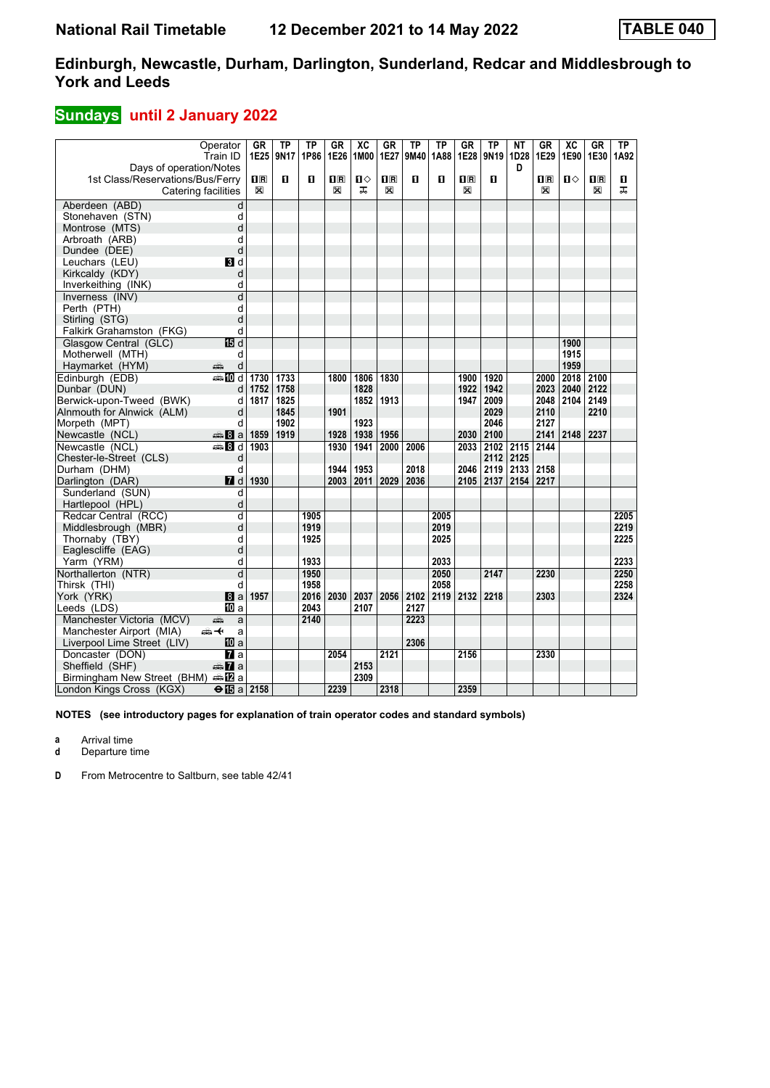## **Sundays** until 2 January 2022

|                                                             | Operator<br>Train ID | GR<br>1E25                                      | <b>TP</b><br>9N17 | <b>TP</b><br>1P86 | GR<br>1E26  | $\overline{AC}$<br>1M00 | <b>GR</b><br>1E27       | <b>TP</b><br>9M40 | <b>TP</b><br>1A88 | GR<br>1E28              | TP<br>9N19 | <b>NT</b><br>1D28 | GR<br>1E29                                      | $\overline{AC}$<br>1E90 | <b>GR</b><br>1E30       | $\overline{TP}$<br>1A92 |
|-------------------------------------------------------------|----------------------|-------------------------------------------------|-------------------|-------------------|-------------|-------------------------|-------------------------|-------------------|-------------------|-------------------------|------------|-------------------|-------------------------------------------------|-------------------------|-------------------------|-------------------------|
| Days of operation/Notes<br>1st Class/Reservations/Bus/Ferry |                      | $\overline{\mathbf{H}}$ $\overline{\mathbf{R}}$ | п                 | O                 | $n_{\rm R}$ | П⇔                      | $\overline{\mathbf{R}}$ | $\mathbf{u}$      | п                 | $\overline{\mathbf{H}}$ | п          | D                 | $\overline{\mathbf{H}}$ $\overline{\mathbf{R}}$ | П⇔                      | $\overline{\mathbf{R}}$ | O.                      |
|                                                             | Catering facilities  | X                                               |                   |                   | X           | ᠼ                       | X                       |                   |                   | X                       |            |                   | X                                               |                         | $\mathbb{X}$            | ᠼ                       |
| Aberdeen (ABD)                                              | d                    |                                                 |                   |                   |             |                         |                         |                   |                   |                         |            |                   |                                                 |                         |                         |                         |
| Stonehaven (STN)                                            | d                    |                                                 |                   |                   |             |                         |                         |                   |                   |                         |            |                   |                                                 |                         |                         |                         |
| Montrose (MTS)                                              | d                    |                                                 |                   |                   |             |                         |                         |                   |                   |                         |            |                   |                                                 |                         |                         |                         |
| Arbroath (ARB)                                              | d                    |                                                 |                   |                   |             |                         |                         |                   |                   |                         |            |                   |                                                 |                         |                         |                         |
| Dundee (DEE)                                                | d                    |                                                 |                   |                   |             |                         |                         |                   |                   |                         |            |                   |                                                 |                         |                         |                         |
| Leuchars (LEU)                                              | <b>B</b> Id          |                                                 |                   |                   |             |                         |                         |                   |                   |                         |            |                   |                                                 |                         |                         |                         |
| Kirkcaldy (KDY)                                             | d                    |                                                 |                   |                   |             |                         |                         |                   |                   |                         |            |                   |                                                 |                         |                         |                         |
| Inverkeithing (INK)                                         | d                    |                                                 |                   |                   |             |                         |                         |                   |                   |                         |            |                   |                                                 |                         |                         |                         |
| Inverness (INV)                                             | $\overline{d}$       |                                                 |                   |                   |             |                         |                         |                   |                   |                         |            |                   |                                                 |                         |                         |                         |
| Perth (PTH)                                                 | d                    |                                                 |                   |                   |             |                         |                         |                   |                   |                         |            |                   |                                                 |                         |                         |                         |
| Stirling (STG)                                              | d                    |                                                 |                   |                   |             |                         |                         |                   |                   |                         |            |                   |                                                 |                         |                         |                         |
| Falkirk Grahamston (FKG)                                    | d                    |                                                 |                   |                   |             |                         |                         |                   |                   |                         |            |                   |                                                 |                         |                         |                         |
| Glasgow Central (GLC)                                       | <b>個d</b>            |                                                 |                   |                   |             |                         |                         |                   |                   |                         |            |                   |                                                 | 1900                    |                         |                         |
| Motherwell (MTH)                                            | d                    |                                                 |                   |                   |             |                         |                         |                   |                   |                         |            |                   |                                                 | 1915                    |                         |                         |
| Haymarket (HYM)                                             | d<br>дŵ              |                                                 |                   |                   |             |                         |                         |                   |                   |                         |            |                   |                                                 | 1959                    |                         |                         |
| Edinburgh (EDB)                                             | $\blacksquare$ of    | 1730                                            | 1733              |                   | 1800        | 1806                    | 1830                    |                   |                   | 1900                    | 1920       |                   | 2000                                            | 2018                    | 2100                    |                         |
| Dunbar (DUN)                                                | d                    | 1752                                            | 1758              |                   |             | 1828                    |                         |                   |                   | 1922                    | 1942       |                   | 2023                                            | 2040                    | 2122                    |                         |
| Berwick-upon-Tweed (BWK)                                    | d                    | 1817                                            | 1825              |                   |             | 1852                    | 1913                    |                   |                   | 1947                    | 2009       |                   | 2048                                            | 2104                    | 2149                    |                         |
| Alnmouth for Alnwick (ALM)                                  | d                    |                                                 | 1845              |                   | 1901        |                         |                         |                   |                   |                         | 2029       |                   | 2110                                            |                         | 2210                    |                         |
| Morpeth (MPT)                                               | d                    |                                                 | 1902              |                   |             | 1923                    |                         |                   |                   |                         | 2046       |                   | 2127                                            |                         |                         |                         |
| Newcastle (NCL)                                             | $\oplus$ 8 a         | 1859                                            | 1919              |                   | 1928        | 1938                    | 1956                    |                   |                   |                         | 2030 2100  |                   | 2141                                            | 2148                    | 2237                    |                         |
| Newcastle (NCL)                                             | <b>ed B</b> d        | 1903                                            |                   |                   | 1930        | 1941                    | 2000                    | 2006              |                   | 2033                    | 2102       | 2115              | 2144                                            |                         |                         |                         |
| Chester-le-Street (CLS)                                     | d                    |                                                 |                   |                   |             |                         |                         |                   |                   |                         | 2112       | 2125              |                                                 |                         |                         |                         |
| Durham (DHM)                                                | d                    |                                                 |                   |                   | 1944        | 1953                    |                         | 2018              |                   | 2046                    | 2119       | 2133              | 2158                                            |                         |                         |                         |
| Darlington (DAR)                                            | 7d                   | 1930                                            |                   |                   | 2003        | 2011                    | 2029                    | 2036              |                   | 2105                    | 2137       | 2154              | 2217                                            |                         |                         |                         |
| Sunderland (SUN)                                            | d                    |                                                 |                   |                   |             |                         |                         |                   |                   |                         |            |                   |                                                 |                         |                         |                         |
| Hartlepool (HPL)                                            | d                    |                                                 |                   |                   |             |                         |                         |                   |                   |                         |            |                   |                                                 |                         |                         |                         |
| Redcar Central (RCC)                                        | d                    |                                                 |                   | 1905              |             |                         |                         |                   | 2005              |                         |            |                   |                                                 |                         |                         | 2205                    |
| Middlesbrough (MBR)                                         | d                    |                                                 |                   | 1919              |             |                         |                         |                   | 2019              |                         |            |                   |                                                 |                         |                         | 2219                    |
| Thornaby (TBY)                                              | d                    |                                                 |                   | 1925              |             |                         |                         |                   | 2025              |                         |            |                   |                                                 |                         |                         | 2225                    |
| Eaglescliffe (EAG)                                          | d                    |                                                 |                   |                   |             |                         |                         |                   |                   |                         |            |                   |                                                 |                         |                         |                         |
| Yarm (YRM)                                                  | d                    |                                                 |                   | 1933              |             |                         |                         |                   | 2033              |                         |            |                   |                                                 |                         |                         | 2233                    |
| Northallerton (NTR)                                         | $\overline{d}$       |                                                 |                   | 1950              |             |                         |                         |                   | 2050              |                         | 2147       |                   | 2230                                            |                         |                         | 2250                    |
| Thirsk (THI)                                                | d                    |                                                 |                   | 1958              |             |                         |                         |                   | 2058              |                         |            |                   |                                                 |                         |                         | 2258                    |
| York (YRK)                                                  | l8 a                 | 1957                                            |                   |                   | 2016 2030   | 2037                    | 2056                    | 2102              | 2119              | 2132                    | 2218       |                   | 2303                                            |                         |                         | 2324                    |
| Leeds (LDS)                                                 | IIII a               |                                                 |                   | 2043              |             | 2107                    |                         | 2127              |                   |                         |            |                   |                                                 |                         |                         |                         |
| Manchester Victoria (MCV)                                   | æ<br>a               |                                                 |                   | 2140              |             |                         |                         | 2223              |                   |                         |            |                   |                                                 |                         |                         |                         |
| Manchester Airport (MIA)                                    | ക≁<br>a              |                                                 |                   |                   |             |                         |                         |                   |                   |                         |            |                   |                                                 |                         |                         |                         |
| Liverpool Lime Street (LIV)                                 | <b>10</b> a          |                                                 |                   |                   |             |                         |                         | 2306              |                   |                         |            |                   |                                                 |                         |                         |                         |
| Doncaster (DON)                                             | $\overline{a}$ a     |                                                 |                   |                   | 2054        |                         | 2121                    |                   |                   | 2156                    |            |                   | 2330                                            |                         |                         |                         |
| Sheffield (SHF)                                             | <del>⊯</del> 7aa     |                                                 |                   |                   |             | 2153                    |                         |                   |                   |                         |            |                   |                                                 |                         |                         |                         |
| Birmingham New Street (BHM)                                 |                      |                                                 |                   |                   |             | 2309                    |                         |                   |                   |                         |            |                   |                                                 |                         |                         |                         |
| London Kings Cross (KGX)                                    | $\Theta$ is a 2158   |                                                 |                   |                   | 2239        |                         | 2318                    |                   |                   | 2359                    |            |                   |                                                 |                         |                         |                         |

**NOTES (see introductory pages for explanation of train operator codes and standard symbols)**

**a** Arrival time

**d** Departure time

**D** From Metrocentre to Saltburn, see table 42/41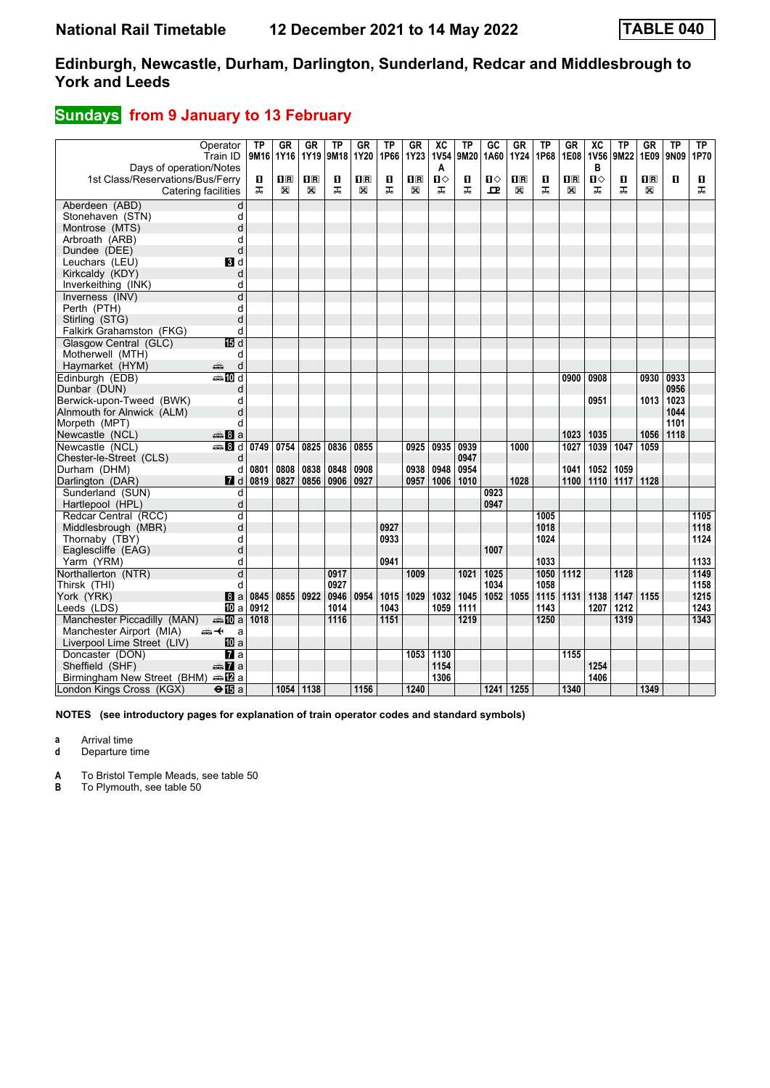## **Sundays** from 9 January to 13 February

| Days of operation/Notes                  | Operator<br>Train ID    | ТP<br>9M16 1Y16 | GR           | GR<br>1Y19     | ΤP<br>9M18 | GR<br>1Y20  | <b>TP</b><br>1P66 | <b>GR</b><br><b>1Y23</b> | $\overline{AC}$<br><b>1V54</b><br>A | TP<br>9M20 | G <sub>C</sub><br>1A60 | <b>GR</b><br>1Y24       | TP<br>1P68 | GR<br>1E08              | $\overline{X}C$<br><b>1V56</b><br>в | <b>TP</b><br>9M22 | <b>GR</b><br>1E09       | <b>TP</b><br>9N09 | ТP<br>1P70 |
|------------------------------------------|-------------------------|-----------------|--------------|----------------|------------|-------------|-------------------|--------------------------|-------------------------------------|------------|------------------------|-------------------------|------------|-------------------------|-------------------------------------|-------------------|-------------------------|-------------------|------------|
| 1st Class/Reservations/Bus/Ferry         |                         | 0               | $\mathbf{H}$ | $\mathbf{1}$ R | п          | 10 R        | п                 | 1 <sup>R</sup>           | П⇔                                  | п          | п⇔                     | $\overline{\mathbf{B}}$ | О          | $\overline{\mathbf{H}}$ | П⇔                                  | п                 | $\overline{\mathbf{H}}$ | $\mathbf{u}$      | O          |
|                                          | Catering facilities     | ᅚ               | X            | X              | ᅚ          | $\boxtimes$ | ᠼ                 | X                        | ᅚ                                   | ᠼ          | ᅭ                      | X                       | ᅚ          | ⊠                       | ᠼ                                   | ᅚ                 | X                       |                   | ᅚ          |
| Aberdeen (ABD)                           | d                       |                 |              |                |            |             |                   |                          |                                     |            |                        |                         |            |                         |                                     |                   |                         |                   |            |
| Stonehaven (STN)                         | d                       |                 |              |                |            |             |                   |                          |                                     |            |                        |                         |            |                         |                                     |                   |                         |                   |            |
| Montrose (MTS)                           | d                       |                 |              |                |            |             |                   |                          |                                     |            |                        |                         |            |                         |                                     |                   |                         |                   |            |
| Arbroath (ARB)                           | d                       |                 |              |                |            |             |                   |                          |                                     |            |                        |                         |            |                         |                                     |                   |                         |                   |            |
| Dundee (DEE)                             | d                       |                 |              |                |            |             |                   |                          |                                     |            |                        |                         |            |                         |                                     |                   |                         |                   |            |
| Leuchars (LEU)                           | BI d                    |                 |              |                |            |             |                   |                          |                                     |            |                        |                         |            |                         |                                     |                   |                         |                   |            |
| Kirkcaldy (KDY)                          | d                       |                 |              |                |            |             |                   |                          |                                     |            |                        |                         |            |                         |                                     |                   |                         |                   |            |
| Inverkeithing (INK)                      | d                       |                 |              |                |            |             |                   |                          |                                     |            |                        |                         |            |                         |                                     |                   |                         |                   |            |
| Inverness (INV)                          | d                       |                 |              |                |            |             |                   |                          |                                     |            |                        |                         |            |                         |                                     |                   |                         |                   |            |
| Perth (PTH)                              | d                       |                 |              |                |            |             |                   |                          |                                     |            |                        |                         |            |                         |                                     |                   |                         |                   |            |
| Stirling (STG)                           | d                       |                 |              |                |            |             |                   |                          |                                     |            |                        |                         |            |                         |                                     |                   |                         |                   |            |
| Falkirk Grahamston (FKG)                 | d                       |                 |              |                |            |             |                   |                          |                                     |            |                        |                         |            |                         |                                     |                   |                         |                   |            |
| Glasgow Central (GLC)                    | <b>個d</b>               |                 |              |                |            |             |                   |                          |                                     |            |                        |                         |            |                         |                                     |                   |                         |                   |            |
| Motherwell (MTH)                         | d                       |                 |              |                |            |             |                   |                          |                                     |            |                        |                         |            |                         |                                     |                   |                         |                   |            |
| Haymarket (HYM)                          | d<br>پېښ                |                 |              |                |            |             |                   |                          |                                     |            |                        |                         |            |                         |                                     |                   |                         |                   |            |
| Edinburgh (EDB)                          | $\blacksquare$ III d    |                 |              |                |            |             |                   |                          |                                     |            |                        |                         |            | 0900                    | 0908                                |                   | 0930                    | 0933              |            |
| Dunbar (DUN)                             | d                       |                 |              |                |            |             |                   |                          |                                     |            |                        |                         |            |                         |                                     |                   |                         | 0956              |            |
| Berwick-upon-Tweed (BWK)                 | d                       |                 |              |                |            |             |                   |                          |                                     |            |                        |                         |            |                         | 0951                                |                   | 1013                    | 1023              |            |
| Alnmouth for Alnwick (ALM)               | d                       |                 |              |                |            |             |                   |                          |                                     |            |                        |                         |            |                         |                                     |                   |                         | 1044              |            |
| Morpeth (MPT)                            | d                       |                 |              |                |            |             |                   |                          |                                     |            |                        |                         |            |                         |                                     |                   |                         | 1101              |            |
| Newcastle (NCL)                          | <del>⊯</del> 8a         |                 |              |                |            |             |                   |                          |                                     |            |                        |                         |            | 1023                    | 1035                                |                   | 1056                    | 1118              |            |
| Newcastle (NCL)                          | <b>et B</b> d           | 0749            | 0754         | 0825           | 0836       | 0855        |                   | 0925                     | 0935                                | 0939       |                        | 1000                    |            | 1027                    | 1039                                | 1047              | 1059                    |                   |            |
| Chester-le-Street (CLS)                  | d                       |                 |              |                |            |             |                   |                          |                                     | 0947       |                        |                         |            |                         |                                     |                   |                         |                   |            |
| Durham (DHM)                             | d                       | 0801            | 0808         | 0838           | 0848       | 0908        |                   | 0938                     | 0948                                | 0954       |                        |                         |            | 1041                    | 1052                                | 1059              |                         |                   |            |
| Darlington (DAR)                         | <b>7</b> d              | 0819            | 0827         | 0856           | 0906       | 0927        |                   | 0957                     | 1006                                | 1010       |                        | 1028                    |            | 1100                    | 1110                                | 1117              | 1128                    |                   |            |
| Sunderland (SUN)                         | d                       |                 |              |                |            |             |                   |                          |                                     |            | 0923                   |                         |            |                         |                                     |                   |                         |                   |            |
| Hartlepool (HPL)                         | d                       |                 |              |                |            |             |                   |                          |                                     |            | 0947                   |                         |            |                         |                                     |                   |                         |                   |            |
| Redcar Central (RCC)                     | d                       |                 |              |                |            |             |                   |                          |                                     |            |                        |                         | 1005       |                         |                                     |                   |                         |                   | 1105       |
| Middlesbrough (MBR)                      | d                       |                 |              |                |            |             | 0927              |                          |                                     |            |                        |                         | 1018       |                         |                                     |                   |                         |                   | 1118       |
| Thornaby (TBY)                           | d                       |                 |              |                |            |             | 0933              |                          |                                     |            |                        |                         | 1024       |                         |                                     |                   |                         |                   | 1124       |
| Eaglescliffe (EAG)                       | d                       |                 |              |                |            |             |                   |                          |                                     |            | 1007                   |                         |            |                         |                                     |                   |                         |                   |            |
| Yarm (YRM)                               | d                       |                 |              |                |            |             | 0941              |                          |                                     |            |                        |                         | 1033       |                         |                                     |                   |                         |                   | 1133       |
| Northallerton (NTR)                      | d                       |                 |              |                | 0917       |             |                   | 1009                     |                                     | 1021       | 1025                   |                         | 1050       | 1112                    |                                     | 1128              |                         |                   | 1149       |
| Thirsk (THI)                             | d                       |                 |              |                | 0927       |             |                   |                          |                                     |            | 1034                   |                         | 1058       |                         |                                     |                   |                         |                   | 1158       |
| York (YRK)                               | 8a                      | 0845            | 0855         | 0922           | 0946       | 0954        | 1015              | 1029                     | 1032                                | 1045       | 1052                   | 1055                    | 1115       | 1131                    | 1138                                | 1147              | 1155                    |                   | 1215       |
| Leeds (LDS)                              | 100 a                   | 0912            |              |                | 1014       |             | 1043              |                          | 1059                                | 1111       |                        |                         | 1143       |                         | 1207                                | 1212              |                         |                   | 1243       |
| Manchester Piccadilly (MAN)              | da <mark>n</mark> ⊡ al  | 1018            |              |                | 1116       |             | 1151              |                          |                                     | 1219       |                        |                         | 1250       |                         |                                     | 1319              |                         |                   | 1343       |
| Manchester Airport (MIA)                 | ക≁<br>a                 |                 |              |                |            |             |                   |                          |                                     |            |                        |                         |            |                         |                                     |                   |                         |                   |            |
| Liverpool Lime Street (LIV)              | <b>ID</b> a             |                 |              |                |            |             |                   |                          |                                     |            |                        |                         |            |                         |                                     |                   |                         |                   |            |
| Doncaster (DON)                          | $\mathbf{z}$ a          |                 |              |                |            |             |                   | 1053                     | 1130                                |            |                        |                         |            | 1155                    |                                     |                   |                         |                   |            |
| Sheffield (SHF)                          | $\oplus \mathbf{Z}$ a   |                 |              |                |            |             |                   |                          | 1154<br>1306                        |            |                        |                         |            |                         | 1254                                |                   |                         |                   |            |
| Birmingham New Street (BHM) $\oplus$ 2 a |                         |                 |              | 1054 1138      |            |             |                   |                          |                                     |            | 1241 1255              |                         |            |                         | 1406                                |                   |                         |                   |            |
| London Kings Cross (KGX)                 | $\Theta$ $\mathbf{E}$ a |                 |              |                |            | 1156        |                   | 1240                     |                                     |            |                        |                         |            | 1340                    |                                     |                   | 1349                    |                   |            |

**NOTES (see introductory pages for explanation of train operator codes and standard symbols)**

**a** Arrival time

**d** Departure time

**A** To Bristol Temple Meads, see table 50

**B** To Plymouth, see table 50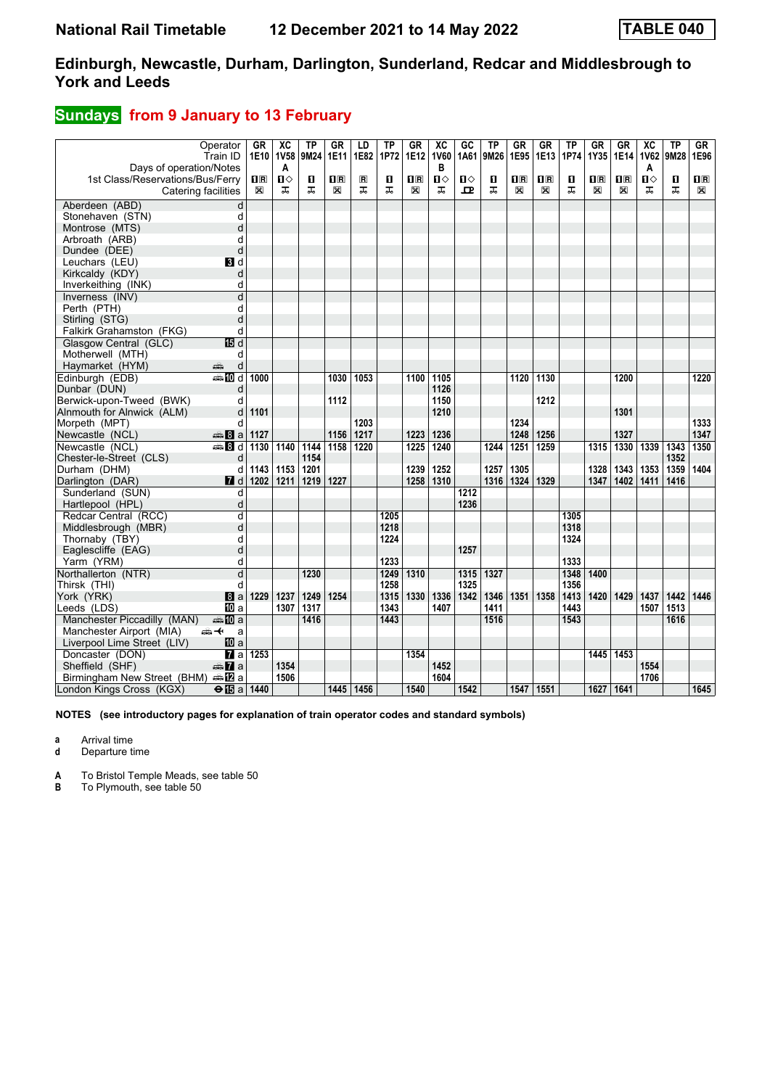## **Sundays** from 9 January to 13 February

|                                  | Operator<br>Train ID   | GR       | XC<br>1E10 1V58 | ТP<br>9M24 | GR<br><b>1E11</b>       | LD<br>1E82          | TP<br>1P72 | GR<br>1E12     | $\overline{AC}$<br><b>1V60</b> | GC<br>1A61 | TP<br>9M26 | GR<br>1E95                                      | GR<br>1E13              | ΤP<br>1P74 | GR<br>1Y35     | <b>GR</b><br>1E14       | $\overline{X}C$<br><b>1V62</b> | <b>TP</b><br>9M28 | GR.<br>1E96  |
|----------------------------------|------------------------|----------|-----------------|------------|-------------------------|---------------------|------------|----------------|--------------------------------|------------|------------|-------------------------------------------------|-------------------------|------------|----------------|-------------------------|--------------------------------|-------------------|--------------|
| Days of operation/Notes          |                        |          | A               |            |                         |                     |            |                | в                              |            |            |                                                 |                         |            |                |                         | A                              |                   |              |
| 1st Class/Reservations/Bus/Ferry |                        | 0 R<br>X | ்ப              | П<br>ᅚ     | $\overline{\mathbf{R}}$ | $\blacksquare$<br>ᠼ | П<br>ᠼ     | $\mathbf{H}$ R | П⇔                             | Ⅱ♦         | O<br>ᅚ     | $\overline{\mathbf{H}}$ $\overline{\mathbf{R}}$ | $\overline{\mathbf{H}}$ | п<br>ᠼ     | 1 <sup>R</sup> | $\overline{\mathbf{H}}$ | ்ப                             | O<br>ᠼ            | $\mathbf{H}$ |
|                                  | Catering facilities    |          | ᠼ               |            | ⊠                       |                     |            | X              | ᠼ                              | ᇁ          |            | X                                               | X                       |            | X              | X                       | ᅚ                              |                   | X            |
| Aberdeen (ABD)                   | d                      |          |                 |            |                         |                     |            |                |                                |            |            |                                                 |                         |            |                |                         |                                |                   |              |
| Stonehaven (STN)                 | d                      |          |                 |            |                         |                     |            |                |                                |            |            |                                                 |                         |            |                |                         |                                |                   |              |
| Montrose (MTS)                   | d                      |          |                 |            |                         |                     |            |                |                                |            |            |                                                 |                         |            |                |                         |                                |                   |              |
| Arbroath (ARB)                   | d                      |          |                 |            |                         |                     |            |                |                                |            |            |                                                 |                         |            |                |                         |                                |                   |              |
| Dundee (DEE)                     | d                      |          |                 |            |                         |                     |            |                |                                |            |            |                                                 |                         |            |                |                         |                                |                   |              |
| Leuchars (LEU)                   | BI d                   |          |                 |            |                         |                     |            |                |                                |            |            |                                                 |                         |            |                |                         |                                |                   |              |
| Kirkcaldy (KDY)                  | d                      |          |                 |            |                         |                     |            |                |                                |            |            |                                                 |                         |            |                |                         |                                |                   |              |
| Inverkeithing (INK)              | d                      |          |                 |            |                         |                     |            |                |                                |            |            |                                                 |                         |            |                |                         |                                |                   |              |
| Inverness (INV)                  | d                      |          |                 |            |                         |                     |            |                |                                |            |            |                                                 |                         |            |                |                         |                                |                   |              |
| Perth (PTH)                      | d                      |          |                 |            |                         |                     |            |                |                                |            |            |                                                 |                         |            |                |                         |                                |                   |              |
| Stirling (STG)                   | d                      |          |                 |            |                         |                     |            |                |                                |            |            |                                                 |                         |            |                |                         |                                |                   |              |
| Falkirk Grahamston (FKG)         | d                      |          |                 |            |                         |                     |            |                |                                |            |            |                                                 |                         |            |                |                         |                                |                   |              |
| Glasgow Central (GLC)            | 個 d                    |          |                 |            |                         |                     |            |                |                                |            |            |                                                 |                         |            |                |                         |                                |                   |              |
| Motherwell (MTH)                 | d                      |          |                 |            |                         |                     |            |                |                                |            |            |                                                 |                         |            |                |                         |                                |                   |              |
| Haymarket (HYM)                  | d<br>پپ                |          |                 |            |                         |                     |            |                |                                |            |            |                                                 |                         |            |                |                         |                                |                   |              |
| Edinburgh (EDB)                  | $\bigoplus$ 10 d       | 1000     |                 |            | 1030                    | 1053                |            | 1100           | 1105                           |            |            | 1120                                            | 1130                    |            |                | 1200                    |                                |                   | 1220         |
| Dunbar (DUN)                     | d                      |          |                 |            |                         |                     |            |                | 1126                           |            |            |                                                 |                         |            |                |                         |                                |                   |              |
| Berwick-upon-Tweed (BWK)         | d                      |          |                 |            | 1112                    |                     |            |                | 1150                           |            |            |                                                 | 1212                    |            |                |                         |                                |                   |              |
| Alnmouth for Alnwick (ALM)       | d                      | 1101     |                 |            |                         |                     |            |                | 1210                           |            |            |                                                 |                         |            |                | 1301                    |                                |                   |              |
| Morpeth (MPT)                    | d                      |          |                 |            |                         | 1203                |            |                |                                |            |            | 1234                                            |                         |            |                |                         |                                |                   | 1333         |
| Newcastle (NCL)                  | $\clubsuit 8a$         | 1127     |                 |            | 1156                    | 1217                |            | 1223           | 1236                           |            |            | 1248                                            | 1256                    |            |                | 1327                    |                                |                   | 1347         |
| Newcastle (NCL)                  | <del>e</del> 8d        | 1130     | 1140            | 1144       | 1158                    | 1220                |            | 1225           | 1240                           |            | 1244       | 1251                                            | 1259                    |            | 1315           | 1330                    | 1339                           | 1343              | 1350         |
| Chester-le-Street (CLS)          | d                      |          |                 | 1154       |                         |                     |            |                |                                |            |            |                                                 |                         |            |                |                         |                                | 1352              |              |
| Durham (DHM)                     | d                      | 1143     | 1153            | 1201       |                         |                     |            | 1239           | 1252                           |            | 1257       | 1305                                            |                         |            | 1328           | 1343                    | 1353                           | 1359              | 1404         |
| Darlington (DAR)                 | <b>7</b> d             | 1202     | 1211            | 1219       | 1227                    |                     |            | 1258           | 1310                           |            | 1316       | 1324                                            | 1329                    |            | 1347           | 1402                    | 1411                           | 1416              |              |
| Sunderland (SUN)                 | d                      |          |                 |            |                         |                     |            |                |                                | 1212       |            |                                                 |                         |            |                |                         |                                |                   |              |
| Hartlepool (HPL)                 | d                      |          |                 |            |                         |                     |            |                |                                | 1236       |            |                                                 |                         |            |                |                         |                                |                   |              |
| Redcar Central (RCC)             | d                      |          |                 |            |                         |                     | 1205       |                |                                |            |            |                                                 |                         | 1305       |                |                         |                                |                   |              |
| Middlesbrough (MBR)              | d                      |          |                 |            |                         |                     | 1218       |                |                                |            |            |                                                 |                         | 1318       |                |                         |                                |                   |              |
| Thornaby (TBY)                   | d                      |          |                 |            |                         |                     | 1224       |                |                                |            |            |                                                 |                         | 1324       |                |                         |                                |                   |              |
| Eaglescliffe (EAG)               | d                      |          |                 |            |                         |                     |            |                |                                | 1257       |            |                                                 |                         |            |                |                         |                                |                   |              |
| Yarm (YRM)                       | d                      |          |                 |            |                         |                     | 1233       |                |                                |            |            |                                                 |                         | 1333       |                |                         |                                |                   |              |
| Northallerton (NTR)              | d                      |          |                 | 1230       |                         |                     | 1249       | 1310           |                                | 1315       | 1327       |                                                 |                         | 1348       | 1400           |                         |                                |                   |              |
| Thirsk (THI)                     | d                      |          |                 |            |                         |                     | 1258       |                |                                | 1325       |            |                                                 |                         | 1356       |                |                         |                                |                   |              |
| York (YRK)                       | l8 a                   | 1229     | 1237            | 1249       | 1254                    |                     | 1315       | 1330           | 1336                           | 1342       | 1346       | 1351                                            | 1358                    | 1413       | 1420           | 1429                    | 1437                           | 1442              | 1446         |
| Leeds (LDS)                      | <b>ID</b> a            |          | 1307            | 1317       |                         |                     | 1343       |                | 1407                           |            | 1411       |                                                 |                         | 1443       |                |                         | 1507                           | 1513              |              |
| Manchester Piccadilly (MAN)      | ⊯‱ MD a                |          |                 | 1416       |                         |                     | 1443       |                |                                |            | 1516       |                                                 |                         | 1543       |                |                         |                                | 1616              |              |
| Manchester Airport (MIA)         | <del>∰ ≮</del><br>a    |          |                 |            |                         |                     |            |                |                                |            |            |                                                 |                         |            |                |                         |                                |                   |              |
| Liverpool Lime Street (LIV)      | 100 a                  |          |                 |            |                         |                     |            |                |                                |            |            |                                                 |                         |            |                |                         |                                |                   |              |
| Doncaster (DON)                  | $\mathbf{z}$ a         | 1253     |                 |            |                         |                     |            | 1354           |                                |            |            |                                                 |                         |            | 1445           | 1453                    |                                |                   |              |
| Sheffield (SHF)                  | <del>m</del> ⊾ a       |          | 1354            |            |                         |                     |            |                | 1452                           |            |            |                                                 |                         |            |                |                         | 1554                           |                   |              |
| Birmingham New Street (BHM)      | ana <mark>na</mark> na |          | 1506            |            |                         |                     |            |                | 1604                           |            |            |                                                 |                         |            |                |                         | 1706                           |                   |              |
| London Kings Cross (KGX)         | $\Theta$ is a 1440     |          |                 |            |                         | 1445 1456           |            | 1540           |                                | 1542       |            |                                                 | 1547 1551               |            | 1627 1641      |                         |                                |                   | 1645         |

**NOTES (see introductory pages for explanation of train operator codes and standard symbols)**

**a** Arrival time

**d** Departure time

**A** To Bristol Temple Meads, see table 50

**B** To Plymouth, see table 50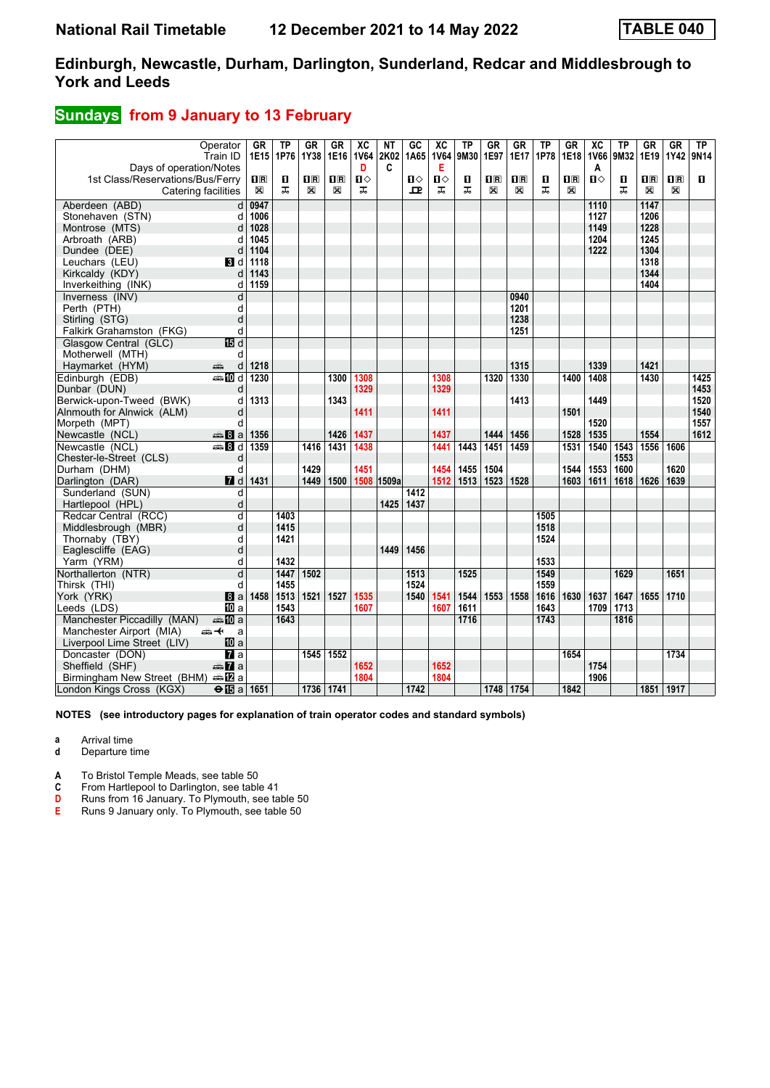# **Sundays from 9 January to 13 February**

|                                              | Operator<br>Train ID    | GR<br>1E15     | <b>TP</b><br>1P76 | GR<br>1Y38     | GR<br>1E16     | XC<br><b>1V64</b> | ΝT<br>2K02 | GC<br>1A65 | $\overline{AC}$<br><b>1V64</b> | TP<br>9M30 | GR<br>1E97              | GR<br>1E17              | ТP<br>1P78 | GR<br>1E18              | $\overline{X}C$<br>1V66 | <b>TP</b><br>9M32 | GR<br>1E19 | GR<br>1Y42 | TP<br>9N14 |
|----------------------------------------------|-------------------------|----------------|-------------------|----------------|----------------|-------------------|------------|------------|--------------------------------|------------|-------------------------|-------------------------|------------|-------------------------|-------------------------|-------------------|------------|------------|------------|
| Days of operation/Notes                      |                         |                |                   |                |                | D                 | C          |            | Е                              |            |                         |                         |            |                         | Α                       |                   |            |            |            |
| 1st Class/Reservations/Bus/Ferry             |                         | 1 <sub>R</sub> | п                 | $\mathbf{H}$ R | 1 <sup>R</sup> | Ⅱ♦                |            | п⇔         | П⇔                             | О          | $\overline{\mathbf{H}}$ | $\overline{\mathbf{B}}$ | п          | $\overline{\mathbf{H}}$ | $\mathbf{u}$            | п                 | $n_{R}$    | 1R         | п          |
| Catering facilities                          |                         | ⊠              | ᅚ                 | X              | X              | ᠼ                 |            | ᅭ          | ᠼ                              | ᠼ          | X                       | $\mathbb{X}$            | ᠼ          | X                       |                         | ㅈ                 | X          | X          |            |
| Aberdeen (ABD)                               | d                       | 0947           |                   |                |                |                   |            |            |                                |            |                         |                         |            |                         | 1110                    |                   | 1147       |            |            |
| Stonehaven (STN)                             | d                       | 1006           |                   |                |                |                   |            |            |                                |            |                         |                         |            |                         | 1127                    |                   | 1206       |            |            |
| Montrose (MTS)                               | d                       | 1028           |                   |                |                |                   |            |            |                                |            |                         |                         |            |                         | 1149                    |                   | 1228       |            |            |
| Arbroath (ARB)                               | d                       | 1045           |                   |                |                |                   |            |            |                                |            |                         |                         |            |                         | 1204                    |                   | 1245       |            |            |
| Dundee (DEE)                                 | d                       | 1104           |                   |                |                |                   |            |            |                                |            |                         |                         |            |                         | 1222                    |                   | 1304       |            |            |
| Leuchars (LEU)                               | <b>B</b> d              | 1118           |                   |                |                |                   |            |            |                                |            |                         |                         |            |                         |                         |                   | 1318       |            |            |
| Kirkcaldy (KDY)                              | d                       | 1143           |                   |                |                |                   |            |            |                                |            |                         |                         |            |                         |                         |                   | 1344       |            |            |
| Inverkeithing (INK)                          | d                       | 1159           |                   |                |                |                   |            |            |                                |            |                         |                         |            |                         |                         |                   | 1404       |            |            |
| Inverness (INV)                              | d                       |                |                   |                |                |                   |            |            |                                |            |                         | 0940                    |            |                         |                         |                   |            |            |            |
| Perth (PTH)                                  | d                       |                |                   |                |                |                   |            |            |                                |            |                         | 1201                    |            |                         |                         |                   |            |            |            |
| Stirling (STG)                               | d                       |                |                   |                |                |                   |            |            |                                |            |                         | 1238                    |            |                         |                         |                   |            |            |            |
| Falkirk Grahamston (FKG)                     | d                       |                |                   |                |                |                   |            |            |                                |            |                         | 1251                    |            |                         |                         |                   |            |            |            |
| Glasgow Central (GLC)                        | 15日 d                   |                |                   |                |                |                   |            |            |                                |            |                         |                         |            |                         |                         |                   |            |            |            |
| Motherwell (MTH)                             | d                       |                |                   |                |                |                   |            |            |                                |            |                         |                         |            |                         |                         |                   |            |            |            |
| Haymarket (HYM)                              | پېښ<br>d                | 1218           |                   |                |                |                   |            |            |                                |            |                         | 1315                    |            |                         | 1339                    |                   | 1421       |            |            |
| Edinburgh (EDB)                              | <b>●IIId</b>            | 1230           |                   |                | 1300           | 1308              |            |            | 1308                           |            | 1320                    | 1330                    |            | 1400                    | 1408                    |                   | 1430       |            | 1425       |
| Dunbar (DUN)                                 | d                       |                |                   |                |                | 1329              |            |            | 1329                           |            |                         |                         |            |                         |                         |                   |            |            | 1453       |
| Berwick-upon-Tweed (BWK)                     | d                       | 1313           |                   |                | 1343           |                   |            |            |                                |            |                         | 1413                    |            |                         | 1449                    |                   |            |            | 1520       |
| Alnmouth for Alnwick (ALM)                   | d                       |                |                   |                |                | 1411              |            |            | 1411                           |            |                         |                         |            | 1501                    |                         |                   |            |            | 1540       |
| Morpeth (MPT)                                | d                       |                |                   |                |                |                   |            |            |                                |            |                         |                         |            |                         | 1520                    |                   |            |            | 1557       |
| Newcastle (NCL)                              | $\frac{3}{2}$ 8 a       | 1356           |                   |                | 1426           | 1437              |            |            | 1437                           |            | 1444                    | 1456                    |            | 1528                    | 1535                    |                   | 1554       |            | 1612       |
| Newcastle (NCL)                              | $\oplus$ 8 d            | 1359           |                   | 1416           | 1431           | 1438              |            |            | 1441                           | 1443       | 1451                    | 1459                    |            | 1531                    | 1540                    | 1543              | 1556       | 1606       |            |
| Chester-le-Street (CLS)                      | d                       |                |                   |                |                |                   |            |            |                                |            |                         |                         |            |                         |                         | 1553              |            |            |            |
| Durham (DHM)                                 | d                       |                |                   | 1429           |                | 1451              |            |            | 1454                           | 1455       | 1504                    |                         |            | 1544                    | 1553                    | 1600              |            | 1620       |            |
| Darlington (DAR)                             | 7d                      | 1431           |                   | 1449           | 1500           | 1508              | 1509a      |            | 1512                           | 1513       | 1523                    | 1528                    |            | 1603                    | 1611                    | 1618              | 1626       | 1639       |            |
| Sunderland (SUN)                             | d                       |                |                   |                |                |                   |            | 1412       |                                |            |                         |                         |            |                         |                         |                   |            |            |            |
| Hartlepool (HPL)                             | d                       |                |                   |                |                |                   | 1425       | 1437       |                                |            |                         |                         |            |                         |                         |                   |            |            |            |
| Redcar Central (RCC)                         | d                       |                | 1403              |                |                |                   |            |            |                                |            |                         |                         | 1505       |                         |                         |                   |            |            |            |
| Middlesbrough (MBR)                          | d                       |                | 1415              |                |                |                   |            |            |                                |            |                         |                         | 1518       |                         |                         |                   |            |            |            |
| Thornaby (TBY)                               | d                       |                | 1421              |                |                |                   |            |            |                                |            |                         |                         | 1524       |                         |                         |                   |            |            |            |
| Eaglescliffe (EAG)                           | d                       |                |                   |                |                |                   | 1449       | 1456       |                                |            |                         |                         |            |                         |                         |                   |            |            |            |
| Yarm (YRM)                                   | d                       |                | 1432              |                |                |                   |            |            |                                |            |                         |                         | 1533       |                         |                         |                   |            |            |            |
| Northallerton (NTR)                          | $\overline{\mathsf{d}}$ |                | 1447              | 1502           |                |                   |            | 1513       |                                | 1525       |                         |                         | 1549       |                         |                         | 1629              |            | 1651       |            |
| Thirsk (THI)                                 | d                       |                | 1455              |                |                |                   |            | 1524       |                                |            |                         |                         | 1559       |                         |                         |                   |            |            |            |
| York (YRK)                                   | 8a                      | 1458           | 1513              | 1521           | 1527           | 1535              |            | 1540       | 1541                           | 1544       | 1553                    | 1558                    | 1616       | 1630                    | 1637                    | 1647              | 1655       | 1710       |            |
| Leeds (LDS)                                  | <b>ID</b> a             |                | 1543              |                |                | 1607              |            |            | 1607                           | 1611       |                         |                         | 1643       |                         | 1709                    | 1713              |            |            |            |
| Manchester Piccadilly (MAN)                  | <b>美的a</b>              |                | 1643              |                |                |                   |            |            |                                | 1716       |                         |                         | 1743       |                         |                         | 1816              |            |            |            |
| Manchester Airport (MIA)                     | ക≁<br>a                 |                |                   |                |                |                   |            |            |                                |            |                         |                         |            |                         |                         |                   |            |            |            |
| Liverpool Lime Street (LIV)                  | 100 a                   |                |                   |                |                |                   |            |            |                                |            |                         |                         |            |                         |                         |                   |            |            |            |
| Doncaster (DON)                              | $\overline{a}$          |                |                   | 1545           | 1552           |                   |            |            |                                |            |                         |                         |            | 1654                    |                         |                   |            | 1734       |            |
| Sheffield (SHF)                              | $\oplus \mathbf{Z}$ a   |                |                   |                |                | 1652              |            |            | 1652                           |            |                         |                         |            |                         | 1754                    |                   |            |            |            |
| Birmingham New Street (BHM) $\triangleq 2$ a |                         |                |                   |                |                | 1804              |            |            | 1804                           |            |                         |                         |            |                         | 1906                    |                   |            |            |            |
| London Kings Cross (KGX)                     | $\Theta$ is a 1651      |                |                   | 1736 1741      |                |                   |            | 1742       |                                |            |                         | 1748 1754               |            | 1842                    |                         |                   | 1851 1917  |            |            |

**NOTES (see introductory pages for explanation of train operator codes and standard symbols)**

**a** Arrival time

**d** Departure time

**A** To Bristol Temple Meads, see table 50

**C** From Hartlepool to Darlington, see table 41<br> **D** Runs from 16 January. To Plymouth, see table<br> **E** Runs 9 January only. To Plymouth, see table Runs from 16 January. To Plymouth, see table 50

**E** Runs 9 January only. To Plymouth, see table 50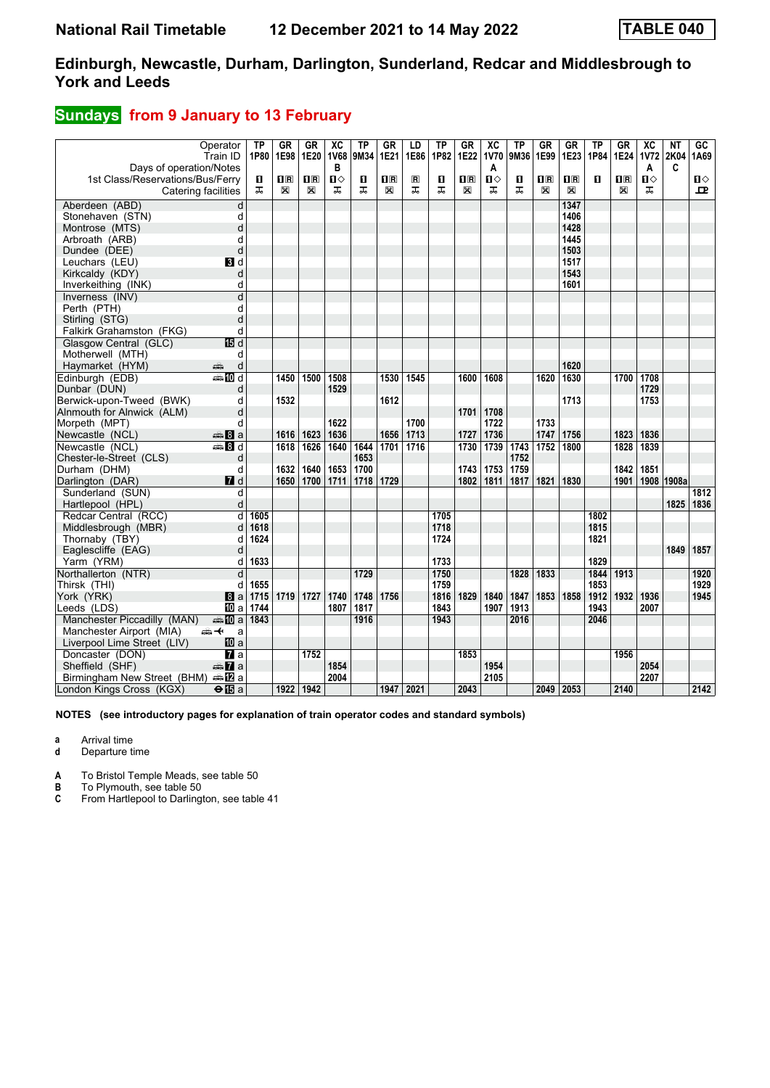## **Sundays** from 9 January to 13 February

| Days of operation/Notes          | Operator<br>Train ID    | ТP<br>1P80 | GR<br>1E98              | GR<br>1E20     | $\overline{X}C$<br><b>1V68</b><br>в | ТP<br>9M34 | GR<br>1E21  | LD<br>1E86     | <b>TP</b><br>1P82 | <b>GR</b><br>1E22       | $\overline{AC}$<br><b>1V70</b><br>A | ΤP<br>9M36 | GR<br>1E99     | <b>GR</b><br>1E23       | ΤP<br>1P84 | GR<br>1E24     | $\overline{X}C$<br><b>1V72</b><br>A | NΤ<br>2K04<br>C | GC<br>1A69 |
|----------------------------------|-------------------------|------------|-------------------------|----------------|-------------------------------------|------------|-------------|----------------|-------------------|-------------------------|-------------------------------------|------------|----------------|-------------------------|------------|----------------|-------------------------------------|-----------------|------------|
| 1st Class/Reservations/Bus/Ferry |                         | П          | $\overline{\mathbf{B}}$ | $\mathbf{H}$ R | $\mathbf{u}$                        | п          | $n_{\rm R}$ | $\blacksquare$ | О                 | $\overline{\mathbf{R}}$ | $\mathbf{u}$                        | 0          | $\mathbf{H}$ R | $\overline{\mathbf{H}}$ | п          | $\mathbf{H}$ R | ்ப                                  |                 | Ⅱ♦         |
|                                  | Catering facilities     | ᅚ          | X                       | X              | ᠼ                                   | ᠼ          | X           | ᠼ              | ㅈ                 | X                       | ㅈ                                   | ᠼ          | X              | X                       |            | X              | ᅚ                                   |                 | ᇁ          |
| Aberdeen (ABD)                   | d                       |            |                         |                |                                     |            |             |                |                   |                         |                                     |            |                | 1347                    |            |                |                                     |                 |            |
| Stonehaven (STN)                 | d                       |            |                         |                |                                     |            |             |                |                   |                         |                                     |            |                | 1406                    |            |                |                                     |                 |            |
| Montrose (MTS)                   | d                       |            |                         |                |                                     |            |             |                |                   |                         |                                     |            |                | 1428                    |            |                |                                     |                 |            |
| Arbroath (ARB)                   | d                       |            |                         |                |                                     |            |             |                |                   |                         |                                     |            |                | 1445                    |            |                |                                     |                 |            |
| Dundee (DEE)                     | d                       |            |                         |                |                                     |            |             |                |                   |                         |                                     |            |                | 1503                    |            |                |                                     |                 |            |
| Leuchars (LEU)                   | <b>B</b> Id             |            |                         |                |                                     |            |             |                |                   |                         |                                     |            |                | 1517                    |            |                |                                     |                 |            |
| Kirkcaldy (KDY)                  | d                       |            |                         |                |                                     |            |             |                |                   |                         |                                     |            |                | 1543                    |            |                |                                     |                 |            |
| Inverkeithing (INK)              | d                       |            |                         |                |                                     |            |             |                |                   |                         |                                     |            |                | 1601                    |            |                |                                     |                 |            |
| Inverness (INV)                  | $\overline{\mathsf{d}}$ |            |                         |                |                                     |            |             |                |                   |                         |                                     |            |                |                         |            |                |                                     |                 |            |
| Perth (PTH)                      | d                       |            |                         |                |                                     |            |             |                |                   |                         |                                     |            |                |                         |            |                |                                     |                 |            |
| Stirling (STG)                   | d                       |            |                         |                |                                     |            |             |                |                   |                         |                                     |            |                |                         |            |                |                                     |                 |            |
| Falkirk Grahamston (FKG)         | d                       |            |                         |                |                                     |            |             |                |                   |                         |                                     |            |                |                         |            |                |                                     |                 |            |
| Glasgow Central (GLC)            | 15日 d                   |            |                         |                |                                     |            |             |                |                   |                         |                                     |            |                |                         |            |                |                                     |                 |            |
| Motherwell (MTH)                 | d                       |            |                         |                |                                     |            |             |                |                   |                         |                                     |            |                |                         |            |                |                                     |                 |            |
| Haymarket (HYM)                  | پېښتنه<br>d             |            |                         |                |                                     |            |             |                |                   |                         |                                     |            |                | 1620                    |            |                |                                     |                 |            |
| Edinburgh (EDB)                  | <b>●和d</b>              |            | 1450                    | 1500           | 1508                                |            | 1530        | 1545           |                   | 1600                    | 1608                                |            | 1620           | 1630                    |            | 1700           | 1708                                |                 |            |
| Dunbar (DUN)                     | d                       |            |                         |                | 1529                                |            |             |                |                   |                         |                                     |            |                |                         |            |                | 1729                                |                 |            |
| Berwick-upon-Tweed (BWK)         | d                       |            | 1532                    |                |                                     |            | 1612        |                |                   |                         |                                     |            |                | 1713                    |            |                | 1753                                |                 |            |
| Alnmouth for Alnwick (ALM)       | d                       |            |                         |                |                                     |            |             |                |                   | 1701                    | 1708                                |            |                |                         |            |                |                                     |                 |            |
| Morpeth (MPT)                    | d                       |            |                         |                | 1622                                |            |             | 1700           |                   |                         | 1722                                |            | 1733           |                         |            |                |                                     |                 |            |
| Newcastle (NCL)                  | $\frac{3}{2}$ 8 a       |            | 1616                    | 1623           | 1636                                |            | 1656        | 1713           |                   | 1727                    | 1736                                |            | 1747           | 1756                    |            | 1823           | 1836                                |                 |            |
| Newcastle (NCL)                  | <b>▲Bd</b>              |            | 1618                    | 1626           | 1640                                | 1644       | 1701        | 1716           |                   | 1730                    | 1739                                | 1743       | 1752           | 1800                    |            | 1828           | 1839                                |                 |            |
| Chester-le-Street (CLS)          | d                       |            |                         |                |                                     | 1653       |             |                |                   |                         |                                     | 1752       |                |                         |            |                |                                     |                 |            |
| Durham (DHM)                     | d                       |            | 1632                    | 1640           | 1653                                | 1700       |             |                |                   | 1743                    | 1753                                | 1759       |                |                         |            | 1842           | 1851                                |                 |            |
| Darlington (DAR)                 | 7d                      |            | 1650                    | 1700           | 1711                                | 1718       | 1729        |                |                   | 1802                    | 1811                                | 1817       | 1821           | 1830                    |            | 1901           | 1908                                | 1908a           |            |
| Sunderland (SUN)                 | d                       |            |                         |                |                                     |            |             |                |                   |                         |                                     |            |                |                         |            |                |                                     |                 | 1812       |
| Hartlepool (HPL)                 | d                       |            |                         |                |                                     |            |             |                |                   |                         |                                     |            |                |                         |            |                |                                     | 1825            | 1836       |
| Redcar Central (RCC)             | d                       | 1605       |                         |                |                                     |            |             |                | 1705              |                         |                                     |            |                |                         | 1802       |                |                                     |                 |            |
| Middlesbrough (MBR)              | d                       | 1618       |                         |                |                                     |            |             |                | 1718              |                         |                                     |            |                |                         | 1815       |                |                                     |                 |            |
| Thornaby (TBY)                   | d                       | 1624       |                         |                |                                     |            |             |                | 1724              |                         |                                     |            |                |                         | 1821       |                |                                     |                 |            |
| Eaglescliffe (EAG)               | d                       |            |                         |                |                                     |            |             |                |                   |                         |                                     |            |                |                         |            |                |                                     | 1849            | 1857       |
| Yarm (YRM)                       | d                       | 1633       |                         |                |                                     |            |             |                | 1733              |                         |                                     |            |                |                         | 1829       |                |                                     |                 |            |
| Northallerton (NTR)              | d                       |            |                         |                |                                     | 1729       |             |                | 1750              |                         |                                     | 1828       | 1833           |                         | 1844       | 1913           |                                     |                 | 1920       |
| Thirsk (THI)                     | d                       | 1655       |                         |                |                                     |            |             |                | 1759              |                         |                                     |            |                |                         | 1853       |                |                                     |                 | 1929       |
| York (YRK)                       | 8a                      | 1715       | 1719                    | 1727           | 1740                                | 1748       | 1756        |                | 1816              | 1829                    | 1840                                | 1847       | 1853           | 1858                    | 1912       | 1932           | 1936                                |                 | 1945       |
| Leeds (LDS)                      | <b>ID</b> a             | 1744       |                         |                | 1807                                | 1817       |             |                | 1843              |                         | 1907                                | 1913       |                |                         | 1943       |                | 2007                                |                 |            |
| Manchester Piccadilly (MAN)      | a‱Ma                    | 1843       |                         |                |                                     | 1916       |             |                | 1943              |                         |                                     | 2016       |                |                         | 2046       |                |                                     |                 |            |
| Manchester Airport (MIA)         | ⇜↞<br>a                 |            |                         |                |                                     |            |             |                |                   |                         |                                     |            |                |                         |            |                |                                     |                 |            |
| Liverpool Lime Street (LIV)      | 10 a                    |            |                         |                |                                     |            |             |                |                   |                         |                                     |            |                |                         |            |                |                                     |                 |            |
| Doncaster (DON)                  | $\overline{a}$          |            |                         | 1752           |                                     |            |             |                |                   | 1853                    |                                     |            |                |                         |            | 1956           |                                     |                 |            |
| Sheffield (SHF)                  | $\oplus \mathbf{Z}$ a   |            |                         |                | 1854                                |            |             |                |                   |                         | 1954                                |            |                |                         |            |                | 2054                                |                 |            |
| Birmingham New Street (BHM) AD a |                         |            |                         |                | 2004                                |            |             |                |                   |                         | 2105                                |            |                |                         |            |                | 2207                                |                 |            |
| London Kings Cross (KGX)         | $\Theta$ <b>i</b> s a   |            | 1922                    | 1942           |                                     |            | 1947 2021   |                |                   | 2043                    |                                     |            | 2049 2053      |                         |            | 2140           |                                     |                 | 2142       |

**NOTES (see introductory pages for explanation of train operator codes and standard symbols)**

**a** Arrival time

**d** Departure time

**A** To Bristol Temple Meads, see table 50

**B** To Plymouth, see table 50<br>**C** From Hartlepool to Darling

**C** From Hartlepool to Darlington, see table 41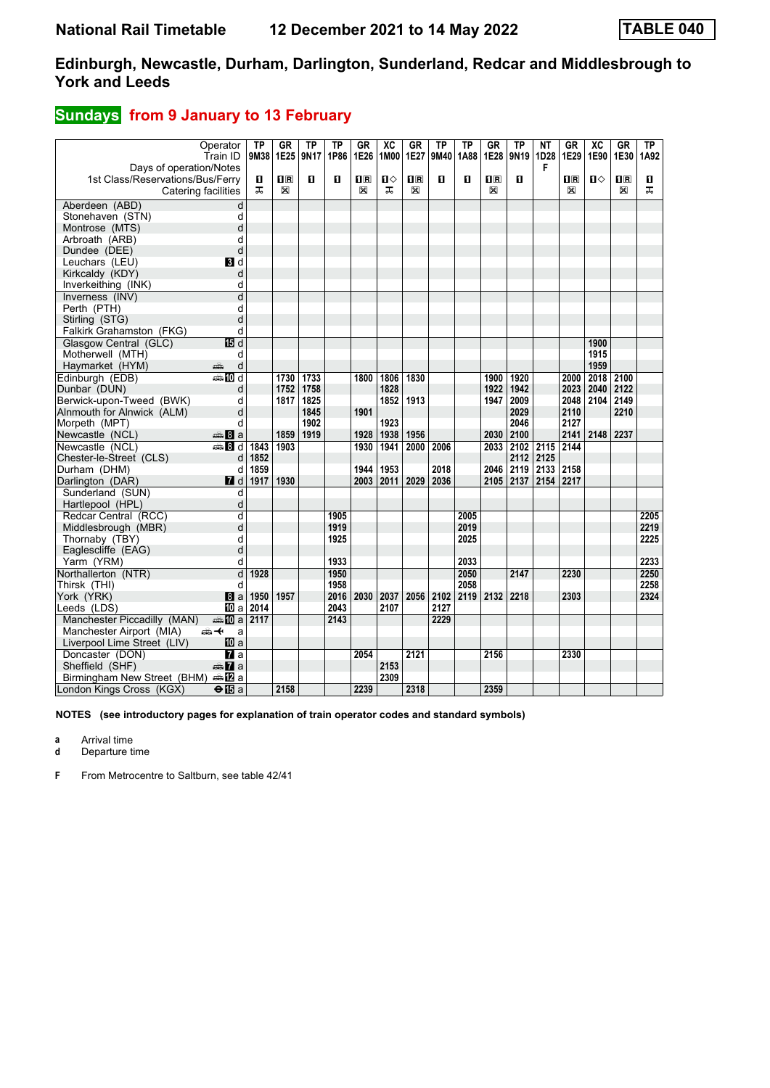## **Sundays** from 9 January to 13 February

|                                  | Operator<br>Train ID    | TP<br>9M38 | <b>GR</b><br>1E25       | TP<br>9N17   | TP<br>1P86 | GR<br>1E26   | $\overline{AC}$ | <b>GR</b><br>1M00 1E27  | <b>TP</b><br>9M40 | TP<br>1A88 | GR<br>1E28  | ΤP<br>9N19   | $N$ T<br>1D28 | GR<br>1E29                                      | $\overline{AC}$<br>1E90 | GR<br>1E30 | TP<br>1A92 |
|----------------------------------|-------------------------|------------|-------------------------|--------------|------------|--------------|-----------------|-------------------------|-------------------|------------|-------------|--------------|---------------|-------------------------------------------------|-------------------------|------------|------------|
| Days of operation/Notes          |                         |            |                         |              |            |              |                 |                         |                   |            |             |              | F             |                                                 |                         |            |            |
| 1st Class/Reservations/Bus/Ferry |                         | O          | $\overline{\mathbf{R}}$ | п            | п          | $\mathbf{H}$ | $\blacksquare$  | $\overline{\mathbf{H}}$ | п                 | п          | $n_{\rm R}$ | п            |               | $\overline{\mathbf{H}}$ $\overline{\mathbf{R}}$ | $\mathbf{n}$            | nR         | п          |
|                                  | Catering facilities     | ᅚ          | X                       |              |            | $\boxtimes$  | ᠼ               | X                       |                   |            | X           |              |               | X                                               |                         | X          | ᅚ          |
| Aberdeen (ABD)                   | d                       |            |                         |              |            |              |                 |                         |                   |            |             |              |               |                                                 |                         |            |            |
| Stonehaven (STN)                 | d                       |            |                         |              |            |              |                 |                         |                   |            |             |              |               |                                                 |                         |            |            |
| Montrose (MTS)                   | d                       |            |                         |              |            |              |                 |                         |                   |            |             |              |               |                                                 |                         |            |            |
| Arbroath (ARB)                   | d                       |            |                         |              |            |              |                 |                         |                   |            |             |              |               |                                                 |                         |            |            |
| Dundee (DEE)                     | d                       |            |                         |              |            |              |                 |                         |                   |            |             |              |               |                                                 |                         |            |            |
| Leuchars (LEU)                   | BI d                    |            |                         |              |            |              |                 |                         |                   |            |             |              |               |                                                 |                         |            |            |
| Kirkcaldy (KDY)                  | d                       |            |                         |              |            |              |                 |                         |                   |            |             |              |               |                                                 |                         |            |            |
| Inverkeithing (INK)              | d                       |            |                         |              |            |              |                 |                         |                   |            |             |              |               |                                                 |                         |            |            |
| Inverness (INV)                  | d                       |            |                         |              |            |              |                 |                         |                   |            |             |              |               |                                                 |                         |            |            |
| Perth (PTH)                      | d                       |            |                         |              |            |              |                 |                         |                   |            |             |              |               |                                                 |                         |            |            |
| Stirling (STG)                   | d                       |            |                         |              |            |              |                 |                         |                   |            |             |              |               |                                                 |                         |            |            |
| <b>Falkirk Grahamston (FKG)</b>  | d                       |            |                         |              |            |              |                 |                         |                   |            |             |              |               |                                                 |                         |            |            |
| Glasgow Central (GLC)            | 15d                     |            |                         |              |            |              |                 |                         |                   |            |             |              |               |                                                 | 1900                    |            |            |
| Motherwell (MTH)                 | d                       |            |                         |              |            |              |                 |                         |                   |            |             |              |               |                                                 | 1915                    |            |            |
| Haymarket (HYM)                  | d<br>۵Ë                 |            |                         |              |            |              |                 |                         |                   |            |             |              |               |                                                 | 1959                    |            |            |
| Edinburgh (EDB)                  | anan Mad                |            | 1730                    | 1733         |            | 1800         | 1806            | 1830                    |                   |            | 1900        | 1920         |               | 2000                                            | 2018                    | 2100       |            |
| Dunbar (DUN)                     | d                       |            | 1752                    | 1758         |            |              | 1828            |                         |                   |            | 1922        | 1942         |               | 2023                                            | 2040                    | 2122       |            |
| Berwick-upon-Tweed (BWK)         | d                       |            | 1817                    | 1825         |            | 1901         | 1852            | 1913                    |                   |            | 1947        | 2009         |               | 2048<br>2110                                    | 2104                    | 2149       |            |
| Alnmouth for Alnwick (ALM)       | d<br>d                  |            |                         | 1845<br>1902 |            |              | 1923            |                         |                   |            |             | 2029<br>2046 |               | 2127                                            |                         | 2210       |            |
| Morpeth (MPT)<br>Newcastle (NCL) | <b>美Ba</b>              |            | 1859                    | 1919         |            | 1928         | 1938            | 1956                    |                   |            | 2030        | 2100         |               | 2141                                            | 2148                    | 2237       |            |
| Newcastle (NCL)                  | ্রাঞ্চ <mark>8</mark> d | 1843       | 1903                    |              |            | 1930         | 1941            | 2000                    | 2006              |            | 2033        |              | 2102 2115     | 2144                                            |                         |            |            |
| Chester-le-Street (CLS)          | d                       | 1852       |                         |              |            |              |                 |                         |                   |            |             | 2112         | 2125          |                                                 |                         |            |            |
| Durham (DHM)                     | d                       | 1859       |                         |              |            | 1944         | 1953            |                         | 2018              |            | 2046        | 2119         | 2133          | 2158                                            |                         |            |            |
| Darlington (DAR)                 | <b>7</b> d              | 1917       | 1930                    |              |            | 2003         | 2011            | 2029                    | 2036              |            | 2105        | 2137         | 2154          | 2217                                            |                         |            |            |
| Sunderland (SUN)                 | d                       |            |                         |              |            |              |                 |                         |                   |            |             |              |               |                                                 |                         |            |            |
| Hartlepool (HPL)                 | d                       |            |                         |              |            |              |                 |                         |                   |            |             |              |               |                                                 |                         |            |            |
| Redcar Central (RCC)             | d                       |            |                         |              | 1905       |              |                 |                         |                   | 2005       |             |              |               |                                                 |                         |            | 2205       |
| Middlesbrough (MBR)              | d                       |            |                         |              | 1919       |              |                 |                         |                   | 2019       |             |              |               |                                                 |                         |            | 2219       |
| Thornaby (TBY)                   | d                       |            |                         |              | 1925       |              |                 |                         |                   | 2025       |             |              |               |                                                 |                         |            | 2225       |
| Eaglescliffe (EAG)               | d                       |            |                         |              |            |              |                 |                         |                   |            |             |              |               |                                                 |                         |            |            |
| Yarm (YRM)                       | d                       |            |                         |              | 1933       |              |                 |                         |                   | 2033       |             |              |               |                                                 |                         |            | 2233       |
| Northallerton (NTR)              | d                       | 1928       |                         |              | 1950       |              |                 |                         |                   | 2050       |             | 2147         |               | 2230                                            |                         |            | 2250       |
| Thirsk (THI)                     | d                       |            |                         |              | 1958       |              |                 |                         |                   | 2058       |             |              |               |                                                 |                         |            | 2258       |
| York (YRK)                       | 8a                      | 1950       | 1957                    |              | 2016       | 2030         | 2037            | 2056                    | 2102              | 2119       | 2132        | 2218         |               | 2303                                            |                         |            | 2324       |
| Leeds (LDS)                      | <b>ID</b> a             | 2014       |                         |              | 2043       |              | 2107            |                         | 2127              |            |             |              |               |                                                 |                         |            |            |
| Manchester Piccadilly (MAN)      | $\blacksquare$ III a    | 2117       |                         |              | 2143       |              |                 |                         | 2229              |            |             |              |               |                                                 |                         |            |            |
| Manchester Airport (MIA)         | ക≁<br>a                 |            |                         |              |            |              |                 |                         |                   |            |             |              |               |                                                 |                         |            |            |
| Liverpool Lime Street (LIV)      | 10 a                    |            |                         |              |            |              |                 |                         |                   |            |             |              |               |                                                 |                         |            |            |
| Doncaster (DON)                  | $\mathbf{z}$ a          |            |                         |              |            | 2054         |                 | 2121                    |                   |            | 2156        |              |               | 2330                                            |                         |            |            |
| Sheffield (SHF)                  | anna <mark>7</mark> a   |            |                         |              |            |              | 2153            |                         |                   |            |             |              |               |                                                 |                         |            |            |
| Birmingham New Street (BHM)      | a≞12la                  |            |                         |              |            |              | 2309            |                         |                   |            |             |              |               |                                                 |                         |            |            |
| London Kings Cross (KGX)         | $\Theta$ <b>E</b> a     |            | 2158                    |              |            | 2239         |                 | 2318                    |                   |            | 2359        |              |               |                                                 |                         |            |            |

**NOTES (see introductory pages for explanation of train operator codes and standard symbols)**

**a** Arrival time

**d** Departure time

**F** From Metrocentre to Saltburn, see table 42/41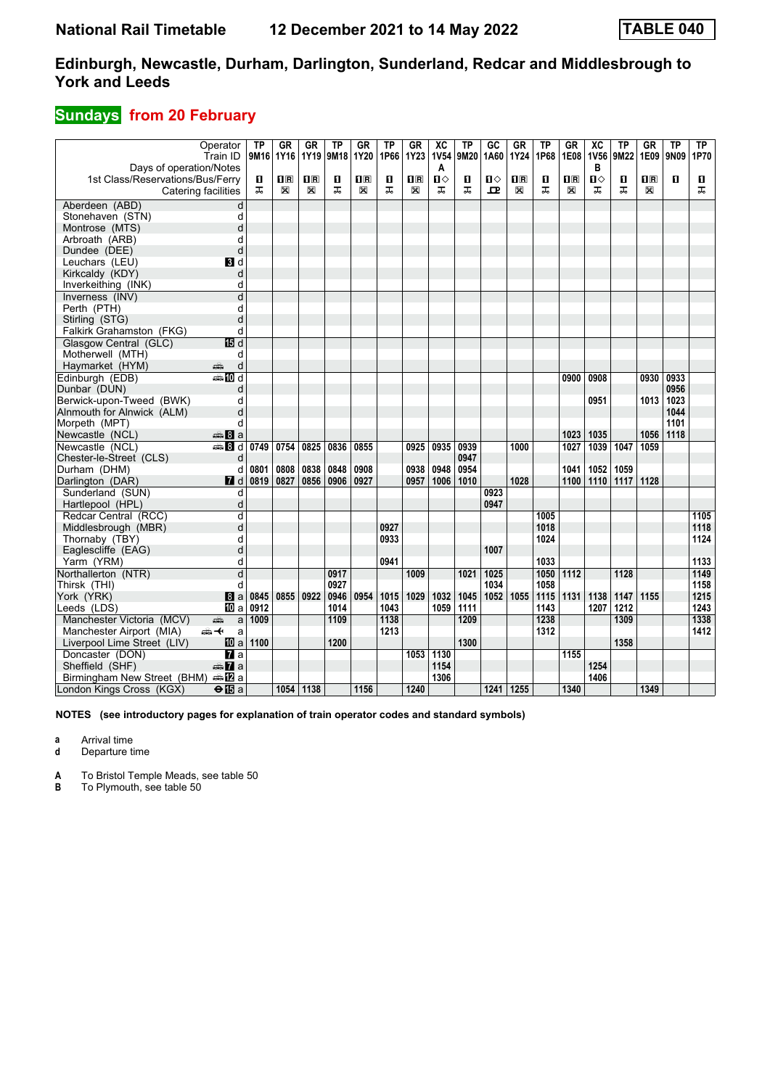## **Sundays from 20 February**

|                                  | Operator<br>Train ID                    | TP<br>9M16 | <b>GR</b><br>1Y16 | GR<br>1Y19              | <b>TP</b><br>9M18 | GR<br>1Y20              | TP<br>1P66 | GR<br>1Y23     | $\overline{\text{xc}}$<br><b>1V54</b> | $\overline{\text{TP}}$<br>9M20 | $\overline{GC}$<br>1A60 | $G_{R}$<br>1Y24         | <b>TP</b><br>1P68 | $G$ R<br>1E08 | $\overline{X}C$<br><b>1V56</b> | <b>TP</b><br>9M22 | GR<br>1E09              | $\overline{\text{TP}}$<br>9N09 | TP<br>1P70 |
|----------------------------------|-----------------------------------------|------------|-------------------|-------------------------|-------------------|-------------------------|------------|----------------|---------------------------------------|--------------------------------|-------------------------|-------------------------|-------------------|---------------|--------------------------------|-------------------|-------------------------|--------------------------------|------------|
| Days of operation/Notes          |                                         |            |                   |                         |                   |                         |            |                | A                                     |                                |                         |                         |                   |               | в                              |                   |                         |                                |            |
| 1st Class/Reservations/Bus/Ferry |                                         | П          | $n_{\rm R}$       | $\overline{\mathbf{R}}$ | п                 | $\overline{\mathbf{B}}$ | п          | $\mathbf{H}$ R | $\mathbf{u}$                          | п                              | Ⅱ◇                      | $\overline{\mathbf{B}}$ | О                 | $n_{\rm R}$   | П                              | п                 | $\overline{\mathbf{H}}$ | $\mathbf{u}$                   | П          |
|                                  | Catering facilities                     | ᠼ          | X                 | X                       | ᠼ                 | $\boxtimes$             | ᠼ          | X              | ᠼ                                     | ᠼ                              | 묘                       | X                       | ᠼ                 | X             | ᠼ                              | ᠼ                 | X                       |                                | ᠼ          |
| Aberdeen (ABD)                   | d                                       |            |                   |                         |                   |                         |            |                |                                       |                                |                         |                         |                   |               |                                |                   |                         |                                |            |
| Stonehaven (STN)                 | d                                       |            |                   |                         |                   |                         |            |                |                                       |                                |                         |                         |                   |               |                                |                   |                         |                                |            |
| Montrose (MTS)                   | d                                       |            |                   |                         |                   |                         |            |                |                                       |                                |                         |                         |                   |               |                                |                   |                         |                                |            |
| Arbroath (ARB)                   | d                                       |            |                   |                         |                   |                         |            |                |                                       |                                |                         |                         |                   |               |                                |                   |                         |                                |            |
| Dundee (DEE)                     | d                                       |            |                   |                         |                   |                         |            |                |                                       |                                |                         |                         |                   |               |                                |                   |                         |                                |            |
| Leuchars (LEU)                   | BI d                                    |            |                   |                         |                   |                         |            |                |                                       |                                |                         |                         |                   |               |                                |                   |                         |                                |            |
| Kirkcaldy (KDY)                  | d                                       |            |                   |                         |                   |                         |            |                |                                       |                                |                         |                         |                   |               |                                |                   |                         |                                |            |
| Inverkeithing (INK)              | d                                       |            |                   |                         |                   |                         |            |                |                                       |                                |                         |                         |                   |               |                                |                   |                         |                                |            |
| Inverness (INV)                  | d                                       |            |                   |                         |                   |                         |            |                |                                       |                                |                         |                         |                   |               |                                |                   |                         |                                |            |
| Perth (PTH)                      | d                                       |            |                   |                         |                   |                         |            |                |                                       |                                |                         |                         |                   |               |                                |                   |                         |                                |            |
| Stirling (STG)                   | d                                       |            |                   |                         |                   |                         |            |                |                                       |                                |                         |                         |                   |               |                                |                   |                         |                                |            |
| Falkirk Grahamston (FKG)         | d                                       |            |                   |                         |                   |                         |            |                |                                       |                                |                         |                         |                   |               |                                |                   |                         |                                |            |
| Glasgow Central (GLC)            | 面d                                      |            |                   |                         |                   |                         |            |                |                                       |                                |                         |                         |                   |               |                                |                   |                         |                                |            |
| Motherwell (MTH)                 | d                                       |            |                   |                         |                   |                         |            |                |                                       |                                |                         |                         |                   |               |                                |                   |                         |                                |            |
| Haymarket (HYM)                  | d<br>æ                                  |            |                   |                         |                   |                         |            |                |                                       |                                |                         |                         |                   |               |                                |                   |                         |                                |            |
| Edinburgh (EDB)                  | $\blacksquare$ III d                    |            |                   |                         |                   |                         |            |                |                                       |                                |                         |                         |                   | 0900          | 0908                           |                   | 0930                    | 0933                           |            |
| Dunbar (DUN)                     | d                                       |            |                   |                         |                   |                         |            |                |                                       |                                |                         |                         |                   |               |                                |                   |                         | 0956                           |            |
| Berwick-upon-Tweed (BWK)         | d                                       |            |                   |                         |                   |                         |            |                |                                       |                                |                         |                         |                   |               | 0951                           |                   | 1013                    | 1023                           |            |
| Alnmouth for Alnwick (ALM)       | d                                       |            |                   |                         |                   |                         |            |                |                                       |                                |                         |                         |                   |               |                                |                   |                         | 1044                           |            |
| Morpeth (MPT)                    | d                                       |            |                   |                         |                   |                         |            |                |                                       |                                |                         |                         |                   |               |                                |                   |                         | 1101                           |            |
| Newcastle (NCL)                  | $\bigoplus$ 8 a                         |            |                   |                         |                   |                         |            |                |                                       |                                |                         |                         |                   | 1023          | 1035                           |                   | 1056                    | 1118                           |            |
| Newcastle (NCL)                  | de <b>B</b> d                           | 0749       | 0754              | 0825                    | 0836              | 0855                    |            | 0925           | 0935                                  | 0939                           |                         | 1000                    |                   | 1027          | 1039                           | 1047              | 1059                    |                                |            |
| Chester-le-Street (CLS)          | d                                       |            |                   |                         |                   |                         |            |                |                                       | 0947                           |                         |                         |                   |               |                                |                   |                         |                                |            |
| Durham (DHM)                     | d                                       | 0801       | 0808              | 0838                    | 0848              | 0908                    |            | 0938           | 0948                                  | 0954                           |                         |                         |                   | 1041          | 1052                           | 1059              |                         |                                |            |
| Darlington (DAR)                 | <b>7</b> d                              | 0819       | 0827              | 0856                    | 0906              | 0927                    |            | 0957           | 1006                                  | 1010                           |                         | 1028                    |                   | 1100          | 1110                           | 1117              | 1128                    |                                |            |
| Sunderland (SUN)                 | d                                       |            |                   |                         |                   |                         |            |                |                                       |                                | 0923                    |                         |                   |               |                                |                   |                         |                                |            |
| Hartlepool (HPL)                 | d                                       |            |                   |                         |                   |                         |            |                |                                       |                                | 0947                    |                         |                   |               |                                |                   |                         |                                |            |
| Redcar Central (RCC)             | d                                       |            |                   |                         |                   |                         |            |                |                                       |                                |                         |                         | 1005              |               |                                |                   |                         |                                | 1105       |
| Middlesbrough (MBR)              | d                                       |            |                   |                         |                   |                         | 0927       |                |                                       |                                |                         |                         | 1018              |               |                                |                   |                         |                                | 1118       |
| Thornaby (TBY)                   | d                                       |            |                   |                         |                   |                         | 0933       |                |                                       |                                |                         |                         | 1024              |               |                                |                   |                         |                                | 1124       |
| Eaglescliffe (EAG)               | d                                       |            |                   |                         |                   |                         |            |                |                                       |                                | 1007                    |                         |                   |               |                                |                   |                         |                                |            |
| Yarm (YRM)                       | d                                       |            |                   |                         |                   |                         | 0941       |                |                                       |                                |                         |                         | 1033              |               |                                |                   |                         |                                | 1133       |
| Northallerton (NTR)              | $\overline{\mathsf{d}}$                 |            |                   |                         | 0917              |                         |            | 1009           |                                       | 1021                           | 1025                    |                         | 1050              | 1112          |                                | 1128              |                         |                                | 1149       |
| Thirsk (THI)                     | d                                       |            |                   |                         | 0927              |                         |            |                |                                       |                                | 1034                    |                         | 1058              |               |                                |                   |                         |                                | 1158       |
| York (YRK)                       | 8a                                      | 0845       | 0855              | 0922                    | 0946              | 0954                    | 1015       | 1029           | 1032                                  | 1045                           | 1052                    | 1055                    | 1115              | 1131          | 1138                           | 1147              | 1155                    |                                | 1215       |
| Leeds (LDS)                      | <b>ID</b> a                             | 0912       |                   |                         | 1014              |                         | 1043       |                | 1059                                  | 1111                           |                         |                         | 1143              |               | 1207                           | 1212              |                         |                                | 1243       |
| Manchester Victoria (MCV)        | a<br>پېش                                | 1009       |                   |                         | 1109              |                         | 1138       |                |                                       | 1209                           |                         |                         | 1238              |               |                                | 1309              |                         |                                | 1338       |
| Manchester Airport (MIA)         | ക≁<br>a                                 |            |                   |                         |                   |                         | 1213       |                |                                       |                                |                         |                         | 1312              |               |                                |                   |                         |                                | 1412       |
| Liverpool Lime Street (LIV)      | <b>ID</b> a                             | 1100       |                   |                         | 1200              |                         |            |                |                                       | 1300                           |                         |                         |                   |               |                                | 1358              |                         |                                |            |
| Doncaster (DON)                  | <b>и</b> а                              |            |                   |                         |                   |                         |            | 1053           | 1130                                  |                                |                         |                         |                   | 1155          |                                |                   |                         |                                |            |
| Sheffield (SHF)                  | <b><del>m</del></b> 7a                  |            |                   |                         |                   |                         |            |                | 1154                                  |                                |                         |                         |                   |               | 1254                           |                   |                         |                                |            |
| Birmingham New Street (BHM)      | dana <mark>a</mark> na <mark>a</mark> n |            |                   |                         |                   |                         |            |                | 1306                                  |                                |                         |                         |                   |               | 1406                           |                   |                         |                                |            |
| London Kings Cross (KGX)         | $\Theta$ $\mathbf{E}$ a                 |            |                   | 1054 1138               |                   | 1156                    |            | 1240           |                                       |                                | 1241 1255               |                         |                   | 1340          |                                |                   | 1349                    |                                |            |

**NOTES (see introductory pages for explanation of train operator codes and standard symbols)**

**a** Arrival time

**d** Departure time

**A** To Bristol Temple Meads, see table 50

**B** To Plymouth, see table 50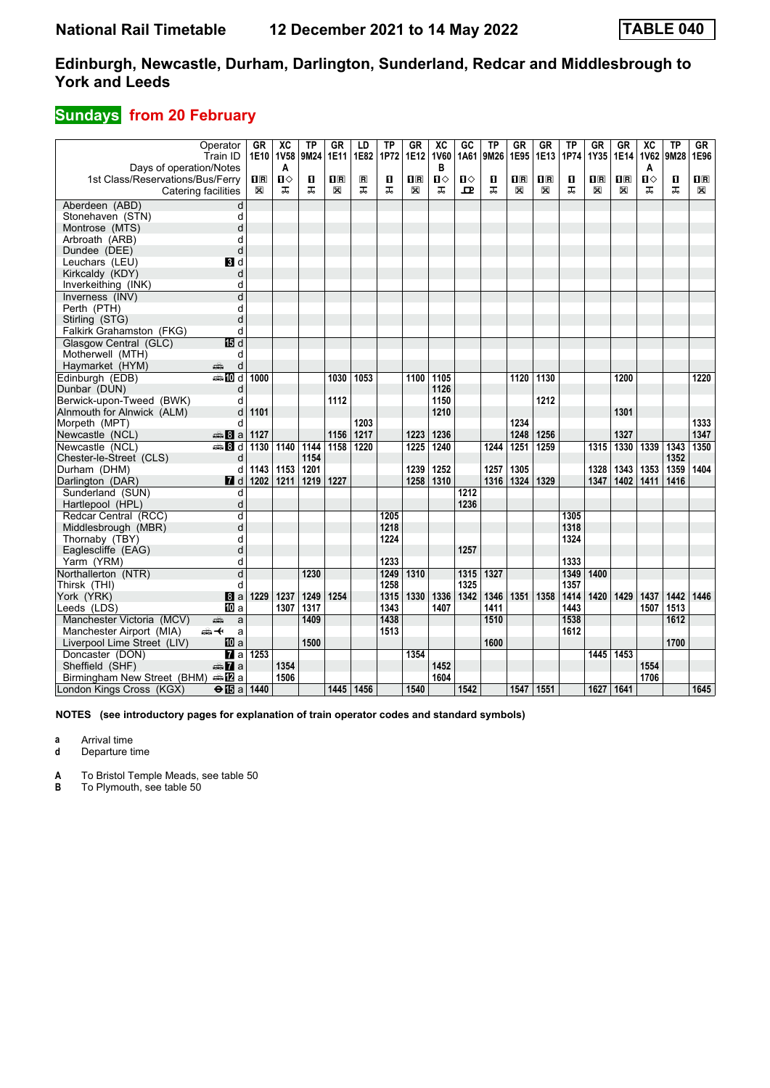## **Sundays from 20 February**

|                                                             | Operator                | GR      | $\overline{X}C$ | <b>TP</b> | <b>GR</b>               | LD                      | $\overline{TP}$ | $G$ R                   | $\overline{\text{xc}}$ | $\overline{GC}$ | $\overline{TP}$ | GR                      | $G$ R                   | $\overline{TP}$ | <b>GR</b>               | $G$ R                   | XC          | $\overline{TP}$ | GR                      |
|-------------------------------------------------------------|-------------------------|---------|-----------------|-----------|-------------------------|-------------------------|-----------------|-------------------------|------------------------|-----------------|-----------------|-------------------------|-------------------------|-----------------|-------------------------|-------------------------|-------------|-----------------|-------------------------|
|                                                             | Train ID                | 1E10    | 1V58            | 9M24      | 1E11                    | 1E82                    | 1P72            | 1E12                    | <b>1V60</b><br>в       | 1A61            | 9M26            | 1E95                    | 1E13                    | 1P74            | 1Y35                    | <b>1E14</b>             | <b>1V62</b> | 9M28            | 1E96                    |
| Days of operation/Notes<br>1st Class/Reservations/Bus/Ferry |                         | $\Pi$ R | A<br>Ⅱ♦         | п         | $\overline{\mathbf{H}}$ | $\overline{\mathbf{R}}$ | п               | $\overline{\mathbf{R}}$ | П⇔                     | $\mathbf{u}$    | п               | $\overline{\mathbf{B}}$ | $\overline{\mathbf{H}}$ | п               | $\overline{\mathbf{R}}$ | $\overline{\mathbf{R}}$ | A<br>п      | $\mathbf{u}$    | $\overline{\mathbf{B}}$ |
|                                                             | Catering facilities     | X       | ᠼ               | ᅚ         | ⊠                       | ᠼ                       | ᠼ               | X                       | ᠼ                      | ᇁ               | ᠼ               | X                       | X                       | ᠼ               | $\mathbb{X}$            | X                       | ᅚ           | ᠼ               | X                       |
|                                                             |                         |         |                 |           |                         |                         |                 |                         |                        |                 |                 |                         |                         |                 |                         |                         |             |                 |                         |
| Aberdeen (ABD)                                              | d                       |         |                 |           |                         |                         |                 |                         |                        |                 |                 |                         |                         |                 |                         |                         |             |                 |                         |
| Stonehaven (STN)                                            | d                       |         |                 |           |                         |                         |                 |                         |                        |                 |                 |                         |                         |                 |                         |                         |             |                 |                         |
| Montrose (MTS)                                              | d                       |         |                 |           |                         |                         |                 |                         |                        |                 |                 |                         |                         |                 |                         |                         |             |                 |                         |
| Arbroath (ARB)                                              | d                       |         |                 |           |                         |                         |                 |                         |                        |                 |                 |                         |                         |                 |                         |                         |             |                 |                         |
| Dundee (DEE)                                                | d                       |         |                 |           |                         |                         |                 |                         |                        |                 |                 |                         |                         |                 |                         |                         |             |                 |                         |
| Leuchars (LEU)                                              | BI d                    |         |                 |           |                         |                         |                 |                         |                        |                 |                 |                         |                         |                 |                         |                         |             |                 |                         |
| Kirkcaldy (KDY)                                             | d                       |         |                 |           |                         |                         |                 |                         |                        |                 |                 |                         |                         |                 |                         |                         |             |                 |                         |
| Inverkeithing (INK)                                         | d                       |         |                 |           |                         |                         |                 |                         |                        |                 |                 |                         |                         |                 |                         |                         |             |                 |                         |
| Inverness (INV)                                             | d                       |         |                 |           |                         |                         |                 |                         |                        |                 |                 |                         |                         |                 |                         |                         |             |                 |                         |
| Perth (PTH)                                                 | d                       |         |                 |           |                         |                         |                 |                         |                        |                 |                 |                         |                         |                 |                         |                         |             |                 |                         |
| Stirling (STG)                                              | d                       |         |                 |           |                         |                         |                 |                         |                        |                 |                 |                         |                         |                 |                         |                         |             |                 |                         |
| Falkirk Grahamston (FKG)                                    | d                       |         |                 |           |                         |                         |                 |                         |                        |                 |                 |                         |                         |                 |                         |                         |             |                 |                         |
| Glasgow Central (GLC)                                       | 115 d                   |         |                 |           |                         |                         |                 |                         |                        |                 |                 |                         |                         |                 |                         |                         |             |                 |                         |
| Motherwell (MTH)                                            | d                       |         |                 |           |                         |                         |                 |                         |                        |                 |                 |                         |                         |                 |                         |                         |             |                 |                         |
| Haymarket (HYM)                                             | d<br>æ                  |         |                 |           |                         |                         |                 |                         |                        |                 |                 |                         |                         |                 |                         |                         |             |                 |                         |
| Edinburgh (EDB)                                             | <b>ADd</b>              | 1000    |                 |           | 1030                    | 1053                    |                 | 1100                    | 1105                   |                 |                 | 1120                    | 1130                    |                 |                         | 1200                    |             |                 | 1220                    |
| Dunbar (DUN)                                                | d                       |         |                 |           |                         |                         |                 |                         | 1126                   |                 |                 |                         |                         |                 |                         |                         |             |                 |                         |
| Berwick-upon-Tweed (BWK)                                    | d                       |         |                 |           | 1112                    |                         |                 |                         | 1150                   |                 |                 |                         | 1212                    |                 |                         |                         |             |                 |                         |
| Alnmouth for Alnwick (ALM)                                  | d                       | 1101    |                 |           |                         |                         |                 |                         | 1210                   |                 |                 |                         |                         |                 |                         | 1301                    |             |                 |                         |
| Morpeth (MPT)                                               | d                       |         |                 |           |                         | 1203                    |                 |                         |                        |                 |                 | 1234                    |                         |                 |                         |                         |             |                 | 1333                    |
| Newcastle (NCL)                                             | $\bigoplus$ 8 a         | 1127    |                 |           | 1156                    | 1217                    |                 | 1223                    | 1236                   |                 |                 | 1248                    | 1256                    |                 |                         | 1327                    |             |                 | 1347                    |
| Newcastle (NCL)                                             | dan Ba                  | 1130    | 1140            | 1144      | 1158                    | 1220                    |                 | 1225                    | 1240                   |                 | 1244            | 1251                    | 1259                    |                 | 1315                    | 1330                    | 1339        | 1343            | 1350                    |
| Chester-le-Street (CLS)                                     | d                       |         |                 | 1154      |                         |                         |                 |                         |                        |                 |                 |                         |                         |                 |                         |                         |             | 1352            |                         |
| Durham (DHM)                                                | d                       | 1143    | 1153            | 1201      |                         |                         |                 | 1239                    | 1252                   |                 | 1257            | 1305                    |                         |                 | 1328                    | 1343                    | 1353        | 1359            | 1404                    |
| Darlington (DAR)                                            | <b>7</b> d              | 1202    | 1211            | 1219      | 1227                    |                         |                 | 1258                    | 1310                   |                 | 1316            | 1324                    | 1329                    |                 | 1347                    | 1402                    | 1411        | 1416            |                         |
| Sunderland (SUN)                                            | d                       |         |                 |           |                         |                         |                 |                         |                        | 1212            |                 |                         |                         |                 |                         |                         |             |                 |                         |
| Hartlepool (HPL)                                            | d                       |         |                 |           |                         |                         |                 |                         |                        | 1236            |                 |                         |                         |                 |                         |                         |             |                 |                         |
| Redcar Central (RCC)                                        | d                       |         |                 |           |                         |                         | 1205            |                         |                        |                 |                 |                         |                         | 1305            |                         |                         |             |                 |                         |
| Middlesbrough (MBR)                                         | d                       |         |                 |           |                         |                         | 1218            |                         |                        |                 |                 |                         |                         | 1318            |                         |                         |             |                 |                         |
| Thornaby (TBY)                                              | d                       |         |                 |           |                         |                         | 1224            |                         |                        |                 |                 |                         |                         | 1324            |                         |                         |             |                 |                         |
| Eaglescliffe (EAG)                                          | d                       |         |                 |           |                         |                         |                 |                         |                        | 1257            |                 |                         |                         |                 |                         |                         |             |                 |                         |
| Yarm (YRM)                                                  | d                       |         |                 |           |                         |                         | 1233            |                         |                        |                 |                 |                         |                         | 1333            |                         |                         |             |                 |                         |
| Northallerton (NTR)                                         | $\overline{\mathsf{d}}$ |         |                 | 1230      |                         |                         | 1249            | 1310                    |                        | 1315            | 1327            |                         |                         | 1349            | 1400                    |                         |             |                 |                         |
| Thirsk (THI)                                                | d                       |         |                 |           |                         |                         | 1258            |                         |                        | 1325            |                 |                         |                         | 1357            |                         |                         |             |                 |                         |
| York (YRK)                                                  | 8a                      | 1229    | 1237            | 1249      | 1254                    |                         | 1315            | 1330                    | 1336                   | 1342            | 1346            | 1351                    | 1358                    | 1414            | 1420                    | 1429                    | 1437        | 1442            | 1446                    |
| Leeds (LDS)                                                 | IIII a                  |         | 1307            | 1317      |                         |                         | 1343            |                         | 1407                   |                 | 1411            |                         |                         | 1443            |                         |                         | 1507        | 1513            |                         |
| Manchester Victoria (MCV)                                   | æ<br>a                  |         |                 | 1409      |                         |                         | 1438            |                         |                        |                 | 1510            |                         |                         | 1538            |                         |                         |             | 1612            |                         |
| Manchester Airport (MIA)                                    | ക≁<br>a                 |         |                 |           |                         |                         | 1513            |                         |                        |                 |                 |                         |                         | 1612            |                         |                         |             |                 |                         |
| Liverpool Lime Street (LIV)                                 | <b>ID</b> a             |         |                 | 1500      |                         |                         |                 |                         |                        |                 | 1600            |                         |                         |                 |                         |                         |             | 1700            |                         |
| Doncaster (DON)                                             | <b>7</b> а              | 1253    |                 |           |                         |                         |                 | 1354                    |                        |                 |                 |                         |                         |                 | 1445                    | 1453                    |             |                 |                         |
| Sheffield (SHF)                                             | <b><del>m</del></b> 7a  |         | 1354            |           |                         |                         |                 |                         | 1452                   |                 |                 |                         |                         |                 |                         |                         | 1554        |                 |                         |
| Birmingham New Street (BHM)                                 | and and a               |         | 1506            |           |                         |                         |                 |                         | 1604                   |                 |                 |                         |                         |                 |                         |                         | 1706        |                 |                         |
| London Kings Cross (KGX)                                    | $\Theta$ is a 1440      |         |                 |           |                         | 1445 1456               |                 | 1540                    |                        | 1542            |                 |                         | 1547 1551               |                 | 1627   1641             |                         |             |                 | 1645                    |

**NOTES (see introductory pages for explanation of train operator codes and standard symbols)**

**a** Arrival time

**d** Departure time

**A** To Bristol Temple Meads, see table 50

**B** To Plymouth, see table 50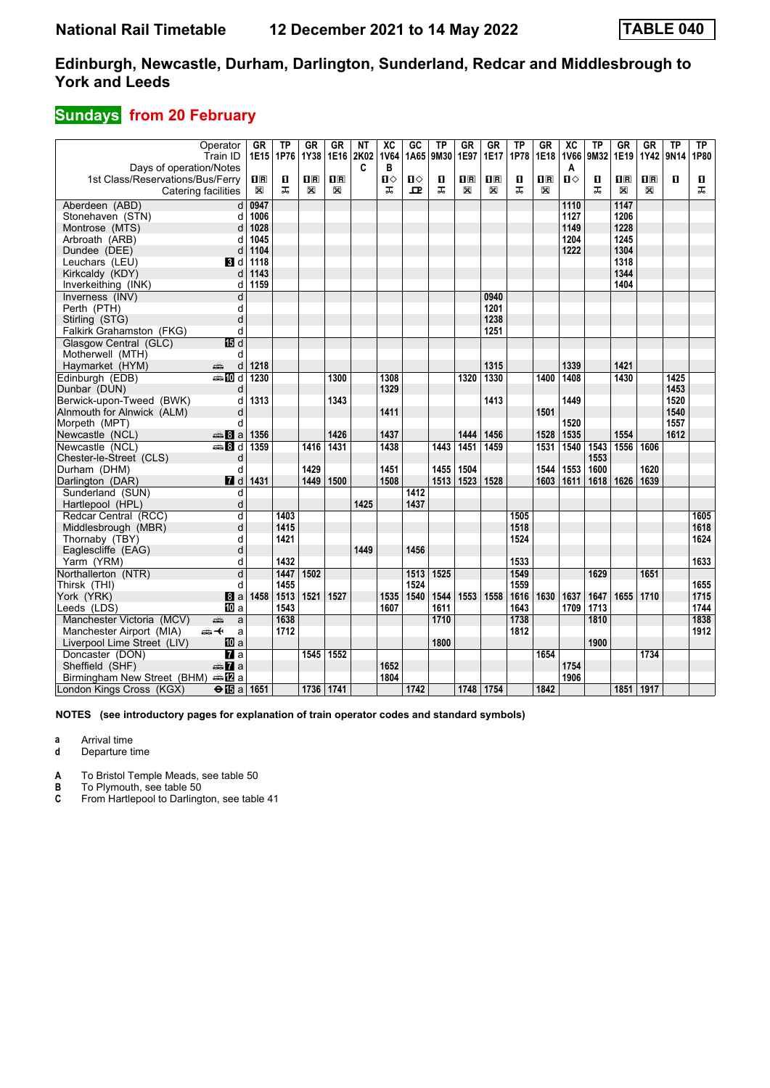## **Sundays from 20 February**

|                                    | Operator<br>Train ID    | GR<br>1E15              | <b>TP</b><br>1P76 | <b>GR</b><br>1Y38 | <b>GR</b><br>1E16 | NT<br>2K02 | $\overline{X}C$<br><b>1V64</b> | GC<br>1A65 | $\overline{TP}$<br>9M30 | $G$ R<br>1E97           | <b>GR</b><br>1E17 | <b>TP</b><br>1P78 | $G$ R<br>1E18           | $\overline{X}C$<br><b>1V66</b> | <b>TP</b><br>9M32 | $G$ R<br>1E19           | <b>GR</b><br>1Y42       | <b>TP</b><br>9N14 | TP<br>1P80 |
|------------------------------------|-------------------------|-------------------------|-------------------|-------------------|-------------------|------------|--------------------------------|------------|-------------------------|-------------------------|-------------------|-------------------|-------------------------|--------------------------------|-------------------|-------------------------|-------------------------|-------------------|------------|
| Days of operation/Notes            |                         |                         |                   |                   |                   | C          | в                              |            |                         |                         |                   |                   |                         | Α                              |                   |                         |                         |                   |            |
| 1st Class/Reservations/Bus/Ferry   |                         | $\overline{\mathbf{H}}$ | п                 | $\mathbf{H}$ R    | $\Pi$ R           |            | п⇔                             | Ⅱ◇         | п                       | $\overline{\mathbf{R}}$ | $\mathbf{I}$ R    | O                 | $\overline{\mathbf{H}}$ | $\mathbf{u}$                   | п                 | $\overline{\mathbf{H}}$ | $\overline{\mathbf{H}}$ | $\mathbf{u}$      | П          |
|                                    | Catering facilities     | X                       | ᠼ                 | X                 | X                 |            | ᠼ                              | 굔          | ᠼ                       | X                       | X                 | ᠼ                 | X                       |                                | ᠼ                 | X                       | X                       |                   | ᠼ          |
| Aberdeen (ABD)                     | d                       | 0947                    |                   |                   |                   |            |                                |            |                         |                         |                   |                   |                         | 1110                           |                   | 1147                    |                         |                   |            |
| Stonehaven (STN)                   | d                       | 1006                    |                   |                   |                   |            |                                |            |                         |                         |                   |                   |                         | 1127                           |                   | 1206                    |                         |                   |            |
| Montrose (MTS)                     | d                       | 1028                    |                   |                   |                   |            |                                |            |                         |                         |                   |                   |                         | 1149                           |                   | 1228                    |                         |                   |            |
| Arbroath (ARB)                     | d                       | 1045                    |                   |                   |                   |            |                                |            |                         |                         |                   |                   |                         | 1204                           |                   | 1245                    |                         |                   |            |
| Dundee (DEE)                       | d                       | 1104                    |                   |                   |                   |            |                                |            |                         |                         |                   |                   |                         | 1222                           |                   | 1304                    |                         |                   |            |
| Leuchars (LEU)                     | 3 d                     | 1118                    |                   |                   |                   |            |                                |            |                         |                         |                   |                   |                         |                                |                   | 1318                    |                         |                   |            |
| Kirkcaldy (KDY)                    | d                       | 1143                    |                   |                   |                   |            |                                |            |                         |                         |                   |                   |                         |                                |                   | 1344                    |                         |                   |            |
| Inverkeithing (INK)                | d                       | 1159                    |                   |                   |                   |            |                                |            |                         |                         |                   |                   |                         |                                |                   | 1404                    |                         |                   |            |
| Inverness (INV)                    | d                       |                         |                   |                   |                   |            |                                |            |                         |                         | 0940              |                   |                         |                                |                   |                         |                         |                   |            |
| Perth (PTH)                        | d                       |                         |                   |                   |                   |            |                                |            |                         |                         | 1201              |                   |                         |                                |                   |                         |                         |                   |            |
| Stirling (STG)                     | d                       |                         |                   |                   |                   |            |                                |            |                         |                         | 1238              |                   |                         |                                |                   |                         |                         |                   |            |
| Falkirk Grahamston (FKG)           | d                       |                         |                   |                   |                   |            |                                |            |                         |                         | 1251              |                   |                         |                                |                   |                         |                         |                   |            |
| Glasgow Central (GLC)              | <b>個d</b>               |                         |                   |                   |                   |            |                                |            |                         |                         |                   |                   |                         |                                |                   |                         |                         |                   |            |
| Motherwell (MTH)                   | d                       |                         |                   |                   |                   |            |                                |            |                         |                         |                   |                   |                         |                                |                   |                         |                         |                   |            |
| Haymarket (HYM)                    | æ<br>d                  | 1218                    |                   |                   |                   |            |                                |            |                         |                         | 1315              |                   |                         | 1339                           |                   | 1421                    |                         |                   |            |
| Edinburgh (EDB)                    | <b>⊯Md</b>              | 1230                    |                   |                   | 1300              |            | 1308                           |            |                         | 1320                    | 1330              |                   | 1400                    | 1408                           |                   | 1430                    |                         | 1425              |            |
| Dunbar (DUN)                       | d                       |                         |                   |                   |                   |            | 1329                           |            |                         |                         |                   |                   |                         |                                |                   |                         |                         | 1453              |            |
| Berwick-upon-Tweed (BWK)           | d                       | 1313                    |                   |                   | 1343              |            |                                |            |                         |                         | 1413              |                   |                         | 1449                           |                   |                         |                         | 1520              |            |
| Alnmouth for Alnwick (ALM)         | d                       |                         |                   |                   |                   |            | 1411                           |            |                         |                         |                   |                   | 1501                    |                                |                   |                         |                         | 1540              |            |
| Morpeth (MPT)                      | d                       |                         |                   |                   |                   |            |                                |            |                         |                         |                   |                   |                         | 1520                           |                   |                         |                         | 1557              |            |
| Newcastle (NCL)                    | anna 8 a                | 1356                    |                   |                   | 1426              |            | 1437                           |            |                         | 1444                    | 1456              |                   | 1528                    | 1535                           |                   | 1554                    |                         | 1612              |            |
| Newcastle (NCL)                    | $\oplus$ 8 d            | 1359                    |                   | 1416              | 1431              |            | 1438                           |            | 1443                    | 1451                    | 1459              |                   | 1531                    | 1540                           | 1543              | 1556                    | 1606                    |                   |            |
| Chester-le-Street (CLS)            | d                       |                         |                   |                   |                   |            |                                |            |                         |                         |                   |                   |                         |                                | 1553              |                         |                         |                   |            |
| Durham (DHM)                       | d                       |                         |                   | 1429              |                   |            | 1451                           |            | 1455                    | 1504                    |                   |                   | 1544                    | 1553                           | 1600              |                         | 1620                    |                   |            |
| Darlington (DAR)                   | $I$ d                   | 1431                    |                   | 1449              | 1500              |            | 1508                           |            | 1513                    | 1523                    | 1528              |                   | 1603                    | 1611                           | 1618              | 1626                    | 1639                    |                   |            |
| Sunderland (SUN)                   | d                       |                         |                   |                   |                   |            |                                | 1412       |                         |                         |                   |                   |                         |                                |                   |                         |                         |                   |            |
| Hartlepool (HPL)                   | d                       |                         |                   |                   |                   | 1425       |                                | 1437       |                         |                         |                   |                   |                         |                                |                   |                         |                         |                   |            |
| Redcar Central (RCC)               | d                       |                         | 1403              |                   |                   |            |                                |            |                         |                         |                   | 1505              |                         |                                |                   |                         |                         |                   | 1605       |
| Middlesbrough (MBR)                | d                       |                         | 1415              |                   |                   |            |                                |            |                         |                         |                   | 1518              |                         |                                |                   |                         |                         |                   | 1618       |
| Thornaby (TBY)                     | d                       |                         | 1421              |                   |                   |            |                                |            |                         |                         |                   | 1524              |                         |                                |                   |                         |                         |                   | 1624       |
| Eaglescliffe (EAG)                 | d                       |                         |                   |                   |                   | 1449       |                                | 1456       |                         |                         |                   |                   |                         |                                |                   |                         |                         |                   |            |
| Yarm (YRM)                         | d                       |                         | 1432              |                   |                   |            |                                |            |                         |                         |                   | 1533              |                         |                                |                   |                         |                         |                   | 1633       |
| Northallerton (NTR)                | $\overline{\mathsf{d}}$ |                         | 1447              | 1502              |                   |            |                                | 1513       | 1525                    |                         |                   | 1549              |                         |                                | 1629              |                         | 1651                    |                   |            |
| Thirsk (THI)                       | d                       |                         | 1455              |                   |                   |            |                                | 1524       |                         |                         |                   | 1559              |                         |                                |                   |                         |                         |                   | 1655       |
| York (YRK)                         | 8a                      | 1458                    | 1513              | 1521              | 1527              |            | 1535                           | 1540       | 1544                    | 1553                    | 1558              | 1616              | 1630                    | 1637                           | 1647              | 1655                    | 1710                    |                   | 1715       |
| Leeds (LDS)                        | <b>ID</b> a             |                         | 1543              |                   |                   |            | 1607                           |            | 1611                    |                         |                   | 1643              |                         | 1709                           | 1713              |                         |                         |                   | 1744       |
| Manchester Victoria (MCV)          | پېښ<br>a                |                         | 1638              |                   |                   |            |                                |            | 1710                    |                         |                   | 1738              |                         |                                | 1810              |                         |                         |                   | 1838       |
| Manchester Airport (MIA)           | ക≁<br>a                 |                         | 1712              |                   |                   |            |                                |            |                         |                         |                   | 1812              |                         |                                |                   |                         |                         |                   | 1912       |
| Liverpool Lime Street (LIV)        | <b>ID</b> a             |                         |                   |                   |                   |            |                                |            | 1800                    |                         |                   |                   |                         |                                | 1900              |                         |                         |                   |            |
| Doncaster (DON)                    | <b>и</b> а              |                         |                   | 1545              | 1552              |            |                                |            |                         |                         |                   |                   | 1654                    |                                |                   |                         | 1734                    |                   |            |
| Sheffield (SHF)                    | $\oplus \mathbf{Z}$ a   |                         |                   |                   |                   |            | 1652                           |            |                         |                         |                   |                   |                         | 1754                           |                   |                         |                         |                   |            |
| Birmingham New Street (BHM) = 12 a |                         |                         |                   |                   |                   |            | 1804                           |            |                         |                         |                   |                   |                         | 1906                           |                   |                         |                         |                   |            |
| London Kings Cross (KGX)           | $\Theta$ is a 1651      |                         |                   | 1736              | 1741              |            |                                | 1742       |                         | 1748                    | 1754              |                   | 1842                    |                                |                   | 1851 1917               |                         |                   |            |

**NOTES (see introductory pages for explanation of train operator codes and standard symbols)**

**a** Arrival time

**d** Departure time

**A** To Bristol Temple Meads, see table 50

**B** To Plymouth, see table 50<br>**C** From Hartlepool to Darling

**C** From Hartlepool to Darlington, see table 41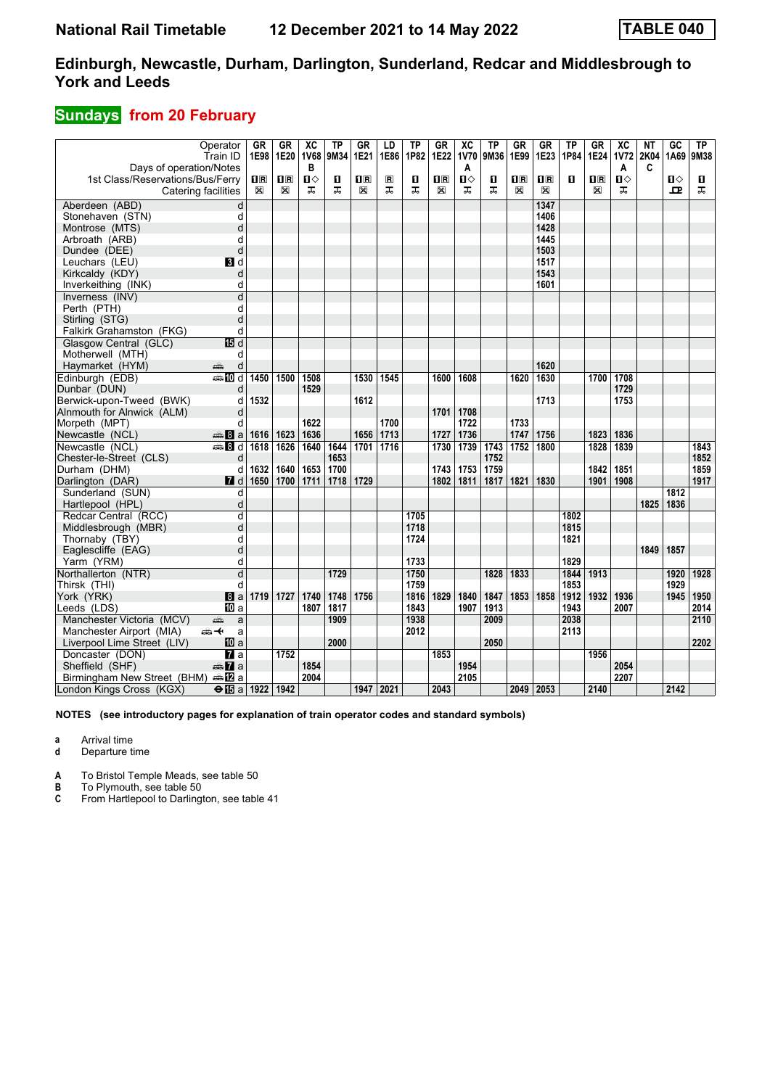## **Sundays from 20 February**

|                                  | Operator<br>Train ID    | GR<br>1E98  | GR<br>1E20   | $\overline{X}C$<br><b>1V68</b> | <b>TP</b><br>9M34 | GR<br>1E21              | LD<br>1E86     | TP<br>1P82 | $G_{R}$<br>1E22         | $\overline{\mathbf{X}}$<br>1V70 | TP<br>9M36 | $G_{R}$<br>1E99         | $G$ R<br>1E23           | $\overline{TP}$<br>1P84 | <b>GR</b><br>1E24       | $\overline{\mathbf{X}}$<br><b>1V72</b> | NT<br>2K04 | $\overline{GC}$<br>1A69 | TP<br>9M38 |
|----------------------------------|-------------------------|-------------|--------------|--------------------------------|-------------------|-------------------------|----------------|------------|-------------------------|---------------------------------|------------|-------------------------|-------------------------|-------------------------|-------------------------|----------------------------------------|------------|-------------------------|------------|
| Days of operation/Notes          |                         |             |              | B                              |                   |                         |                |            |                         | A                               |            |                         |                         |                         |                         | A                                      | C          |                         |            |
| 1st Class/Reservations/Bus/Ferry |                         | 0 R         | $\mathbf{H}$ | Ⅱ◇                             | п                 | $\overline{\mathbf{B}}$ | $\blacksquare$ | п          | $\overline{\mathbf{R}}$ | $\mathbf{u}$                    | п          | $\overline{\mathbf{B}}$ | $\overline{\mathbf{H}}$ | П                       | $\overline{\mathbf{H}}$ | $\mathbf{u}$                           |            | $\mathbf{u}$            | п          |
|                                  | Catering facilities     | $\boxtimes$ | X            | ᠼ                              | ᠼ                 | $\boxtimes$             | ᠼ              | ᠼ          | X                       | ᠼ                               | ᠼ          | X                       | X                       |                         | X                       | ᠼ                                      |            | ᇁ                       | ᠼ          |
| Aberdeen (ABD)                   | d                       |             |              |                                |                   |                         |                |            |                         |                                 |            |                         | 1347                    |                         |                         |                                        |            |                         |            |
| Stonehaven (STN)                 | d                       |             |              |                                |                   |                         |                |            |                         |                                 |            |                         | 1406                    |                         |                         |                                        |            |                         |            |
| Montrose (MTS)                   | d                       |             |              |                                |                   |                         |                |            |                         |                                 |            |                         | 1428                    |                         |                         |                                        |            |                         |            |
| Arbroath (ARB)                   | d                       |             |              |                                |                   |                         |                |            |                         |                                 |            |                         | 1445                    |                         |                         |                                        |            |                         |            |
| Dundee (DEE)                     | d                       |             |              |                                |                   |                         |                |            |                         |                                 |            |                         | 1503                    |                         |                         |                                        |            |                         |            |
| Leuchars (LEU)                   | BI d                    |             |              |                                |                   |                         |                |            |                         |                                 |            |                         | 1517                    |                         |                         |                                        |            |                         |            |
| Kirkcaldy (KDY)                  | d                       |             |              |                                |                   |                         |                |            |                         |                                 |            |                         | 1543                    |                         |                         |                                        |            |                         |            |
| Inverkeithing (INK)              | d                       |             |              |                                |                   |                         |                |            |                         |                                 |            |                         | 1601                    |                         |                         |                                        |            |                         |            |
| Inverness (INV)                  | d                       |             |              |                                |                   |                         |                |            |                         |                                 |            |                         |                         |                         |                         |                                        |            |                         |            |
| Perth (PTH)                      | d                       |             |              |                                |                   |                         |                |            |                         |                                 |            |                         |                         |                         |                         |                                        |            |                         |            |
| Stirling (STG)                   | d                       |             |              |                                |                   |                         |                |            |                         |                                 |            |                         |                         |                         |                         |                                        |            |                         |            |
| Falkirk Grahamston (FKG)         | d                       |             |              |                                |                   |                         |                |            |                         |                                 |            |                         |                         |                         |                         |                                        |            |                         |            |
| Glasgow Central (GLC)            | 15日 d                   |             |              |                                |                   |                         |                |            |                         |                                 |            |                         |                         |                         |                         |                                        |            |                         |            |
| Motherwell (MTH)                 | d                       |             |              |                                |                   |                         |                |            |                         |                                 |            |                         |                         |                         |                         |                                        |            |                         |            |
| Haymarket (HYM)                  | d<br>æ                  |             |              |                                |                   |                         |                |            |                         |                                 |            |                         | 1620                    |                         |                         |                                        |            |                         |            |
| Edinburgh (EDB)                  | $\bigoplus$ 10 d        | 1450        | 1500         | 1508                           |                   | 1530                    | 1545           |            | 1600                    | 1608                            |            | 1620                    | 1630                    |                         | 1700                    | 1708                                   |            |                         |            |
| Dunbar (DUN)                     | d                       |             |              | 1529                           |                   |                         |                |            |                         |                                 |            |                         |                         |                         |                         | 1729                                   |            |                         |            |
| Berwick-upon-Tweed (BWK)         | d                       | 1532        |              |                                |                   | 1612                    |                |            |                         |                                 |            |                         | 1713                    |                         |                         | 1753                                   |            |                         |            |
| Alnmouth for Alnwick (ALM)       | d                       |             |              |                                |                   |                         |                |            | 1701                    | 1708                            |            |                         |                         |                         |                         |                                        |            |                         |            |
| Morpeth (MPT)                    | d                       |             |              | 1622                           |                   |                         | 1700           |            |                         | 1722                            |            | 1733                    |                         |                         |                         |                                        |            |                         |            |
| Newcastle (NCL)                  | $\oplus 8$ a            | 1616        | 1623         | 1636                           |                   | 1656                    | 1713           |            | 1727                    | 1736                            |            | 1747                    | 1756                    |                         | 1823                    | 1836                                   |            |                         |            |
| Newcastle (NCL)                  | <b>第8d</b>              | 1618        | 1626         | 1640                           | 1644              | 1701                    | 1716           |            | 1730                    | 1739                            | 1743       | 1752                    | 1800                    |                         | 1828                    | 1839                                   |            |                         | 1843       |
| Chester-le-Street (CLS)          | d                       |             |              |                                | 1653              |                         |                |            |                         |                                 | 1752       |                         |                         |                         |                         |                                        |            |                         | 1852       |
| Durham (DHM)                     | d                       | 1632        | 1640         | 1653                           | 1700              |                         |                |            | 1743                    | 1753                            | 1759       |                         |                         |                         | 1842                    | 1851                                   |            |                         | 1859       |
| Darlington (DAR)                 | $\blacksquare$ d        | 1650        | 1700         | 1711                           | 1718              | 1729                    |                |            | 1802                    | 1811                            | 1817       | 1821                    | 1830                    |                         | 1901                    | 1908                                   |            |                         | 1917       |
| Sunderland (SUN)                 | d                       |             |              |                                |                   |                         |                |            |                         |                                 |            |                         |                         |                         |                         |                                        |            | 1812                    |            |
| Hartlepool (HPL)                 | d                       |             |              |                                |                   |                         |                |            |                         |                                 |            |                         |                         |                         |                         |                                        | 1825       | 1836                    |            |
| Redcar Central (RCC)             | $\overline{\mathsf{d}}$ |             |              |                                |                   |                         |                | 1705       |                         |                                 |            |                         |                         | 1802                    |                         |                                        |            |                         |            |
| Middlesbrough (MBR)              | d                       |             |              |                                |                   |                         |                | 1718       |                         |                                 |            |                         |                         | 1815                    |                         |                                        |            |                         |            |
| Thornaby (TBY)                   | d                       |             |              |                                |                   |                         |                | 1724       |                         |                                 |            |                         |                         | 1821                    |                         |                                        |            |                         |            |
| Eaglescliffe (EAG)               | d                       |             |              |                                |                   |                         |                |            |                         |                                 |            |                         |                         |                         |                         |                                        | 1849       | 1857                    |            |
| Yarm (YRM)                       | d                       |             |              |                                |                   |                         |                | 1733       |                         |                                 |            |                         |                         | 1829                    |                         |                                        |            |                         |            |
| Northallerton (NTR)              | $\overline{\mathsf{d}}$ |             |              |                                | 1729              |                         |                | 1750       |                         |                                 | 1828       | 1833                    |                         | 1844                    | 1913                    |                                        |            | 1920                    | 1928       |
| Thirsk (THI)                     | d                       |             |              |                                |                   |                         |                | 1759       |                         |                                 |            |                         |                         | 1853                    |                         |                                        |            | 1929                    |            |
| York (YRK)                       | 8a                      | 1719        | 1727         | 1740                           | 1748              | 1756                    |                | 1816       | 1829                    | 1840                            | 1847       | 1853                    | 1858                    | 1912                    | 1932                    | 1936                                   |            | 1945                    | 1950       |
| Leeds (LDS)                      | IIII a                  |             |              | 1807                           | 1817              |                         |                | 1843       |                         | 1907                            | 1913       |                         |                         | 1943                    |                         | 2007                                   |            |                         | 2014       |
| Manchester Victoria (MCV)        | پېښ<br>a                |             |              |                                | 1909              |                         |                | 1938       |                         |                                 | 2009       |                         |                         | 2038                    |                         |                                        |            |                         | 2110       |
| Manchester Airport (MIA)         | ക≁<br>a                 |             |              |                                |                   |                         |                | 2012       |                         |                                 |            |                         |                         | 2113                    |                         |                                        |            |                         |            |
| Liverpool Lime Street (LIV)      | <b>ID</b> a             |             |              |                                | 2000              |                         |                |            |                         |                                 | 2050       |                         |                         |                         |                         |                                        |            |                         | 2202       |
| Doncaster (DON)                  | <b>и</b> а              |             | 1752         |                                |                   |                         |                |            | 1853                    |                                 |            |                         |                         |                         | 1956                    |                                        |            |                         |            |
| Sheffield (SHF)                  | <b><del>m</del></b> 7a  |             |              | 1854                           |                   |                         |                |            |                         | 1954                            |            |                         |                         |                         |                         | 2054                                   |            |                         |            |
| Birmingham New Street (BHM)      |                         |             |              | 2004                           |                   |                         |                |            |                         | 2105                            |            |                         |                         |                         |                         | 2207                                   |            |                         |            |
| London Kings Cross (KGX)         | $\Theta$ is a 1922 1942 |             |              |                                |                   |                         | 1947   2021    |            | 2043                    |                                 |            |                         | 2049 2053               |                         | 2140                    |                                        |            | 2142                    |            |

**NOTES (see introductory pages for explanation of train operator codes and standard symbols)**

**a** Arrival time

**d** Departure time

**A** To Bristol Temple Meads, see table 50

**B** To Plymouth, see table 50<br>**C** From Hartlepool to Darling

**C** From Hartlepool to Darlington, see table 41